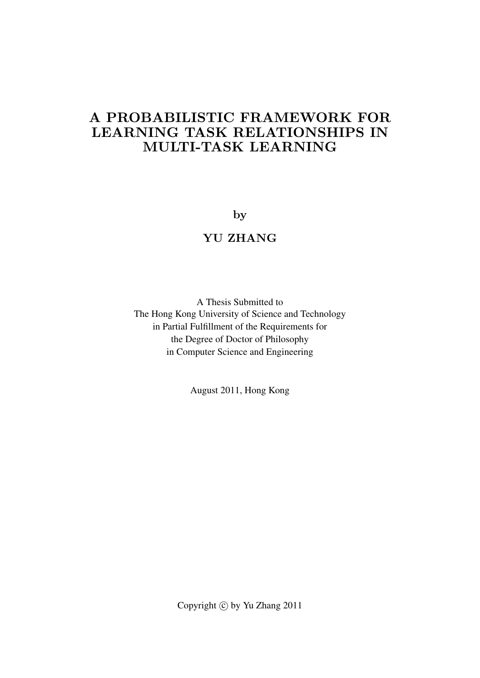# A PROBABILISTIC FRAMEWORK FOR LEARNING TASK RELATIONSHIPS IN MULTI-TASK LEARNING

by

### YU ZHANG

A Thesis Submitted to The Hong Kong University of Science and Technology in Partial Fulfillment of the Requirements for the Degree of Doctor of Philosophy in Computer Science and Engineering

August 2011, Hong Kong

Copyright  $\odot$  by Yu Zhang 2011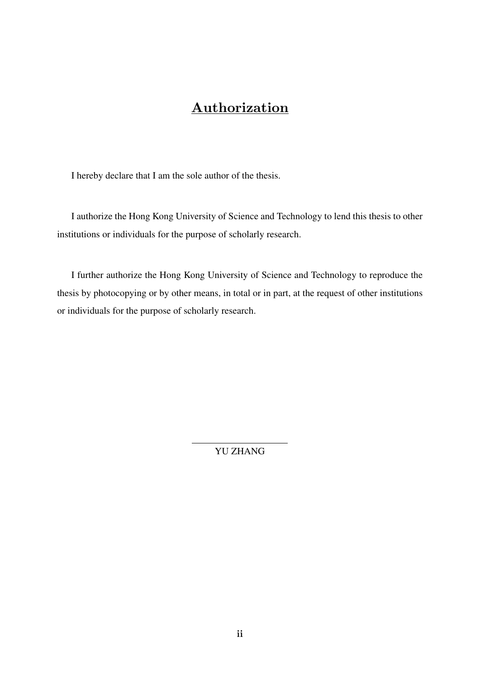# **Authorization**

I hereby declare that I am the sole author of the thesis.

I authorize the Hong Kong University of Science and Technology to lend this thesis to other institutions or individuals for the purpose of scholarly research.

I further authorize the Hong Kong University of Science and Technology to reproduce the thesis by photocopying or by other means, in total or in part, at the request of other institutions or individuals for the purpose of scholarly research.

YU ZHANG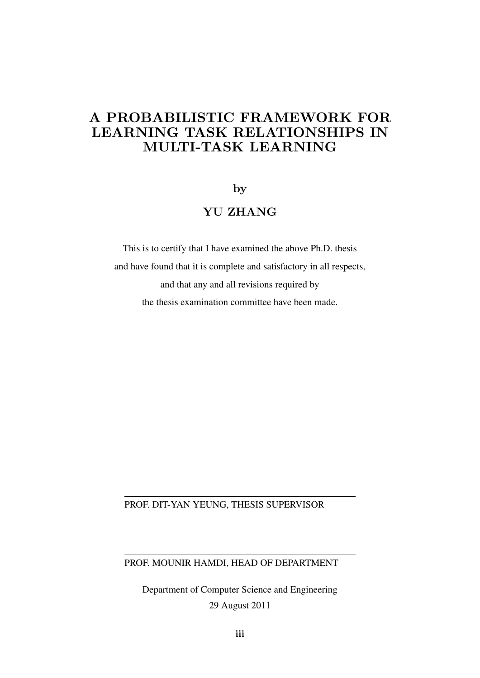# A PROBABILISTIC FRAMEWORK FOR LEARNING TASK RELATIONSHIPS IN MULTI-TASK LEARNING

#### by

## YU ZHANG

This is to certify that I have examined the above Ph.D. thesis and have found that it is complete and satisfactory in all respects, and that any and all revisions required by the thesis examination committee have been made.

#### PROF. DIT-YAN YEUNG, THESIS SUPERVISOR

### PROF. MOUNIR HAMDI, HEAD OF DEPARTMENT

Department of Computer Science and Engineering 29 August 2011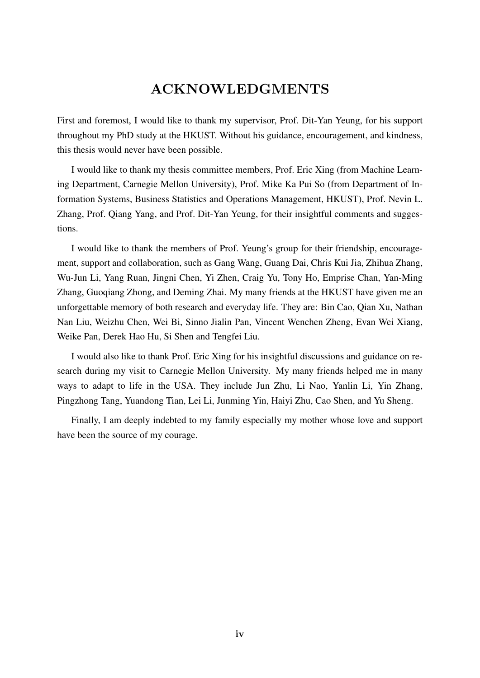# ACKNOWLEDGMENTS

First and foremost, I would like to thank my supervisor, Prof. Dit-Yan Yeung, for his support throughout my PhD study at the HKUST. Without his guidance, encouragement, and kindness, this thesis would never have been possible.

I would like to thank my thesis committee members, Prof. Eric Xing (from Machine Learning Department, Carnegie Mellon University), Prof. Mike Ka Pui So (from Department of Information Systems, Business Statistics and Operations Management, HKUST), Prof. Nevin L. Zhang, Prof. Qiang Yang, and Prof. Dit-Yan Yeung, for their insightful comments and suggestions.

I would like to thank the members of Prof. Yeung's group for their friendship, encouragement, support and collaboration, such as Gang Wang, Guang Dai, Chris Kui Jia, Zhihua Zhang, Wu-Jun Li, Yang Ruan, Jingni Chen, Yi Zhen, Craig Yu, Tony Ho, Emprise Chan, Yan-Ming Zhang, Guoqiang Zhong, and Deming Zhai. My many friends at the HKUST have given me an unforgettable memory of both research and everyday life. They are: Bin Cao, Qian Xu, Nathan Nan Liu, Weizhu Chen, Wei Bi, Sinno Jialin Pan, Vincent Wenchen Zheng, Evan Wei Xiang, Weike Pan, Derek Hao Hu, Si Shen and Tengfei Liu.

I would also like to thank Prof. Eric Xing for his insightful discussions and guidance on research during my visit to Carnegie Mellon University. My many friends helped me in many ways to adapt to life in the USA. They include Jun Zhu, Li Nao, Yanlin Li, Yin Zhang, Pingzhong Tang, Yuandong Tian, Lei Li, Junming Yin, Haiyi Zhu, Cao Shen, and Yu Sheng.

Finally, I am deeply indebted to my family especially my mother whose love and support have been the source of my courage.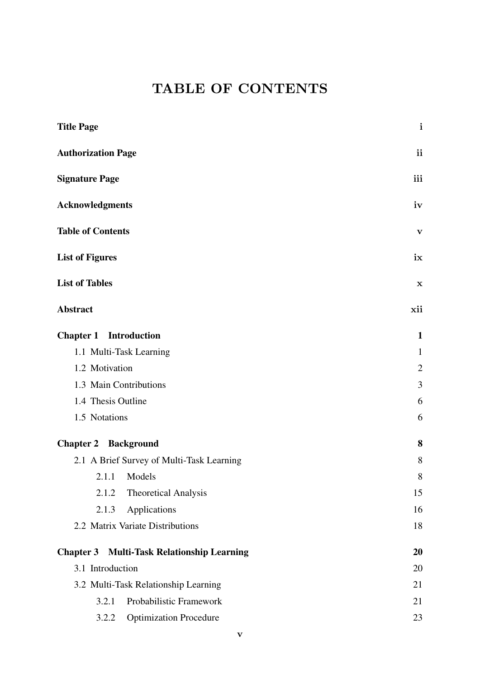# TABLE OF CONTENTS

| <b>Title Page</b>                                 | $\mathbf i$  |
|---------------------------------------------------|--------------|
| <b>Authorization Page</b>                         | ii           |
| <b>Signature Page</b>                             | iii          |
| Acknowledgments                                   | iv           |
| <b>Table of Contents</b>                          | $\mathbf{V}$ |
| <b>List of Figures</b>                            | ix           |
| <b>List of Tables</b>                             | $\mathbf X$  |
| <b>Abstract</b>                                   | xii          |
| <b>Chapter 1</b> Introduction                     | $\mathbf{1}$ |
| 1.1 Multi-Task Learning                           | $\mathbf{1}$ |
| 1.2 Motivation                                    | $\mathbf{2}$ |
| 1.3 Main Contributions                            | 3            |
| 1.4 Thesis Outline                                | 6            |
| 1.5 Notations                                     | 6            |
| <b>Chapter 2 Background</b>                       | 8            |
| 2.1 A Brief Survey of Multi-Task Learning         | 8            |
| $2.1.1$ Models                                    | $8\,$        |
| 2.1.2<br><b>Theoretical Analysis</b>              | 15           |
| 2.1.3<br>Applications                             | 16           |
| 2.2 Matrix Variate Distributions                  | 18           |
| <b>Chapter 3 Multi-Task Relationship Learning</b> | 20           |
| 3.1 Introduction                                  | 20           |
| 3.2 Multi-Task Relationship Learning              | 21           |
| Probabilistic Framework<br>3.2.1                  | 21           |
| <b>Optimization Procedure</b><br>3.2.2            | 23           |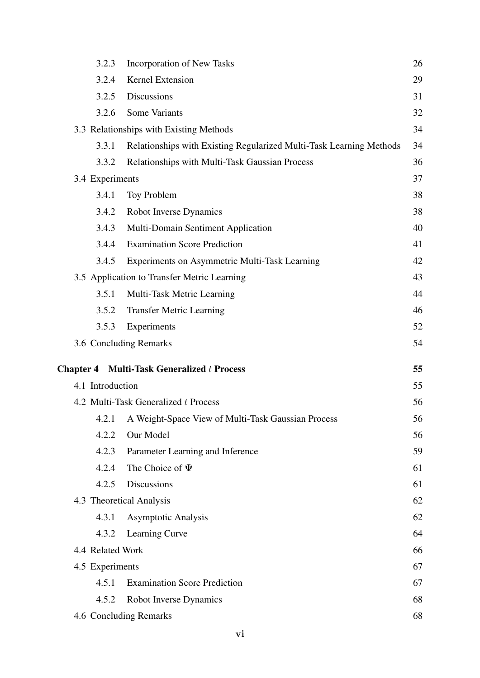| 3.2.3            | Incorporation of New Tasks                                          | 26 |
|------------------|---------------------------------------------------------------------|----|
| 3.2.4            | Kernel Extension                                                    | 29 |
| 3.2.5            | Discussions                                                         | 31 |
| 3.2.6            | Some Variants                                                       | 32 |
|                  | 3.3 Relationships with Existing Methods                             | 34 |
| 3.3.1            | Relationships with Existing Regularized Multi-Task Learning Methods | 34 |
| 3.3.2            | Relationships with Multi-Task Gaussian Process                      | 36 |
| 3.4 Experiments  |                                                                     | 37 |
| 3.4.1            | Toy Problem                                                         | 38 |
| 3.4.2            | Robot Inverse Dynamics                                              | 38 |
| 3.4.3            | Multi-Domain Sentiment Application                                  | 40 |
| 3.4.4            | <b>Examination Score Prediction</b>                                 | 41 |
| 3.4.5            | Experiments on Asymmetric Multi-Task Learning                       | 42 |
|                  | 3.5 Application to Transfer Metric Learning                         | 43 |
| 3.5.1            | Multi-Task Metric Learning                                          | 44 |
| 3.5.2            | <b>Transfer Metric Learning</b>                                     | 46 |
| 3.5.3            | Experiments                                                         | 52 |
|                  | 3.6 Concluding Remarks                                              | 54 |
|                  | <b>Chapter 4 Multi-Task Generalized t Process</b>                   | 55 |
| 4.1 Introduction |                                                                     | 55 |
|                  | 4.2 Multi-Task Generalized t Process                                | 56 |
|                  | 4.2.1 A Weight-Space View of Multi-Task Gaussian Process            | 56 |
| 4.2.2            | Our Model                                                           | 56 |
| 4.2.3            | Parameter Learning and Inference                                    | 59 |
| 4.2.4            | The Choice of $\Psi$                                                | 61 |
| 4.2.5            | <b>Discussions</b>                                                  | 61 |
|                  | 4.3 Theoretical Analysis                                            | 62 |
| 4.3.1            | <b>Asymptotic Analysis</b>                                          | 62 |
| 4.3.2            | Learning Curve                                                      | 64 |
| 4.4 Related Work |                                                                     | 66 |
| 4.5 Experiments  |                                                                     | 67 |
| 4.5.1            | <b>Examination Score Prediction</b>                                 | 67 |
| 4.5.2            | Robot Inverse Dynamics                                              | 68 |
|                  | 4.6 Concluding Remarks                                              | 68 |
|                  |                                                                     |    |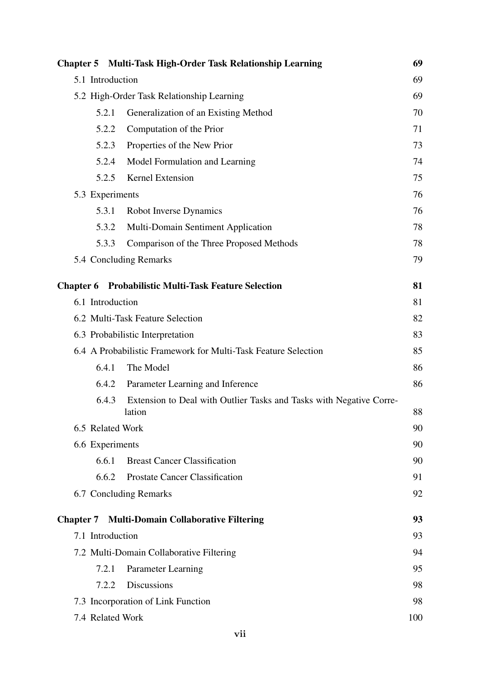| <b>Chapter 5</b> |                  | Multi-Task High-Order Task Relationship Learning                              | 69  |
|------------------|------------------|-------------------------------------------------------------------------------|-----|
|                  | 5.1 Introduction |                                                                               | 69  |
|                  |                  | 5.2 High-Order Task Relationship Learning                                     | 69  |
|                  | 5.2.1            | Generalization of an Existing Method                                          | 70  |
|                  | 5.2.2            | Computation of the Prior                                                      | 71  |
|                  | 5.2.3            | Properties of the New Prior                                                   | 73  |
|                  | 5.2.4            | Model Formulation and Learning                                                | 74  |
|                  | 5.2.5            | Kernel Extension                                                              | 75  |
|                  | 5.3 Experiments  |                                                                               | 76  |
|                  | 5.3.1            | Robot Inverse Dynamics                                                        | 76  |
|                  | 5.3.2            | Multi-Domain Sentiment Application                                            | 78  |
|                  | 5.3.3            | Comparison of the Three Proposed Methods                                      | 78  |
|                  |                  | 5.4 Concluding Remarks                                                        | 79  |
| <b>Chapter 6</b> |                  | <b>Probabilistic Multi-Task Feature Selection</b>                             | 81  |
|                  | 6.1 Introduction |                                                                               | 81  |
|                  |                  | 6.2 Multi-Task Feature Selection                                              | 82  |
|                  |                  | 6.3 Probabilistic Interpretation                                              | 83  |
|                  |                  | 6.4 A Probabilistic Framework for Multi-Task Feature Selection                | 85  |
|                  | 6.4.1            | The Model                                                                     | 86  |
|                  | 6.4.2            | Parameter Learning and Inference                                              | 86  |
|                  | 6.4.3            | Extension to Deal with Outlier Tasks and Tasks with Negative Corre-<br>lation | 88  |
|                  | 6.5 Related Work |                                                                               | 90  |
|                  | 6.6 Experiments  |                                                                               | 90  |
|                  | 6.6.1            | <b>Breast Cancer Classification</b>                                           | 90  |
|                  | 6.6.2            | <b>Prostate Cancer Classification</b>                                         | 91  |
|                  |                  | 6.7 Concluding Remarks                                                        | 92  |
| <b>Chapter 7</b> |                  | <b>Multi-Domain Collaborative Filtering</b>                                   | 93  |
|                  | 7.1 Introduction |                                                                               | 93  |
|                  |                  | 7.2 Multi-Domain Collaborative Filtering                                      | 94  |
|                  | 7.2.1            | Parameter Learning                                                            | 95  |
|                  | 7.2.2            | <b>Discussions</b>                                                            | 98  |
|                  |                  | 7.3 Incorporation of Link Function                                            | 98  |
|                  | 7.4 Related Work |                                                                               | 100 |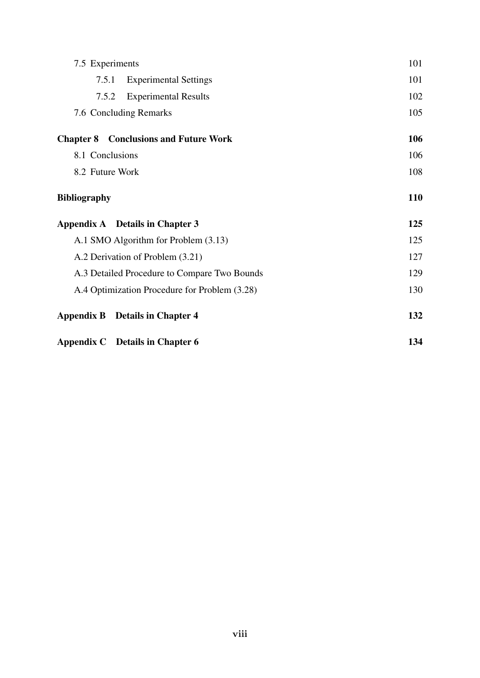| 7.5 Experiments     |                                               | 101 |
|---------------------|-----------------------------------------------|-----|
| 7.5.1               | <b>Experimental Settings</b>                  | 101 |
| 7.5.2               | <b>Experimental Results</b>                   | 102 |
|                     | 7.6 Concluding Remarks                        | 105 |
|                     | <b>Chapter 8 Conclusions and Future Work</b>  | 106 |
| 8.1 Conclusions     |                                               | 106 |
| 8.2 Future Work     |                                               | 108 |
| <b>Bibliography</b> |                                               | 110 |
|                     | Appendix A Details in Chapter 3               | 125 |
|                     | A.1 SMO Algorithm for Problem (3.13)          | 125 |
|                     | A.2 Derivation of Problem (3.21)              | 127 |
|                     | A.3 Detailed Procedure to Compare Two Bounds  | 129 |
|                     | A.4 Optimization Procedure for Problem (3.28) | 130 |
|                     | <b>Appendix B</b> Details in Chapter 4        | 132 |
|                     | Appendix C Details in Chapter 6               | 134 |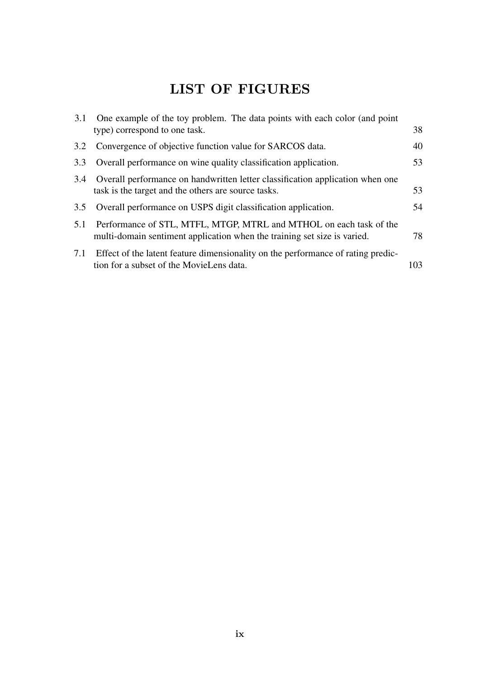# LIST OF FIGURES

| 3.1 | One example of the toy problem. The data points with each color (and point<br>type) correspond to one task.                                    | 38  |
|-----|------------------------------------------------------------------------------------------------------------------------------------------------|-----|
|     | 3.2 Convergence of objective function value for SARCOS data.                                                                                   | 40  |
| 3.3 | Overall performance on wine quality classification application.                                                                                | 53  |
| 3.4 | Overall performance on handwritten letter classification application when one<br>task is the target and the others are source tasks.           | 53  |
|     | 3.5 Overall performance on USPS digit classification application.                                                                              | 54  |
| 5.1 | Performance of STL, MTFL, MTGP, MTRL and MTHOL on each task of the<br>multi-domain sentiment application when the training set size is varied. | 78  |
| 7.1 | Effect of the latent feature dimensionality on the performance of rating predic-<br>tion for a subset of the MovieLens data.                   | 103 |
|     |                                                                                                                                                |     |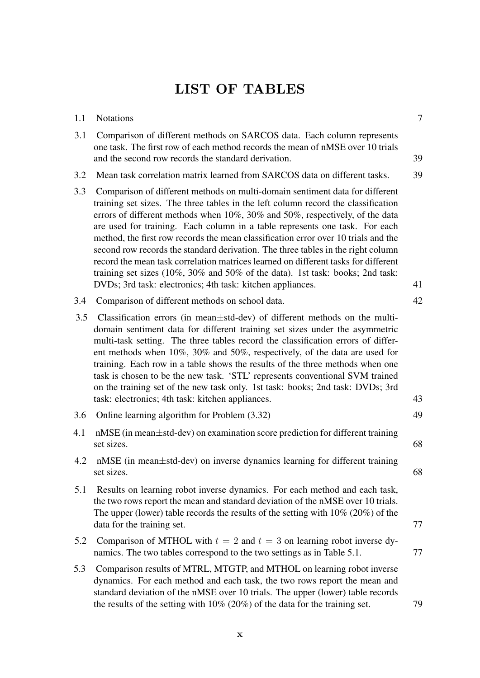# LIST OF TABLES

| 1.1 | <b>Notations</b>                                                                                                                                                                                                                                                                                                                                                                                                                                                                                                                                                                                                                                                                                                                                | 7  |
|-----|-------------------------------------------------------------------------------------------------------------------------------------------------------------------------------------------------------------------------------------------------------------------------------------------------------------------------------------------------------------------------------------------------------------------------------------------------------------------------------------------------------------------------------------------------------------------------------------------------------------------------------------------------------------------------------------------------------------------------------------------------|----|
| 3.1 | Comparison of different methods on SARCOS data. Each column represents<br>one task. The first row of each method records the mean of nMSE over 10 trials<br>and the second row records the standard derivation.                                                                                                                                                                                                                                                                                                                                                                                                                                                                                                                                 | 39 |
| 3.2 | Mean task correlation matrix learned from SARCOS data on different tasks.                                                                                                                                                                                                                                                                                                                                                                                                                                                                                                                                                                                                                                                                       | 39 |
| 3.3 | Comparison of different methods on multi-domain sentiment data for different<br>training set sizes. The three tables in the left column record the classification<br>errors of different methods when 10%, 30% and 50%, respectively, of the data<br>are used for training. Each column in a table represents one task. For each<br>method, the first row records the mean classification error over 10 trials and the<br>second row records the standard derivation. The three tables in the right column<br>record the mean task correlation matrices learned on different tasks for different<br>training set sizes (10%, 30% and 50% of the data). 1st task: books; 2nd task:<br>DVDs; 3rd task: electronics; 4th task: kitchen appliances. | 41 |
| 3.4 | Comparison of different methods on school data.                                                                                                                                                                                                                                                                                                                                                                                                                                                                                                                                                                                                                                                                                                 | 42 |
| 3.5 | Classification errors (in mean $\pm$ std-dev) of different methods on the multi-<br>domain sentiment data for different training set sizes under the asymmetric<br>multi-task setting. The three tables record the classification errors of differ-<br>ent methods when 10%, 30% and 50%, respectively, of the data are used for<br>training. Each row in a table shows the results of the three methods when one<br>task is chosen to be the new task. 'STL' represents conventional SVM trained<br>on the training set of the new task only. 1st task: books; 2nd task: DVDs; 3rd<br>task: electronics; 4th task: kitchen appliances.                                                                                                         | 43 |
| 3.6 | Online learning algorithm for Problem (3.32)                                                                                                                                                                                                                                                                                                                                                                                                                                                                                                                                                                                                                                                                                                    | 49 |
| 4.1 | $nMSE$ (in mean $\pm$ std-dev) on examination score prediction for different training<br>set sizes.                                                                                                                                                                                                                                                                                                                                                                                                                                                                                                                                                                                                                                             | 68 |
| 4.2 | $nMSE$ (in mean $\pm$ std-dev) on inverse dynamics learning for different training<br>set sizes.                                                                                                                                                                                                                                                                                                                                                                                                                                                                                                                                                                                                                                                | 68 |
| 5.1 | Results on learning robot inverse dynamics. For each method and each task,<br>the two rows report the mean and standard deviation of the nMSE over 10 trials.<br>The upper (lower) table records the results of the setting with $10\%$ (20%) of the<br>data for the training set.                                                                                                                                                                                                                                                                                                                                                                                                                                                              | 77 |
| 5.2 | Comparison of MTHOL with $t = 2$ and $t = 3$ on learning robot inverse dy-<br>namics. The two tables correspond to the two settings as in Table 5.1.                                                                                                                                                                                                                                                                                                                                                                                                                                                                                                                                                                                            | 77 |
| 5.3 | Comparison results of MTRL, MTGTP, and MTHOL on learning robot inverse<br>dynamics. For each method and each task, the two rows report the mean and<br>standard deviation of the nMSE over 10 trials. The upper (lower) table records<br>the results of the setting with $10\%$ (20%) of the data for the training set.                                                                                                                                                                                                                                                                                                                                                                                                                         | 79 |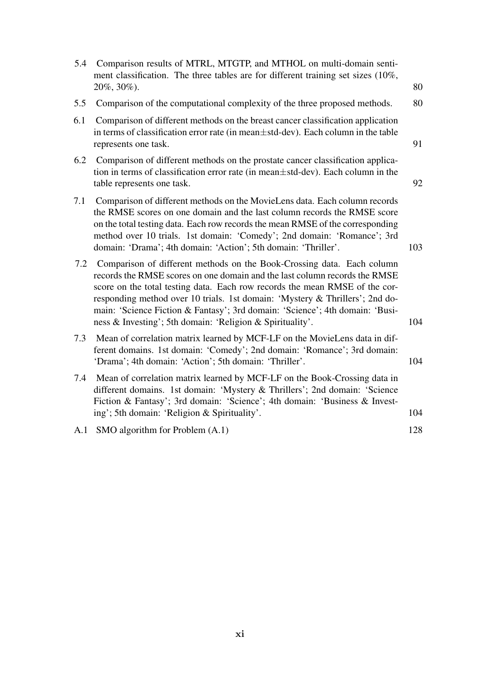| 5.4 | Comparison results of MTRL, MTGTP, and MTHOL on multi-domain senti-<br>ment classification. The three tables are for different training set sizes (10%,<br>20%, 30%).                                                                                                                                                                                                                                                                                            | 80  |
|-----|------------------------------------------------------------------------------------------------------------------------------------------------------------------------------------------------------------------------------------------------------------------------------------------------------------------------------------------------------------------------------------------------------------------------------------------------------------------|-----|
| 5.5 | Comparison of the computational complexity of the three proposed methods.                                                                                                                                                                                                                                                                                                                                                                                        | 80  |
| 6.1 | Comparison of different methods on the breast cancer classification application<br>in terms of classification error rate (in mean±std-dev). Each column in the table<br>represents one task.                                                                                                                                                                                                                                                                     | 91  |
| 6.2 | Comparison of different methods on the prostate cancer classification applica-<br>tion in terms of classification error rate (in mean±std-dev). Each column in the<br>table represents one task.                                                                                                                                                                                                                                                                 | 92  |
| 7.1 | Comparison of different methods on the MovieLens data. Each column records<br>the RMSE scores on one domain and the last column records the RMSE score<br>on the total testing data. Each row records the mean RMSE of the corresponding<br>method over 10 trials. 1st domain: 'Comedy'; 2nd domain: 'Romance'; 3rd<br>domain: 'Drama'; 4th domain: 'Action'; 5th domain: 'Thriller'.                                                                            | 103 |
| 7.2 | Comparison of different methods on the Book-Crossing data. Each column<br>records the RMSE scores on one domain and the last column records the RMSE<br>score on the total testing data. Each row records the mean RMSE of the cor-<br>responding method over 10 trials. 1st domain: 'Mystery & Thrillers'; 2nd do-<br>main: 'Science Fiction & Fantasy'; 3rd domain: 'Science'; 4th domain: 'Busi-<br>ness & Investing'; 5th domain: 'Religion & Spirituality'. | 104 |
| 7.3 | Mean of correlation matrix learned by MCF-LF on the MovieLens data in dif-<br>ferent domains. 1st domain: 'Comedy'; 2nd domain: 'Romance'; 3rd domain:<br>'Drama'; 4th domain: 'Action'; 5th domain: 'Thriller'.                                                                                                                                                                                                                                                 | 104 |
| 7.4 | Mean of correlation matrix learned by MCF-LF on the Book-Crossing data in<br>different domains. 1st domain: 'Mystery & Thrillers'; 2nd domain: 'Science<br>Fiction & Fantasy'; 3rd domain: 'Science'; 4th domain: 'Business & Invest-<br>ing'; 5th domain: 'Religion & Spirituality'.                                                                                                                                                                            | 104 |
|     | A.1 SMO algorithm for Problem (A.1)                                                                                                                                                                                                                                                                                                                                                                                                                              | 128 |
|     |                                                                                                                                                                                                                                                                                                                                                                                                                                                                  |     |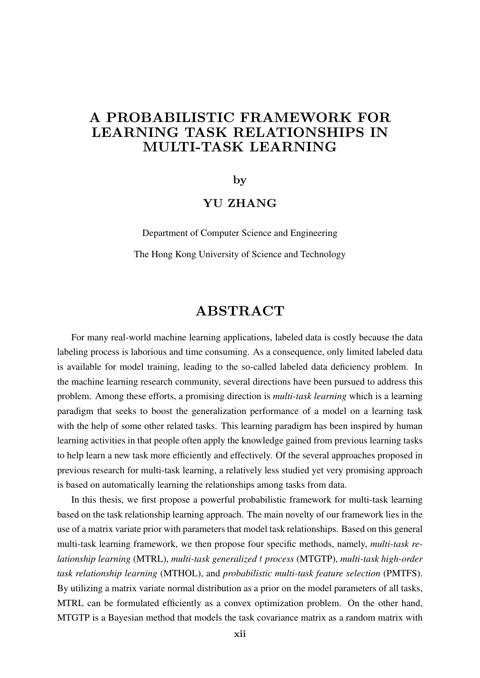# A PROBABILISTIC FRAMEWORK FOR LEARNING TASK RELATIONSHIPS IN MULTI-TASK LEARNING

by

### YU ZHANG

Department of Computer Science and Engineering The Hong Kong University of Science and Technology

# ABSTRACT

For many real-world machine learning applications, labeled data is costly because the data labeling process is laborious and time consuming. As a consequence, only limited labeled data is available for model training, leading to the so-called labeled data deficiency problem. In the machine learning research community, several directions have been pursued to address this problem. Among these efforts, a promising direction is *multi-task learning* which is a learning paradigm that seeks to boost the generalization performance of a model on a learning task with the help of some other related tasks. This learning paradigm has been inspired by human learning activities in that people often apply the knowledge gained from previous learning tasks to help learn a new task more efficiently and effectively. Of the several approaches proposed in previous research for multi-task learning, a relatively less studied yet very promising approach is based on automatically learning the relationships among tasks from data.

In this thesis, we first propose a powerful probabilistic framework for multi-task learning based on the task relationship learning approach. The main novelty of our framework lies in the use of a matrix variate prior with parameters that model task relationships. Based on this general multi-task learning framework, we then propose four specific methods, namely, *multi-task relationship learning* (MTRL), *multi-task generalized* t *process* (MTGTP), *multi-task high-order task relationship learning* (MTHOL), and *probabilistic multi-task feature selection* (PMTFS). By utilizing a matrix variate normal distribution as a prior on the model parameters of all tasks, MTRL can be formulated efficiently as a convex optimization problem. On the other hand, MTGTP is a Bayesian method that models the task covariance matrix as a random matrix with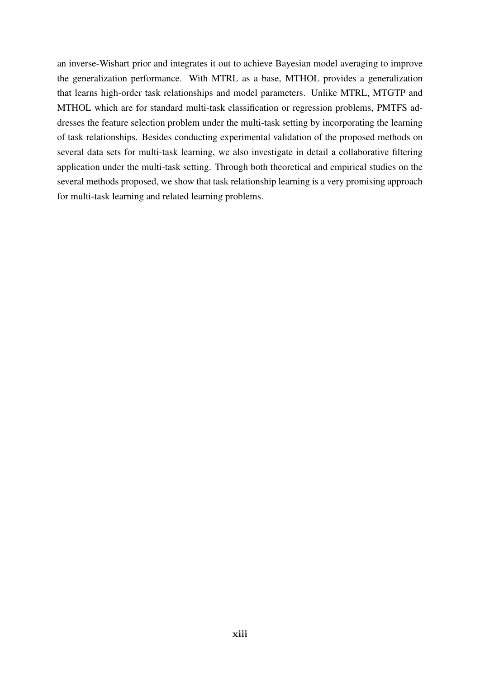an inverse-Wishart prior and integrates it out to achieve Bayesian model averaging to improve the generalization performance. With MTRL as a base, MTHOL provides a generalization that learns high-order task relationships and model parameters. Unlike MTRL, MTGTP and MTHOL which are for standard multi-task classification or regression problems, PMTFS addresses the feature selection problem under the multi-task setting by incorporating the learning of task relationships. Besides conducting experimental validation of the proposed methods on several data sets for multi-task learning, we also investigate in detail a collaborative filtering application under the multi-task setting. Through both theoretical and empirical studies on the several methods proposed, we show that task relationship learning is a very promising approach for multi-task learning and related learning problems.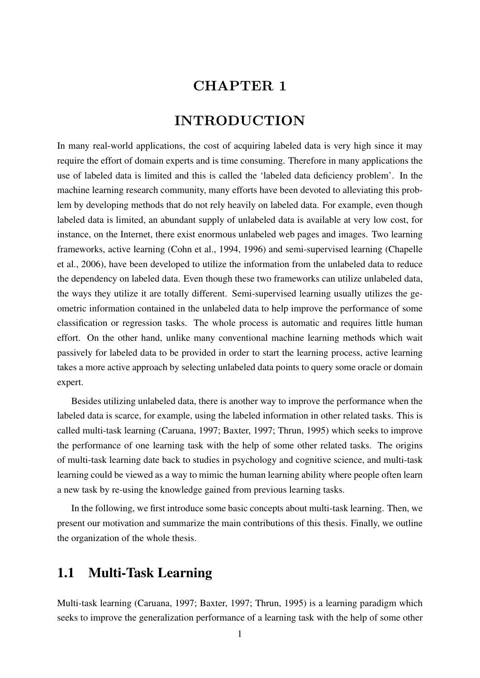# CHAPTER 1

## INTRODUCTION

In many real-world applications, the cost of acquiring labeled data is very high since it may require the effort of domain experts and is time consuming. Therefore in many applications the use of labeled data is limited and this is called the 'labeled data deficiency problem'. In the machine learning research community, many efforts have been devoted to alleviating this problem by developing methods that do not rely heavily on labeled data. For example, even though labeled data is limited, an abundant supply of unlabeled data is available at very low cost, for instance, on the Internet, there exist enormous unlabeled web pages and images. Two learning frameworks, active learning (Cohn et al., 1994, 1996) and semi-supervised learning (Chapelle et al., 2006), have been developed to utilize the information from the unlabeled data to reduce the dependency on labeled data. Even though these two frameworks can utilize unlabeled data, the ways they utilize it are totally different. Semi-supervised learning usually utilizes the geometric information contained in the unlabeled data to help improve the performance of some classification or regression tasks. The whole process is automatic and requires little human effort. On the other hand, unlike many conventional machine learning methods which wait passively for labeled data to be provided in order to start the learning process, active learning takes a more active approach by selecting unlabeled data points to query some oracle or domain expert.

Besides utilizing unlabeled data, there is another way to improve the performance when the labeled data is scarce, for example, using the labeled information in other related tasks. This is called multi-task learning (Caruana, 1997; Baxter, 1997; Thrun, 1995) which seeks to improve the performance of one learning task with the help of some other related tasks. The origins of multi-task learning date back to studies in psychology and cognitive science, and multi-task learning could be viewed as a way to mimic the human learning ability where people often learn a new task by re-using the knowledge gained from previous learning tasks.

In the following, we first introduce some basic concepts about multi-task learning. Then, we present our motivation and summarize the main contributions of this thesis. Finally, we outline the organization of the whole thesis.

## 1.1 Multi-Task Learning

Multi-task learning (Caruana, 1997; Baxter, 1997; Thrun, 1995) is a learning paradigm which seeks to improve the generalization performance of a learning task with the help of some other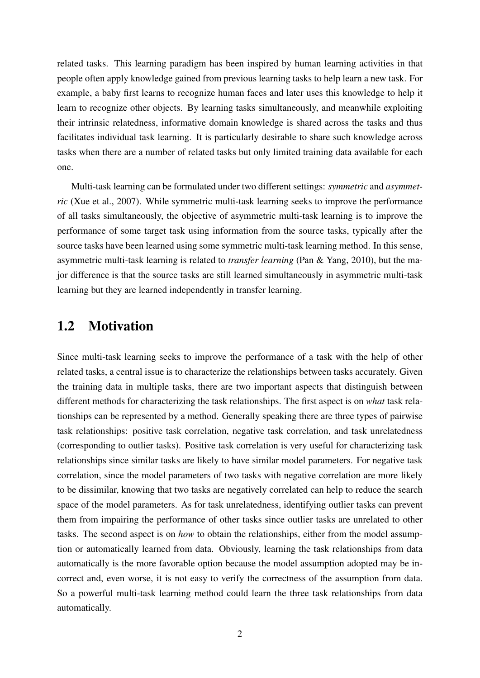related tasks. This learning paradigm has been inspired by human learning activities in that people often apply knowledge gained from previous learning tasks to help learn a new task. For example, a baby first learns to recognize human faces and later uses this knowledge to help it learn to recognize other objects. By learning tasks simultaneously, and meanwhile exploiting their intrinsic relatedness, informative domain knowledge is shared across the tasks and thus facilitates individual task learning. It is particularly desirable to share such knowledge across tasks when there are a number of related tasks but only limited training data available for each one.

Multi-task learning can be formulated under two different settings: *symmetric* and *asymmetric* (Xue et al., 2007). While symmetric multi-task learning seeks to improve the performance of all tasks simultaneously, the objective of asymmetric multi-task learning is to improve the performance of some target task using information from the source tasks, typically after the source tasks have been learned using some symmetric multi-task learning method. In this sense, asymmetric multi-task learning is related to *transfer learning* (Pan & Yang, 2010), but the major difference is that the source tasks are still learned simultaneously in asymmetric multi-task learning but they are learned independently in transfer learning.

### 1.2 Motivation

Since multi-task learning seeks to improve the performance of a task with the help of other related tasks, a central issue is to characterize the relationships between tasks accurately. Given the training data in multiple tasks, there are two important aspects that distinguish between different methods for characterizing the task relationships. The first aspect is on *what* task relationships can be represented by a method. Generally speaking there are three types of pairwise task relationships: positive task correlation, negative task correlation, and task unrelatedness (corresponding to outlier tasks). Positive task correlation is very useful for characterizing task relationships since similar tasks are likely to have similar model parameters. For negative task correlation, since the model parameters of two tasks with negative correlation are more likely to be dissimilar, knowing that two tasks are negatively correlated can help to reduce the search space of the model parameters. As for task unrelatedness, identifying outlier tasks can prevent them from impairing the performance of other tasks since outlier tasks are unrelated to other tasks. The second aspect is on *how* to obtain the relationships, either from the model assumption or automatically learned from data. Obviously, learning the task relationships from data automatically is the more favorable option because the model assumption adopted may be incorrect and, even worse, it is not easy to verify the correctness of the assumption from data. So a powerful multi-task learning method could learn the three task relationships from data automatically.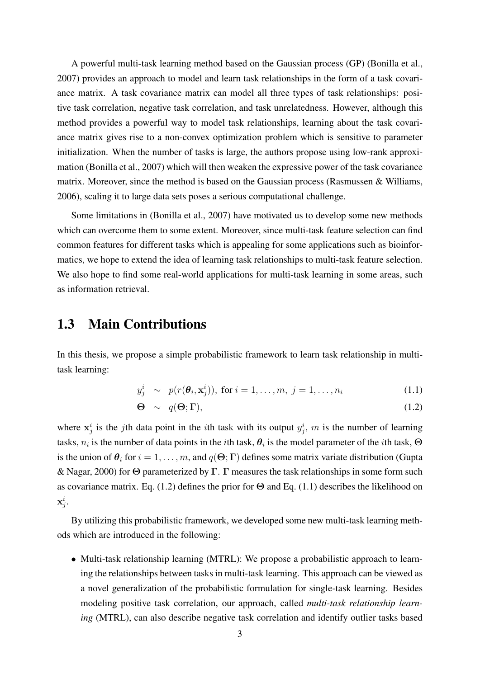A powerful multi-task learning method based on the Gaussian process (GP) (Bonilla et al., 2007) provides an approach to model and learn task relationships in the form of a task covariance matrix. A task covariance matrix can model all three types of task relationships: positive task correlation, negative task correlation, and task unrelatedness. However, although this method provides a powerful way to model task relationships, learning about the task covariance matrix gives rise to a non-convex optimization problem which is sensitive to parameter initialization. When the number of tasks is large, the authors propose using low-rank approximation (Bonilla et al., 2007) which will then weaken the expressive power of the task covariance matrix. Moreover, since the method is based on the Gaussian process (Rasmussen & Williams, 2006), scaling it to large data sets poses a serious computational challenge.

Some limitations in (Bonilla et al., 2007) have motivated us to develop some new methods which can overcome them to some extent. Moreover, since multi-task feature selection can find common features for different tasks which is appealing for some applications such as bioinformatics, we hope to extend the idea of learning task relationships to multi-task feature selection. We also hope to find some real-world applications for multi-task learning in some areas, such as information retrieval.

### 1.3 Main Contributions

In this thesis, we propose a simple probabilistic framework to learn task relationship in multitask learning:

$$
y_j^i \sim p(r(\boldsymbol{\theta}_i, \mathbf{x}_j^i)), \text{ for } i = 1, \dots, m, \ j = 1, \dots, n_i \tag{1.1}
$$

$$
\Theta \sim q(\Theta; \Gamma), \tag{1.2}
$$

where  $x_j^i$  is the jth data point in the *i*th task with its output  $y_j^i$ , m is the number of learning tasks,  $n_i$  is the number of data points in the *i*th task,  $\theta_i$  is the model parameter of the *i*th task,  $\Theta$ is the union of  $\theta_i$  for  $i = 1, \ldots, m$ , and  $q(\Theta; \Gamma)$  defines some matrix variate distribution (Gupta & Nagar, 2000) for Θ parameterized by Γ. Γ measures the task relationships in some form such as covariance matrix. Eq. (1.2) defines the prior for  $\Theta$  and Eq. (1.1) describes the likelihood on  $\mathrm{x}_j^i.$ 

By utilizing this probabilistic framework, we developed some new multi-task learning methods which are introduced in the following:

• Multi-task relationship learning (MTRL): We propose a probabilistic approach to learning the relationships between tasks in multi-task learning. This approach can be viewed as a novel generalization of the probabilistic formulation for single-task learning. Besides modeling positive task correlation, our approach, called *multi-task relationship learning* (MTRL), can also describe negative task correlation and identify outlier tasks based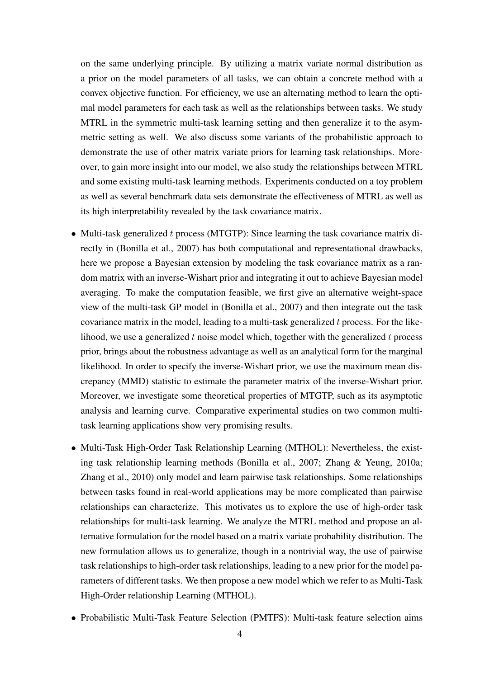on the same underlying principle. By utilizing a matrix variate normal distribution as a prior on the model parameters of all tasks, we can obtain a concrete method with a convex objective function. For efficiency, we use an alternating method to learn the optimal model parameters for each task as well as the relationships between tasks. We study MTRL in the symmetric multi-task learning setting and then generalize it to the asymmetric setting as well. We also discuss some variants of the probabilistic approach to demonstrate the use of other matrix variate priors for learning task relationships. Moreover, to gain more insight into our model, we also study the relationships between MTRL and some existing multi-task learning methods. Experiments conducted on a toy problem as well as several benchmark data sets demonstrate the effectiveness of MTRL as well as its high interpretability revealed by the task covariance matrix.

- Multi-task generalized t process (MTGTP): Since learning the task covariance matrix directly in (Bonilla et al., 2007) has both computational and representational drawbacks, here we propose a Bayesian extension by modeling the task covariance matrix as a random matrix with an inverse-Wishart prior and integrating it out to achieve Bayesian model averaging. To make the computation feasible, we first give an alternative weight-space view of the multi-task GP model in (Bonilla et al., 2007) and then integrate out the task covariance matrix in the model, leading to a multi-task generalized  $t$  process. For the likelihood, we use a generalized  $t$  noise model which, together with the generalized  $t$  process prior, brings about the robustness advantage as well as an analytical form for the marginal likelihood. In order to specify the inverse-Wishart prior, we use the maximum mean discrepancy (MMD) statistic to estimate the parameter matrix of the inverse-Wishart prior. Moreover, we investigate some theoretical properties of MTGTP, such as its asymptotic analysis and learning curve. Comparative experimental studies on two common multitask learning applications show very promising results.
- Multi-Task High-Order Task Relationship Learning (MTHOL): Nevertheless, the existing task relationship learning methods (Bonilla et al., 2007; Zhang & Yeung, 2010a; Zhang et al., 2010) only model and learn pairwise task relationships. Some relationships between tasks found in real-world applications may be more complicated than pairwise relationships can characterize. This motivates us to explore the use of high-order task relationships for multi-task learning. We analyze the MTRL method and propose an alternative formulation for the model based on a matrix variate probability distribution. The new formulation allows us to generalize, though in a nontrivial way, the use of pairwise task relationships to high-order task relationships, leading to a new prior for the model parameters of different tasks. We then propose a new model which we refer to as Multi-Task High-Order relationship Learning (MTHOL).
- Probabilistic Multi-Task Feature Selection (PMTFS): Multi-task feature selection aims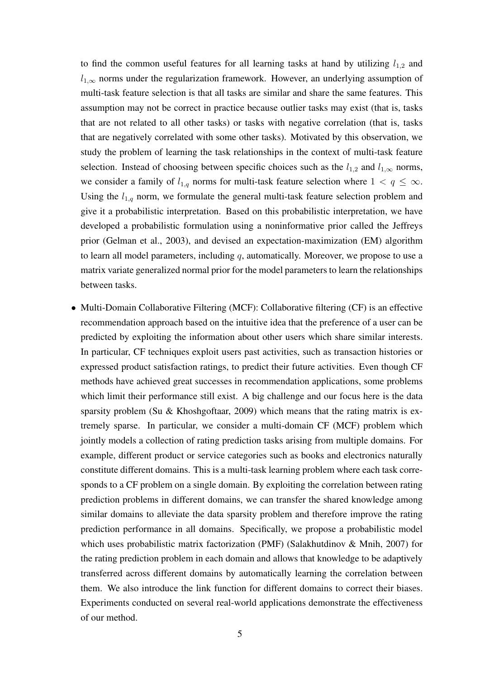to find the common useful features for all learning tasks at hand by utilizing  $l_{1,2}$  and  $l_{1,\infty}$  norms under the regularization framework. However, an underlying assumption of multi-task feature selection is that all tasks are similar and share the same features. This assumption may not be correct in practice because outlier tasks may exist (that is, tasks that are not related to all other tasks) or tasks with negative correlation (that is, tasks that are negatively correlated with some other tasks). Motivated by this observation, we study the problem of learning the task relationships in the context of multi-task feature selection. Instead of choosing between specific choices such as the  $l_{1,2}$  and  $l_{1,\infty}$  norms, we consider a family of  $l_{1,q}$  norms for multi-task feature selection where  $1 < q \leq \infty$ . Using the  $l_{1,q}$  norm, we formulate the general multi-task feature selection problem and give it a probabilistic interpretation. Based on this probabilistic interpretation, we have developed a probabilistic formulation using a noninformative prior called the Jeffreys prior (Gelman et al., 2003), and devised an expectation-maximization (EM) algorithm to learn all model parameters, including  $q$ , automatically. Moreover, we propose to use a matrix variate generalized normal prior for the model parameters to learn the relationships between tasks.

• Multi-Domain Collaborative Filtering (MCF): Collaborative filtering (CF) is an effective recommendation approach based on the intuitive idea that the preference of a user can be predicted by exploiting the information about other users which share similar interests. In particular, CF techniques exploit users past activities, such as transaction histories or expressed product satisfaction ratings, to predict their future activities. Even though CF methods have achieved great successes in recommendation applications, some problems which limit their performance still exist. A big challenge and our focus here is the data sparsity problem (Su & Khoshgoftaar, 2009) which means that the rating matrix is extremely sparse. In particular, we consider a multi-domain CF (MCF) problem which jointly models a collection of rating prediction tasks arising from multiple domains. For example, different product or service categories such as books and electronics naturally constitute different domains. This is a multi-task learning problem where each task corresponds to a CF problem on a single domain. By exploiting the correlation between rating prediction problems in different domains, we can transfer the shared knowledge among similar domains to alleviate the data sparsity problem and therefore improve the rating prediction performance in all domains. Specifically, we propose a probabilistic model which uses probabilistic matrix factorization (PMF) (Salakhutdinov & Mnih, 2007) for the rating prediction problem in each domain and allows that knowledge to be adaptively transferred across different domains by automatically learning the correlation between them. We also introduce the link function for different domains to correct their biases. Experiments conducted on several real-world applications demonstrate the effectiveness of our method.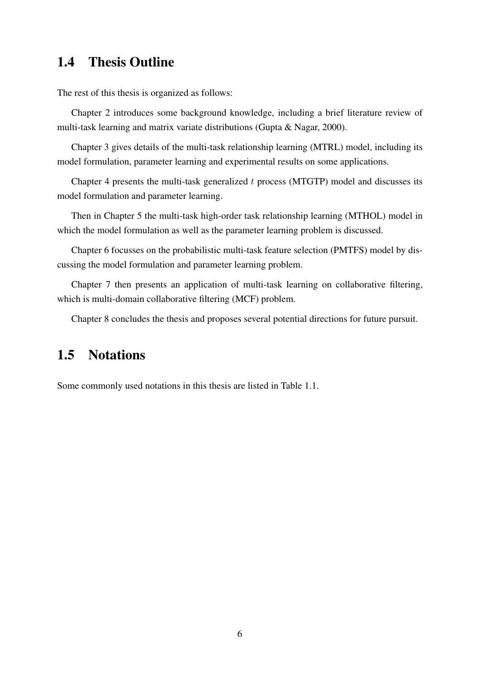# 1.4 Thesis Outline

The rest of this thesis is organized as follows:

Chapter 2 introduces some background knowledge, including a brief literature review of multi-task learning and matrix variate distributions (Gupta & Nagar, 2000).

Chapter 3 gives details of the multi-task relationship learning (MTRL) model, including its model formulation, parameter learning and experimental results on some applications.

Chapter 4 presents the multi-task generalized  $t$  process (MTGTP) model and discusses its model formulation and parameter learning.

Then in Chapter 5 the multi-task high-order task relationship learning (MTHOL) model in which the model formulation as well as the parameter learning problem is discussed.

Chapter 6 focusses on the probabilistic multi-task feature selection (PMTFS) model by discussing the model formulation and parameter learning problem.

Chapter 7 then presents an application of multi-task learning on collaborative filtering, which is multi-domain collaborative filtering (MCF) problem.

Chapter 8 concludes the thesis and proposes several potential directions for future pursuit.

# 1.5 Notations

Some commonly used notations in this thesis are listed in Table 1.1.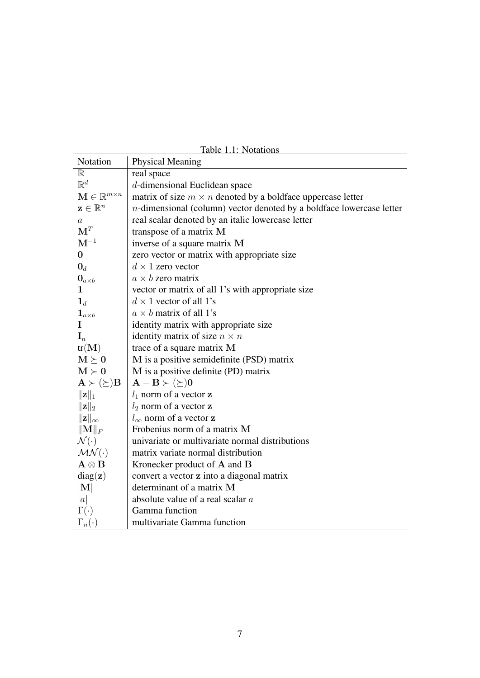| $\mathbb R$<br>$\mathbb{R}^d$            | real space                                                              |
|------------------------------------------|-------------------------------------------------------------------------|
|                                          |                                                                         |
|                                          | d-dimensional Euclidean space                                           |
| $\mathbf{M} \in \mathbb{R}^{m \times n}$ | matrix of size $m \times n$ denoted by a boldface uppercase letter      |
| $\mathbf{z} \in \mathbb{R}^n$            | $n$ -dimensional (column) vector denoted by a boldface lowercase letter |
| $\it a$                                  | real scalar denoted by an italic lowercase letter                       |
| $\mathbf{M}^T$                           | transpose of a matrix M                                                 |
| $\mathbf{M}^{-1}$                        | inverse of a square matrix M                                            |
| $\bf{0}$                                 | zero vector or matrix with appropriate size                             |
| $\mathbf{0}_d$                           | $d \times 1$ zero vector                                                |
| $\mathbf{0}_{a \times b}$                | $a \times b$ zero matrix                                                |
| $\mathbf{1}$                             | vector or matrix of all 1's with appropriate size                       |
| $\mathbf{1}_d$                           | $d \times 1$ vector of all 1's                                          |
| $\mathbf{1}_{a\times b}$                 | $a \times b$ matrix of all 1's                                          |
| I                                        | identity matrix with appropriate size                                   |
| $\mathbf{I}_n$                           | identity matrix of size $n \times n$                                    |
| tr(M)                                    | trace of a square matrix M                                              |
| $\mathbf{M} \succeq \mathbf{0}$          | M is a positive semidefinite (PSD) matrix                               |
| $\mathbf{M} \succ \mathbf{0}$            | M is a positive definite (PD) matrix                                    |
| $\mathbf{A} \succ (\succeq) \mathbf{B}$  | $\mathbf{A} - \mathbf{B} \succ (\succeq) \mathbf{0}$                    |
| $\ \mathbf{z}\ _1$                       | $l_1$ norm of a vector z                                                |
| $\ \mathbf{z}\ _2$                       | $l_2$ norm of a vector z                                                |
| $  \mathbf{z}  _{\infty}$                | $l_{\infty}$ norm of a vector z                                         |
| $\ {\bf M}\ _F$                          | Frobenius norm of a matrix M                                            |
| $\mathcal{N}(\cdot)$                     | univariate or multivariate normal distributions                         |
| $\mathcal{MN}(\cdot)$                    | matrix variate normal distribution                                      |
| $\mathbf{A}\otimes \mathbf{B}$           | Kronecker product of A and B                                            |
| diag(z)                                  | convert a vector z into a diagonal matrix                               |
| $ \mathbf{M} $                           | determinant of a matrix M                                               |
| a                                        | absolute value of a real scalar $a$                                     |
| $\Gamma(\cdot)$                          | Gamma function                                                          |
| $\Gamma_n(\cdot)$                        | multivariate Gamma function                                             |

Table 1.1: Notations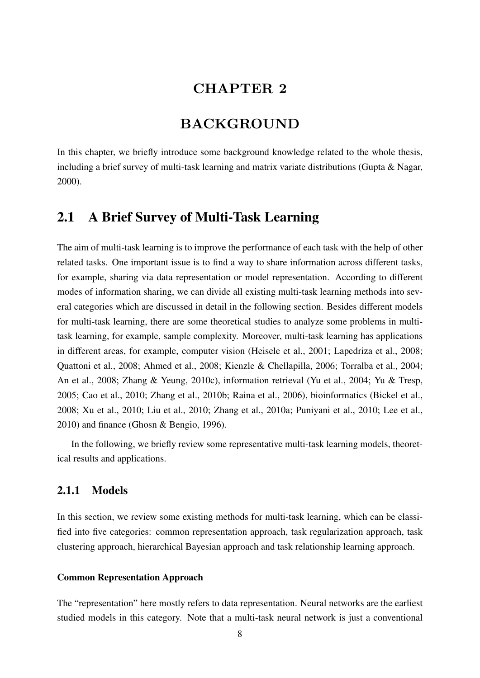### CHAPTER 2

# BACKGROUND

In this chapter, we briefly introduce some background knowledge related to the whole thesis, including a brief survey of multi-task learning and matrix variate distributions (Gupta & Nagar, 2000).

# 2.1 A Brief Survey of Multi-Task Learning

The aim of multi-task learning is to improve the performance of each task with the help of other related tasks. One important issue is to find a way to share information across different tasks, for example, sharing via data representation or model representation. According to different modes of information sharing, we can divide all existing multi-task learning methods into several categories which are discussed in detail in the following section. Besides different models for multi-task learning, there are some theoretical studies to analyze some problems in multitask learning, for example, sample complexity. Moreover, multi-task learning has applications in different areas, for example, computer vision (Heisele et al., 2001; Lapedriza et al., 2008; Quattoni et al., 2008; Ahmed et al., 2008; Kienzle & Chellapilla, 2006; Torralba et al., 2004; An et al., 2008; Zhang & Yeung, 2010c), information retrieval (Yu et al., 2004; Yu & Tresp, 2005; Cao et al., 2010; Zhang et al., 2010b; Raina et al., 2006), bioinformatics (Bickel et al., 2008; Xu et al., 2010; Liu et al., 2010; Zhang et al., 2010a; Puniyani et al., 2010; Lee et al., 2010) and finance (Ghosn & Bengio, 1996).

In the following, we briefly review some representative multi-task learning models, theoretical results and applications.

### 2.1.1 Models

In this section, we review some existing methods for multi-task learning, which can be classified into five categories: common representation approach, task regularization approach, task clustering approach, hierarchical Bayesian approach and task relationship learning approach.

#### Common Representation Approach

The "representation" here mostly refers to data representation. Neural networks are the earliest studied models in this category. Note that a multi-task neural network is just a conventional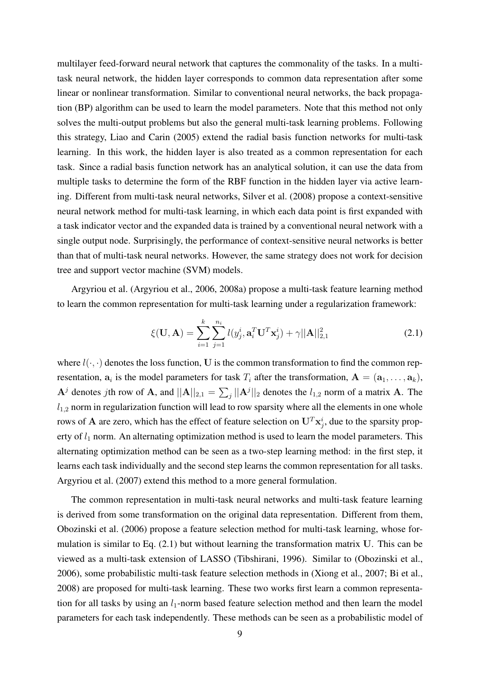multilayer feed-forward neural network that captures the commonality of the tasks. In a multitask neural network, the hidden layer corresponds to common data representation after some linear or nonlinear transformation. Similar to conventional neural networks, the back propagation (BP) algorithm can be used to learn the model parameters. Note that this method not only solves the multi-output problems but also the general multi-task learning problems. Following this strategy, Liao and Carin (2005) extend the radial basis function networks for multi-task learning. In this work, the hidden layer is also treated as a common representation for each task. Since a radial basis function network has an analytical solution, it can use the data from multiple tasks to determine the form of the RBF function in the hidden layer via active learning. Different from multi-task neural networks, Silver et al. (2008) propose a context-sensitive neural network method for multi-task learning, in which each data point is first expanded with a task indicator vector and the expanded data is trained by a conventional neural network with a single output node. Surprisingly, the performance of context-sensitive neural networks is better than that of multi-task neural networks. However, the same strategy does not work for decision tree and support vector machine (SVM) models.

Argyriou et al. (Argyriou et al., 2006, 2008a) propose a multi-task feature learning method to learn the common representation for multi-task learning under a regularization framework:

$$
\xi(\mathbf{U}, \mathbf{A}) = \sum_{i=1}^{k} \sum_{j=1}^{n_i} l(y_j^i, \mathbf{a}_i^T \mathbf{U}^T \mathbf{x}_j^i) + \gamma ||\mathbf{A}||_{2,1}^2
$$
 (2.1)

where  $l(\cdot, \cdot)$  denotes the loss function, U is the common transformation to find the common representation,  $a_i$  is the model parameters for task  $T_i$  after the transformation,  $\mathbf{A} = (\mathbf{a}_1, \dots, \mathbf{a}_k)$ ,  $A^j$  denotes jth row of A, and  $||A||_{2,1} = \sum_j ||A^j||_2$  denotes the  $l_{1,2}$  norm of a matrix A. The  $l_{1,2}$  norm in regularization function will lead to row sparsity where all the elements in one whole rows of A are zero, which has the effect of feature selection on  $U^T x_j^i$ , due to the sparsity property of  $l_1$  norm. An alternating optimization method is used to learn the model parameters. This alternating optimization method can be seen as a two-step learning method: in the first step, it learns each task individually and the second step learns the common representation for all tasks. Argyriou et al. (2007) extend this method to a more general formulation.

The common representation in multi-task neural networks and multi-task feature learning is derived from some transformation on the original data representation. Different from them, Obozinski et al. (2006) propose a feature selection method for multi-task learning, whose formulation is similar to Eq.  $(2.1)$  but without learning the transformation matrix U. This can be viewed as a multi-task extension of LASSO (Tibshirani, 1996). Similar to (Obozinski et al., 2006), some probabilistic multi-task feature selection methods in (Xiong et al., 2007; Bi et al., 2008) are proposed for multi-task learning. These two works first learn a common representation for all tasks by using an  $l_1$ -norm based feature selection method and then learn the model parameters for each task independently. These methods can be seen as a probabilistic model of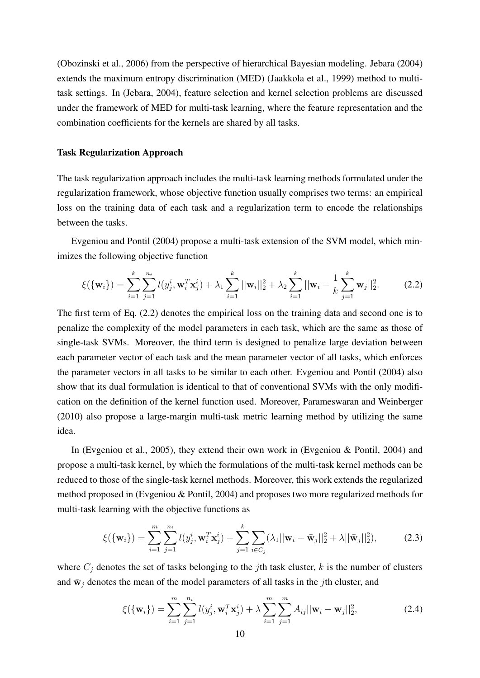(Obozinski et al., 2006) from the perspective of hierarchical Bayesian modeling. Jebara (2004) extends the maximum entropy discrimination (MED) (Jaakkola et al., 1999) method to multitask settings. In (Jebara, 2004), feature selection and kernel selection problems are discussed under the framework of MED for multi-task learning, where the feature representation and the combination coefficients for the kernels are shared by all tasks.

#### Task Regularization Approach

The task regularization approach includes the multi-task learning methods formulated under the regularization framework, whose objective function usually comprises two terms: an empirical loss on the training data of each task and a regularization term to encode the relationships between the tasks.

Evgeniou and Pontil (2004) propose a multi-task extension of the SVM model, which minimizes the following objective function

$$
\xi(\{\mathbf{w}_i\}) = \sum_{i=1}^k \sum_{j=1}^{n_i} l(y_j^i, \mathbf{w}_i^T \mathbf{x}_j^i) + \lambda_1 \sum_{i=1}^k ||\mathbf{w}_i||_2^2 + \lambda_2 \sum_{i=1}^k ||\mathbf{w}_i - \frac{1}{k} \sum_{j=1}^k \mathbf{w}_j||_2^2.
$$
 (2.2)

The first term of Eq. (2.2) denotes the empirical loss on the training data and second one is to penalize the complexity of the model parameters in each task, which are the same as those of single-task SVMs. Moreover, the third term is designed to penalize large deviation between each parameter vector of each task and the mean parameter vector of all tasks, which enforces the parameter vectors in all tasks to be similar to each other. Evgeniou and Pontil (2004) also show that its dual formulation is identical to that of conventional SVMs with the only modification on the definition of the kernel function used. Moreover, Parameswaran and Weinberger (2010) also propose a large-margin multi-task metric learning method by utilizing the same idea.

In (Evgeniou et al., 2005), they extend their own work in (Evgeniou & Pontil, 2004) and propose a multi-task kernel, by which the formulations of the multi-task kernel methods can be reduced to those of the single-task kernel methods. Moreover, this work extends the regularized method proposed in (Evgeniou & Pontil, 2004) and proposes two more regularized methods for multi-task learning with the objective functions as

$$
\xi(\{\mathbf{w}_i\}) = \sum_{i=1}^m \sum_{j=1}^{n_i} l(y_j^i, \mathbf{w}_i^T \mathbf{x}_j^i) + \sum_{j=1}^k \sum_{i \in C_j} (\lambda_1 ||\mathbf{w}_i - \bar{\mathbf{w}}_j||_2^2 + \lambda ||\bar{\mathbf{w}}_j||_2^2),
$$
 (2.3)

where  $C_i$  denotes the set of tasks belonging to the jth task cluster, k is the number of clusters and  $\bar{w}_i$  denotes the mean of the model parameters of all tasks in the *j*th cluster, and

$$
\xi(\{\mathbf{w}_i\}) = \sum_{i=1}^m \sum_{j=1}^{n_i} l(y_j^i, \mathbf{w}_i^T \mathbf{x}_j^i) + \lambda \sum_{i=1}^m \sum_{j=1}^m A_{ij} ||\mathbf{w}_i - \mathbf{w}_j||_2^2,
$$
(2.4)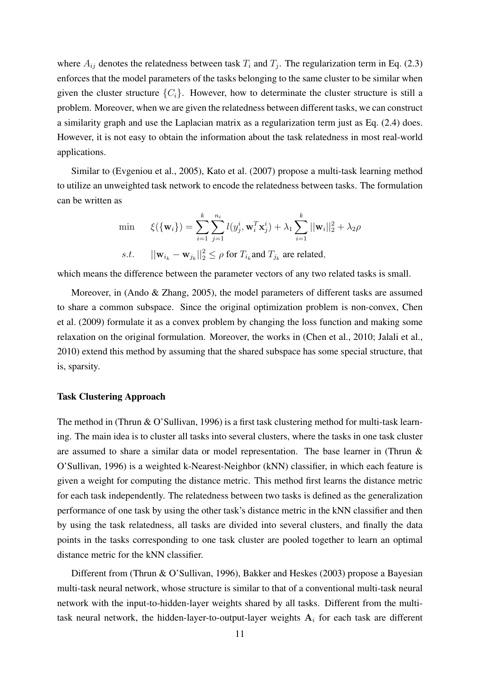where  $A_{ij}$  denotes the relatedness between task  $T_i$  and  $T_j$ . The regularization term in Eq. (2.3) enforces that the model parameters of the tasks belonging to the same cluster to be similar when given the cluster structure  $\{C_i\}$ . However, how to determinate the cluster structure is still a problem. Moreover, when we are given the relatedness between different tasks, we can construct a similarity graph and use the Laplacian matrix as a regularization term just as Eq. (2.4) does. However, it is not easy to obtain the information about the task relatedness in most real-world applications.

Similar to (Evgeniou et al., 2005), Kato et al. (2007) propose a multi-task learning method to utilize an unweighted task network to encode the relatedness between tasks. The formulation can be written as

$$
\begin{aligned}\n\min \qquad & \xi(\{\mathbf{w}_i\}) = \sum_{i=1}^k \sum_{j=1}^{n_i} l(y_j^i, \mathbf{w}_i^T \mathbf{x}_j^i) + \lambda_1 \sum_{i=1}^k ||\mathbf{w}_i||_2^2 + \lambda_2 \rho \\
\text{s.t.} \qquad & ||\mathbf{w}_{i_k} - \mathbf{w}_{j_k}||_2^2 \le \rho \text{ for } T_{i_k} \text{ and } T_{j_k} \text{ are related,}\n\end{aligned}
$$

which means the difference between the parameter vectors of any two related tasks is small.

Moreover, in (Ando & Zhang, 2005), the model parameters of different tasks are assumed to share a common subspace. Since the original optimization problem is non-convex, Chen et al. (2009) formulate it as a convex problem by changing the loss function and making some relaxation on the original formulation. Moreover, the works in (Chen et al., 2010; Jalali et al., 2010) extend this method by assuming that the shared subspace has some special structure, that is, sparsity.

#### Task Clustering Approach

The method in (Thrun & O'Sullivan, 1996) is a first task clustering method for multi-task learning. The main idea is to cluster all tasks into several clusters, where the tasks in one task cluster are assumed to share a similar data or model representation. The base learner in (Thrun & O'Sullivan, 1996) is a weighted k-Nearest-Neighbor (kNN) classifier, in which each feature is given a weight for computing the distance metric. This method first learns the distance metric for each task independently. The relatedness between two tasks is defined as the generalization performance of one task by using the other task's distance metric in the kNN classifier and then by using the task relatedness, all tasks are divided into several clusters, and finally the data points in the tasks corresponding to one task cluster are pooled together to learn an optimal distance metric for the kNN classifier.

Different from (Thrun & O'Sullivan, 1996), Bakker and Heskes (2003) propose a Bayesian multi-task neural network, whose structure is similar to that of a conventional multi-task neural network with the input-to-hidden-layer weights shared by all tasks. Different from the multitask neural network, the hidden-layer-to-output-layer weights  $A_i$  for each task are different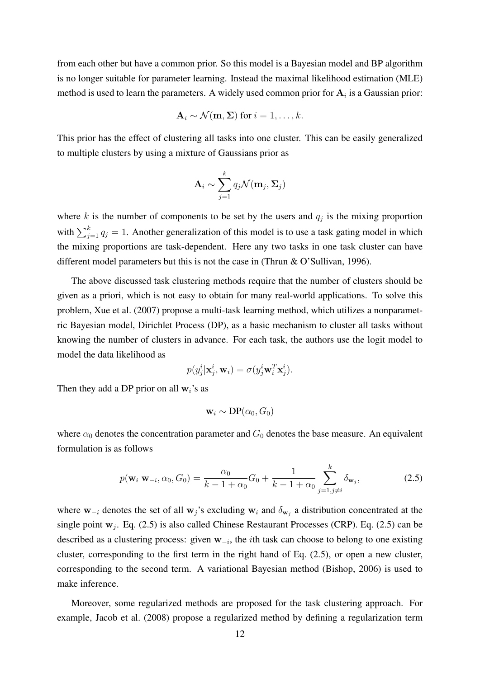from each other but have a common prior. So this model is a Bayesian model and BP algorithm is no longer suitable for parameter learning. Instead the maximal likelihood estimation (MLE) method is used to learn the parameters. A widely used common prior for  $A_i$  is a Gaussian prior:

$$
\mathbf{A}_i \sim \mathcal{N}(\mathbf{m}, \mathbf{\Sigma}) \text{ for } i = 1, \dots, k.
$$

This prior has the effect of clustering all tasks into one cluster. This can be easily generalized to multiple clusters by using a mixture of Gaussians prior as

$$
\mathbf{A}_i \sim \sum_{j=1}^k q_j \mathcal{N}(\mathbf{m}_j, \boldsymbol{\Sigma}_j)
$$

where k is the number of components to be set by the users and  $q_j$  is the mixing proportion with  $\sum_{j=1}^{k} q_j = 1$ . Another generalization of this model is to use a task gating model in which the mixing proportions are task-dependent. Here any two tasks in one task cluster can have different model parameters but this is not the case in (Thrun & O'Sullivan, 1996).

The above discussed task clustering methods require that the number of clusters should be given as a priori, which is not easy to obtain for many real-world applications. To solve this problem, Xue et al. (2007) propose a multi-task learning method, which utilizes a nonparametric Bayesian model, Dirichlet Process (DP), as a basic mechanism to cluster all tasks without knowing the number of clusters in advance. For each task, the authors use the logit model to model the data likelihood as

$$
p(y_j^i|\mathbf{x}_j^i,\mathbf{w}_i) = \sigma(y_j^i\mathbf{w}_i^T\mathbf{x}_j^i).
$$

Then they add a DP prior on all  $w_i$ 's as

$$
\mathbf{w}_i \sim \mathsf{DP}(\alpha_0, G_0)
$$

where  $\alpha_0$  denotes the concentration parameter and  $G_0$  denotes the base measure. An equivalent formulation is as follows

$$
p(\mathbf{w}_i|\mathbf{w}_{-i}, \alpha_0, G_0) = \frac{\alpha_0}{k - 1 + \alpha_0} G_0 + \frac{1}{k - 1 + \alpha_0} \sum_{j=1, j \neq i}^k \delta_{\mathbf{w}_j},
$$
(2.5)

where  $w_{-i}$  denotes the set of all w<sub>j</sub>'s excluding w<sub>i</sub> and  $\delta_{w_j}$  a distribution concentrated at the single point  $w_j$ . Eq. (2.5) is also called Chinese Restaurant Processes (CRP). Eq. (2.5) can be described as a clustering process: given  $w_{-i}$ , the *i*th task can choose to belong to one existing cluster, corresponding to the first term in the right hand of Eq. (2.5), or open a new cluster, corresponding to the second term. A variational Bayesian method (Bishop, 2006) is used to make inference.

Moreover, some regularized methods are proposed for the task clustering approach. For example, Jacob et al. (2008) propose a regularized method by defining a regularization term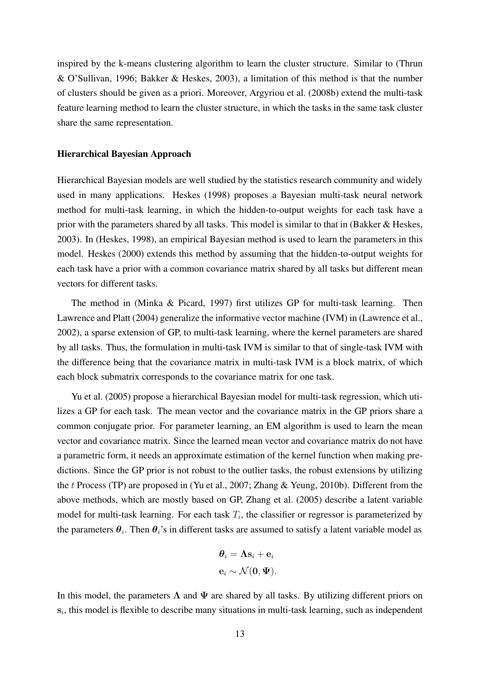inspired by the k-means clustering algorithm to learn the cluster structure. Similar to (Thrun & O'Sullivan, 1996; Bakker & Heskes, 2003), a limitation of this method is that the number of clusters should be given as a priori. Moreover, Argyriou et al. (2008b) extend the multi-task feature learning method to learn the cluster structure, in which the tasks in the same task cluster share the same representation.

#### Hierarchical Bayesian Approach

Hierarchical Bayesian models are well studied by the statistics research community and widely used in many applications. Heskes (1998) proposes a Bayesian multi-task neural network method for multi-task learning, in which the hidden-to-output weights for each task have a prior with the parameters shared by all tasks. This model is similar to that in (Bakker & Heskes, 2003). In (Heskes, 1998), an empirical Bayesian method is used to learn the parameters in this model. Heskes (2000) extends this method by assuming that the hidden-to-output weights for each task have a prior with a common covariance matrix shared by all tasks but different mean vectors for different tasks.

The method in (Minka & Picard, 1997) first utilizes GP for multi-task learning. Then Lawrence and Platt (2004) generalize the informative vector machine (IVM) in (Lawrence et al., 2002), a sparse extension of GP, to multi-task learning, where the kernel parameters are shared by all tasks. Thus, the formulation in multi-task IVM is similar to that of single-task IVM with the difference being that the covariance matrix in multi-task IVM is a block matrix, of which each block submatrix corresponds to the covariance matrix for one task.

Yu et al. (2005) propose a hierarchical Bayesian model for multi-task regression, which utilizes a GP for each task. The mean vector and the covariance matrix in the GP priors share a common conjugate prior. For parameter learning, an EM algorithm is used to learn the mean vector and covariance matrix. Since the learned mean vector and covariance matrix do not have a parametric form, it needs an approximate estimation of the kernel function when making predictions. Since the GP prior is not robust to the outlier tasks, the robust extensions by utilizing the t Process (TP) are proposed in (Yu et al., 2007; Zhang & Yeung, 2010b). Different from the above methods, which are mostly based on GP, Zhang et al. (2005) describe a latent variable model for multi-task learning. For each task  $T_i$ , the classifier or regressor is parameterized by the parameters  $\theta_i$ . Then  $\theta_i$ 's in different tasks are assumed to satisfy a latent variable model as

$$
\begin{aligned} \boldsymbol{\theta}_i &= \boldsymbol{\Lambda}\mathbf{s}_i + \mathbf{e}_i \\ \mathbf{e}_i &\sim \mathcal{N}(\mathbf{0}, \boldsymbol{\Psi}). \end{aligned}
$$

In this model, the parameters  $\Lambda$  and  $\Psi$  are shared by all tasks. By utilizing different priors on  $s_i$ , this model is flexible to describe many situations in multi-task learning, such as independent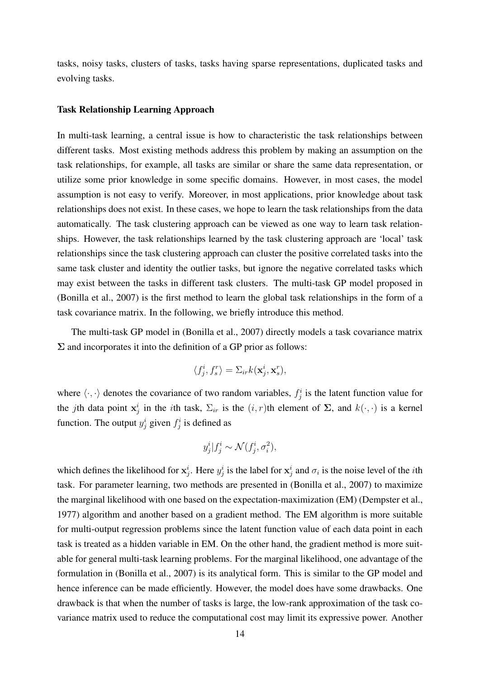tasks, noisy tasks, clusters of tasks, tasks having sparse representations, duplicated tasks and evolving tasks.

#### Task Relationship Learning Approach

In multi-task learning, a central issue is how to characteristic the task relationships between different tasks. Most existing methods address this problem by making an assumption on the task relationships, for example, all tasks are similar or share the same data representation, or utilize some prior knowledge in some specific domains. However, in most cases, the model assumption is not easy to verify. Moreover, in most applications, prior knowledge about task relationships does not exist. In these cases, we hope to learn the task relationships from the data automatically. The task clustering approach can be viewed as one way to learn task relationships. However, the task relationships learned by the task clustering approach are 'local' task relationships since the task clustering approach can cluster the positive correlated tasks into the same task cluster and identity the outlier tasks, but ignore the negative correlated tasks which may exist between the tasks in different task clusters. The multi-task GP model proposed in (Bonilla et al., 2007) is the first method to learn the global task relationships in the form of a task covariance matrix. In the following, we briefly introduce this method.

The multi-task GP model in (Bonilla et al., 2007) directly models a task covariance matrix  $\Sigma$  and incorporates it into the definition of a GP prior as follows:

$$
\langle f_j^i, f_s^r \rangle = \Sigma_{ir} k(\mathbf{x}_j^i, \mathbf{x}_s^r),
$$

where  $\langle \cdot, \cdot \rangle$  denotes the covariance of two random variables,  $f_j^i$  is the latent function value for the jth data point  $x_j^i$  in the *i*th task,  $\Sigma_{ir}$  is the  $(i, r)$ th element of  $\Sigma$ , and  $k(\cdot, \cdot)$  is a kernel function. The output  $y_j^i$  given  $f_j^i$  is defined as

$$
y_j^i | f_j^i \sim \mathcal{N}(f_j^i, \sigma_i^2),
$$

which defines the likelihood for  $x_j^i$ . Here  $y_j^i$  is the label for  $x_j^i$  and  $\sigma_i$  is the noise level of the *i*th task. For parameter learning, two methods are presented in (Bonilla et al., 2007) to maximize the marginal likelihood with one based on the expectation-maximization (EM) (Dempster et al., 1977) algorithm and another based on a gradient method. The EM algorithm is more suitable for multi-output regression problems since the latent function value of each data point in each task is treated as a hidden variable in EM. On the other hand, the gradient method is more suitable for general multi-task learning problems. For the marginal likelihood, one advantage of the formulation in (Bonilla et al., 2007) is its analytical form. This is similar to the GP model and hence inference can be made efficiently. However, the model does have some drawbacks. One drawback is that when the number of tasks is large, the low-rank approximation of the task covariance matrix used to reduce the computational cost may limit its expressive power. Another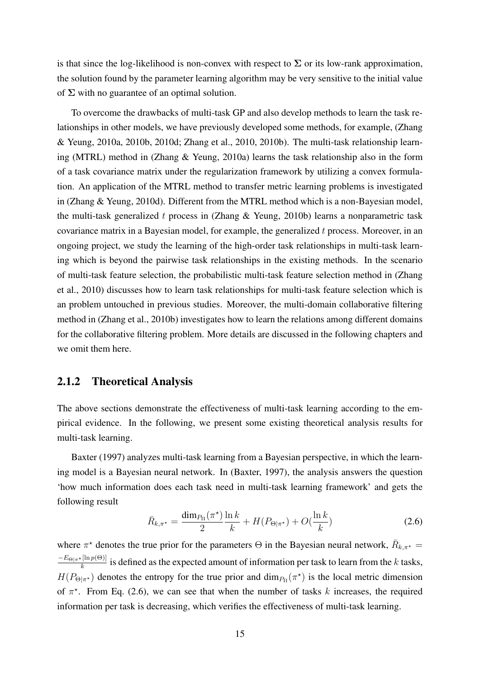is that since the log-likelihood is non-convex with respect to  $\Sigma$  or its low-rank approximation, the solution found by the parameter learning algorithm may be very sensitive to the initial value of  $\Sigma$  with no guarantee of an optimal solution.

To overcome the drawbacks of multi-task GP and also develop methods to learn the task relationships in other models, we have previously developed some methods, for example, (Zhang & Yeung, 2010a, 2010b, 2010d; Zhang et al., 2010, 2010b). The multi-task relationship learning (MTRL) method in (Zhang & Yeung, 2010a) learns the task relationship also in the form of a task covariance matrix under the regularization framework by utilizing a convex formulation. An application of the MTRL method to transfer metric learning problems is investigated in (Zhang & Yeung, 2010d). Different from the MTRL method which is a non-Bayesian model, the multi-task generalized  $t$  process in (Zhang  $\&$  Yeung, 2010b) learns a nonparametric task covariance matrix in a Bayesian model, for example, the generalized  $t$  process. Moreover, in an ongoing project, we study the learning of the high-order task relationships in multi-task learning which is beyond the pairwise task relationships in the existing methods. In the scenario of multi-task feature selection, the probabilistic multi-task feature selection method in (Zhang et al., 2010) discusses how to learn task relationships for multi-task feature selection which is an problem untouched in previous studies. Moreover, the multi-domain collaborative filtering method in (Zhang et al., 2010b) investigates how to learn the relations among different domains for the collaborative filtering problem. More details are discussed in the following chapters and we omit them here.

### 2.1.2 Theoretical Analysis

The above sections demonstrate the effectiveness of multi-task learning according to the empirical evidence. In the following, we present some existing theoretical analysis results for multi-task learning.

Baxter (1997) analyzes multi-task learning from a Bayesian perspective, in which the learning model is a Bayesian neural network. In (Baxter, 1997), the analysis answers the question 'how much information does each task need in multi-task learning framework' and gets the following result

$$
\bar{R}_{k,\pi^*} = \frac{\dim_{P_{\Pi}}(\pi^*)}{2} \frac{\ln k}{k} + H(P_{\Theta|\pi^*}) + O(\frac{\ln k}{k})
$$
\n(2.6)

where  $\pi^*$  denotes the true prior for the parameters  $\Theta$  in the Bayesian neural network,  $\bar{R}_{k,\pi^*}$  =  $-E_{\Theta|\pi^*}[\ln p(\Theta)]$  $\frac{k}{k}$  is defined as the expected amount of information per task to learn from the k tasks,  $H(P_{\Theta|\pi^*})$  denotes the entropy for the true prior and  $\dim_{P_{\Pi}}(\pi^*)$  is the local metric dimension of  $\pi^*$ . From Eq. (2.6), we can see that when the number of tasks k increases, the required information per task is decreasing, which verifies the effectiveness of multi-task learning.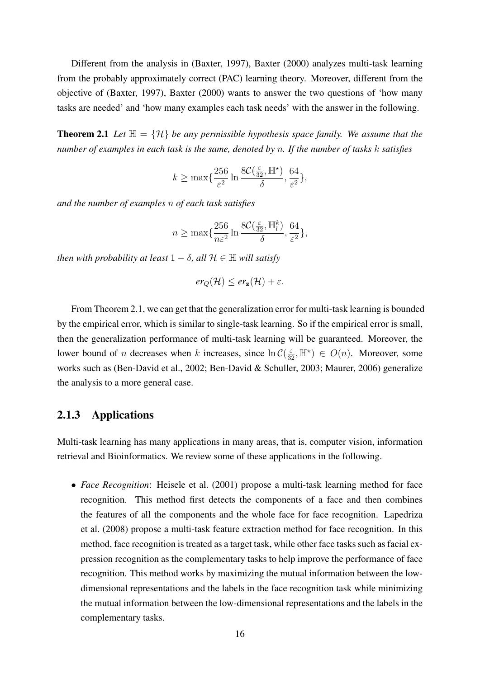Different from the analysis in (Baxter, 1997), Baxter (2000) analyzes multi-task learning from the probably approximately correct (PAC) learning theory. Moreover, different from the objective of (Baxter, 1997), Baxter (2000) wants to answer the two questions of 'how many tasks are needed' and 'how many examples each task needs' with the answer in the following.

**Theorem 2.1** Let  $\mathbb{H} = \{ \mathcal{H} \}$  be any permissible hypothesis space family. We assume that the *number of examples in each task is the same, denoted by* n*. If the number of tasks* k *satisfies*

$$
k \geq \max \{ \frac{256}{\varepsilon^2}\ln \frac{8\mathcal{C}(\frac{\varepsilon}{32},\mathbb{H}^{\star})}{\delta}, \frac{64}{\varepsilon^2} \},
$$

*and the number of examples* n *of each task satisfies*

$$
n \ge \max\{\frac{256}{n\varepsilon^2}\ln\frac{8\mathcal{C}(\frac{\varepsilon}{32},\mathbb{H}_l^k)}{\delta},\frac{64}{\varepsilon^2}\},
$$

*then with probability at least*  $1 - \delta$ *, all*  $\mathcal{H} \in \mathbb{H}$  *will satisfy* 

$$
er_Q(\mathcal{H}) \leq er_{\mathbf{z}}(\mathcal{H}) + \varepsilon.
$$

From Theorem 2.1, we can get that the generalization error for multi-task learning is bounded by the empirical error, which is similar to single-task learning. So if the empirical error is small, then the generalization performance of multi-task learning will be guaranteed. Moreover, the lower bound of *n* decreases when k increases, since  $\ln C(\frac{\varepsilon}{32}, \mathbb{H}^*) \in O(n)$ . Moreover, some works such as (Ben-David et al., 2002; Ben-David & Schuller, 2003; Maurer, 2006) generalize the analysis to a more general case.

### 2.1.3 Applications

Multi-task learning has many applications in many areas, that is, computer vision, information retrieval and Bioinformatics. We review some of these applications in the following.

• *Face Recognition*: Heisele et al. (2001) propose a multi-task learning method for face recognition. This method first detects the components of a face and then combines the features of all the components and the whole face for face recognition. Lapedriza et al. (2008) propose a multi-task feature extraction method for face recognition. In this method, face recognition is treated as a target task, while other face tasks such as facial expression recognition as the complementary tasks to help improve the performance of face recognition. This method works by maximizing the mutual information between the lowdimensional representations and the labels in the face recognition task while minimizing the mutual information between the low-dimensional representations and the labels in the complementary tasks.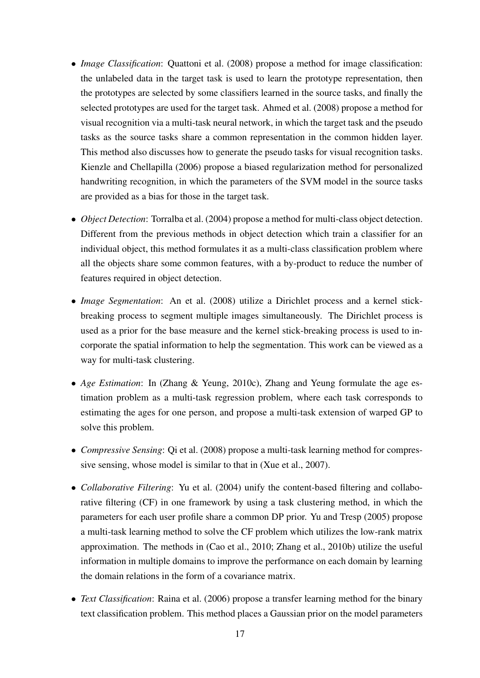- *Image Classification*: Quattoni et al. (2008) propose a method for image classification: the unlabeled data in the target task is used to learn the prototype representation, then the prototypes are selected by some classifiers learned in the source tasks, and finally the selected prototypes are used for the target task. Ahmed et al. (2008) propose a method for visual recognition via a multi-task neural network, in which the target task and the pseudo tasks as the source tasks share a common representation in the common hidden layer. This method also discusses how to generate the pseudo tasks for visual recognition tasks. Kienzle and Chellapilla (2006) propose a biased regularization method for personalized handwriting recognition, in which the parameters of the SVM model in the source tasks are provided as a bias for those in the target task.
- *Object Detection*: Torralba et al. (2004) propose a method for multi-class object detection. Different from the previous methods in object detection which train a classifier for an individual object, this method formulates it as a multi-class classification problem where all the objects share some common features, with a by-product to reduce the number of features required in object detection.
- *Image Segmentation*: An et al. (2008) utilize a Dirichlet process and a kernel stickbreaking process to segment multiple images simultaneously. The Dirichlet process is used as a prior for the base measure and the kernel stick-breaking process is used to incorporate the spatial information to help the segmentation. This work can be viewed as a way for multi-task clustering.
- *Age Estimation*: In (Zhang & Yeung, 2010c), Zhang and Yeung formulate the age estimation problem as a multi-task regression problem, where each task corresponds to estimating the ages for one person, and propose a multi-task extension of warped GP to solve this problem.
- *Compressive Sensing*: Qi et al. (2008) propose a multi-task learning method for compressive sensing, whose model is similar to that in (Xue et al., 2007).
- *Collaborative Filtering*: Yu et al. (2004) unify the content-based filtering and collaborative filtering (CF) in one framework by using a task clustering method, in which the parameters for each user profile share a common DP prior. Yu and Tresp (2005) propose a multi-task learning method to solve the CF problem which utilizes the low-rank matrix approximation. The methods in (Cao et al., 2010; Zhang et al., 2010b) utilize the useful information in multiple domains to improve the performance on each domain by learning the domain relations in the form of a covariance matrix.
- *Text Classification*: Raina et al. (2006) propose a transfer learning method for the binary text classification problem. This method places a Gaussian prior on the model parameters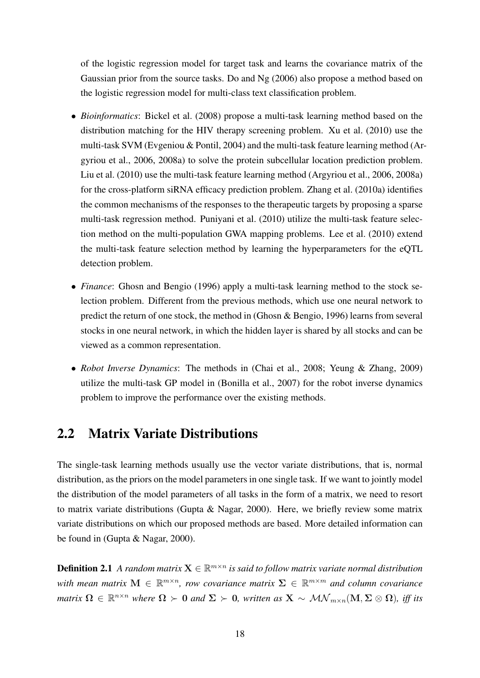of the logistic regression model for target task and learns the covariance matrix of the Gaussian prior from the source tasks. Do and Ng (2006) also propose a method based on the logistic regression model for multi-class text classification problem.

- *Bioinformatics*: Bickel et al. (2008) propose a multi-task learning method based on the distribution matching for the HIV therapy screening problem. Xu et al. (2010) use the multi-task SVM (Evgeniou & Pontil, 2004) and the multi-task feature learning method (Argyriou et al., 2006, 2008a) to solve the protein subcellular location prediction problem. Liu et al. (2010) use the multi-task feature learning method (Argyriou et al., 2006, 2008a) for the cross-platform siRNA efficacy prediction problem. Zhang et al. (2010a) identifies the common mechanisms of the responses to the therapeutic targets by proposing a sparse multi-task regression method. Puniyani et al. (2010) utilize the multi-task feature selection method on the multi-population GWA mapping problems. Lee et al. (2010) extend the multi-task feature selection method by learning the hyperparameters for the eQTL detection problem.
- *Finance*: Ghosn and Bengio (1996) apply a multi-task learning method to the stock selection problem. Different from the previous methods, which use one neural network to predict the return of one stock, the method in (Ghosn & Bengio, 1996) learns from several stocks in one neural network, in which the hidden layer is shared by all stocks and can be viewed as a common representation.
- *Robot Inverse Dynamics*: The methods in (Chai et al., 2008; Yeung & Zhang, 2009) utilize the multi-task GP model in (Bonilla et al., 2007) for the robot inverse dynamics problem to improve the performance over the existing methods.

### 2.2 Matrix Variate Distributions

The single-task learning methods usually use the vector variate distributions, that is, normal distribution, as the priors on the model parameters in one single task. If we want to jointly model the distribution of the model parameters of all tasks in the form of a matrix, we need to resort to matrix variate distributions (Gupta & Nagar, 2000). Here, we briefly review some matrix variate distributions on which our proposed methods are based. More detailed information can be found in (Gupta & Nagar, 2000).

**Definition 2.1** A random matrix  $X \in \mathbb{R}^{m \times n}$  is said to follow matrix variate normal distribution  $\text{with mean matrix } \mathbf{M} \in \mathbb{R}^{m \times n}$ , row covariance matrix  $\mathbf{\Sigma} \in \mathbb{R}^{m \times m}$  and column covariance  $matrix \Omega \in \mathbb{R}^{n \times n}$  where  $\Omega \succ 0$  and  $\Sigma \succ 0$ , written as  $\mathrm{X} \sim \mathcal{MN}_{m \times n}(\mathrm{M}, \Sigma \otimes \Omega)$ , iff its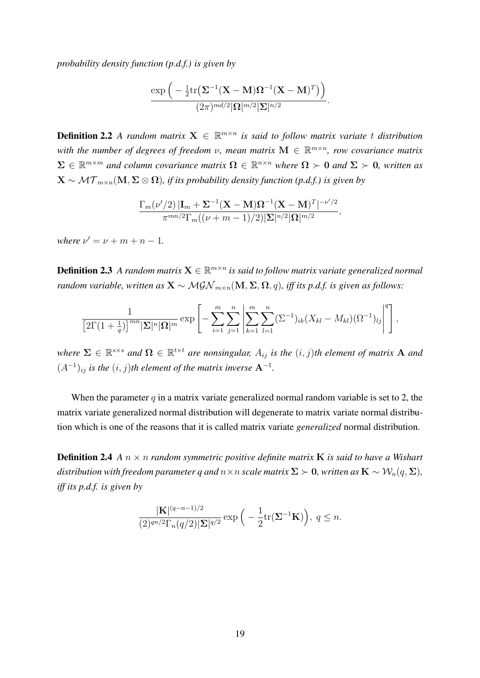*probability density function (p.d.f.) is given by*

$$
\frac{\exp\Big(-\frac{1}{2}\mathrm{tr}\big(\boldsymbol{\Sigma}^{-1}(\mathbf{X}-\mathbf{M})\boldsymbol{\Omega}^{-1}(\mathbf{X}-\mathbf{M})^T\big)\Big)}{(2\pi)^{md/2}|\boldsymbol{\Omega}|^{m/2}|\boldsymbol{\Sigma}|^{n/2}}.
$$

**Definition 2.2** A random matrix  $X \in \mathbb{R}^{m \times n}$  is said to follow matrix variate t distribution with the number of degrees of freedom  $\nu$ , mean matrix  $\mathbf{M} \in \mathbb{R}^{m \times n}$ , row covariance matrix  $\Sigma \in \mathbb{R}^{m \times m}$  and column covariance matrix  $\Omega \in \mathbb{R}^{n \times n}$  where  $\Omega \succ 0$  and  $\Sigma \succ 0$ , written as  $\mathbf{X} \sim \mathcal{MT}_{m \times n}(\mathbf{M}, \Sigma \otimes \mathbf{\Omega})$ , if its probability density function (p.d.f.) is given by

$$
\frac{\Gamma_m(\nu'/2)\,|{\bf I}_m+\boldsymbol{\Sigma}^{-1}({\bf X}-{\bf M})\boldsymbol{\Omega}^{-1}({\bf X}-{\bf M})^T|^{-\nu'/2}}{\pi^{mn/2}\Gamma_m((\nu+m-1)/2)|\boldsymbol{\Sigma}|^{n/2}|\boldsymbol{\Omega}|^{m/2}},
$$

*where*  $\nu' = \nu + m + n - 1$ .

**Definition 2.3** A random matrix  $\mathbf{X} \in \mathbb{R}^{m \times n}$  is said to follow matrix variate generalized normal *random variable, written as*  $X \sim \mathcal{MGN}_{m \times n}(M, \Sigma, \Omega, q)$ , *iff its p.d.f. is given as follows:* 

$$
\frac{1}{\left[2\Gamma(1+\frac{1}{q})\right]^{mn}|\Sigma|^n|\Omega|^m} \exp\left[-\sum_{i=1}^m\sum_{j=1}^n\left|\sum_{k=1}^m\sum_{l=1}^n(\Sigma^{-1})_{ik}(X_{kl}-M_{kl})(\Omega^{-1})_{lj}\right|^q\right],
$$

 $\forall x$  where  $\Sigma \in \mathbb{R}^{s \times s}$  and  $\Omega \in \mathbb{R}^{t \times t}$  are nonsingular,  $A_{ij}$  is the  $(i, j)$ th element of matrix **A** and  $(A^{-1})_{ij}$  *is the*  $(i, j)$ *th element of the matrix inverse*  $A^{-1}$ *.* 

When the parameter  $q$  in a matrix variate generalized normal random variable is set to 2, the matrix variate generalized normal distribution will degenerate to matrix variate normal distribution which is one of the reasons that it is called matrix variate *generalized* normal distribution.

**Definition 2.4** *A*  $n \times n$  *random symmetric positive definite matrix* **K** *is said to have a Wishart distribution with freedom parameter q and*  $n \times n$  *scale matrix*  $\Sigma \succ 0$ *, written as*  $\mathbf{K} \sim \mathcal{W}_n(q, \Sigma)$ *, iff its p.d.f. is given by*

$$
\frac{|\mathbf{K}|^{(q-n-1)/2}}{(2)^{qn/2}\Gamma_n(q/2)|\mathbf{\Sigma}|^{q/2}}\exp\Big(-\frac{1}{2}\mathrm{tr}(\mathbf{\Sigma}^{-1}\mathbf{K})\Big),\;q\leq n.
$$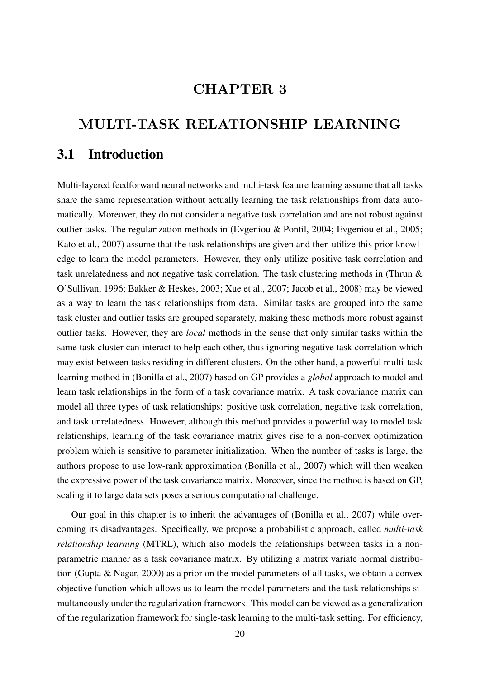## CHAPTER 3

# MULTI-TASK RELATIONSHIP LEARNING

## 3.1 Introduction

Multi-layered feedforward neural networks and multi-task feature learning assume that all tasks share the same representation without actually learning the task relationships from data automatically. Moreover, they do not consider a negative task correlation and are not robust against outlier tasks. The regularization methods in (Evgeniou & Pontil, 2004; Evgeniou et al., 2005; Kato et al., 2007) assume that the task relationships are given and then utilize this prior knowledge to learn the model parameters. However, they only utilize positive task correlation and task unrelatedness and not negative task correlation. The task clustering methods in (Thrun & O'Sullivan, 1996; Bakker & Heskes, 2003; Xue et al., 2007; Jacob et al., 2008) may be viewed as a way to learn the task relationships from data. Similar tasks are grouped into the same task cluster and outlier tasks are grouped separately, making these methods more robust against outlier tasks. However, they are *local* methods in the sense that only similar tasks within the same task cluster can interact to help each other, thus ignoring negative task correlation which may exist between tasks residing in different clusters. On the other hand, a powerful multi-task learning method in (Bonilla et al., 2007) based on GP provides a *global* approach to model and learn task relationships in the form of a task covariance matrix. A task covariance matrix can model all three types of task relationships: positive task correlation, negative task correlation, and task unrelatedness. However, although this method provides a powerful way to model task relationships, learning of the task covariance matrix gives rise to a non-convex optimization problem which is sensitive to parameter initialization. When the number of tasks is large, the authors propose to use low-rank approximation (Bonilla et al., 2007) which will then weaken the expressive power of the task covariance matrix. Moreover, since the method is based on GP, scaling it to large data sets poses a serious computational challenge.

Our goal in this chapter is to inherit the advantages of (Bonilla et al., 2007) while overcoming its disadvantages. Specifically, we propose a probabilistic approach, called *multi-task relationship learning* (MTRL), which also models the relationships between tasks in a nonparametric manner as a task covariance matrix. By utilizing a matrix variate normal distribution (Gupta & Nagar, 2000) as a prior on the model parameters of all tasks, we obtain a convex objective function which allows us to learn the model parameters and the task relationships simultaneously under the regularization framework. This model can be viewed as a generalization of the regularization framework for single-task learning to the multi-task setting. For efficiency,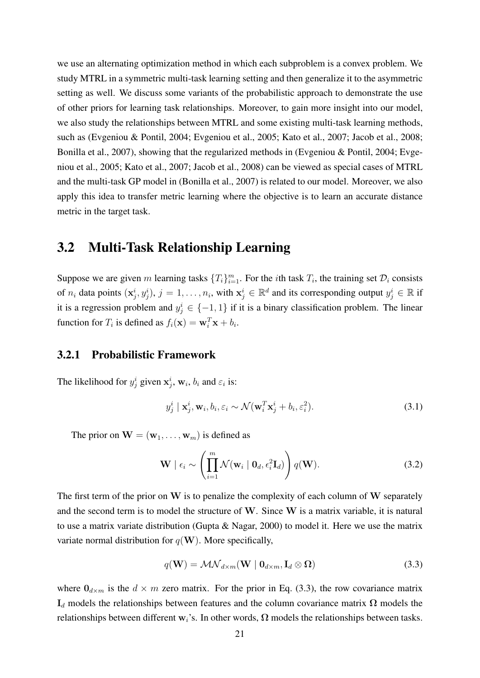we use an alternating optimization method in which each subproblem is a convex problem. We study MTRL in a symmetric multi-task learning setting and then generalize it to the asymmetric setting as well. We discuss some variants of the probabilistic approach to demonstrate the use of other priors for learning task relationships. Moreover, to gain more insight into our model, we also study the relationships between MTRL and some existing multi-task learning methods, such as (Evgeniou & Pontil, 2004; Evgeniou et al., 2005; Kato et al., 2007; Jacob et al., 2008; Bonilla et al., 2007), showing that the regularized methods in (Evgeniou & Pontil, 2004; Evgeniou et al., 2005; Kato et al., 2007; Jacob et al., 2008) can be viewed as special cases of MTRL and the multi-task GP model in (Bonilla et al., 2007) is related to our model. Moreover, we also apply this idea to transfer metric learning where the objective is to learn an accurate distance metric in the target task.

### 3.2 Multi-Task Relationship Learning

Suppose we are given m learning tasks  $\{T_i\}_{i=1}^m$ . For the *i*th task  $T_i$ , the training set  $\mathcal{D}_i$  consists of  $n_i$  data points  $(\mathbf{x}_j^i, y_j^i)$ ,  $j = 1, \ldots, n_i$ , with  $\mathbf{x}_j^i \in \mathbb{R}^d$  and its corresponding output  $y_j^i \in \mathbb{R}$  if it is a regression problem and  $y_j^i \in \{-1, 1\}$  if it is a binary classification problem. The linear function for  $T_i$  is defined as  $f_i(\mathbf{x}) = \mathbf{w}_i^T \mathbf{x} + b_i$ .

### 3.2.1 Probabilistic Framework

The likelihood for  $y_j^i$  given  $x_j^i$ ,  $w_i$ ,  $b_i$  and  $\varepsilon_i$  is:

$$
y_j^i \mid \mathbf{x}_j^i, \mathbf{w}_i, b_i, \varepsilon_i \sim \mathcal{N}(\mathbf{w}_i^T \mathbf{x}_j^i + b_i, \varepsilon_i^2).
$$
 (3.1)

The prior on  $\mathbf{W} = (\mathbf{w}_1, \dots, \mathbf{w}_m)$  is defined as

$$
\mathbf{W} \mid \epsilon_i \sim \left( \prod_{i=1}^m \mathcal{N}(\mathbf{w}_i \mid \mathbf{0}_d, \epsilon_i^2 \mathbf{I}_d) \right) q(\mathbf{W}). \tag{3.2}
$$

The first term of the prior on  $W$  is to penalize the complexity of each column of  $W$  separately and the second term is to model the structure of W. Since W is a matrix variable, it is natural to use a matrix variate distribution (Gupta & Nagar, 2000) to model it. Here we use the matrix variate normal distribution for  $q(\mathbf{W})$ . More specifically,

$$
q(\mathbf{W}) = \mathcal{MN}_{d \times m}(\mathbf{W} \mid \mathbf{0}_{d \times m}, \mathbf{I}_d \otimes \mathbf{\Omega})
$$
\n(3.3)

where  $\mathbf{0}_{d \times m}$  is the  $d \times m$  zero matrix. For the prior in Eq. (3.3), the row covariance matrix  $I_d$  models the relationships between features and the column covariance matrix  $\Omega$  models the relationships between different w<sub>i</sub>'s. In other words,  $\Omega$  models the relationships between tasks.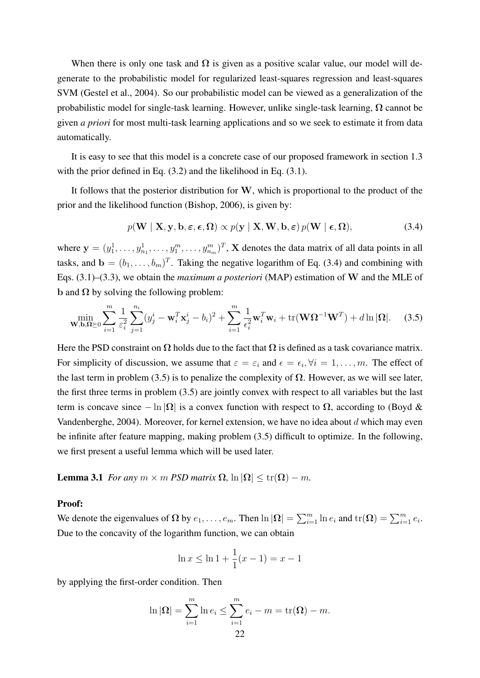When there is only one task and  $\Omega$  is given as a positive scalar value, our model will degenerate to the probabilistic model for regularized least-squares regression and least-squares SVM (Gestel et al., 2004). So our probabilistic model can be viewed as a generalization of the probabilistic model for single-task learning. However, unlike single-task learning, Ω cannot be given *a priori* for most multi-task learning applications and so we seek to estimate it from data automatically.

It is easy to see that this model is a concrete case of our proposed framework in section 1.3 with the prior defined in Eq.  $(3.2)$  and the likelihood in Eq.  $(3.1)$ .

It follows that the posterior distribution for W, which is proportional to the product of the prior and the likelihood function (Bishop, 2006), is given by:

$$
p(\mathbf{W} \mid \mathbf{X}, \mathbf{y}, \mathbf{b}, \boldsymbol{\varepsilon}, \boldsymbol{\epsilon}, \boldsymbol{\Omega}) \propto p(\mathbf{y} \mid \mathbf{X}, \mathbf{W}, \mathbf{b}, \boldsymbol{\varepsilon}) p(\mathbf{W} \mid \boldsymbol{\epsilon}, \boldsymbol{\Omega}),
$$
\n(3.4)

where  $y = (y_1^1, \dots, y_{n_1}^1, \dots, y_1^m, \dots, y_{n_m}^m)^T$ , X denotes the data matrix of all data points in all tasks, and  $\mathbf{b} = (b_1, \dots, b_m)^T$ . Taking the negative logarithm of Eq. (3.4) and combining with Eqs. (3.1)–(3.3), we obtain the *maximum a posteriori* (MAP) estimation of W and the MLE of b and  $\Omega$  by solving the following problem:

$$
\min_{\mathbf{W},\mathbf{b},\mathbf{\Omega}\succeq 0} \sum_{i=1}^{m} \frac{1}{\varepsilon_i^2} \sum_{j=1}^{n_i} (y_j^i - \mathbf{w}_i^T \mathbf{x}_j^i - b_i)^2 + \sum_{i=1}^{m} \frac{1}{\varepsilon_i^2} \mathbf{w}_i^T \mathbf{w}_i + \text{tr}(\mathbf{W}\Omega^{-1}\mathbf{W}^T) + d\ln|\Omega|.
$$
 (3.5)

Here the PSD constraint on  $\Omega$  holds due to the fact that  $\Omega$  is defined as a task covariance matrix. For simplicity of discussion, we assume that  $\varepsilon = \varepsilon_i$  and  $\epsilon = \epsilon_i, \forall i = 1, \ldots, m$ . The effect of the last term in problem (3.5) is to penalize the complexity of  $\Omega$ . However, as we will see later, the first three terms in problem (3.5) are jointly convex with respect to all variables but the last term is concave since  $-\ln |\Omega|$  is a convex function with respect to  $\Omega$ , according to (Boyd & Vandenberghe, 2004). Moreover, for kernel extension, we have no idea about  $d$  which may even be infinite after feature mapping, making problem (3.5) difficult to optimize. In the following, we first present a useful lemma which will be used later.

**Lemma 3.1** *For any*  $m \times m$  *PSD matrix*  $\Omega$ ,  $\ln |\Omega| \leq \text{tr}(\Omega) - m$ .

#### Proof:

We denote the eigenvalues of  $\Omega$  by  $e_1, \ldots, e_m$ . Then  $\ln |\Omega| = \sum_{i=1}^m \ln e_i$  and  $\text{tr}(\Omega) = \sum_{i=1}^m e_i$ . Due to the concavity of the logarithm function, we can obtain

$$
\ln x \le \ln 1 + \frac{1}{1}(x - 1) = x - 1
$$

by applying the first-order condition. Then

$$
\ln |\Omega| = \sum_{i=1}^{m} \ln e_i \le \sum_{i=1}^{m} e_i - m = \text{tr}(\Omega) - m.
$$
  
22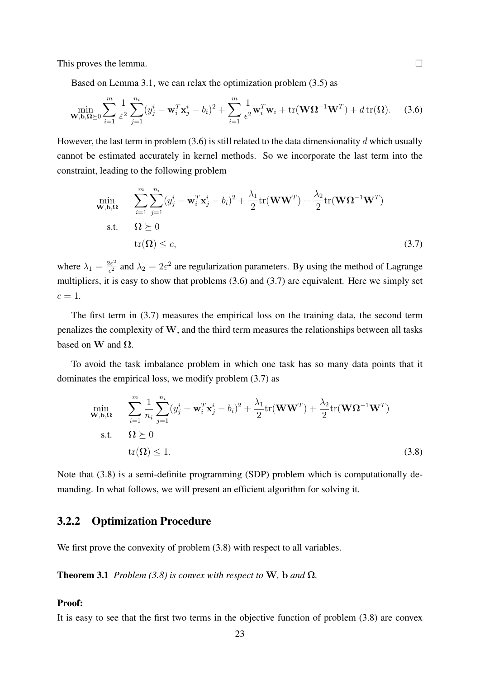This proves the lemma.  $\Box$ 

Based on Lemma 3.1, we can relax the optimization problem (3.5) as

$$
\min_{\mathbf{W},\mathbf{b},\mathbf{\Omega}\succeq0} \sum_{i=1}^{m} \frac{1}{\varepsilon^2} \sum_{j=1}^{n_i} (y_j^i - \mathbf{w}_i^T \mathbf{x}_j^i - b_i)^2 + \sum_{i=1}^{m} \frac{1}{\varepsilon^2} \mathbf{w}_i^T \mathbf{w}_i + \text{tr}(\mathbf{W}\mathbf{\Omega}^{-1}\mathbf{W}^T) + d\,\text{tr}(\mathbf{\Omega}).\tag{3.6}
$$

However, the last term in problem  $(3.6)$  is still related to the data dimensionality d which usually cannot be estimated accurately in kernel methods. So we incorporate the last term into the constraint, leading to the following problem

$$
\min_{\mathbf{W},\mathbf{b},\mathbf{\Omega}} \quad \sum_{i=1}^{m} \sum_{j=1}^{n_i} (y_j^i - \mathbf{w}_i^T \mathbf{x}_j^i - b_i)^2 + \frac{\lambda_1}{2} \text{tr}(\mathbf{W}\mathbf{W}^T) + \frac{\lambda_2}{2} \text{tr}(\mathbf{W}\mathbf{\Omega}^{-1}\mathbf{W}^T)
$$
\n
$$
\text{s.t.} \quad \mathbf{\Omega} \succeq 0
$$
\n
$$
\text{tr}(\mathbf{\Omega}) \leq c,
$$
\n
$$
(3.7)
$$

where  $\lambda_1 = \frac{2\varepsilon^2}{\epsilon^2}$  $\lambda_2 = 2\varepsilon^2$  and  $\lambda_2 = 2\varepsilon^2$  are regularization parameters. By using the method of Lagrange multipliers, it is easy to show that problems (3.6) and (3.7) are equivalent. Here we simply set  $c = 1$ .

The first term in (3.7) measures the empirical loss on the training data, the second term penalizes the complexity of  $W$ , and the third term measures the relationships between all tasks based on W and  $\Omega$ .

To avoid the task imbalance problem in which one task has so many data points that it dominates the empirical loss, we modify problem (3.7) as

$$
\min_{\mathbf{W},\mathbf{b},\mathbf{\Omega}} \quad \sum_{i=1}^{m} \frac{1}{n_i} \sum_{j=1}^{n_i} (y_j^i - \mathbf{w}_i^T \mathbf{x}_j^i - b_i)^2 + \frac{\lambda_1}{2} \text{tr}(\mathbf{W}\mathbf{W}^T) + \frac{\lambda_2}{2} \text{tr}(\mathbf{W}\mathbf{\Omega}^{-1}\mathbf{W}^T)
$$
\n
$$
\text{s.t.} \quad \mathbf{\Omega} \succeq 0
$$
\n
$$
\text{tr}(\mathbf{\Omega}) \le 1. \tag{3.8}
$$

Note that (3.8) is a semi-definite programming (SDP) problem which is computationally demanding. In what follows, we will present an efficient algorithm for solving it.

### 3.2.2 Optimization Procedure

We first prove the convexity of problem  $(3.8)$  with respect to all variables.

**Theorem 3.1** *Problem* (3.8) *is convex with respect to* W, b *and*  $\Omega$ *.* 

#### Proof:

It is easy to see that the first two terms in the objective function of problem (3.8) are convex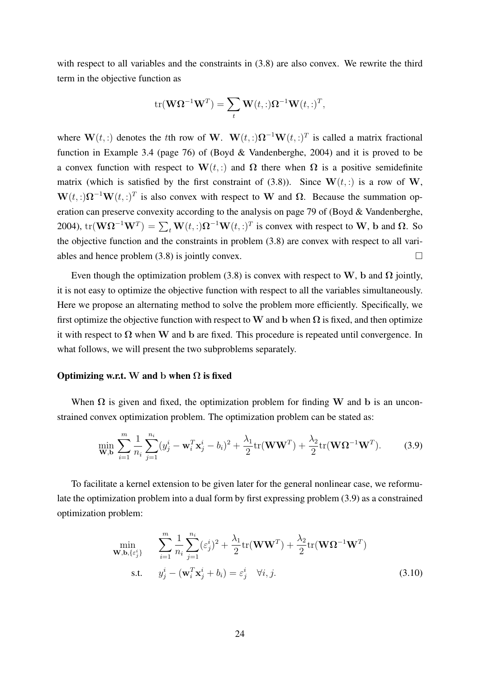with respect to all variables and the constraints in (3.8) are also convex. We rewrite the third term in the objective function as

$$
\mathrm{tr}(\mathbf{W}\mathbf{\Omega}^{-1}\mathbf{W}^T)=\sum_t \mathbf{W}(t,:)\mathbf{\Omega}^{-1}\mathbf{W}(t,:)^T,
$$

where  $\mathbf{W}(t, :)$  denotes the tth row of W.  $\mathbf{W}(t, :)\Omega^{-1}\mathbf{W}(t, :)^{T}$  is called a matrix fractional function in Example 3.4 (page 76) of (Boyd & Vandenberghe, 2004) and it is proved to be a convex function with respect to  $W(t, \cdot)$  and  $\Omega$  there when  $\Omega$  is a positive semidefinite matrix (which is satisfied by the first constraint of (3.8)). Since  $W(t, :)$  is a row of W,  $\mathbf{W}(t, \cdot) \mathbf{\Omega}^{-1} \mathbf{W}(t, \cdot)^{T}$  is also convex with respect to W and  $\mathbf{\Omega}$ . Because the summation operation can preserve convexity according to the analysis on page 79 of (Boyd & Vandenberghe, 2004),  $tr(\mathbf{W}\Omega^{-1}\mathbf{W}^T) = \sum_t \mathbf{W}(t,.)\Omega^{-1}\mathbf{W}(t,.)^T$  is convex with respect to W, b and  $\Omega$ . So the objective function and the constraints in problem (3.8) are convex with respect to all variables and hence problem  $(3.8)$  is jointly convex.

Even though the optimization problem (3.8) is convex with respect to W, b and  $\Omega$  jointly, it is not easy to optimize the objective function with respect to all the variables simultaneously. Here we propose an alternating method to solve the problem more efficiently. Specifically, we first optimize the objective function with respect to W and b when  $\Omega$  is fixed, and then optimize it with respect to  $\Omega$  when W and b are fixed. This procedure is repeated until convergence. In what follows, we will present the two subproblems separately.

#### Optimizing w.r.t. W and b when  $\Omega$  is fixed

When  $\Omega$  is given and fixed, the optimization problem for finding W and b is an unconstrained convex optimization problem. The optimization problem can be stated as:

$$
\min_{\mathbf{W},\mathbf{b}} \sum_{i=1}^{m} \frac{1}{n_i} \sum_{j=1}^{n_i} (y_j^i - \mathbf{w}_i^T \mathbf{x}_j^i - b_i)^2 + \frac{\lambda_1}{2} tr(\mathbf{W} \mathbf{W}^T) + \frac{\lambda_2}{2} tr(\mathbf{W} \mathbf{\Omega}^{-1} \mathbf{W}^T).
$$
 (3.9)

To facilitate a kernel extension to be given later for the general nonlinear case, we reformulate the optimization problem into a dual form by first expressing problem (3.9) as a constrained optimization problem:

$$
\min_{\mathbf{W},\mathbf{b},\{\varepsilon_j^i\}} \qquad \sum_{i=1}^m \frac{1}{n_i} \sum_{j=1}^{n_i} (\varepsilon_j^i)^2 + \frac{\lambda_1}{2} \text{tr}(\mathbf{W}\mathbf{W}^T) + \frac{\lambda_2}{2} \text{tr}(\mathbf{W}\mathbf{\Omega}^{-1}\mathbf{W}^T)
$$
\n
$$
\text{s.t.} \qquad y_j^i - (\mathbf{w}_i^T \mathbf{x}_j^i + b_i) = \varepsilon_j^i \quad \forall i, j. \tag{3.10}
$$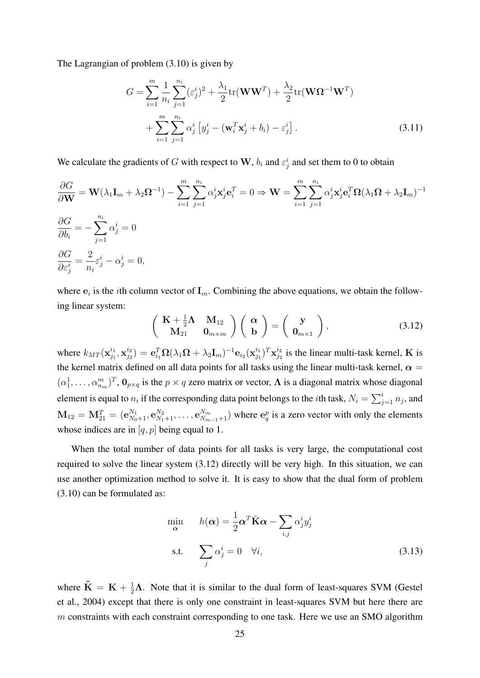The Lagrangian of problem (3.10) is given by

$$
G = \sum_{i=1}^{m} \frac{1}{n_i} \sum_{j=1}^{n_i} (\varepsilon_j^i)^2 + \frac{\lambda_1}{2} \text{tr}(\mathbf{W}\mathbf{W}^T) + \frac{\lambda_2}{2} \text{tr}(\mathbf{W}\mathbf{\Omega}^{-1}\mathbf{W}^T) + \sum_{i=1}^{m} \sum_{j=1}^{n_i} \alpha_j^i \left[ y_j^i - (\mathbf{w}_i^T \mathbf{x}_j^i + b_i) - \varepsilon_j^i \right].
$$
 (3.11)

We calculate the gradients of G with respect to W,  $b_i$  and  $\varepsilon_j^i$  and set them to 0 to obtain

$$
\frac{\partial G}{\partial \mathbf{W}} = \mathbf{W}(\lambda_1 \mathbf{I}_m + \lambda_2 \mathbf{\Omega}^{-1}) - \sum_{i=1}^m \sum_{j=1}^{n_i} \alpha_j^i \mathbf{x}_j^i \mathbf{e}_i^T = 0 \Rightarrow \mathbf{W} = \sum_{i=1}^m \sum_{j=1}^{n_i} \alpha_j^i \mathbf{x}_j^i \mathbf{e}_i^T \mathbf{\Omega} (\lambda_1 \mathbf{\Omega} + \lambda_2 \mathbf{I}_m)^{-1}
$$
  
\n
$$
\frac{\partial G}{\partial b_i} = -\sum_{j=1}^{n_i} \alpha_j^i = 0
$$
  
\n
$$
\frac{\partial G}{\partial \varepsilon_j^i} = \frac{2}{n_i} \varepsilon_j^i - \alpha_j^i = 0,
$$

where  $e_i$  is the *i*th column vector of  $I_m$ . Combining the above equations, we obtain the following linear system:

$$
\begin{pmatrix}\n\mathbf{K} + \frac{1}{2}\mathbf{\Lambda} & \mathbf{M}_{12} \\
\mathbf{M}_{21} & \mathbf{0}_{m \times m}\n\end{pmatrix}\n\begin{pmatrix}\n\alpha \\
\mathbf{b}\n\end{pmatrix} =\n\begin{pmatrix}\n\mathbf{y} \\
\mathbf{0}_{m \times 1}\n\end{pmatrix},
$$
\n(3.12)

where  $k_{MT}(\mathbf{x}_{i_1}^{i_1})$  $_{j_1}^{i_1},\mathbf{x}_{j_2}^{i_2}$  $\mathbf{e}_{i_2}^{i_2})=\mathbf{e}_{i_1}^T\mathbf{\Omega}(\lambda_1\mathbf{\Omega}+\lambda_2\mathbf{I}_m)^{-1}\mathbf{e}_{i_2}(\mathbf{x}_{j_1}^{i_1})$  $_{j_1}^{i_1})^T\mathbf{x}_{j_2}^{i_2}$  $j_2^{i_2}$  is the linear multi-task kernel, **K** is the kernel matrix defined on all data points for all tasks using the linear multi-task kernel,  $\alpha$  =  $(\alpha_1^1,\ldots,\alpha_{n_m}^m)^T$ ,  $\mathbf{0}_{p\times q}$  is the  $p\times q$  zero matrix or vector,  $\Lambda$  is a diagonal matrix whose diagonal element is equal to  $n_i$  if the corresponding data point belongs to the *i*th task,  $N_i = \sum_{j=1}^i n_j$ , and  $\mathbf{M}_{12} = \mathbf{M}_{21}^T = (\mathbf{e}_{N_0+1}^{N_1}, \mathbf{e}_{N_1+1}^{N_2}, \dots, \mathbf{e}_{N_{m-1}+1}^{N_m})$  where  $\mathbf{e}_q^p$  is a zero vector with only the elements whose indices are in  $[q, p]$  being equal to 1.

When the total number of data points for all tasks is very large, the computational cost required to solve the linear system (3.12) directly will be very high. In this situation, we can use another optimization method to solve it. It is easy to show that the dual form of problem (3.10) can be formulated as:

$$
\min_{\mathbf{\alpha}} \qquad h(\mathbf{\alpha}) = \frac{1}{2} \mathbf{\alpha}^T \tilde{\mathbf{K}} \mathbf{\alpha} - \sum_{i,j} \alpha_j^i y_j^i
$$
\n
$$
\text{s.t.} \qquad \sum_j \alpha_j^i = 0 \quad \forall i,
$$
\n(3.13)

where  $\tilde{K} = K + \frac{1}{2}\Lambda$ . Note that it is similar to the dual form of least-squares SVM (Gestel et al., 2004) except that there is only one constraint in least-squares SVM but here there are m constraints with each constraint corresponding to one task. Here we use an SMO algorithm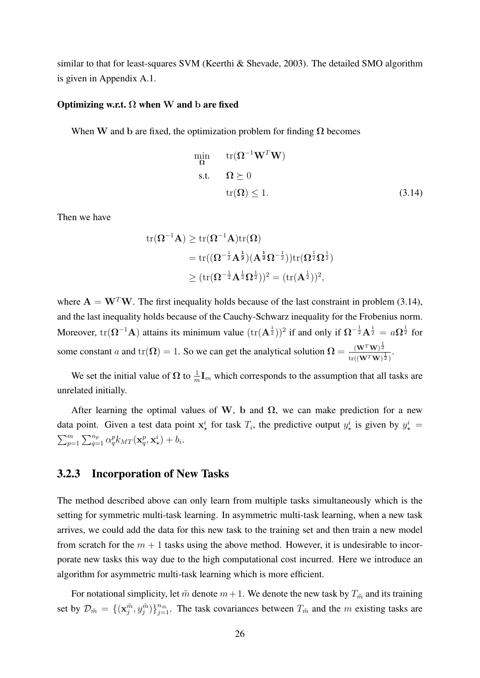similar to that for least-squares SVM (Keerthi & Shevade, 2003). The detailed SMO algorithm is given in Appendix A.1.

#### Optimizing w.r.t.  $\Omega$  when W and b are fixed

When W and b are fixed, the optimization problem for finding  $\Omega$  becomes

$$
\min_{\Omega} \quad \text{tr}(\Omega^{-1} \mathbf{W}^T \mathbf{W})
$$
\n
$$
\text{s.t.} \quad \Omega \succeq 0
$$
\n
$$
\text{tr}(\Omega) \le 1. \tag{3.14}
$$

Then we have

$$
\begin{aligned} \mathrm{tr}(\boldsymbol{\Omega}^{-1}\mathbf{A}) &\geq \mathrm{tr}(\boldsymbol{\Omega}^{-1}\mathbf{A})\mathrm{tr}(\boldsymbol{\Omega}) \\&= \mathrm{tr}((\boldsymbol{\Omega}^{-\frac{1}{2}}\mathbf{A}^{\frac{1}{2}})(\mathbf{A}^{\frac{1}{2}}\boldsymbol{\Omega}^{-\frac{1}{2}}))\mathrm{tr}(\boldsymbol{\Omega}^{\frac{1}{2}}\boldsymbol{\Omega}^{\frac{1}{2}}) \\&\geq (\mathrm{tr}(\boldsymbol{\Omega}^{-\frac{1}{2}}\mathbf{A}^{\frac{1}{2}}\boldsymbol{\Omega}^{\frac{1}{2}}))^2 = (\mathrm{tr}(\mathbf{A}^{\frac{1}{2}}))^2, \end{aligned}
$$

where  $A = W<sup>T</sup>W$ . The first inequality holds because of the last constraint in problem (3.14), and the last inequality holds because of the Cauchy-Schwarz inequality for the Frobenius norm. Moreover,  $tr(\Omega^{-1}A)$  attains its minimum value  $(tr(A^{\frac{1}{2}}))^2$  if and only if  $\Omega^{-\frac{1}{2}}A^{\frac{1}{2}} = a\Omega^{\frac{1}{2}}$  for some constant a and tr( $\Omega$ ) = 1. So we can get the analytical solution  $\Omega = \frac{(\mathbf{W}^T \mathbf{W})^{\frac{1}{2}}}{\sqrt{(\mathbf{W}^T \mathbf{W})^{\frac{1}{2}}}}$  $\frac{(\mathbf{W}^T \mathbf{W})^2}{\text{tr}((\mathbf{W}^T \mathbf{W})^{\frac{1}{2}})}$ .

We set the initial value of  $\Omega$  to  $\frac{1}{m}I_m$  which corresponds to the assumption that all tasks are unrelated initially.

After learning the optimal values of W, b and  $\Omega$ , we can make prediction for a new data point. Given a test data point  $x^i_{\star}$  for task  $T_i$ , the predictive output  $y^i_{\star}$  is given by  $y^i_{\star}$  =  $\sum_{p=1}^m \sum_{q=1}^{n_p} \alpha_q^p k_{MT}(\mathbf{x}_q^p, \mathbf{x}_{\star}^i) + b_i.$ 

#### 3.2.3 Incorporation of New Tasks

The method described above can only learn from multiple tasks simultaneously which is the setting for symmetric multi-task learning. In asymmetric multi-task learning, when a new task arrives, we could add the data for this new task to the training set and then train a new model from scratch for the  $m + 1$  tasks using the above method. However, it is undesirable to incorporate new tasks this way due to the high computational cost incurred. Here we introduce an algorithm for asymmetric multi-task learning which is more efficient.

For notational simplicity, let  $\tilde{m}$  denote  $m+1$ . We denote the new task by  $T_{\tilde{m}}$  and its training set by  $\mathcal{D}_{\tilde{m}} = \{(\mathbf{x}_{j}^{\tilde{m}}, y_{j}^{\tilde{m}})\}_{j=1}^{n_{\tilde{m}}}$ . The task covariances between  $T_{\tilde{m}}$  and the m existing tasks are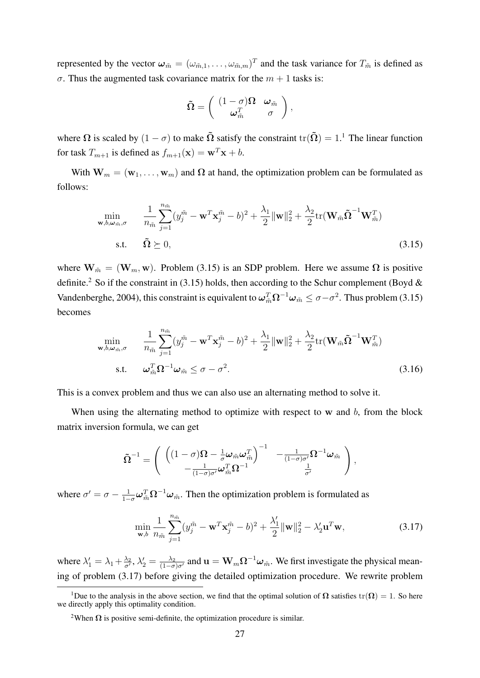represented by the vector  $\omega_{\tilde{m}} = (\omega_{\tilde{m},1}, \dots, \omega_{\tilde{m},m})^T$  and the task variance for  $T_{\tilde{m}}$  is defined as σ. Thus the augmented task covariance matrix for the  $m + 1$  tasks is:

$$
\tilde{\mathbf{\Omega}} = \left( \begin{array}{cc} (1-\sigma)\mathbf{\Omega} & \boldsymbol{\omega}_{\tilde{m}} \\ \boldsymbol{\omega}_{\tilde{m}}^T & \sigma \end{array} \right),
$$

where  $\Omega$  is scaled by  $(1 - \sigma)$  to make  $\tilde{\Omega}$  satisfy the constraint  $tr(\tilde{\Omega}) = 1$ .<sup>1</sup> The linear function for task  $T_{m+1}$  is defined as  $f_{m+1}(\mathbf{x}) = \mathbf{w}^T \mathbf{x} + b$ .

With  $W_m = (w_1, \ldots, w_m)$  and  $\Omega$  at hand, the optimization problem can be formulated as follows:

$$
\min_{\mathbf{w},b,\omega_{\tilde{m}},\sigma} \quad \frac{1}{n_{\tilde{m}}} \sum_{j=1}^{n_{\tilde{m}}} (y_j^{\tilde{m}} - \mathbf{w}^T \mathbf{x}_j^{\tilde{m}} - b)^2 + \frac{\lambda_1}{2} ||\mathbf{w}||_2^2 + \frac{\lambda_2}{2} \text{tr}(\mathbf{W}_{\tilde{m}} \tilde{\mathbf{\Omega}}^{-1} \mathbf{W}_{\tilde{m}}^T)
$$
\n
$$
\text{s.t.} \quad \tilde{\mathbf{\Omega}} \succeq 0,
$$
\n(3.15)

where  $W_{m} = (W_m, w)$ . Problem (3.15) is an SDP problem. Here we assume  $\Omega$  is positive definite.<sup>2</sup> So if the constraint in (3.15) holds, then according to the Schur complement (Boyd  $\&$ Vandenberghe, 2004), this constraint is equivalent to  $\omega_{\tilde{m}}^T \Omega^{-1} \omega_{\tilde{m}} \le \sigma - \sigma^2$ . Thus problem (3.15) becomes

$$
\min_{\mathbf{w},b,\omega_{\tilde{m}},\sigma} \quad \frac{1}{n_{\tilde{m}}} \sum_{j=1}^{n_{\tilde{m}}} (y_j^{\tilde{m}} - \mathbf{w}^T \mathbf{x}_j^{\tilde{m}} - b)^2 + \frac{\lambda_1}{2} ||\mathbf{w}||_2^2 + \frac{\lambda_2}{2} \text{tr}(\mathbf{W}_{\tilde{m}} \tilde{\mathbf{\Omega}}^{-1} \mathbf{W}_{\tilde{m}}^T)
$$
\ns.t.

\n
$$
\omega_{\tilde{m}}^T \mathbf{\Omega}^{-1} \omega_{\tilde{m}} \leq \sigma - \sigma^2.
$$
\n(3.16)

This is a convex problem and thus we can also use an alternating method to solve it.

When using the alternating method to optimize with respect to  $w$  and  $b$ , from the block matrix inversion formula, we can get

$$
\tilde{\mathbf{\Omega}}^{-1}=\left(\begin{array}{cc} \left((1-\sigma)\mathbf{\Omega}-\frac{1}{\sigma}\boldsymbol{\omega}_{\tilde{m}}\boldsymbol{\omega}_{\tilde{m}}^T\right)^{-1}& -\frac{1}{(1-\sigma)\sigma'}\mathbf{\Omega}^{-1}\boldsymbol{\omega}_{\tilde{m}} \\ -\frac{1}{(1-\sigma)\sigma'}\boldsymbol{\omega}_{\tilde{m}}^T\mathbf{\Omega}^{-1} & \frac{1}{\sigma'} \end{array}\right),
$$

where  $\sigma' = \sigma - \frac{1}{1-\sigma} \omega_{\tilde{m}}^T \Omega^{-1} \omega_{\tilde{m}}$ . Then the optimization problem is formulated as

$$
\min_{\mathbf{w},b} \frac{1}{n_{\tilde{m}}} \sum_{j=1}^{n_{\tilde{m}}} (y_j^{\tilde{m}} - \mathbf{w}^T \mathbf{x}_j^{\tilde{m}} - b)^2 + \frac{\lambda'_1}{2} ||\mathbf{w}||_2^2 - \lambda'_2 \mathbf{u}^T \mathbf{w},
$$
\n(3.17)

where  $\lambda'_1 = \lambda_1 + \frac{\lambda_2}{\sigma'}$  $\frac{\lambda_2}{\sigma'}$ ,  $\lambda'_2 = \frac{\lambda_2}{(1-\sigma)\sigma'}$  and  $\mathbf{u} = \mathbf{W}_m \mathbf{\Omega}^{-1} \boldsymbol{\omega}_{\tilde{m}}$ . We first investigate the physical meaning of problem (3.17) before giving the detailed optimization procedure. We rewrite problem

<sup>&</sup>lt;sup>1</sup>Due to the analysis in the above section, we find that the optimal solution of  $\Omega$  satisfies tr( $\Omega$ ) = 1. So here we directly apply this optimality condition.

<sup>&</sup>lt;sup>2</sup>When  $\Omega$  is positive semi-definite, the optimization procedure is similar.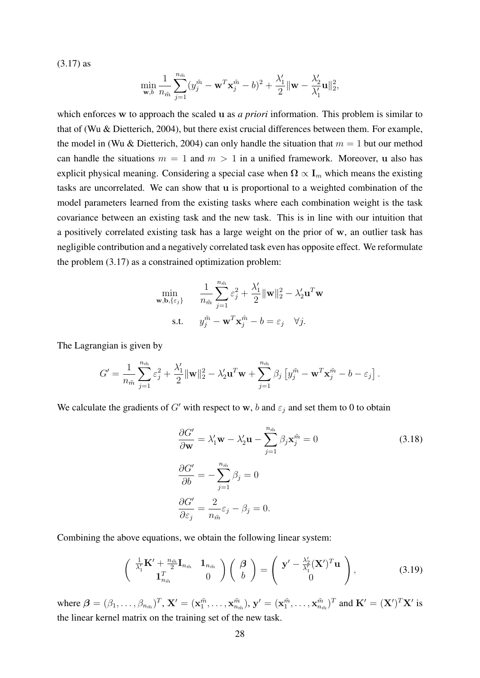(3.17) as

$$
\min_{\mathbf{w},b} \frac{1}{n_{\tilde{m}}} \sum_{j=1}^{n_{\tilde{m}}} (y_j^{\tilde{m}} - \mathbf{w}^T \mathbf{x}_j^{\tilde{m}} - b)^2 + \frac{\lambda'_1}{2} ||\mathbf{w} - \frac{\lambda'_2}{\lambda'_1} \mathbf{u}||_2^2,
$$

which enforces w to approach the scaled u as *a priori* information. This problem is similar to that of (Wu & Dietterich, 2004), but there exist crucial differences between them. For example, the model in (Wu & Dietterich, 2004) can only handle the situation that  $m = 1$  but our method can handle the situations  $m = 1$  and  $m > 1$  in a unified framework. Moreover, u also has explicit physical meaning. Considering a special case when  $\Omega \propto I_m$  which means the existing tasks are uncorrelated. We can show that u is proportional to a weighted combination of the model parameters learned from the existing tasks where each combination weight is the task covariance between an existing task and the new task. This is in line with our intuition that a positively correlated existing task has a large weight on the prior of w, an outlier task has negligible contribution and a negatively correlated task even has opposite effect. We reformulate the problem (3.17) as a constrained optimization problem:

$$
\min_{\mathbf{w}, \mathbf{b}, \{\varepsilon_j\}} \quad \frac{1}{n_{\tilde{m}}} \sum_{j=1}^{n_{\tilde{m}}} \varepsilon_j^2 + \frac{\lambda'_1}{2} ||\mathbf{w}||_2^2 - \lambda'_2 \mathbf{u}^T \mathbf{w}
$$
\n
$$
\text{s.t.} \quad y_j^{\tilde{m}} - \mathbf{w}^T \mathbf{x}_j^{\tilde{m}} - b = \varepsilon_j \quad \forall j.
$$

The Lagrangian is given by

$$
G' = \frac{1}{n_{\tilde{m}}} \sum_{j=1}^{n_{\tilde{m}}} \varepsilon_j^2 + \frac{\lambda'_1}{2} ||\mathbf{w}||_2^2 - \lambda'_2 \mathbf{u}^T \mathbf{w} + \sum_{j=1}^{n_{\tilde{m}}} \beta_j \left[ y_j^{\tilde{m}} - \mathbf{w}^T \mathbf{x}_j^{\tilde{m}} - b - \varepsilon_j \right].
$$

We calculate the gradients of G' with respect to w, b and  $\varepsilon_j$  and set them to 0 to obtain

$$
\frac{\partial G'}{\partial \mathbf{w}} = \lambda'_1 \mathbf{w} - \lambda'_2 \mathbf{u} - \sum_{j=1}^{n_{\tilde{m}}} \beta_j \mathbf{x}_j^{\tilde{m}} = 0
$$
\n
$$
\frac{\partial G'}{\partial b} = -\sum_{j=1}^{n_{\tilde{m}}} \beta_j = 0
$$
\n
$$
\frac{\partial G'}{\partial \varepsilon_j} = \frac{2}{n_{\tilde{m}}} \varepsilon_j - \beta_j = 0.
$$
\n(3.18)

Combining the above equations, we obtain the following linear system:

$$
\begin{pmatrix}\n\frac{1}{\lambda_1'}\mathbf{K}' + \frac{n_{\tilde{m}}}{2}\mathbf{I}_{n_{\tilde{m}}} & \mathbf{1}_{n_{\tilde{m}}}\n\end{pmatrix}\n\begin{pmatrix}\n\boldsymbol{\beta} \\
b\n\end{pmatrix} =\n\begin{pmatrix}\n\mathbf{y}' - \frac{\lambda_2'}{\lambda_1'}(\mathbf{X}')^T\mathbf{u} \\
0\n\end{pmatrix},
$$
\n(3.19)

where  $\boldsymbol{\beta} = (\beta_1, \dots, \beta_{n_{\tilde{m}}})^T$ ,  $\mathbf{X}' = (\mathbf{x}_1^{\tilde{m}}, \dots, \mathbf{x}_{n_{\tilde{m}}}^{\tilde{m}})$ ,  $\mathbf{y}' = (\mathbf{x}_1^{\tilde{m}}, \dots, \mathbf{x}_{n_{\tilde{m}}}^{\tilde{m}})^T$  and  $\mathbf{K}' = (\mathbf{X}')^T \mathbf{X}'$  is the linear kernel matrix on the training set of the new task.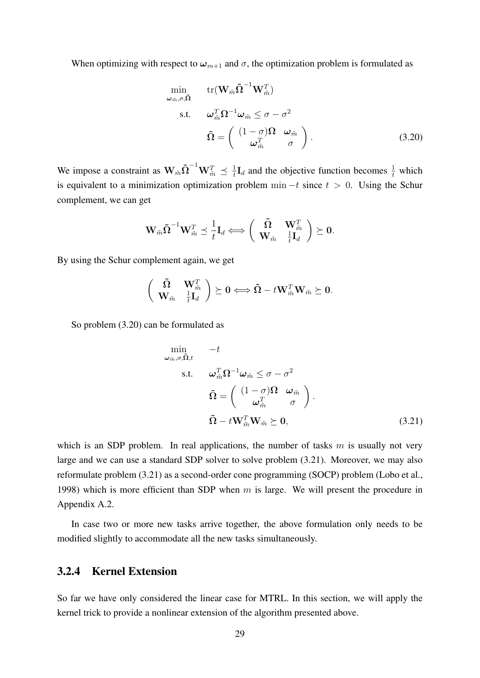When optimizing with respect to  $\omega_{m+1}$  and  $\sigma$ , the optimization problem is formulated as

$$
\min_{\omega_{\tilde{m}}, \sigma, \tilde{\Omega}} \quad \text{tr}(\mathbf{W}_{\tilde{m}} \tilde{\Omega}^{-1} \mathbf{W}_{\tilde{m}}^T) \n\text{s.t.} \quad \omega_{\tilde{m}}^T \Omega^{-1} \omega_{\tilde{m}} \le \sigma - \sigma^2 \n\tilde{\Omega} = \begin{pmatrix} (1 - \sigma) \Omega & \omega_{\tilde{m}} \\ \omega_{\tilde{m}}^T & \sigma \end{pmatrix}.
$$
\n(3.20)

We impose a constraint as  $\mathbf{W}_{\tilde{m}} \tilde{\boldsymbol{\Omega}}^{-1} \mathbf{W}_{\tilde{m}}^T \preceq \frac{1}{t}$  $\frac{1}{t}$ **I**<sub>d</sub> and the objective function becomes  $\frac{1}{t}$  which is equivalent to a minimization optimization problem min  $-t$  since  $t > 0$ . Using the Schur complement, we can get

$$
\mathbf{W}_{\tilde{m}}\tilde{\mathbf{\Omega}}^{-1}\mathbf{W}_{\tilde{m}}^T \preceq \frac{1}{t}\mathbf{I}_d \Longleftrightarrow \begin{pmatrix} \tilde{\mathbf{\Omega}} & \mathbf{W}_{\tilde{m}}^T\\ \mathbf{W}_{\tilde{m}} & \frac{1}{t}\mathbf{I}_d \end{pmatrix} \succeq 0.
$$

By using the Schur complement again, we get

$$
\left(\begin{array}{cc} \tilde{\Omega} & \mathbf{W}_{\tilde{m}}^T \\ \mathbf{W}_{\tilde{m}} & \frac{1}{t}\mathbf{I}_d \end{array}\right) \succeq 0 \Longleftrightarrow \tilde{\Omega} - t\mathbf{W}_{\tilde{m}}^T\mathbf{W}_{\tilde{m}} \succeq 0.
$$

So problem (3.20) can be formulated as

$$
\min_{\omega_{\tilde{m}}, \sigma, \tilde{\Omega}, t} \quad -t
$$
\n
$$
\text{s.t.} \quad \omega_{\tilde{m}}^T \Omega^{-1} \omega_{\tilde{m}} \le \sigma - \sigma^2
$$
\n
$$
\tilde{\Omega} = \begin{pmatrix} (1 - \sigma) \Omega & \omega_{\tilde{m}} \\ \omega_{\tilde{m}}^T & \sigma \end{pmatrix}.
$$
\n
$$
\tilde{\Omega} - t \mathbf{W}_{\tilde{m}}^T \mathbf{W}_{\tilde{m}} \succeq \mathbf{0},
$$
\n(3.21)

which is an SDP problem. In real applications, the number of tasks  $m$  is usually not very large and we can use a standard SDP solver to solve problem (3.21). Moreover, we may also reformulate problem (3.21) as a second-order cone programming (SOCP) problem (Lobo et al., 1998) which is more efficient than SDP when  $m$  is large. We will present the procedure in Appendix A.2.

In case two or more new tasks arrive together, the above formulation only needs to be modified slightly to accommodate all the new tasks simultaneously.

### 3.2.4 Kernel Extension

So far we have only considered the linear case for MTRL. In this section, we will apply the kernel trick to provide a nonlinear extension of the algorithm presented above.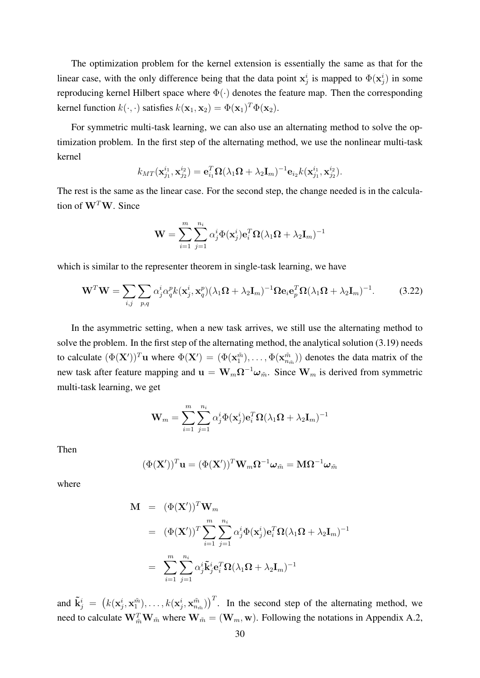The optimization problem for the kernel extension is essentially the same as that for the linear case, with the only difference being that the data point  $x_j^i$  is mapped to  $\Phi(x_j^i)$  in some reproducing kernel Hilbert space where  $\Phi(\cdot)$  denotes the feature map. Then the corresponding kernel function  $k(\cdot, \cdot)$  satisfies  $k(\mathbf{x}_1, \mathbf{x}_2) = \Phi(\mathbf{x}_1)^T \Phi(\mathbf{x}_2)$ .

For symmetric multi-task learning, we can also use an alternating method to solve the optimization problem. In the first step of the alternating method, we use the nonlinear multi-task kernel

$$
k_{MT}(\mathbf{x}_{j_1}^{i_1}, \mathbf{x}_{j_2}^{i_2}) = \mathbf{e}_{i_1}^T \mathbf{\Omega} (\lambda_1 \mathbf{\Omega} + \lambda_2 \mathbf{I}_m)^{-1} \mathbf{e}_{i_2} k(\mathbf{x}_{j_1}^{i_1}, \mathbf{x}_{j_2}^{i_2}).
$$

The rest is the same as the linear case. For the second step, the change needed is in the calculation of  $W^T W$ . Since

$$
\mathbf{W} = \sum_{i=1}^{m} \sum_{j=1}^{n_i} \alpha_j^i \Phi(\mathbf{x}_j^i) \mathbf{e}_i^T \mathbf{\Omega} (\lambda_1 \mathbf{\Omega} + \lambda_2 \mathbf{I}_m)^{-1}
$$

which is similar to the representer theorem in single-task learning, we have

$$
\mathbf{W}^T \mathbf{W} = \sum_{i,j} \sum_{p,q} \alpha_j^i \alpha_q^p k(\mathbf{x}_j^i, \mathbf{x}_q^p) (\lambda_1 \mathbf{\Omega} + \lambda_2 \mathbf{I}_m)^{-1} \mathbf{\Omega} \mathbf{e}_i \mathbf{e}_p^T \mathbf{\Omega} (\lambda_1 \mathbf{\Omega} + \lambda_2 \mathbf{I}_m)^{-1}.
$$
 (3.22)

In the asymmetric setting, when a new task arrives, we still use the alternating method to solve the problem. In the first step of the alternating method, the analytical solution (3.19) needs to calculate  $(\Phi(X'))^T$ u where  $\Phi(X') = (\Phi(\mathbf{x}_1^{\tilde{m}}), \dots, \Phi(\mathbf{x}_{n_{\tilde{m}}}^{\tilde{m}}))$  denotes the data matrix of the new task after feature mapping and  $\mathbf{u} = \mathbf{W}_m \Omega^{-1} \boldsymbol{\omega}_{\tilde{m}}$ . Since  $\mathbf{W}_m$  is derived from symmetric multi-task learning, we get

$$
\mathbf{W}_{m} = \sum_{i=1}^{m} \sum_{j=1}^{n_i} \alpha_j^{i} \Phi(\mathbf{x}_j^{i}) \mathbf{e}_i^{T} \mathbf{\Omega} (\lambda_1 \mathbf{\Omega} + \lambda_2 \mathbf{I}_{m})^{-1}
$$

Then

$$
(\Phi(\mathbf{X}'))^T \mathbf{u} = (\Phi(\mathbf{X}'))^T \mathbf{W}_m \Omega^{-1} \boldsymbol{\omega}_{\tilde{m}} = \mathbf{M} \Omega^{-1} \boldsymbol{\omega}_{\tilde{m}}
$$

where

$$
\mathbf{M} = (\Phi(\mathbf{X}'))^T \mathbf{W}_m
$$
  
\n
$$
= (\Phi(\mathbf{X}'))^T \sum_{i=1}^m \sum_{j=1}^{n_i} \alpha_j^i \Phi(\mathbf{x}_j^i) \mathbf{e}_i^T \mathbf{\Omega} (\lambda_1 \mathbf{\Omega} + \lambda_2 \mathbf{I}_m)^{-1}
$$
  
\n
$$
= \sum_{i=1}^m \sum_{j=1}^{n_i} \alpha_j^i \tilde{\mathbf{k}}_j^i \mathbf{e}_i^T \mathbf{\Omega} (\lambda_1 \mathbf{\Omega} + \lambda_2 \mathbf{I}_m)^{-1}
$$

and  $\tilde{\mathbf{k}}_j^i = (k(\mathbf{x}_j^i, \mathbf{x}_1^{\tilde{m}}), \dots, k(\mathbf{x}_j^i, \mathbf{x}_{n_{\tilde{m}}}^{\tilde{m}}))^T$ . In the second step of the alternating method, we need to calculate  $\mathbf{W}_{m}^{T} \mathbf{W}_{m}$  where  $\mathbf{W}_{m} = (\mathbf{W}_{m}, \mathbf{w})$ . Following the notations in Appendix A.2,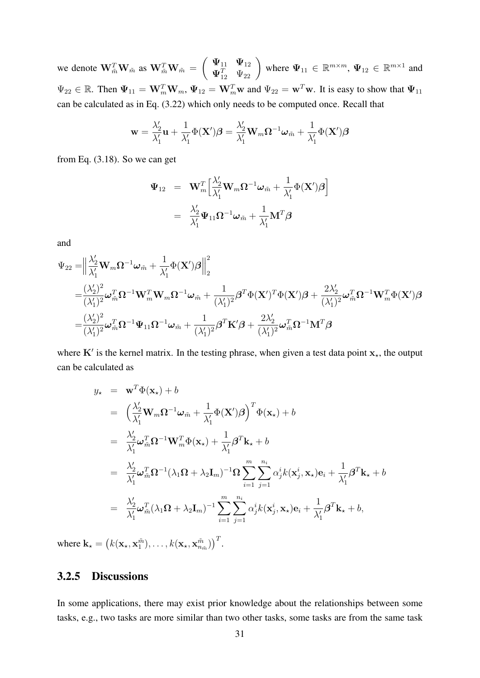we denote  $\mathbf{W}_{\tilde{m}}^T \mathbf{W}_{\tilde{m}}$  as  $\mathbf{W}_{\tilde{m}}^T \mathbf{W}_{\tilde{m}} =$  $( \Psi_{11} \Psi_{12} )$  $\mathbf{\Psi}_{11} \quad \mathbf{\Psi}_{12} \quad \mathbf{\Psi}_{22} \quad \text{where } \mathbf{\Psi}_{11} \in \mathbb{R}^{m \times m}, \, \mathbf{\Psi}_{12} \in \mathbb{R}^{m \times 1} \text{ and}$  $\Psi_{22} \in \mathbb{R}$ . Then  $\Psi_{11} = \mathbf{W}_m^T \mathbf{W}_m$ ,  $\Psi_{12} = \mathbf{W}_m^T \mathbf{w}$  and  $\Psi_{22} = \mathbf{w}^T \mathbf{w}$ . It is easy to show that  $\Psi_{11}$ can be calculated as in Eq. (3.22) which only needs to be computed once. Recall that

$$
\mathbf{w} = \frac{\lambda_2'}{\lambda_1'} \mathbf{u} + \frac{1}{\lambda_1'} \Phi(\mathbf{X}') \boldsymbol{\beta} = \frac{\lambda_2'}{\lambda_1'} \mathbf{W}_m \boldsymbol{\Omega}^{-1} \boldsymbol{\omega}_{\tilde{m}} + \frac{1}{\lambda_1'} \Phi(\mathbf{X}') \boldsymbol{\beta}
$$

from Eq. (3.18). So we can get

$$
\begin{array}{rcl}\n\Psi_{12} & = & \mathbf{W}_{m}^{T} \Big[ \frac{\lambda_{2}^{\prime}}{\lambda_{1}^{\prime}} \mathbf{W}_{m} \Omega^{-1} \boldsymbol{\omega}_{\tilde{m}} + \frac{1}{\lambda_{1}^{\prime}} \Phi(\mathbf{X}^{\prime}) \boldsymbol{\beta} \Big] \\
\\
& = & \frac{\lambda_{2}^{\prime}}{\lambda_{1}^{\prime}} \boldsymbol{\Psi}_{11} \Omega^{-1} \boldsymbol{\omega}_{\tilde{m}} + \frac{1}{\lambda_{1}^{\prime}} \mathbf{M}^{T} \boldsymbol{\beta}\n\end{array}
$$

and

$$
\begin{aligned} \Psi_{22} =& \Big\|\frac{\lambda_2'}{\lambda_1'}\mathbf{W}_m\boldsymbol{\Omega}^{-1}\boldsymbol{\omega}_{\tilde{m}}+\frac{1}{\lambda_1'}\boldsymbol{\Phi}(\mathbf{X}')\boldsymbol{\beta}\Big\|_2^2 \\ =& \frac{(\lambda_2')^2}{(\lambda_1')^2}\boldsymbol{\omega}_{\tilde{m}}^T\boldsymbol{\Omega}^{-1}\mathbf{W}_m^T\mathbf{W}_m\boldsymbol{\Omega}^{-1}\boldsymbol{\omega}_{\tilde{m}}+\frac{1}{(\lambda_1')^2}\boldsymbol{\beta}^T\boldsymbol{\Phi}(\mathbf{X}')^T\boldsymbol{\Phi}(\mathbf{X}')\boldsymbol{\beta}+\frac{2\lambda_2'}{(\lambda_1')^2}\boldsymbol{\omega}_{\tilde{m}}^T\boldsymbol{\Omega}^{-1}\mathbf{W}_m^T\boldsymbol{\Phi}(\mathbf{X}')\boldsymbol{\beta} \\ =& \frac{(\lambda_2')^2}{(\lambda_1')^2}\boldsymbol{\omega}_{\tilde{m}}^T\boldsymbol{\Omega}^{-1}\boldsymbol{\Psi}_{11}\boldsymbol{\Omega}^{-1}\boldsymbol{\omega}_{\tilde{m}}+\frac{1}{(\lambda_1')^2}\boldsymbol{\beta}^T\mathbf{K}'\boldsymbol{\beta}+\frac{2\lambda_2'}{(\lambda_1')^2}\boldsymbol{\omega}_{\tilde{m}}^T\boldsymbol{\Omega}^{-1}\mathbf{M}^T\boldsymbol{\beta} \end{aligned}
$$

where  $K'$  is the kernel matrix. In the testing phrase, when given a test data point  $x_{\star}$ , the output can be calculated as

$$
y_{\star} = \mathbf{w}^{T} \Phi(\mathbf{x}_{\star}) + b
$$
  
\n
$$
= \left(\frac{\lambda_{2}^{'} \mathbf{W}_{m} \Omega^{-1} \boldsymbol{\omega}_{\tilde{m}} + \frac{1}{\lambda_{1}^{'} \Phi(\mathbf{X}^{'} ) \boldsymbol{\beta}}\right)^{T} \Phi(\mathbf{x}_{\star}) + b
$$
  
\n
$$
= \frac{\lambda_{2}^{'} \mathbf{\omega}_{\tilde{m}}^{T} \Omega^{-1} \mathbf{W}_{m}^{T} \Phi(\mathbf{x}_{\star}) + \frac{1}{\lambda_{1}^{'} \beta^{T} \mathbf{k}_{\star} + b}
$$
  
\n
$$
= \frac{\lambda_{2}^{'} \mathbf{\omega}_{\tilde{m}}^{T} \Omega^{-1} (\lambda_{1} \Omega + \lambda_{2} \mathbf{I}_{m})^{-1} \Omega \sum_{i=1}^{m} \sum_{j=1}^{n_{i}} \alpha_{j}^{i} k(\mathbf{x}_{j}^{i}, \mathbf{x}_{\star}) \mathbf{e}_{i} + \frac{1}{\lambda_{1}^{'} \beta^{T} \mathbf{k}_{\star} + b}
$$
  
\n
$$
= \frac{\lambda_{2}^{'} \mathbf{\omega}_{\tilde{m}}^{T} (\lambda_{1} \Omega + \lambda_{2} \mathbf{I}_{m})^{-1} \sum_{i=1}^{m} \sum_{j=1}^{n_{i}} \alpha_{j}^{i} k(\mathbf{x}_{j}^{i}, \mathbf{x}_{\star}) \mathbf{e}_{i} + \frac{1}{\lambda_{1}^{'} \beta^{T} \mathbf{k}_{\star} + b,
$$

where  $\mathbf{k}_{\star} = (k(\mathbf{x}_{\star}, \mathbf{x}_{1}^{\tilde{m}}), \ldots, k(\mathbf{x}_{\star}, \mathbf{x}_{n_{\tilde{m}}}^{\tilde{m}}))^{T}$ .

### 3.2.5 Discussions

In some applications, there may exist prior knowledge about the relationships between some tasks, e.g., two tasks are more similar than two other tasks, some tasks are from the same task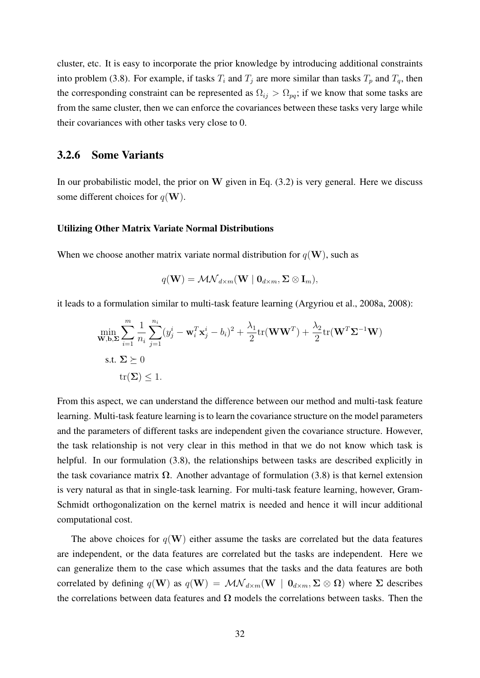cluster, etc. It is easy to incorporate the prior knowledge by introducing additional constraints into problem (3.8). For example, if tasks  $T_i$  and  $T_j$  are more similar than tasks  $T_p$  and  $T_q$ , then the corresponding constraint can be represented as  $\Omega_{ij} > \Omega_{pq}$ ; if we know that some tasks are from the same cluster, then we can enforce the covariances between these tasks very large while their covariances with other tasks very close to 0.

### 3.2.6 Some Variants

In our probabilistic model, the prior on  $W$  given in Eq.  $(3.2)$  is very general. Here we discuss some different choices for  $q(\mathbf{W})$ .

#### Utilizing Other Matrix Variate Normal Distributions

When we choose another matrix variate normal distribution for  $q(\mathbf{W})$ , such as

$$
q(\mathbf{W}) = \mathcal{MN}_{d \times m}(\mathbf{W} \mid \mathbf{0}_{d \times m}, \mathbf{\Sigma} \otimes \mathbf{I}_m),
$$

it leads to a formulation similar to multi-task feature learning (Argyriou et al., 2008a, 2008):

$$
\min_{\mathbf{W},\mathbf{b},\mathbf{\Sigma}} \sum_{i=1}^{m} \frac{1}{n_i} \sum_{j=1}^{n_i} (y_j^i - \mathbf{w}_i^T \mathbf{x}_j^i - b_i)^2 + \frac{\lambda_1}{2} \text{tr}(\mathbf{W}\mathbf{W}^T) + \frac{\lambda_2}{2} \text{tr}(\mathbf{W}^T \mathbf{\Sigma}^{-1} \mathbf{W})
$$
\n
$$
\text{s.t. } \mathbf{\Sigma} \succeq 0
$$
\n
$$
\text{tr}(\mathbf{\Sigma}) \le 1.
$$

From this aspect, we can understand the difference between our method and multi-task feature learning. Multi-task feature learning is to learn the covariance structure on the model parameters and the parameters of different tasks are independent given the covariance structure. However, the task relationship is not very clear in this method in that we do not know which task is helpful. In our formulation  $(3.8)$ , the relationships between tasks are described explicitly in the task covariance matrix  $\Omega$ . Another advantage of formulation (3.8) is that kernel extension is very natural as that in single-task learning. For multi-task feature learning, however, Gram-Schmidt orthogonalization on the kernel matrix is needed and hence it will incur additional computational cost.

The above choices for  $q(\mathbf{W})$  either assume the tasks are correlated but the data features are independent, or the data features are correlated but the tasks are independent. Here we can generalize them to the case which assumes that the tasks and the data features are both correlated by defining  $q(\mathbf{W})$  as  $q(\mathbf{W}) = \mathcal{MN}_{d \times m}(\mathbf{W} \mid \mathbf{0}_{d \times m}, \Sigma \otimes \Omega)$  where  $\Sigma$  describes the correlations between data features and  $\Omega$  models the correlations between tasks. Then the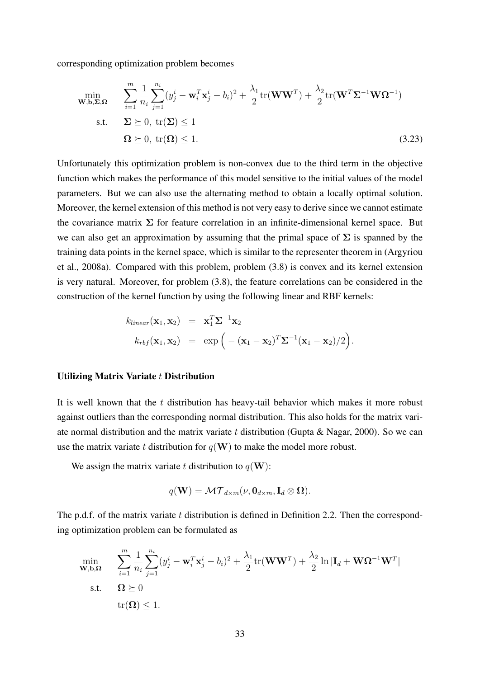corresponding optimization problem becomes

$$
\min_{\mathbf{W},\mathbf{b},\Sigma,\Omega} \quad \sum_{i=1}^{m} \frac{1}{n_i} \sum_{j=1}^{n_i} (y_j^i - \mathbf{w}_i^T \mathbf{x}_j^i - b_i)^2 + \frac{\lambda_1}{2} \text{tr}(\mathbf{W}\mathbf{W}^T) + \frac{\lambda_2}{2} \text{tr}(\mathbf{W}^T \Sigma^{-1} \mathbf{W} \Omega^{-1})
$$
\n
$$
\text{s.t.} \quad \Sigma \succeq 0, \text{ tr}(\Sigma) \le 1
$$
\n
$$
\Omega \succeq 0, \text{ tr}(\Omega) \le 1. \tag{3.23}
$$

Unfortunately this optimization problem is non-convex due to the third term in the objective function which makes the performance of this model sensitive to the initial values of the model parameters. But we can also use the alternating method to obtain a locally optimal solution. Moreover, the kernel extension of this method is not very easy to derive since we cannot estimate the covariance matrix  $\Sigma$  for feature correlation in an infinite-dimensional kernel space. But we can also get an approximation by assuming that the primal space of  $\Sigma$  is spanned by the training data points in the kernel space, which is similar to the representer theorem in (Argyriou et al., 2008a). Compared with this problem, problem (3.8) is convex and its kernel extension is very natural. Moreover, for problem (3.8), the feature correlations can be considered in the construction of the kernel function by using the following linear and RBF kernels:

$$
k_{linear}(\mathbf{x}_1, \mathbf{x}_2) = \mathbf{x}_1^T \mathbf{\Sigma}^{-1} \mathbf{x}_2
$$
  
\n
$$
k_{rbf}(\mathbf{x}_1, \mathbf{x}_2) = \exp\left(-(\mathbf{x}_1 - \mathbf{x}_2)^T \mathbf{\Sigma}^{-1} (\mathbf{x}_1 - \mathbf{x}_2)/2\right).
$$

#### Utilizing Matrix Variate  $t$  Distribution

It is well known that the  $t$  distribution has heavy-tail behavior which makes it more robust against outliers than the corresponding normal distribution. This also holds for the matrix variate normal distribution and the matrix variate t distribution (Gupta & Nagar, 2000). So we can use the matrix variate t distribution for  $q(\mathbf{W})$  to make the model more robust.

We assign the matrix variate t distribution to  $q(\mathbf{W})$ :

$$
q(\mathbf{W}) = \mathcal{MT}_{d \times m}(\nu, \mathbf{0}_{d \times m}, \mathbf{I}_d \otimes \mathbf{\Omega}).
$$

The p.d.f. of the matrix variate  $t$  distribution is defined in Definition 2.2. Then the corresponding optimization problem can be formulated as

$$
\min_{\mathbf{W},\mathbf{b},\mathbf{\Omega}} \quad \sum_{i=1}^{m} \frac{1}{n_i} \sum_{j=1}^{n_i} (y_j^i - \mathbf{w}_i^T \mathbf{x}_j^i - b_i)^2 + \frac{\lambda_1}{2} \text{tr}(\mathbf{W}\mathbf{W}^T) + \frac{\lambda_2}{2} \ln|\mathbf{I}_d + \mathbf{W}\mathbf{\Omega}^{-1}\mathbf{W}^T|
$$
\n
$$
\text{s.t.} \quad \Omega \succeq 0
$$
\n
$$
\text{tr}(\Omega) \le 1.
$$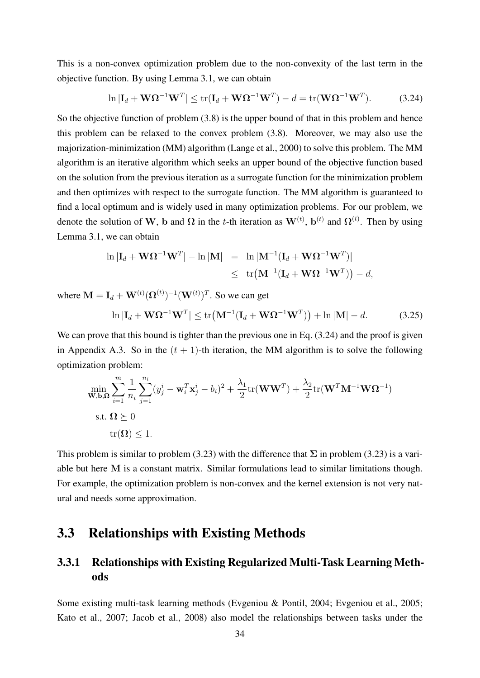This is a non-convex optimization problem due to the non-convexity of the last term in the objective function. By using Lemma 3.1, we can obtain

$$
\ln|\mathbf{I}_d + \mathbf{W}\Omega^{-1}\mathbf{W}^T| \le \text{tr}(\mathbf{I}_d + \mathbf{W}\Omega^{-1}\mathbf{W}^T) - d = \text{tr}(\mathbf{W}\Omega^{-1}\mathbf{W}^T). \tag{3.24}
$$

So the objective function of problem  $(3.8)$  is the upper bound of that in this problem and hence this problem can be relaxed to the convex problem (3.8). Moreover, we may also use the majorization-minimization (MM) algorithm (Lange et al., 2000) to solve this problem. The MM algorithm is an iterative algorithm which seeks an upper bound of the objective function based on the solution from the previous iteration as a surrogate function for the minimization problem and then optimizes with respect to the surrogate function. The MM algorithm is guaranteed to find a local optimum and is widely used in many optimization problems. For our problem, we denote the solution of W, b and  $\Omega$  in the t-th iteration as  $W^{(t)}$ ,  $b^{(t)}$  and  $\Omega^{(t)}$ . Then by using Lemma 3.1, we can obtain

$$
\ln |\mathbf{I}_d + \mathbf{W}\Omega^{-1}\mathbf{W}^T| - \ln |\mathbf{M}| = \ln |\mathbf{M}^{-1}(\mathbf{I}_d + \mathbf{W}\Omega^{-1}\mathbf{W}^T)|
$$
  

$$
\leq \text{tr}(\mathbf{M}^{-1}(\mathbf{I}_d + \mathbf{W}\Omega^{-1}\mathbf{W}^T)) - d,
$$

where  $\mathbf{M} = \mathbf{I}_d + \mathbf{W}^{(t)}(\mathbf{\Omega}^{(t)})^{-1}(\mathbf{W}^{(t)})^T$ . So we can get

$$
\ln|\mathbf{I}_d + \mathbf{W}\Omega^{-1}\mathbf{W}^T| \le \text{tr}(\mathbf{M}^{-1}(\mathbf{I}_d + \mathbf{W}\Omega^{-1}\mathbf{W}^T)) + \ln|\mathbf{M}| - d. \tag{3.25}
$$

We can prove that this bound is tighter than the previous one in Eq. (3.24) and the proof is given in Appendix A.3. So in the  $(t + 1)$ -th iteration, the MM algorithm is to solve the following optimization problem:

$$
\min_{\mathbf{W},\mathbf{b},\mathbf{\Omega}} \sum_{i=1}^{m} \frac{1}{n_i} \sum_{j=1}^{n_i} (y_j^i - \mathbf{w}_i^T \mathbf{x}_j^i - b_i)^2 + \frac{\lambda_1}{2} tr(\mathbf{W} \mathbf{W}^T) + \frac{\lambda_2}{2} tr(\mathbf{W}^T \mathbf{M}^{-1} \mathbf{W} \mathbf{\Omega}^{-1})
$$
  
s.t.  $\mathbf{\Omega} \succeq 0$   
 $tr(\mathbf{\Omega}) \le 1$ .

This problem is similar to problem (3.23) with the difference that  $\Sigma$  in problem (3.23) is a variable but here M is a constant matrix. Similar formulations lead to similar limitations though. For example, the optimization problem is non-convex and the kernel extension is not very natural and needs some approximation.

## 3.3 Relationships with Existing Methods

## 3.3.1 Relationships with Existing Regularized Multi-Task Learning Methods

Some existing multi-task learning methods (Evgeniou & Pontil, 2004; Evgeniou et al., 2005; Kato et al., 2007; Jacob et al., 2008) also model the relationships between tasks under the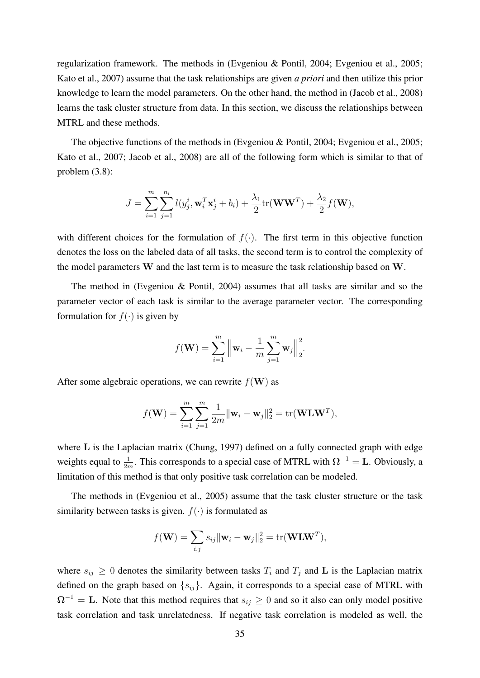regularization framework. The methods in (Evgeniou & Pontil, 2004; Evgeniou et al., 2005; Kato et al., 2007) assume that the task relationships are given *a priori* and then utilize this prior knowledge to learn the model parameters. On the other hand, the method in (Jacob et al., 2008) learns the task cluster structure from data. In this section, we discuss the relationships between MTRL and these methods.

The objective functions of the methods in (Evgeniou & Pontil, 2004; Evgeniou et al., 2005; Kato et al., 2007; Jacob et al., 2008) are all of the following form which is similar to that of problem (3.8):

$$
J = \sum_{i=1}^{m} \sum_{j=1}^{n_i} l(y_j^i, \mathbf{w}_i^T \mathbf{x}_j^i + b_i) + \frac{\lambda_1}{2} tr(\mathbf{W} \mathbf{W}^T) + \frac{\lambda_2}{2} f(\mathbf{W}),
$$

with different choices for the formulation of  $f(.)$ . The first term in this objective function denotes the loss on the labeled data of all tasks, the second term is to control the complexity of the model parameters W and the last term is to measure the task relationship based on W.

The method in (Evgeniou & Pontil, 2004) assumes that all tasks are similar and so the parameter vector of each task is similar to the average parameter vector. The corresponding formulation for  $f(\cdot)$  is given by

$$
f(\mathbf{W}) = \sum_{i=1}^{m} \left\| \mathbf{w}_i - \frac{1}{m} \sum_{j=1}^{m} \mathbf{w}_j \right\|_2^2.
$$

After some algebraic operations, we can rewrite  $f(\mathbf{W})$  as

$$
f(\mathbf{W}) = \sum_{i=1}^{m} \sum_{j=1}^{m} \frac{1}{2m} ||\mathbf{w}_i - \mathbf{w}_j||_2^2 = \text{tr}(\mathbf{W} \mathbf{L} \mathbf{W}^T),
$$

where L is the Laplacian matrix (Chung, 1997) defined on a fully connected graph with edge weights equal to  $\frac{1}{2m}$ . This corresponds to a special case of MTRL with  $\Omega^{-1} = L$ . Obviously, a limitation of this method is that only positive task correlation can be modeled.

The methods in (Evgeniou et al., 2005) assume that the task cluster structure or the task similarity between tasks is given.  $f(\cdot)$  is formulated as

$$
f(\mathbf{W}) = \sum_{i,j} s_{ij} ||\mathbf{w}_i - \mathbf{w}_j||_2^2 = \text{tr}(\mathbf{W} \mathbf{L} \mathbf{W}^T),
$$

where  $s_{ij} \geq 0$  denotes the similarity between tasks  $T_i$  and  $T_j$  and L is the Laplacian matrix defined on the graph based on  $\{s_{ij}\}\$ . Again, it corresponds to a special case of MTRL with  $\Omega^{-1} = L$ . Note that this method requires that  $s_{ij} \geq 0$  and so it also can only model positive task correlation and task unrelatedness. If negative task correlation is modeled as well, the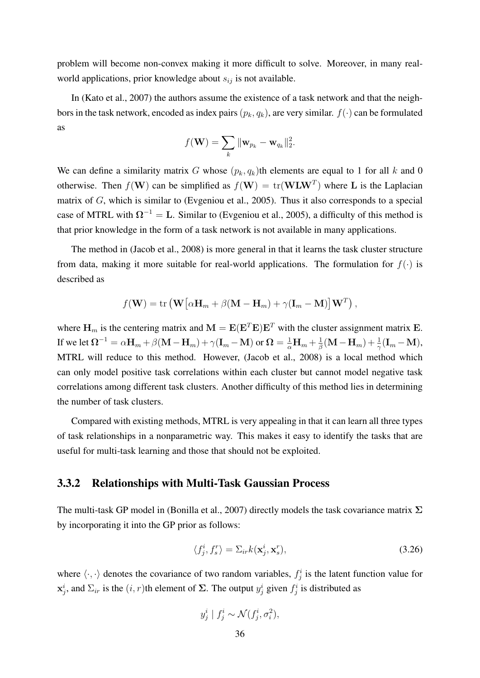problem will become non-convex making it more difficult to solve. Moreover, in many realworld applications, prior knowledge about  $s_{ij}$  is not available.

In (Kato et al., 2007) the authors assume the existence of a task network and that the neighbors in the task network, encoded as index pairs  $(p_k, q_k)$ , are very similar.  $f(\cdot)$  can be formulated as

$$
f(\mathbf{W}) = \sum_{k} ||\mathbf{w}_{p_k} - \mathbf{w}_{q_k}||_2^2.
$$

We can define a similarity matrix G whose  $(p_k, q_k)$ th elements are equal to 1 for all k and 0 otherwise. Then  $f(\mathbf{W})$  can be simplified as  $f(\mathbf{W}) = \text{tr}(\mathbf{W} \mathbf{L} \mathbf{W}^T)$  where L is the Laplacian matrix of G, which is similar to (Evgeniou et al., 2005). Thus it also corresponds to a special case of MTRL with  $\Omega^{-1} = L$ . Similar to (Evgeniou et al., 2005), a difficulty of this method is that prior knowledge in the form of a task network is not available in many applications.

The method in (Jacob et al., 2008) is more general in that it learns the task cluster structure from data, making it more suitable for real-world applications. The formulation for  $f(\cdot)$  is described as

$$
f(\mathbf{W}) = \text{tr} \left( \mathbf{W} \left[ \alpha \mathbf{H}_m + \beta (\mathbf{M} - \mathbf{H}_m) + \gamma (\mathbf{I}_m - \mathbf{M}) \right] \mathbf{W}^T \right),
$$

where  $H_m$  is the centering matrix and  $M = E(E^T E)E^T$  with the cluster assignment matrix E. If we let  $\mathbf{\Omega}^{-1}=\alpha\mathbf{H}_m+\beta(\mathbf{M}-\mathbf{H}_m)+\gamma(\mathbf{I}_m-\mathbf{M})$  or  $\mathbf{\Omega}=\frac{1}{\alpha}\mathbf{H}_m+\frac{1}{\beta}$  $\frac{1}{\beta} ({\bf M}-{\bf H}_m) + \frac{1}{\gamma} ({\bf I}_m-{\bf M}),$ MTRL will reduce to this method. However, (Jacob et al., 2008) is a local method which can only model positive task correlations within each cluster but cannot model negative task correlations among different task clusters. Another difficulty of this method lies in determining the number of task clusters.

Compared with existing methods, MTRL is very appealing in that it can learn all three types of task relationships in a nonparametric way. This makes it easy to identify the tasks that are useful for multi-task learning and those that should not be exploited.

### 3.3.2 Relationships with Multi-Task Gaussian Process

The multi-task GP model in (Bonilla et al., 2007) directly models the task covariance matrix  $\Sigma$ by incorporating it into the GP prior as follows:

$$
\langle f_j^i, f_s^r \rangle = \Sigma_{ir} k(\mathbf{x}_j^i, \mathbf{x}_s^r), \tag{3.26}
$$

where  $\langle \cdot, \cdot \rangle$  denotes the covariance of two random variables,  $f_j^i$  is the latent function value for  $\mathbf{x}_j^i$ , and  $\Sigma_{ir}$  is the  $(i, r)$ th element of  $\Sigma$ . The output  $y_j^i$  given  $f_j^i$  is distributed as

$$
y_j^i \mid f_j^i \sim \mathcal{N}(f_j^i, \sigma_i^2),
$$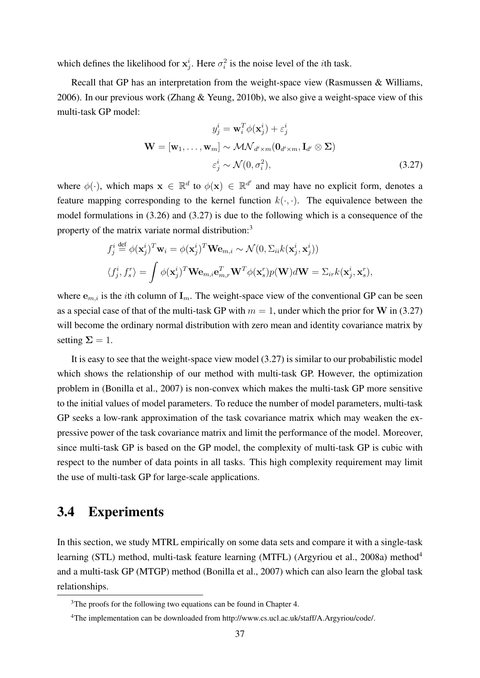which defines the likelihood for  $x_j^i$ . Here  $\sigma_i^2$  is the noise level of the *i*th task.

Recall that GP has an interpretation from the weight-space view (Rasmussen & Williams, 2006). In our previous work (Zhang & Yeung, 2010b), we also give a weight-space view of this multi-task GP model:

$$
y_j^i = \mathbf{w}_i^T \phi(\mathbf{x}_j^i) + \varepsilon_j^i
$$
  

$$
\mathbf{W} = [\mathbf{w}_1, \dots, \mathbf{w}_m] \sim \mathcal{MN}_{d' \times m}(\mathbf{0}_{d' \times m}, \mathbf{I}_{d'} \otimes \Sigma)
$$

$$
\varepsilon_j^i \sim \mathcal{N}(0, \sigma_i^2),
$$
(3.27)

where  $\phi(\cdot)$ , which maps  $\mathbf{x} \in \mathbb{R}^d$  to  $\phi(\mathbf{x}) \in \mathbb{R}^{d'}$  and may have no explicit form, denotes a feature mapping corresponding to the kernel function  $k(\cdot, \cdot)$ . The equivalence between the model formulations in (3.26) and (3.27) is due to the following which is a consequence of the property of the matrix variate normal distribution:<sup>3</sup>

$$
f_j^i \stackrel{\text{def}}{=} \phi(\mathbf{x}_j^i)^T \mathbf{w}_i = \phi(\mathbf{x}_j^i)^T \mathbf{W} \mathbf{e}_{m,i} \sim \mathcal{N}(0, \Sigma_{ii} k(\mathbf{x}_j^i, \mathbf{x}_j^i))
$$
  

$$
\langle f_j^i, f_s^r \rangle = \int \phi(\mathbf{x}_j^i)^T \mathbf{W} \mathbf{e}_{m,i} \mathbf{e}_{m,r}^T \mathbf{W}^T \phi(\mathbf{x}_s^r) p(\mathbf{W}) d\mathbf{W} = \Sigma_{ir} k(\mathbf{x}_j^i, \mathbf{x}_s^r),
$$

where  $e_{m,i}$  is the *i*th column of  $I_m$ . The weight-space view of the conventional GP can be seen as a special case of that of the multi-task GP with  $m = 1$ , under which the prior for W in (3.27) will become the ordinary normal distribution with zero mean and identity covariance matrix by setting  $\Sigma = 1$ .

It is easy to see that the weight-space view model (3.27) is similar to our probabilistic model which shows the relationship of our method with multi-task GP. However, the optimization problem in (Bonilla et al., 2007) is non-convex which makes the multi-task GP more sensitive to the initial values of model parameters. To reduce the number of model parameters, multi-task GP seeks a low-rank approximation of the task covariance matrix which may weaken the expressive power of the task covariance matrix and limit the performance of the model. Moreover, since multi-task GP is based on the GP model, the complexity of multi-task GP is cubic with respect to the number of data points in all tasks. This high complexity requirement may limit the use of multi-task GP for large-scale applications.

## 3.4 Experiments

In this section, we study MTRL empirically on some data sets and compare it with a single-task learning (STL) method, multi-task feature learning (MTFL) (Argyriou et al., 2008a) method<sup>4</sup> and a multi-task GP (MTGP) method (Bonilla et al., 2007) which can also learn the global task relationships.

<sup>&</sup>lt;sup>3</sup>The proofs for the following two equations can be found in Chapter 4.

<sup>4</sup>The implementation can be downloaded from http://www.cs.ucl.ac.uk/staff/A.Argyriou/code/.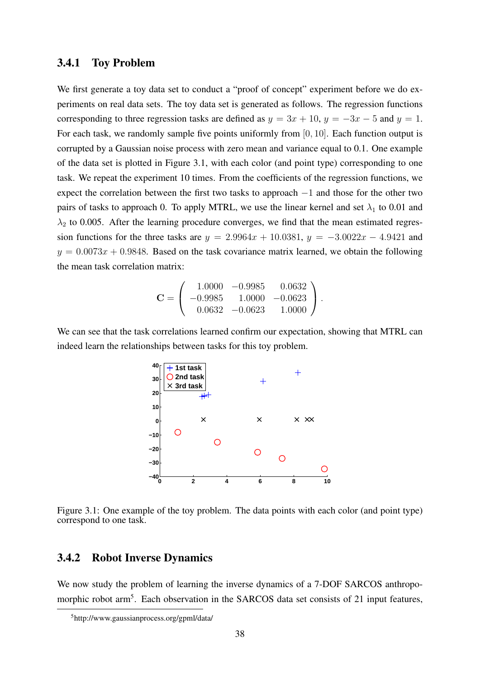### 3.4.1 Toy Problem

We first generate a toy data set to conduct a "proof of concept" experiment before we do experiments on real data sets. The toy data set is generated as follows. The regression functions corresponding to three regression tasks are defined as  $y = 3x + 10$ ,  $y = -3x - 5$  and  $y = 1$ . For each task, we randomly sample five points uniformly from [0, 10]. Each function output is corrupted by a Gaussian noise process with zero mean and variance equal to 0.1. One example of the data set is plotted in Figure 3.1, with each color (and point type) corresponding to one task. We repeat the experiment 10 times. From the coefficients of the regression functions, we expect the correlation between the first two tasks to approach −1 and those for the other two pairs of tasks to approach 0. To apply MTRL, we use the linear kernel and set  $\lambda_1$  to 0.01 and  $\lambda_2$  to 0.005. After the learning procedure converges, we find that the mean estimated regression functions for the three tasks are  $y = 2.9964x + 10.0381$ ,  $y = -3.0022x - 4.9421$  and  $y = 0.0073x + 0.9848$ . Based on the task covariance matrix learned, we obtain the following the mean task correlation matrix:

$$
\mathbf{C} = \left( \begin{array}{ccc} 1.0000 & -0.9985 & 0.0632 \\ -0.9985 & 1.0000 & -0.0623 \\ 0.0632 & -0.0623 & 1.0000 \end{array} \right).
$$

We can see that the task correlations learned confirm our expectation, showing that MTRL can indeed learn the relationships between tasks for this toy problem.



Figure 3.1: One example of the toy problem. The data points with each color (and point type) correspond to one task.

### 3.4.2 Robot Inverse Dynamics

We now study the problem of learning the inverse dynamics of a 7-DOF SARCOS anthropomorphic robot arm<sup>5</sup>. Each observation in the SARCOS data set consists of 21 input features,

<sup>5</sup>http://www.gaussianprocess.org/gpml/data/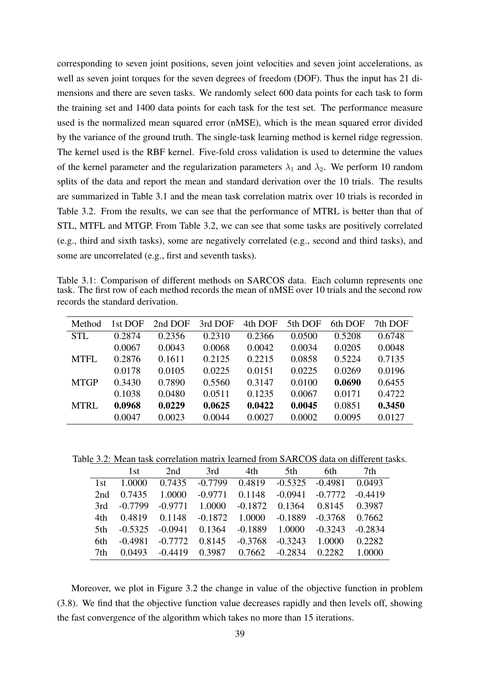corresponding to seven joint positions, seven joint velocities and seven joint accelerations, as well as seven joint torques for the seven degrees of freedom (DOF). Thus the input has 21 dimensions and there are seven tasks. We randomly select 600 data points for each task to form the training set and 1400 data points for each task for the test set. The performance measure used is the normalized mean squared error (nMSE), which is the mean squared error divided by the variance of the ground truth. The single-task learning method is kernel ridge regression. The kernel used is the RBF kernel. Five-fold cross validation is used to determine the values of the kernel parameter and the regularization parameters  $\lambda_1$  and  $\lambda_2$ . We perform 10 random splits of the data and report the mean and standard derivation over the 10 trials. The results are summarized in Table 3.1 and the mean task correlation matrix over 10 trials is recorded in Table 3.2. From the results, we can see that the performance of MTRL is better than that of STL, MTFL and MTGP. From Table 3.2, we can see that some tasks are positively correlated (e.g., third and sixth tasks), some are negatively correlated (e.g., second and third tasks), and some are uncorrelated (e.g., first and seventh tasks).

Table 3.1: Comparison of different methods on SARCOS data. Each column represents one task. The first row of each method records the mean of nMSE over 10 trials and the second row records the standard derivation.

| Method      | 1st DOF | 2nd DOF | 3rd DOF | 4th DOF | 5th DOF | 6th DOF | 7th DOF |
|-------------|---------|---------|---------|---------|---------|---------|---------|
| <b>STL</b>  | 0.2874  | 0.2356  | 0.2310  | 0.2366  | 0.0500  | 0.5208  | 0.6748  |
|             | 0.0067  | 0.0043  | 0.0068  | 0.0042  | 0.0034  | 0.0205  | 0.0048  |
| <b>MTFL</b> | 0.2876  | 0.1611  | 0.2125  | 0.2215  | 0.0858  | 0.5224  | 0.7135  |
|             | 0.0178  | 0.0105  | 0.0225  | 0.0151  | 0.0225  | 0.0269  | 0.0196  |
| <b>MTGP</b> | 0.3430  | 0.7890  | 0.5560  | 0.3147  | 0.0100  | 0.0690  | 0.6455  |
|             | 0.1038  | 0.0480  | 0.0511  | 0.1235  | 0.0067  | 0.0171  | 0.4722  |
| <b>MTRL</b> | 0.0968  | 0.0229  | 0.0625  | 0.0422  | 0.0045  | 0.0851  | 0.3450  |
|             | 0.0047  | 0.0023  | 0.0044  | 0.0027  | 0.0002  | 0.0095  | 0.0127  |

Table 3.2: Mean task correlation matrix learned from SARCOS data on different tasks.

|      | 1st       | 2nd              | 3rd       | 4th       | 5th       | 6th       | 7th       |
|------|-----------|------------------|-----------|-----------|-----------|-----------|-----------|
| 1st. | 1.0000    | 0.7435           | $-0.7799$ | 0.4819    | $-0.5325$ | $-0.4981$ | 0.0493    |
| 2nd  | 0.7435    | 1.0000           | $-0.9771$ | 0.1148    | $-0.0941$ | $-0.7772$ | -0.4419   |
| 3rd  | $-0.7799$ | $-0.9771$ 1.0000 |           | $-0.1872$ | 0.1364    | 0.8145    | 0.3987    |
| 4th  | 0.4819    | 0.1148           | $-0.1872$ | 1.0000    | $-0.1889$ | $-0.3768$ | 0.7662    |
| .5th | $-0.5325$ | $-0.0941$        | 0.1364    | $-0.1889$ | 1.0000    | $-0.3243$ | $-0.2834$ |
| 6th. | $-0.4981$ | $-0.7772$        | 0.8145    | $-0.3768$ | $-0.3243$ | 1.0000    | 0.2282    |
| 7th  | 0.0493    | $-0.4419$        | 0.3987    | 0.7662    | $-0.2834$ | 0.2282    | 1.0000    |

Moreover, we plot in Figure 3.2 the change in value of the objective function in problem (3.8). We find that the objective function value decreases rapidly and then levels off, showing the fast convergence of the algorithm which takes no more than 15 iterations.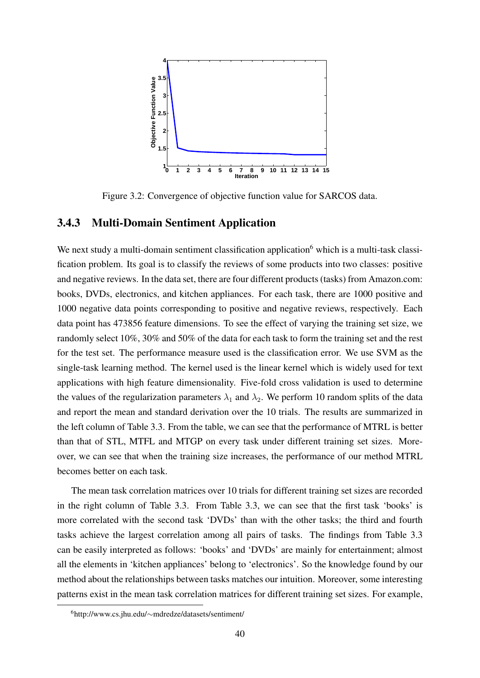

Figure 3.2: Convergence of objective function value for SARCOS data.

### 3.4.3 Multi-Domain Sentiment Application

We next study a multi-domain sentiment classification application $<sup>6</sup>$  which is a multi-task classi-</sup> fication problem. Its goal is to classify the reviews of some products into two classes: positive and negative reviews. In the data set, there are four different products (tasks) from Amazon.com: books, DVDs, electronics, and kitchen appliances. For each task, there are 1000 positive and 1000 negative data points corresponding to positive and negative reviews, respectively. Each data point has 473856 feature dimensions. To see the effect of varying the training set size, we randomly select 10%, 30% and 50% of the data for each task to form the training set and the rest for the test set. The performance measure used is the classification error. We use SVM as the single-task learning method. The kernel used is the linear kernel which is widely used for text applications with high feature dimensionality. Five-fold cross validation is used to determine the values of the regularization parameters  $\lambda_1$  and  $\lambda_2$ . We perform 10 random splits of the data and report the mean and standard derivation over the 10 trials. The results are summarized in the left column of Table 3.3. From the table, we can see that the performance of MTRL is better than that of STL, MTFL and MTGP on every task under different training set sizes. Moreover, we can see that when the training size increases, the performance of our method MTRL becomes better on each task.

The mean task correlation matrices over 10 trials for different training set sizes are recorded in the right column of Table 3.3. From Table 3.3, we can see that the first task 'books' is more correlated with the second task 'DVDs' than with the other tasks; the third and fourth tasks achieve the largest correlation among all pairs of tasks. The findings from Table 3.3 can be easily interpreted as follows: 'books' and 'DVDs' are mainly for entertainment; almost all the elements in 'kitchen appliances' belong to 'electronics'. So the knowledge found by our method about the relationships between tasks matches our intuition. Moreover, some interesting patterns exist in the mean task correlation matrices for different training set sizes. For example,

<sup>6</sup>http://www.cs.jhu.edu/∼mdredze/datasets/sentiment/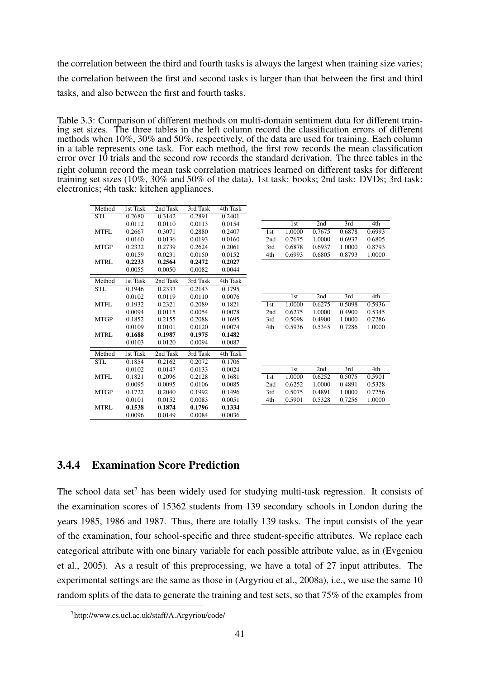the correlation between the third and fourth tasks is always the largest when training size varies; the correlation between the first and second tasks is larger than that between the first and third tasks, and also between the first and fourth tasks.

Table 3.3: Comparison of different methods on multi-domain sentiment data for different training set sizes. The three tables in the left column record the classification errors of different methods when 10%, 30% and 50%, respectively, of the data are used for training. Each column in a table represents one task. For each method, the first row records the mean classification error over 10 trials and the second row records the standard derivation. The three tables in the right column record the mean task correlation matrices learned on different tasks for different training set sizes (10%, 30% and 50% of the data). 1st task: books; 2nd task: DVDs; 3rd task: electronics; 4th task: kitchen appliances.

| Method      | 1st Task | 2nd Task | 3rd Task | 4th Task |     |        |        |        |        |
|-------------|----------|----------|----------|----------|-----|--------|--------|--------|--------|
| <b>STL</b>  | 0.2680   | 0.3142   | 0.2891   | 0.2401   |     |        |        |        |        |
|             | 0.0112   | 0.0110   | 0.0113   | 0.0154   |     | 1st    | 2nd    | 3rd    | 4th    |
| <b>MTFL</b> | 0.2667   | 0.3071   | 0.2880   | 0.2407   | 1st | 1.0000 | 0.7675 | 0.6878 | 0.6993 |
|             | 0.0160   | 0.0136   | 0.0193   | 0.0160   | 2nd | 0.7675 | 1.0000 | 0.6937 | 0.6805 |
| <b>MTGP</b> | 0.2332   | 0.2739   | 0.2624   | 0.2061   | 3rd | 0.6878 | 0.6937 | 1.0000 | 0.8793 |
|             | 0.0159   | 0.0231   | 0.0150   | 0.0152   | 4th | 0.6993 | 0.6805 | 0.8793 | 1.0000 |
| <b>MTRL</b> | 0.2233   | 0.2564   | 0.2472   | 0.2027   |     |        |        |        |        |
|             | 0.0055   | 0.0050   | 0.0082   | 0.0044   |     |        |        |        |        |
| Method      | 1st Task | 2nd Task | 3rd Task | 4th Task |     |        |        |        |        |
| <b>STL</b>  | 0.1946   | 0.2333   | 0.2143   | 0.1795   |     |        |        |        |        |
|             | 0.0102   | 0.0119   | 0.0110   | 0.0076   |     | 1st    | 2nd    | 3rd    | 4th    |
| <b>MTFL</b> | 0.1932   | 0.2321   | 0.2089   | 0.1821   | 1st | 1.0000 | 0.6275 | 0.5098 | 0.5936 |
|             | 0.0094   | 0.0115   | 0.0054   | 0.0078   | 2nd | 0.6275 | 1.0000 | 0.4900 | 0.5345 |
| <b>MTGP</b> | 0.1852   | 0.2155   | 0.2088   | 0.1695   | 3rd | 0.5098 | 0.4900 | 1.0000 | 0.7286 |
|             | 0.0109   | 0.0101   | 0.0120   | 0.0074   | 4th | 0.5936 | 0.5345 | 0.7286 | 1.0000 |
| <b>MTRL</b> | 0.1688   | 0.1987   | 0.1975   | 0.1482   |     |        |        |        |        |
|             | 0.0103   | 0.0120   | 0.0094   | 0.0087   |     |        |        |        |        |
| Method      | 1st Task | 2nd Task | 3rd Task | 4th Task |     |        |        |        |        |
| <b>STL</b>  | 0.1854   | 0.2162   | 0.2072   | 0.1706   |     |        |        |        |        |
|             | 0.0102   | 0.0147   | 0.0133   | 0.0024   |     | 1st    | 2nd    | 3rd    | 4th    |
| <b>MTFL</b> | 0.1821   | 0.2096   | 0.2128   | 0.1681   | 1st | 1.0000 | 0.6252 | 0.5075 | 0.5901 |
|             | 0.0095   | 0.0095   | 0.0106   | 0.0085   | 2nd | 0.6252 | 1.0000 | 0.4891 | 0.5328 |
| <b>MTGP</b> | 0.1722   | 0.2040   | 0.1992   | 0.1496   | 3rd | 0.5075 | 0.4891 | 1.0000 | 0.7256 |
|             | 0.0101   | 0.0152   | 0.0083   | 0.0051   | 4th | 0.5901 | 0.5328 | 0.7256 | 1.0000 |
| <b>MTRL</b> | 0.1538   | 0.1874   | 0.1796   | 0.1334   |     |        |        |        |        |
|             | 0.0096   | 0.0149   | 0.0084   | 0.0036   |     |        |        |        |        |

## 3.4.4 Examination Score Prediction

The school data set<sup>7</sup> has been widely used for studying multi-task regression. It consists of the examination scores of 15362 students from 139 secondary schools in London during the years 1985, 1986 and 1987. Thus, there are totally 139 tasks. The input consists of the year of the examination, four school-specific and three student-specific attributes. We replace each categorical attribute with one binary variable for each possible attribute value, as in (Evgeniou et al., 2005). As a result of this preprocessing, we have a total of 27 input attributes. The experimental settings are the same as those in (Argyriou et al., 2008a), i.e., we use the same 10 random splits of the data to generate the training and test sets, so that 75% of the examples from

<sup>7</sup>http://www.cs.ucl.ac.uk/staff/A.Argyriou/code/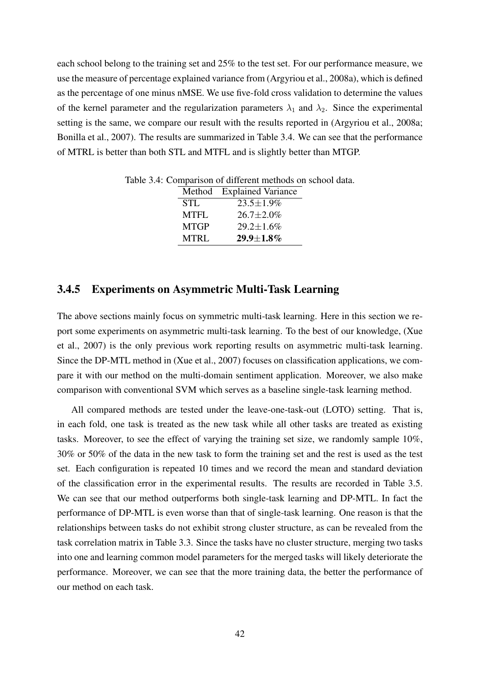each school belong to the training set and 25% to the test set. For our performance measure, we use the measure of percentage explained variance from (Argyriou et al., 2008a), which is defined as the percentage of one minus nMSE. We use five-fold cross validation to determine the values of the kernel parameter and the regularization parameters  $\lambda_1$  and  $\lambda_2$ . Since the experimental setting is the same, we compare our result with the results reported in (Argyriou et al., 2008a; Bonilla et al., 2007). The results are summarized in Table 3.4. We can see that the performance of MTRL is better than both STL and MTFL and is slightly better than MTGP.

|             | Method Explained Variance |
|-------------|---------------------------|
| STL.        | $23.5 \pm 1.9\%$          |
| <b>MTFL</b> | $26.7 \pm 2.0\%$          |
| <b>MTGP</b> | $29.2 \pm 1.6\%$          |
| <b>MTRL</b> | $29.9 \pm 1.8\%$          |

Table 3.4: Comparison of different methods on school data.

### 3.4.5 Experiments on Asymmetric Multi-Task Learning

The above sections mainly focus on symmetric multi-task learning. Here in this section we report some experiments on asymmetric multi-task learning. To the best of our knowledge, (Xue et al., 2007) is the only previous work reporting results on asymmetric multi-task learning. Since the DP-MTL method in (Xue et al., 2007) focuses on classification applications, we compare it with our method on the multi-domain sentiment application. Moreover, we also make comparison with conventional SVM which serves as a baseline single-task learning method.

All compared methods are tested under the leave-one-task-out (LOTO) setting. That is, in each fold, one task is treated as the new task while all other tasks are treated as existing tasks. Moreover, to see the effect of varying the training set size, we randomly sample 10%, 30% or 50% of the data in the new task to form the training set and the rest is used as the test set. Each configuration is repeated 10 times and we record the mean and standard deviation of the classification error in the experimental results. The results are recorded in Table 3.5. We can see that our method outperforms both single-task learning and DP-MTL. In fact the performance of DP-MTL is even worse than that of single-task learning. One reason is that the relationships between tasks do not exhibit strong cluster structure, as can be revealed from the task correlation matrix in Table 3.3. Since the tasks have no cluster structure, merging two tasks into one and learning common model parameters for the merged tasks will likely deteriorate the performance. Moreover, we can see that the more training data, the better the performance of our method on each task.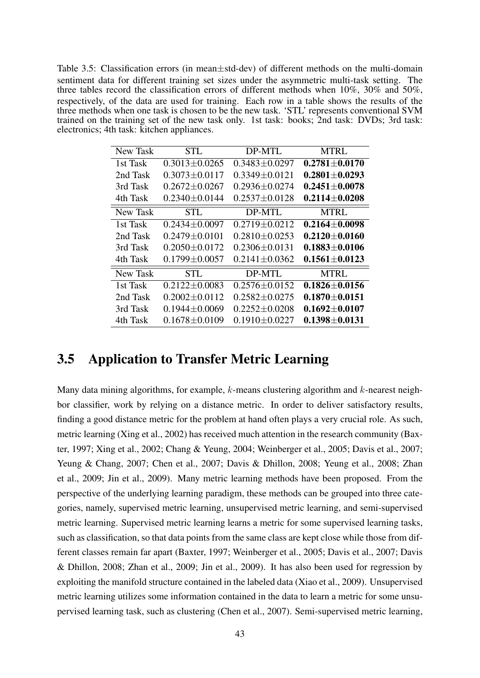Table 3.5: Classification errors (in mean±std-dev) of different methods on the multi-domain sentiment data for different training set sizes under the asymmetric multi-task setting. The three tables record the classification errors of different methods when 10%, 30% and 50%, respectively, of the data are used for training. Each row in a table shows the results of the three methods when one task is chosen to be the new task. 'STL' represents conventional SVM trained on the training set of the new task only. 1st task: books; 2nd task: DVDs; 3rd task: electronics; 4th task: kitchen appliances.

| New Task | <b>STL</b>          | DP-MTL              | <b>MTRL</b>         |
|----------|---------------------|---------------------|---------------------|
| 1st Task | $0.3013 \pm 0.0265$ | $0.3483 \pm 0.0297$ | $0.2781 \pm 0.0170$ |
| 2nd Task | $0.3073 \pm 0.0117$ | $0.3349 \pm 0.0121$ | $0.2801 \pm 0.0293$ |
| 3rd Task | $0.2672 \pm 0.0267$ | $0.2936 \pm 0.0274$ | $0.2451 \pm 0.0078$ |
| 4th Task | $0.2340 \pm 0.0144$ | $0.2537 \pm 0.0128$ | $0.2114\pm0.0208$   |
| New Task | <b>STL</b>          | DP-MTL              | <b>MTRL</b>         |
| 1st Task | $0.2434 \pm 0.0097$ | $0.2719 \pm 0.0212$ | $0.2164 \pm 0.0098$ |
| 2nd Task | $0.2479 \pm 0.0101$ | $0.2810 \pm 0.0253$ | $0.2120\pm0.0160$   |
| 3rd Task | $0.2050 \pm 0.0172$ | $0.2306 \pm 0.0131$ | $0.1883 \pm 0.0106$ |
| 4th Task | $0.1799 \pm 0.0057$ | $0.2141 \pm 0.0362$ | $0.1561 \pm 0.0123$ |
| New Task | <b>STL</b>          | DP-MTL              | <b>MTRL</b>         |
| 1st Task | $0.2122 \pm 0.0083$ | $0.2576 \pm 0.0152$ | $0.1826 \pm 0.0156$ |
| 2nd Task | $0.2002 \pm 0.0112$ | $0.2582 \pm 0.0275$ | $0.1870\pm0.0151$   |
| 3rd Task | $0.1944 \pm 0.0069$ | $0.2252 \pm 0.0208$ | $0.1692 \pm 0.0107$ |
| 4th Task | $0.1678 \pm 0.0109$ | $0.1910 \pm 0.0227$ | $0.1398 \pm 0.0131$ |

## 3.5 Application to Transfer Metric Learning

Many data mining algorithms, for example, k-means clustering algorithm and k-nearest neighbor classifier, work by relying on a distance metric. In order to deliver satisfactory results, finding a good distance metric for the problem at hand often plays a very crucial role. As such, metric learning (Xing et al., 2002) has received much attention in the research community (Baxter, 1997; Xing et al., 2002; Chang & Yeung, 2004; Weinberger et al., 2005; Davis et al., 2007; Yeung & Chang, 2007; Chen et al., 2007; Davis & Dhillon, 2008; Yeung et al., 2008; Zhan et al., 2009; Jin et al., 2009). Many metric learning methods have been proposed. From the perspective of the underlying learning paradigm, these methods can be grouped into three categories, namely, supervised metric learning, unsupervised metric learning, and semi-supervised metric learning. Supervised metric learning learns a metric for some supervised learning tasks, such as classification, so that data points from the same class are kept close while those from different classes remain far apart (Baxter, 1997; Weinberger et al., 2005; Davis et al., 2007; Davis & Dhillon, 2008; Zhan et al., 2009; Jin et al., 2009). It has also been used for regression by exploiting the manifold structure contained in the labeled data (Xiao et al., 2009). Unsupervised metric learning utilizes some information contained in the data to learn a metric for some unsupervised learning task, such as clustering (Chen et al., 2007). Semi-supervised metric learning,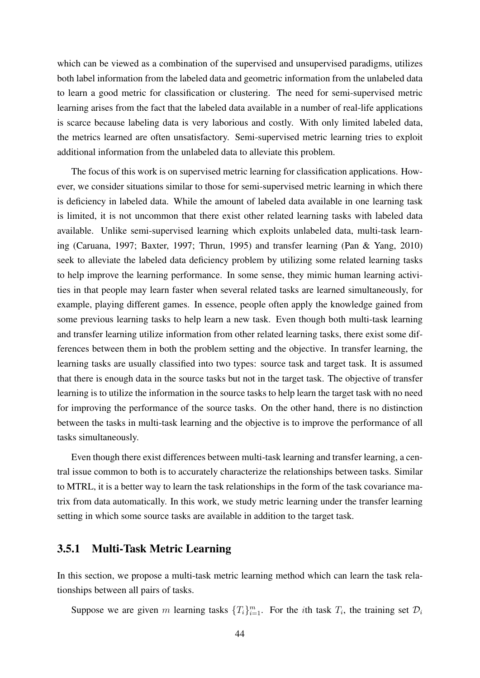which can be viewed as a combination of the supervised and unsupervised paradigms, utilizes both label information from the labeled data and geometric information from the unlabeled data to learn a good metric for classification or clustering. The need for semi-supervised metric learning arises from the fact that the labeled data available in a number of real-life applications is scarce because labeling data is very laborious and costly. With only limited labeled data, the metrics learned are often unsatisfactory. Semi-supervised metric learning tries to exploit additional information from the unlabeled data to alleviate this problem.

The focus of this work is on supervised metric learning for classification applications. However, we consider situations similar to those for semi-supervised metric learning in which there is deficiency in labeled data. While the amount of labeled data available in one learning task is limited, it is not uncommon that there exist other related learning tasks with labeled data available. Unlike semi-supervised learning which exploits unlabeled data, multi-task learning (Caruana, 1997; Baxter, 1997; Thrun, 1995) and transfer learning (Pan & Yang, 2010) seek to alleviate the labeled data deficiency problem by utilizing some related learning tasks to help improve the learning performance. In some sense, they mimic human learning activities in that people may learn faster when several related tasks are learned simultaneously, for example, playing different games. In essence, people often apply the knowledge gained from some previous learning tasks to help learn a new task. Even though both multi-task learning and transfer learning utilize information from other related learning tasks, there exist some differences between them in both the problem setting and the objective. In transfer learning, the learning tasks are usually classified into two types: source task and target task. It is assumed that there is enough data in the source tasks but not in the target task. The objective of transfer learning is to utilize the information in the source tasks to help learn the target task with no need for improving the performance of the source tasks. On the other hand, there is no distinction between the tasks in multi-task learning and the objective is to improve the performance of all tasks simultaneously.

Even though there exist differences between multi-task learning and transfer learning, a central issue common to both is to accurately characterize the relationships between tasks. Similar to MTRL, it is a better way to learn the task relationships in the form of the task covariance matrix from data automatically. In this work, we study metric learning under the transfer learning setting in which some source tasks are available in addition to the target task.

### 3.5.1 Multi-Task Metric Learning

In this section, we propose a multi-task metric learning method which can learn the task relationships between all pairs of tasks.

Suppose we are given m learning tasks  $\{T_i\}_{i=1}^m$ . For the *i*th task  $T_i$ , the training set  $\mathcal{D}_i$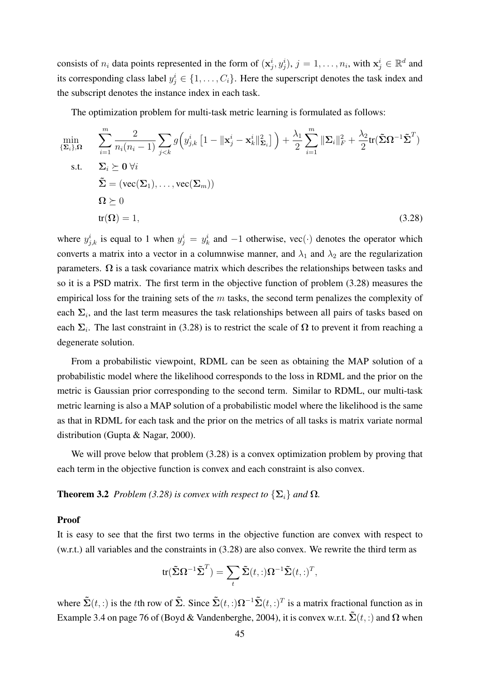consists of  $n_i$  data points represented in the form of  $(\mathbf{x}_j^i, y_j^i)$ ,  $j = 1, \ldots, n_i$ , with  $\mathbf{x}_j^i \in \mathbb{R}^d$  and its corresponding class label  $y_j^i \in \{1, \ldots, C_i\}$ . Here the superscript denotes the task index and the subscript denotes the instance index in each task.

The optimization problem for multi-task metric learning is formulated as follows:

$$
\min_{\{\Sigma_i\},\Omega} \sum_{i=1}^m \frac{2}{n_i(n_i-1)} \sum_{j < k} g\left(y_{j,k}^i \left[1 - \|\mathbf{x}_j^i - \mathbf{x}_k^i\|_{\Sigma_i}^2\right]\right) + \frac{\lambda_1}{2} \sum_{i=1}^m \|\Sigma_i\|_F^2 + \frac{\lambda_2}{2} \text{tr}(\tilde{\Sigma}\Omega^{-1}\tilde{\Sigma}^T)
$$
\ns.t.

\n
$$
\Sigma_i \succeq 0 \,\forall i
$$
\n
$$
\tilde{\Sigma} = (\text{vec}(\Sigma_1), \dots, \text{vec}(\Sigma_m))
$$
\n
$$
\Omega \succeq 0
$$
\n
$$
\text{tr}(\Omega) = 1,
$$
\n(3.28)

where  $y_{j,k}^i$  is equal to 1 when  $y_j^i = y_k^i$  and  $-1$  otherwise, vec $(\cdot)$  denotes the operator which converts a matrix into a vector in a columnwise manner, and  $\lambda_1$  and  $\lambda_2$  are the regularization parameters.  $\Omega$  is a task covariance matrix which describes the relationships between tasks and so it is a PSD matrix. The first term in the objective function of problem (3.28) measures the empirical loss for the training sets of the  $m$  tasks, the second term penalizes the complexity of each  $\Sigma_i$ , and the last term measures the task relationships between all pairs of tasks based on each  $\Sigma_i$ . The last constraint in (3.28) is to restrict the scale of  $\Omega$  to prevent it from reaching a degenerate solution.

From a probabilistic viewpoint, RDML can be seen as obtaining the MAP solution of a probabilistic model where the likelihood corresponds to the loss in RDML and the prior on the metric is Gaussian prior corresponding to the second term. Similar to RDML, our multi-task metric learning is also a MAP solution of a probabilistic model where the likelihood is the same as that in RDML for each task and the prior on the metrics of all tasks is matrix variate normal distribution (Gupta & Nagar, 2000).

We will prove below that problem  $(3.28)$  is a convex optimization problem by proving that each term in the objective function is convex and each constraint is also convex.

**Theorem 3.2** *Problem* (3.28) is convex with respect to  $\{\Sigma_i\}$  and  $\Omega$ .

#### Proof

It is easy to see that the first two terms in the objective function are convex with respect to (w.r.t.) all variables and the constraints in (3.28) are also convex. We rewrite the third term as

$$
\operatorname{tr}(\tilde{\boldsymbol{\Sigma}}\boldsymbol{\Omega}^{-1}\tilde{\boldsymbol{\Sigma}}^T)=\sum_{t}\tilde{\boldsymbol{\Sigma}}(t,:)\boldsymbol{\Omega}^{-1}\tilde{\boldsymbol{\Sigma}}(t,:)^T,
$$

where  $\tilde{\Sigma}(t,.)$  is the tth row of  $\tilde{\Sigma}$ . Since  $\tilde{\Sigma}(t,.)\Omega^{-1}\tilde{\Sigma}(t,.)^T$  is a matrix fractional function as in Example 3.4 on page 76 of (Boyd & Vandenberghe, 2004), it is convex w.r.t.  $\tilde{\Sigma}(t,.)$  and  $\Omega$  when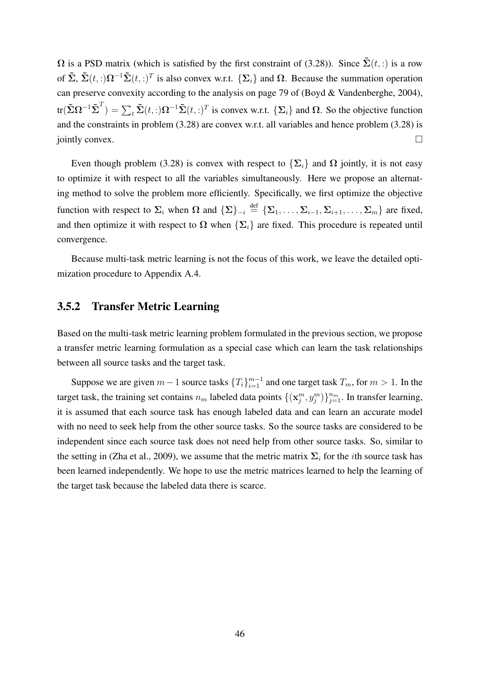$\Omega$  is a PSD matrix (which is satisfied by the first constraint of (3.28)). Since  $\tilde{\Sigma}(t,.)$  is a row of  $\tilde{\Sigma}$ ,  $\tilde{\Sigma}(t,:) \Omega^{-1} \tilde{\Sigma}(t,:)$  is also convex w.r.t.  $\{\Sigma_i\}$  and  $\Omega$ . Because the summation operation can preserve convexity according to the analysis on page 79 of (Boyd & Vandenberghe, 2004),  $tr(\tilde{\Sigma}\Omega^{-1}\tilde{\Sigma}^T) = \sum_t \tilde{\Sigma}(t,.)\Omega^{-1}\tilde{\Sigma}(t,.)^T$  is convex w.r.t.  $\{\Sigma_i\}$  and  $\Omega$ . So the objective function and the constraints in problem (3.28) are convex w.r.t. all variables and hence problem (3.28) is  $\Box$  jointly convex.

Even though problem (3.28) is convex with respect to  $\{\Sigma_i\}$  and  $\Omega$  jointly, it is not easy to optimize it with respect to all the variables simultaneously. Here we propose an alternating method to solve the problem more efficiently. Specifically, we first optimize the objective function with respect to  $\Sigma_i$  when  $\Omega$  and  $\{\Sigma\}_{-i} \stackrel{\text{def}}{=} {\{\Sigma_1,\ldots,\Sigma_{i-1},\Sigma_{i+1},\ldots,\Sigma_m\}}$  are fixed, and then optimize it with respect to  $\Omega$  when  $\{\Sigma_i\}$  are fixed. This procedure is repeated until convergence.

Because multi-task metric learning is not the focus of this work, we leave the detailed optimization procedure to Appendix A.4.

### 3.5.2 Transfer Metric Learning

Based on the multi-task metric learning problem formulated in the previous section, we propose a transfer metric learning formulation as a special case which can learn the task relationships between all source tasks and the target task.

Suppose we are given  $m-1$  source tasks  $\{T_i\}_{i=1}^{m-1}$  and one target task  $T_m$ , for  $m > 1$ . In the target task, the training set contains  $n_m$  labeled data points  $\{(\mathbf{x}_j^m, y_j^m)\}_{j=1}^{n_m}$ . In transfer learning, it is assumed that each source task has enough labeled data and can learn an accurate model with no need to seek help from the other source tasks. So the source tasks are considered to be independent since each source task does not need help from other source tasks. So, similar to the setting in (Zha et al., 2009), we assume that the metric matrix  $\Sigma_i$  for the *i*th source task has been learned independently. We hope to use the metric matrices learned to help the learning of the target task because the labeled data there is scarce.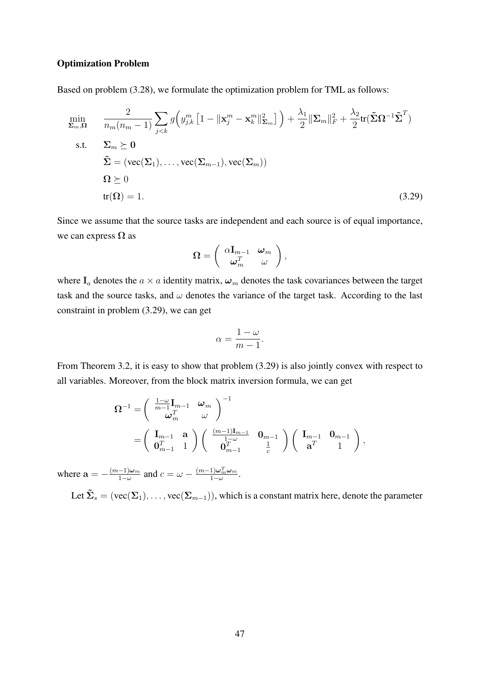#### Optimization Problem

Based on problem (3.28), we formulate the optimization problem for TML as follows:

$$
\min_{\Sigma_m,\Omega} \quad \frac{2}{n_m(n_m-1)} \sum_{j < k} g\left(y_{j,k}^m \left[1 - \|\mathbf{x}_j^m - \mathbf{x}_k^m\|_{\Sigma_m}^2\right]\right) + \frac{\lambda_1}{2} \|\Sigma_m\|_F^2 + \frac{\lambda_2}{2} \text{tr}(\tilde{\Sigma}\Omega^{-1}\tilde{\Sigma}^T)
$$
\n
$$
\text{s.t.} \quad \Sigma_m \succeq \mathbf{0}
$$
\n
$$
\tilde{\Sigma} = (\text{vec}(\Sigma_1), \dots, \text{vec}(\Sigma_{m-1}), \text{vec}(\Sigma_m))
$$
\n
$$
\Omega \succeq 0
$$
\n
$$
\text{tr}(\Omega) = 1.
$$
\n
$$
(3.29)
$$

Since we assume that the source tasks are independent and each source is of equal importance, we can express  $\Omega$  as

$$
\pmb{\Omega} = \left( \begin{array}{cc} \alpha \mathbf{I}_{m-1} & \pmb{\omega}_m \\ \pmb{\omega}_m^T & \pmb{\omega} \end{array} \right),
$$

where  $I_a$  denotes the  $a \times a$  identity matrix,  $\omega_m$  denotes the task covariances between the target task and the source tasks, and  $\omega$  denotes the variance of the target task. According to the last constraint in problem (3.29), we can get

$$
\alpha = \frac{1 - \omega}{m - 1}.
$$

From Theorem 3.2, it is easy to show that problem (3.29) is also jointly convex with respect to all variables. Moreover, from the block matrix inversion formula, we can get

$$
\begin{aligned} \mathbf{\Omega}^{-1} &= \left( \begin{array}{cc} \frac{1-\omega}{m-1}\mathbf{I}_{m-1} & \boldsymbol{\omega}_m \\ \boldsymbol{\omega}_m^T & \omega \end{array} \right)^{-1} \\ &= \left( \begin{array}{cc} \mathbf{I}_{m-1} & \mathbf{a} \\ \mathbf{0}_m^T & 1 \end{array} \right) \left( \begin{array}{cc} \frac{(m-1)\mathbf{I}_{m-1}}{1-\omega} & \mathbf{0}_{m-1} \\ \mathbf{0}_m^T & \frac{1}{c} \end{array} \right) \left( \begin{array}{cc} \mathbf{I}_{m-1} & \mathbf{0}_{m-1} \\ \mathbf{a}^T & 1 \end{array} \right), \\ & \left. \begin{array}{cc} (m-1)\boldsymbol{\omega}_m & \mathbf{a}_m \end{array} \right) \end{aligned}
$$

where  $a = -\frac{(m-1)\omega_m}{1-\omega_m}$  $\frac{-1)\omega_m}{1-\omega}$  and  $c = \omega - \frac{(m-1)\omega_m^T\omega_m}{1-\omega}$  $\frac{1}{1-\omega}$ .

Let  $\tilde{\Sigma}_s = (vec(\Sigma_1), \ldots, vec(\Sigma_{m-1}))$ , which is a constant matrix here, denote the parameter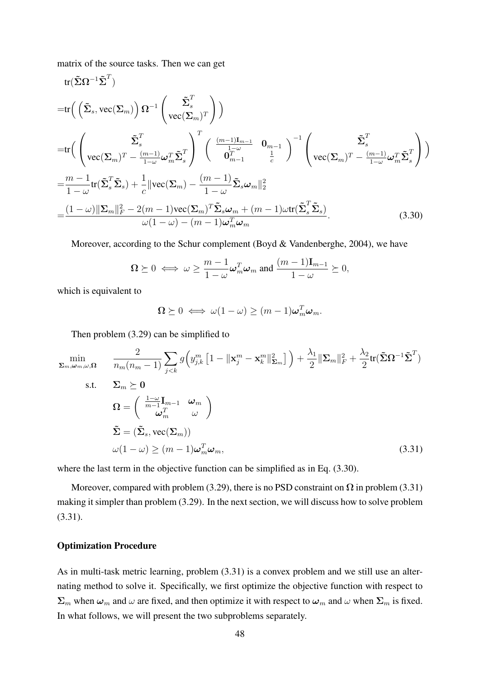matrix of the source tasks. Then we can get

tr(
$$
\tilde{\Sigma}\Omega^{-1}\tilde{\Sigma}^{T}
$$
)  
\n=tr( $(\tilde{\Sigma}_{s}, \text{vec}(\Sigma_{m})) \Omega^{-1} (\text{vec}(\Sigma_{m})^{T})$ )  
\n=tr( $(\sum_{\text{vec}(\Sigma_{m})} \tilde{\Sigma}_{s}^{T} - \frac{(m-1)\sigma}{1-\omega} \omega_{m}^{T} \tilde{\Sigma}_{s}^{T}) (\frac{(m-1)\mathbf{I}_{m-1}}{\mathbf{I}_{m}^{T} - \mathbf{I}_{m}^{T}} \mathbf{I}_{c}^{-1} - \frac{\mathbf{I}_{m}^{T} - \mathbf{I}_{m}^{T}}{\mathbf{I}_{c}^{T} - \mathbf{I}_{c}^{T}} \mathbf{V}_{c}^{-1} - \frac{(m-1)\sigma}{1-\omega} \omega_{m}^{T} \tilde{\Sigma}_{s}^{T}$ )  
\n=  $\frac{m-1}{1-\omega}$ tr( $\tilde{\Sigma}_{s}^{T} \tilde{\Sigma}_{s}$ ) +  $\frac{1}{c}$ ||vec( $\Sigma_{m}$ ) -  $\frac{(m-1)}{1-\omega} \tilde{\Sigma}_{s} \omega_{m}$ ||<sup>2</sup>  
\n=  $\frac{(1-\omega)||\Sigma_{m}||_{F}^{2} - 2(m-1)\text{vec}(\Sigma_{m})^{T} \tilde{\Sigma}_{s} \omega_{m} + (m-1)\omega$ tr( $\tilde{\Sigma}_{s}^{T} \tilde{\Sigma}_{s}$ )}{\omega(1-\omega) - (m-1)\omega\_{m}^{T} \omega\_{m}} (3.30)

Moreover, according to the Schur complement (Boyd & Vandenberghe, 2004), we have

$$
\Omega \succeq 0 \iff \omega \ge \frac{m-1}{1-\omega} \omega_m^T \omega_m \text{ and } \frac{(m-1)\mathbf{I}_{m-1}}{1-\omega} \succeq 0,
$$

which is equivalent to

$$
\Omega \succeq 0 \iff \omega(1-\omega) \geq (m-1)\omega_m^T \omega_m.
$$

Then problem (3.29) can be simplified to

$$
\min_{\Sigma_{m}, \omega_{m}, \omega, \Omega} \quad \frac{2}{n_{m}(n_{m}-1)} \sum_{j < k} g\left(y_{j,k}^{m} \left[1 - \|\mathbf{x}_{j}^{m} - \mathbf{x}_{k}^{m}\|_{\Sigma_{m}}^{2}\right]\right) + \frac{\lambda_{1}}{2} \|\Sigma_{m}\|_{F}^{2} + \frac{\lambda_{2}}{2} \text{tr}(\tilde{\Sigma} \Omega^{-1} \tilde{\Sigma}^{T})
$$
\n
$$
\text{s.t.} \quad \Sigma_{m} \succeq \mathbf{0}
$$
\n
$$
\Omega = \begin{pmatrix} \frac{1-\omega}{m-1} \mathbf{I}_{m-1} & \omega_{m} \\ \omega_{m}^{T} & \omega \end{pmatrix}
$$
\n
$$
\tilde{\Sigma} = (\tilde{\Sigma}_{s}, \text{vec}(\Sigma_{m}))
$$
\n
$$
\omega(1-\omega) \geq (m-1)\omega_{m}^{T} \omega_{m}, \tag{3.31}
$$

where the last term in the objective function can be simplified as in Eq. (3.30).

Moreover, compared with problem (3.29), there is no PSD constraint on  $\Omega$  in problem (3.31) making it simpler than problem (3.29). In the next section, we will discuss how to solve problem (3.31).

#### Optimization Procedure

As in multi-task metric learning, problem (3.31) is a convex problem and we still use an alternating method to solve it. Specifically, we first optimize the objective function with respect to  $\Sigma_m$  when  $\omega_m$  and  $\omega$  are fixed, and then optimize it with respect to  $\omega_m$  and  $\omega$  when  $\Sigma_m$  is fixed. In what follows, we will present the two subproblems separately.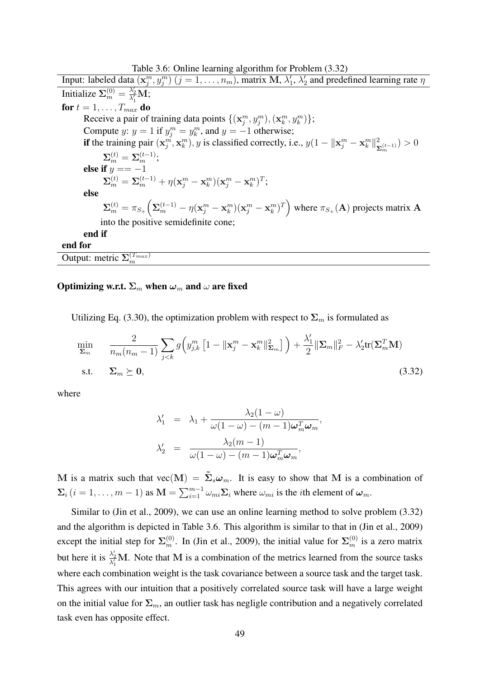Table 3.6: Online learning algorithm for Problem (3.32)

Input: labeled data  $(\mathbf{x}_j^m, y_j^m)$   $(j = 1, \dots, n_m)$ , matrix M,  $\lambda'_1$ ,  $\lambda'_2$  and predefined learning rate  $\eta$ Initialize  $\Sigma_m^{(0)} = \frac{\lambda_2'}{\lambda_1'} \overline{\mathbf{M}};$ for  $t = 1, \ldots, T_{max}$  do Receive a pair of training data points  $\{(\mathbf{x}_j^m, y_j^m), (\mathbf{x}_k^m, y_k^m)\};$ Compute *y*:  $y = 1$  if  $y_j^m = y_k^m$ , and  $y = -1$  otherwise; if the training pair  $(\mathbf{x}_j^m, \mathbf{x}_k^m), y$  is classified correctly, i.e.,  $y(1 - ||\mathbf{x}_j^m - \mathbf{x}_k^m||_S^2)$  $\frac{2}{\mathbf{\Sigma}_m^{(t-1)}})>0$  $\mathbf{\Sigma}_m^{(t)}=\mathbf{\Sigma}_m^{(t-1)};$ else if  $y == -1$  $\mathbf{\Sigma}_m^{(t)}=\mathbf{\Sigma}_m^{(t-1)}+\eta (\mathbf{x}_j^m-\mathbf{x}_k^m)(\mathbf{x}_j^m-\mathbf{x}_k^m)^T;$ else  $\mathbf{\Sigma}_m^{(t)} = \pi_{S_+}\left(\mathbf{\Sigma}_m^{(t-1)} - \eta(\mathbf{x}_j^m - \mathbf{x}_k^m)(\mathbf{x}_j^m - \mathbf{x}_k^m)^T\right)$  where  $\pi_{S_+}(\mathbf{A})$  projects matrix  $\mathbf{A}$ into the positive semidefinite cone; end if end for Output: metric  $\Sigma_m^{(T_{max})}$ 

#### Optimizing w.r.t.  $\Sigma_m$  when  $\omega_m$  and  $\omega$  are fixed

Utilizing Eq. (3.30), the optimization problem with respect to  $\Sigma_m$  is formulated as

$$
\min_{\Sigma_m} \quad \frac{2}{n_m(n_m-1)} \sum_{j < k} g\left(y_{j,k}^m \left[1 - \|\mathbf{x}_j^m - \mathbf{x}_k^m\|_{\Sigma_m}^2\right]\right) + \frac{\lambda_1'}{2} \|\Sigma_m\|_F^2 - \lambda_2' \text{tr}(\Sigma_m^T \mathbf{M})
$$
\ns.t.

\n
$$
\Sigma_m \succeq \mathbf{0},
$$
\n(3.32)

where

$$
\lambda'_1 = \lambda_1 + \frac{\lambda_2(1-\omega)}{\omega(1-\omega) - (m-1)\omega_m^T\omega_m},
$$
  

$$
\lambda'_2 = \frac{\lambda_2(m-1)}{\omega(1-\omega) - (m-1)\omega_m^T\omega_m},
$$

M is a matrix such that  $\text{vec}(\mathbf{M}) = \tilde{\Sigma}_s \omega_m$ . It is easy to show that M is a combination of  $\Sigma_i$   $(i = 1, ..., m - 1)$  as  $\mathbf{M} = \sum_{i=1}^{m-1} \omega_{mi} \Sigma_i$  where  $\omega_{mi}$  is the *i*th element of  $\boldsymbol{\omega}_m$ .

Similar to (Jin et al., 2009), we can use an online learning method to solve problem (3.32) and the algorithm is depicted in Table 3.6. This algorithm is similar to that in (Jin et al., 2009) except the initial step for  $\Sigma_m^{(0)}$ . In (Jin et al., 2009), the initial value for  $\Sigma_m^{(0)}$  is a zero matrix but here it is  $\frac{\lambda_2'}{\lambda_1'}$  M. Note that M is a combination of the metrics learned from the source tasks where each combination weight is the task covariance between a source task and the target task. This agrees with our intuition that a positively correlated source task will have a large weight on the initial value for  $\Sigma_m$ , an outlier task has negligle contribution and a negatively correlated task even has opposite effect.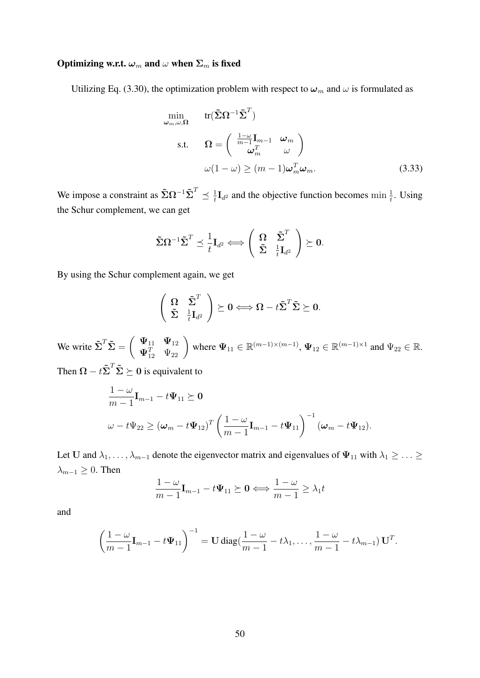### Optimizing w.r.t.  $\omega_m$  and  $\omega$  when  $\Sigma_m$  is fixed

Utilizing Eq. (3.30), the optimization problem with respect to  $\omega_m$  and  $\omega$  is formulated as

$$
\min_{\omega_{m},\omega,\Omega} \quad \text{tr}(\tilde{\Sigma}\Omega^{-1}\tilde{\Sigma}^{T})
$$
\n
$$
\text{s.t.} \quad \Omega = \begin{pmatrix} \frac{1-\omega}{m-1}\mathbf{I}_{m-1} & \omega_{m} \\ \omega_{m}^{T} & \omega \end{pmatrix}
$$
\n
$$
\omega(1-\omega) \geq (m-1)\omega_{m}^{T}\omega_{m}.
$$
\n(3.33)

We impose a constraint as  $\tilde{\Sigma}\Omega^{-1}\tilde{\Sigma}^T \preceq \frac{1}{t}$  $\frac{1}{t}$ **I**<sub>d</sub><sup>2</sup> and the objective function becomes min  $\frac{1}{t}$ . Using the Schur complement, we can get

$$
\tilde{\Sigma}\Omega^{-1}\tilde{\Sigma}^T\preceq \frac{1}{t}\mathbf{I}_{d^2} \Longleftrightarrow \left(\begin{array}{cc} \Omega & \tilde{\Sigma}^T \\ \tilde{\Sigma} & \frac{1}{t}\mathbf{I}_{d^2} \end{array}\right)\succeq 0.
$$

By using the Schur complement again, we get

$$
\left(\begin{array}{cc} \Omega & \tilde{\Sigma}^T \\ \tilde{\Sigma} & \frac{1}{t}\mathbf{I}_{d^2} \end{array}\right) \succeq 0 \Longleftrightarrow \Omega - t\tilde{\Sigma}^T\tilde{\Sigma} \succeq 0.
$$

We write  $\tilde{\Sigma}^T \tilde{\Sigma} = \begin{pmatrix} \Psi_{11} & \Psi_{12} \\ \Psi_{11} & \Psi_{22} \end{pmatrix}$  $\mathbf{\Psi}_{11} \quad \mathbf{\Psi}_{12} \quad \mathbf{\Psi}_{22} \quad \text{where } \mathbf{\Psi}_{11} \in \mathbb{R}^{(m-1)\times(m-1)}, \mathbf{\Psi}_{12} \in \mathbb{R}^{(m-1)\times 1} \text{ and } \mathbf{\Psi}_{22} \in \mathbb{R}.$ Then  $\Omega - t\tilde{\Sigma}^T \tilde{\Sigma} \succeq 0$  is equivalent to

$$
\frac{1-\omega}{m-1}\mathbf{I}_{m-1}-t\Psi_{11}\succeq\mathbf{0}
$$
\n
$$
\omega-t\Psi_{22}\geq(\boldsymbol{\omega}_m-t\Psi_{12})^T\left(\frac{1-\omega}{m-1}\mathbf{I}_{m-1}-t\Psi_{11}\right)^{-1}(\boldsymbol{\omega}_m-t\Psi_{12}).
$$

Let U and  $\lambda_1, \ldots, \lambda_{m-1}$  denote the eigenvector matrix and eigenvalues of  $\Psi_{11}$  with  $\lambda_1 \geq \ldots \geq$  $\lambda_{m-1} \geq 0$ . Then

$$
\frac{1-\omega}{m-1}\mathbf{I}_{m-1}-t\mathbf{\Psi}_{11}\succeq\mathbf{0}\Longleftrightarrow\frac{1-\omega}{m-1}\geq\lambda_1 t
$$

and

$$
\left(\frac{1-\omega}{m-1}\mathbf{I}_{m-1}-t\mathbf{\Psi}_{11}\right)^{-1}=\mathbf{U}\operatorname{diag}\left(\frac{1-\omega}{m-1}-t\lambda_1,\ldots,\frac{1-\omega}{m-1}-t\lambda_{m-1}\right)\mathbf{U}^T.
$$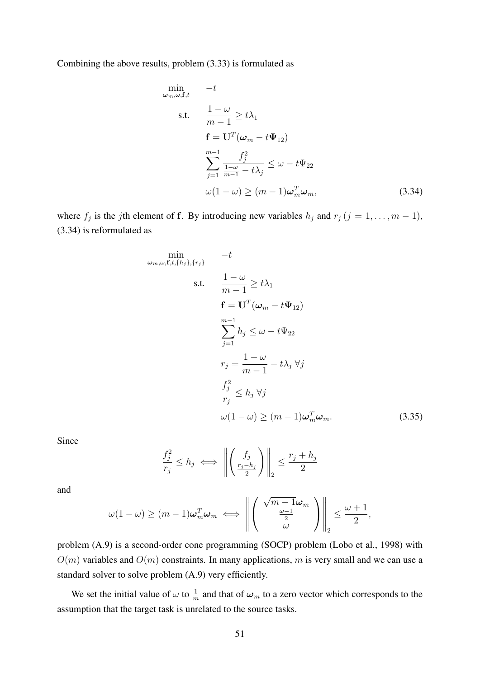Combining the above results, problem (3.33) is formulated as

$$
\min_{\omega_m,\omega,\mathbf{f},t} \quad -t
$$
\n
$$
\text{s.t.} \quad \frac{1-\omega}{m-1} \ge t\lambda_1
$$
\n
$$
\mathbf{f} = \mathbf{U}^T(\omega_m - t\mathbf{\Psi}_{12})
$$
\n
$$
\sum_{j=1}^{m-1} \frac{f_j^2}{\frac{1-\omega}{m-1} - t\lambda_j} \le \omega - t\mathbf{\Psi}_{22}
$$
\n
$$
\omega(1-\omega) \ge (m-1)\omega_m^T \omega_m, \tag{3.34}
$$

where  $f_j$  is the jth element of f. By introducing new variables  $h_j$  and  $r_j$   $(j = 1, \ldots, m - 1)$ , (3.34) is reformulated as

$$
\min_{\omega_m, \omega, \mathbf{f}, t, \{h_j\}, \{r_j\}} \quad -t
$$
\n
$$
\text{s.t.} \quad \frac{1 - \omega}{m - 1} \ge t \lambda_1
$$
\n
$$
\mathbf{f} = \mathbf{U}^T (\boldsymbol{\omega}_m - t \boldsymbol{\Psi}_{12})
$$
\n
$$
\sum_{j=1}^{m-1} h_j \le \omega - t \boldsymbol{\Psi}_{22}
$$
\n
$$
r_j = \frac{1 - \omega}{m - 1} - t \lambda_j \ \forall j
$$
\n
$$
\frac{f_j^2}{r_j} \le h_j \ \forall j
$$
\n
$$
\omega(1 - \omega) \ge (m - 1) \boldsymbol{\omega}_m^T \boldsymbol{\omega}_m. \tag{3.35}
$$

Since

$$
\frac{f_j^2}{r_j} \le h_j \iff \left\| \left( \frac{f_j}{\frac{r_j - h_j}{2}} \right) \right\|_2 \le \frac{r_j + h_j}{2}
$$

and

$$
\omega(1-\omega) \ge (m-1)\omega_m^T\omega_m \iff \left\|\left(\begin{array}{c} \sqrt{m-1}\omega_m \\ \frac{\omega-1}{2} \\ \omega \end{array}\right)\right\|_2 \le \frac{\omega+1}{2},
$$

problem (A.9) is a second-order cone programming (SOCP) problem (Lobo et al., 1998) with  $O(m)$  variables and  $O(m)$  constraints. In many applications, m is very small and we can use a standard solver to solve problem (A.9) very efficiently.

We set the initial value of  $\omega$  to  $\frac{1}{m}$  and that of  $\omega_m$  to a zero vector which corresponds to the assumption that the target task is unrelated to the source tasks.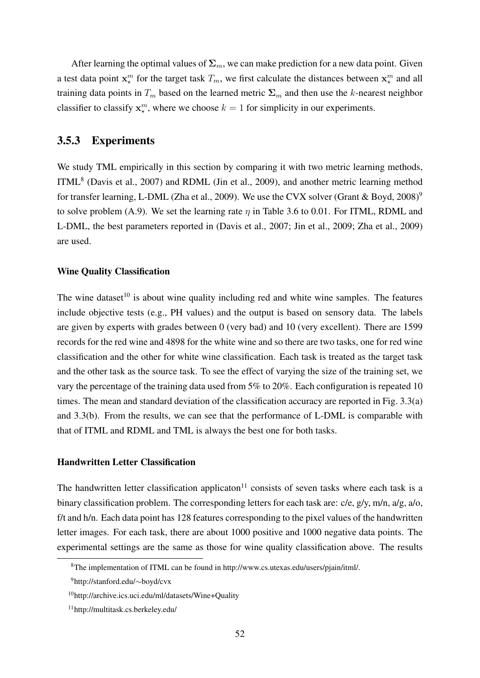After learning the optimal values of  $\Sigma_m$ , we can make prediction for a new data point. Given a test data point  $x^m$  for the target task  $T_m$ , we first calculate the distances between  $x^m_*$  and all training data points in  $T_m$  based on the learned metric  $\Sigma_m$  and then use the k-nearest neighbor classifier to classify  $x_*^m$ , where we choose  $k = 1$  for simplicity in our experiments.

### 3.5.3 Experiments

We study TML empirically in this section by comparing it with two metric learning methods, ITML<sup>8</sup> (Davis et al., 2007) and RDML (Jin et al., 2009), and another metric learning method for transfer learning, L-DML (Zha et al., 2009). We use the CVX solver (Grant & Boyd, 2008)<sup>9</sup> to solve problem (A.9). We set the learning rate  $\eta$  in Table 3.6 to 0.01. For ITML, RDML and L-DML, the best parameters reported in (Davis et al., 2007; Jin et al., 2009; Zha et al., 2009) are used.

#### Wine Quality Classification

The wine dataset<sup>10</sup> is about wine quality including red and white wine samples. The features include objective tests (e.g., PH values) and the output is based on sensory data. The labels are given by experts with grades between 0 (very bad) and 10 (very excellent). There are 1599 records for the red wine and 4898 for the white wine and so there are two tasks, one for red wine classification and the other for white wine classification. Each task is treated as the target task and the other task as the source task. To see the effect of varying the size of the training set, we vary the percentage of the training data used from 5% to 20%. Each configuration is repeated 10 times. The mean and standard deviation of the classification accuracy are reported in Fig. 3.3(a) and 3.3(b). From the results, we can see that the performance of L-DML is comparable with that of ITML and RDML and TML is always the best one for both tasks.

### Handwritten Letter Classification

The handwritten letter classification applicaton<sup>11</sup> consists of seven tasks where each task is a binary classification problem. The corresponding letters for each task are: c/e, g/y, m/n, a/g, a/o, f/t and h/n. Each data point has 128 features corresponding to the pixel values of the handwritten letter images. For each task, there are about 1000 positive and 1000 negative data points. The experimental settings are the same as those for wine quality classification above. The results

<sup>8</sup>The implementation of ITML can be found in http://www.cs.utexas.edu/users/pjain/itml/.

<sup>9</sup>http://stanford.edu/∼boyd/cvx

<sup>10</sup>http://archive.ics.uci.edu/ml/datasets/Wine+Quality

<sup>11</sup>http://multitask.cs.berkeley.edu/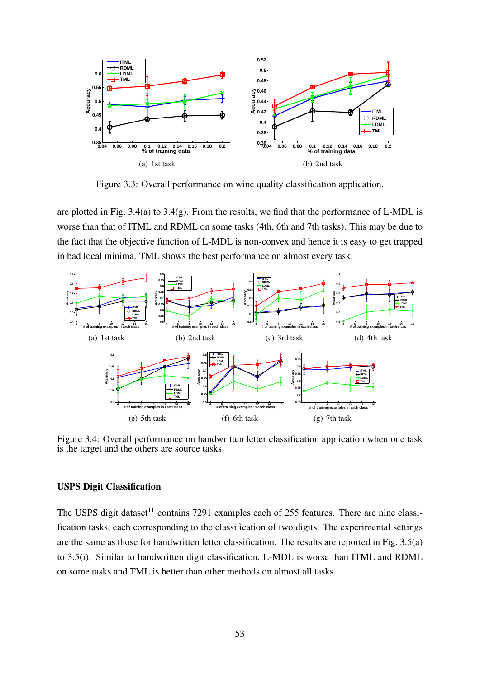

Figure 3.3: Overall performance on wine quality classification application.

are plotted in Fig. 3.4(a) to 3.4(g). From the results, we find that the performance of L-MDL is worse than that of ITML and RDML on some tasks (4th, 6th and 7th tasks). This may be due to the fact that the objective function of L-MDL is non-convex and hence it is easy to get trapped in bad local minima. TML shows the best performance on almost every task.



Figure 3.4: Overall performance on handwritten letter classification application when one task is the target and the others are source tasks.

#### USPS Digit Classification

The USPS digit dataset<sup>11</sup> contains 7291 examples each of 255 features. There are nine classification tasks, each corresponding to the classification of two digits. The experimental settings are the same as those for handwritten letter classification. The results are reported in Fig. 3.5(a) to 3.5(i). Similar to handwritten digit classification, L-MDL is worse than ITML and RDML on some tasks and TML is better than other methods on almost all tasks.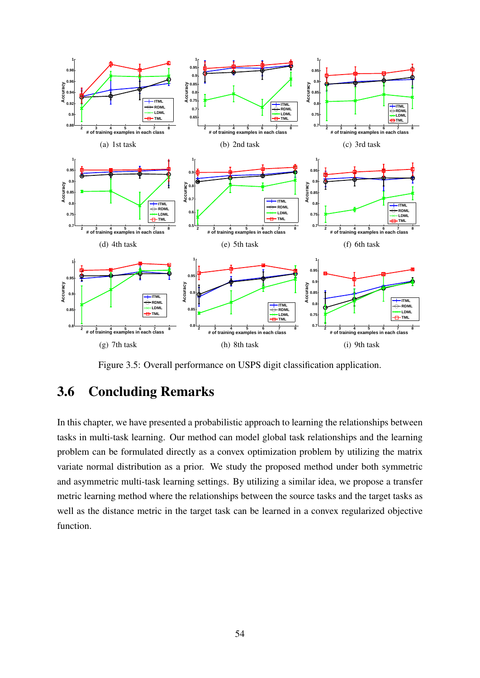

Figure 3.5: Overall performance on USPS digit classification application.

# 3.6 Concluding Remarks

In this chapter, we have presented a probabilistic approach to learning the relationships between tasks in multi-task learning. Our method can model global task relationships and the learning problem can be formulated directly as a convex optimization problem by utilizing the matrix variate normal distribution as a prior. We study the proposed method under both symmetric and asymmetric multi-task learning settings. By utilizing a similar idea, we propose a transfer metric learning method where the relationships between the source tasks and the target tasks as well as the distance metric in the target task can be learned in a convex regularized objective function.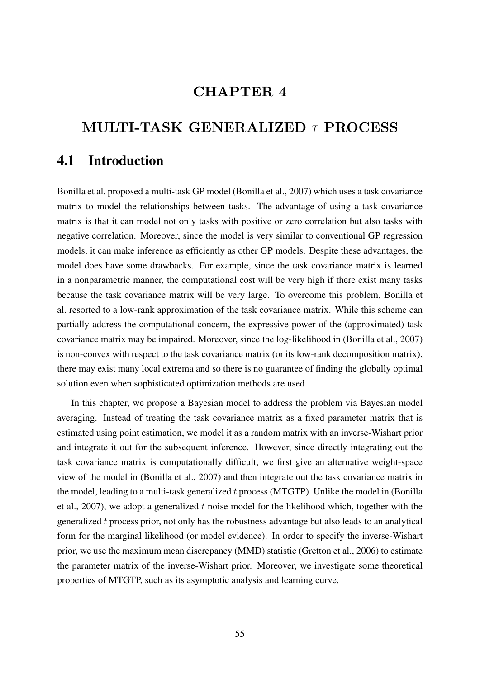## CHAPTER 4

## MULTI-TASK GENERALIZED  $\tau$  PROCESS

## 4.1 Introduction

Bonilla et al. proposed a multi-task GP model (Bonilla et al., 2007) which uses a task covariance matrix to model the relationships between tasks. The advantage of using a task covariance matrix is that it can model not only tasks with positive or zero correlation but also tasks with negative correlation. Moreover, since the model is very similar to conventional GP regression models, it can make inference as efficiently as other GP models. Despite these advantages, the model does have some drawbacks. For example, since the task covariance matrix is learned in a nonparametric manner, the computational cost will be very high if there exist many tasks because the task covariance matrix will be very large. To overcome this problem, Bonilla et al. resorted to a low-rank approximation of the task covariance matrix. While this scheme can partially address the computational concern, the expressive power of the (approximated) task covariance matrix may be impaired. Moreover, since the log-likelihood in (Bonilla et al., 2007) is non-convex with respect to the task covariance matrix (or its low-rank decomposition matrix), there may exist many local extrema and so there is no guarantee of finding the globally optimal solution even when sophisticated optimization methods are used.

In this chapter, we propose a Bayesian model to address the problem via Bayesian model averaging. Instead of treating the task covariance matrix as a fixed parameter matrix that is estimated using point estimation, we model it as a random matrix with an inverse-Wishart prior and integrate it out for the subsequent inference. However, since directly integrating out the task covariance matrix is computationally difficult, we first give an alternative weight-space view of the model in (Bonilla et al., 2007) and then integrate out the task covariance matrix in the model, leading to a multi-task generalized  $t$  process (MTGTP). Unlike the model in (Bonilla et al., 2007), we adopt a generalized  $t$  noise model for the likelihood which, together with the generalized t process prior, not only has the robustness advantage but also leads to an analytical form for the marginal likelihood (or model evidence). In order to specify the inverse-Wishart prior, we use the maximum mean discrepancy (MMD) statistic (Gretton et al., 2006) to estimate the parameter matrix of the inverse-Wishart prior. Moreover, we investigate some theoretical properties of MTGTP, such as its asymptotic analysis and learning curve.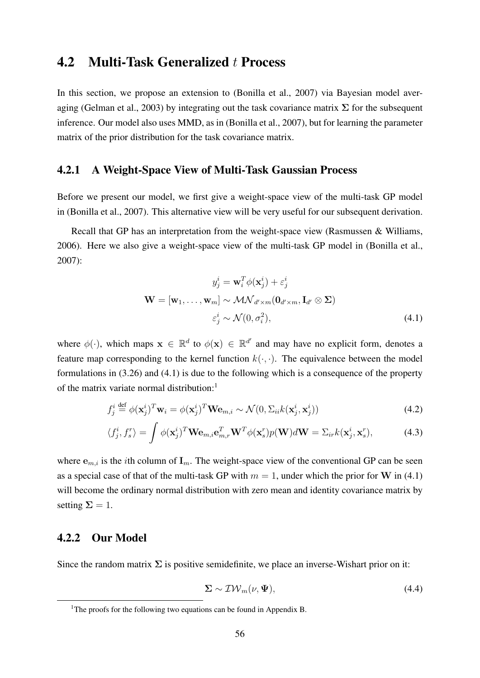## 4.2 Multi-Task Generalized t Process

In this section, we propose an extension to (Bonilla et al., 2007) via Bayesian model averaging (Gelman et al., 2003) by integrating out the task covariance matrix  $\Sigma$  for the subsequent inference. Our model also uses MMD, as in (Bonilla et al., 2007), but for learning the parameter matrix of the prior distribution for the task covariance matrix.

### 4.2.1 A Weight-Space View of Multi-Task Gaussian Process

Before we present our model, we first give a weight-space view of the multi-task GP model in (Bonilla et al., 2007). This alternative view will be very useful for our subsequent derivation.

Recall that GP has an interpretation from the weight-space view (Rasmussen & Williams, 2006). Here we also give a weight-space view of the multi-task GP model in (Bonilla et al., 2007):

$$
y_j^i = \mathbf{w}_i^T \phi(\mathbf{x}_j^i) + \varepsilon_j^i
$$

$$
\mathbf{W} = [\mathbf{w}_1, \dots, \mathbf{w}_m] \sim \mathcal{MN}_{d' \times m}(\mathbf{0}_{d' \times m}, \mathbf{I}_{d'} \otimes \Sigma)
$$

$$
\varepsilon_j^i \sim \mathcal{N}(0, \sigma_i^2),
$$
(4.1)

where  $\phi(\cdot)$ , which maps  $\mathbf{x} \in \mathbb{R}^d$  to  $\phi(\mathbf{x}) \in \mathbb{R}^{d'}$  and may have no explicit form, denotes a feature map corresponding to the kernel function  $k(\cdot, \cdot)$ . The equivalence between the model formulations in (3.26) and (4.1) is due to the following which is a consequence of the property of the matrix variate normal distribution:<sup>1</sup>

$$
f_j^i \stackrel{\text{def}}{=} \phi(\mathbf{x}_j^i)^T \mathbf{w}_i = \phi(\mathbf{x}_j^i)^T \mathbf{W} \mathbf{e}_{m,i} \sim \mathcal{N}(0, \Sigma_{ii} k(\mathbf{x}_j^i, \mathbf{x}_j^i))
$$
(4.2)

$$
\langle f_j^i, f_s^r \rangle = \int \phi(\mathbf{x}_j^i)^T \mathbf{W} \mathbf{e}_{m,i} \mathbf{e}_{m,r}^T \mathbf{W}^T \phi(\mathbf{x}_s^r) p(\mathbf{W}) d\mathbf{W} = \Sigma_{ir} k(\mathbf{x}_j^i, \mathbf{x}_s^r), \tag{4.3}
$$

where  $e_{m,i}$  is the *i*th column of  $I_m$ . The weight-space view of the conventional GP can be seen as a special case of that of the multi-task GP with  $m = 1$ , under which the prior for W in (4.1) will become the ordinary normal distribution with zero mean and identity covariance matrix by setting  $\Sigma = 1$ .

### 4.2.2 Our Model

Since the random matrix  $\Sigma$  is positive semidefinite, we place an inverse-Wishart prior on it:

$$
\Sigma \sim \mathcal{IW}_m(\nu, \Psi), \tag{4.4}
$$

<sup>&</sup>lt;sup>1</sup>The proofs for the following two equations can be found in Appendix B.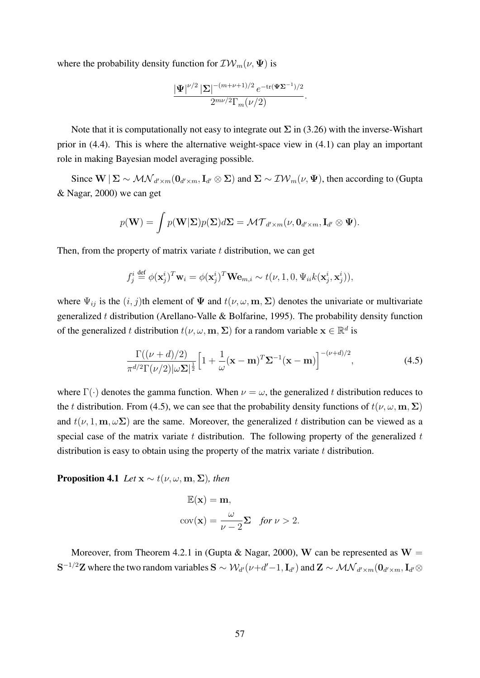where the probability density function for  $\mathcal{IW}_m(\nu, \Psi)$  is

$$
\frac{|\Psi|^{\nu/2} \, |\Sigma|^{-(m+\nu+1)/2} \, e^{-\text{tr}(\Psi \Sigma^{-1})/2}}{2^{m\nu/2} \Gamma_m(\nu/2)}.
$$

Note that it is computationally not easy to integrate out  $\Sigma$  in (3.26) with the inverse-Wishart prior in (4.4). This is where the alternative weight-space view in (4.1) can play an important role in making Bayesian model averaging possible.

Since  $W|\Sigma \sim \mathcal{MN}_{d'\times m}(0_{d'\times m}, I_{d'} \otimes \Sigma)$  and  $\Sigma \sim \mathcal{IW}_m(\nu, \Psi)$ , then according to (Gupta & Nagar, 2000) we can get

$$
p(\mathbf{W}) = \int p(\mathbf{W}|\mathbf{\Sigma})p(\mathbf{\Sigma})d\mathbf{\Sigma} = \mathcal{MT}_{d' \times m}(\nu, \mathbf{0}_{d' \times m}, \mathbf{I}_{d'} \otimes \mathbf{\Psi}).
$$

Then, from the property of matrix variate  $t$  distribution, we can get

$$
f_j^i \stackrel{\text{def}}{=} \phi(\mathbf{x}_j^i)^T \mathbf{w}_i = \phi(\mathbf{x}_j^i)^T \mathbf{W} \mathbf{e}_{m,i} \sim t(\nu, 1, 0, \Psi_{ii} k(\mathbf{x}_j^i, \mathbf{x}_j^i)),
$$

where  $\Psi_{ij}$  is the  $(i, j)$ th element of  $\Psi$  and  $t(\nu, \omega, \mathbf{m}, \Sigma)$  denotes the univariate or multivariate generalized t distribution (Arellano-Valle & Bolfarine, 1995). The probability density function of the generalized t distribution  $t(\nu, \omega, \mathbf{m}, \Sigma)$  for a random variable  $\mathbf{x} \in \mathbb{R}^d$  is

$$
\frac{\Gamma((\nu+d)/2)}{\pi^{d/2}\Gamma(\nu/2)|\omega\Sigma|^{\frac{1}{2}}} \Big[1 + \frac{1}{\omega}(\mathbf{x}-\mathbf{m})^T\Sigma^{-1}(\mathbf{x}-\mathbf{m})\Big]^{-(\nu+d)/2},\tag{4.5}
$$

where  $\Gamma(\cdot)$  denotes the gamma function. When  $\nu = \omega$ , the generalized t distribution reduces to the t distribution. From (4.5), we can see that the probability density functions of  $t(\nu, \omega, \mathbf{m}, \Sigma)$ and  $t(\nu, 1, m, \omega\Sigma)$  are the same. Moreover, the generalized t distribution can be viewed as a special case of the matrix variate t distribution. The following property of the generalized  $t$ distribution is easy to obtain using the property of the matrix variate  $t$  distribution.

**Proposition 4.1** *Let*  $\mathbf{x} \sim t(\nu, \omega, \mathbf{m}, \Sigma)$ *, then* 

$$
\mathbb{E}(\mathbf{x}) = \mathbf{m},
$$
  
cov(**x**) =  $\frac{\omega}{\nu - 2} \Sigma$  for  $\nu > 2$ .

Moreover, from Theorem 4.2.1 in (Gupta & Nagar, 2000), W can be represented as  $W =$  $S^{-1/2}Z$  where the two random variables  $S \sim \mathcal{W}_{d'}(\nu+d'-1,\mathbf{I}_{d'})$  and  $Z \sim \mathcal{MN}_{d'\times m}(\mathbf{0}_{d'\times m},\mathbf{I}_{d'}\otimes$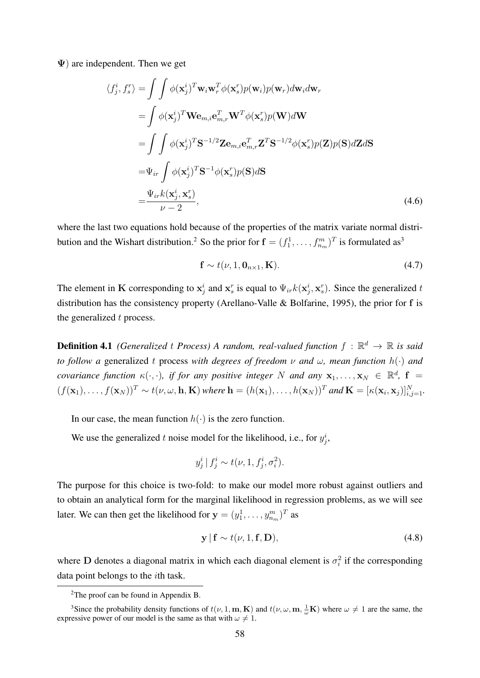$\Psi$ ) are independent. Then we get

$$
\langle f_j^i, f_s^r \rangle = \int \int \phi(\mathbf{x}_j^i)^T \mathbf{w}_i \mathbf{w}_r^T \phi(\mathbf{x}_s^r) p(\mathbf{w}_i) p(\mathbf{w}_r) d\mathbf{w}_i d\mathbf{w}_r
$$
  
\n
$$
= \int \phi(\mathbf{x}_j^i)^T \mathbf{W} \mathbf{e}_{m,i} \mathbf{e}_{m,r}^T \mathbf{W}^T \phi(\mathbf{x}_s^r) p(\mathbf{W}) d\mathbf{W}
$$
  
\n
$$
= \int \int \phi(\mathbf{x}_j^i)^T \mathbf{S}^{-1/2} \mathbf{Z} \mathbf{e}_{m,i} \mathbf{e}_{m,r}^T \mathbf{Z}^T \mathbf{S}^{-1/2} \phi(\mathbf{x}_s^r) p(\mathbf{Z}) p(\mathbf{S}) d\mathbf{Z} d\mathbf{S}
$$
  
\n
$$
= \Psi_{ir} \int \phi(\mathbf{x}_j^i)^T \mathbf{S}^{-1} \phi(\mathbf{x}_s^r) p(\mathbf{S}) d\mathbf{S}
$$
  
\n
$$
= \frac{\Psi_{ir} k(\mathbf{x}_j^i, \mathbf{x}_s^r)}{\nu - 2},
$$
 (4.6)

where the last two equations hold because of the properties of the matrix variate normal distribution and the Wishart distribution.<sup>2</sup> So the prior for  $f = (f_1^1, \dots, f_{n_m}^m)^T$  is formulated as<sup>3</sup>

$$
\mathbf{f} \sim t(\nu, 1, \mathbf{0}_{n \times 1}, \mathbf{K}). \tag{4.7}
$$

The element in K corresponding to  $x_j^i$  and  $x_s^r$  is equal to  $\Psi_{ir}k(x_j^i, x_s^r)$ . Since the generalized to distribution has the consistency property (Arellano-Valle & Bolfarine, 1995), the prior for f is the generalized t process.

**Definition 4.1** *(Generalized t Process)* A random, real-valued function  $f : \mathbb{R}^d \to \mathbb{R}$  is said *to follow a* generalized t process *with degrees of freedom* ν *and* ω*, mean function* h(·) *and covariance function*  $\kappa(\cdot, \cdot)$ *, if for any positive integer* N *and any*  $\mathbf{x}_1, \ldots, \mathbf{x}_N \in \mathbb{R}^d$ ,  $\mathbf{f} =$  $(f(\mathbf{x}_1), \ldots, f(\mathbf{x}_N))^T \sim t(\nu, \omega, \mathbf{h}, \mathbf{K})$  where  $\mathbf{h} = (h(\mathbf{x}_1), \ldots, h(\mathbf{x}_N))^T$  and  $\mathbf{K} = [\kappa(\mathbf{x}_i, \mathbf{x}_j)]_{i,j=1}^N$ .

In our case, the mean function  $h(\cdot)$  is the zero function.

We use the generalized t noise model for the likelihood, i.e., for  $y_j^i$ ,

$$
y_j^i | f_j^i \sim t(\nu, 1, f_j^i, \sigma_i^2).
$$

The purpose for this choice is two-fold: to make our model more robust against outliers and to obtain an analytical form for the marginal likelihood in regression problems, as we will see later. We can then get the likelihood for  $\mathbf{y} = (y_1^1, \dots, y_{n_m}^m)^T$  as

$$
\mathbf{y} \mid \mathbf{f} \sim t(\nu, 1, \mathbf{f}, \mathbf{D}),\tag{4.8}
$$

where D denotes a diagonal matrix in which each diagonal element is  $\sigma_i^2$  if the corresponding data point belongs to the ith task.

<sup>2</sup>The proof can be found in Appendix B.

<sup>&</sup>lt;sup>3</sup>Since the probability density functions of  $t(\nu, 1, m, K)$  and  $t(\nu, \omega, m, \frac{1}{\omega}K)$  where  $\omega \neq 1$  are the same, the expressive power of our model is the same as that with  $\omega \neq 1$ .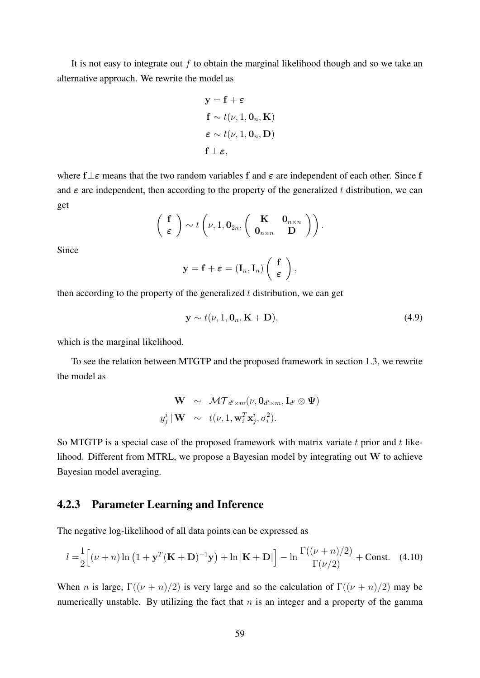It is not easy to integrate out  $f$  to obtain the marginal likelihood though and so we take an alternative approach. We rewrite the model as

$$
\mathbf{y} = \mathbf{f} + \boldsymbol{\varepsilon}
$$
  

$$
\mathbf{f} \sim t(\nu, 1, \mathbf{0}_n, \mathbf{K})
$$
  

$$
\boldsymbol{\varepsilon} \sim t(\nu, 1, \mathbf{0}_n, \mathbf{D})
$$
  

$$
\mathbf{f} \perp \boldsymbol{\varepsilon},
$$

where f⊥ $\varepsilon$  means that the two random variables f and  $\varepsilon$  are independent of each other. Since f and  $\varepsilon$  are independent, then according to the property of the generalized t distribution, we can get

$$
\left(\begin{array}{c}\mathbf{f}\\ \varepsilon\end{array}\right)\sim t\left(\nu,1,\mathbf{0}_{2n},\left(\begin{array}{cc}\mathbf{K} & \mathbf{0}_{n\times n}\\ \mathbf{0}_{n\times n} & \mathbf{D}\end{array}\right)\right).
$$

Since

$$
\mathbf{y} = \mathbf{f} + \boldsymbol{\varepsilon} = (\mathbf{I}_n, \mathbf{I}_n) \left( \begin{array}{c} \mathbf{f} \\ \boldsymbol{\varepsilon} \end{array} \right),
$$

then according to the property of the generalized  $t$  distribution, we can get

$$
\mathbf{y} \sim t(\nu, 1, \mathbf{0}_n, \mathbf{K} + \mathbf{D}),\tag{4.9}
$$

which is the marginal likelihood.

To see the relation between MTGTP and the proposed framework in section 1.3, we rewrite the model as

$$
\begin{array}{rcl} \mathbf{W} & \sim & \mathcal{MT}_{d' \times m}(\nu, \mathbf{0}_{d' \times m}, \mathbf{I}_{d'} \otimes \boldsymbol{\Psi}) \\ y_j^i \, | \, \mathbf{W} & \sim & t(\nu, 1, \mathbf{w}_i^T \mathbf{x}_j^i, \sigma_i^2). \end{array}
$$

So MTGTP is a special case of the proposed framework with matrix variate  $t$  prior and  $t$  likelihood. Different from MTRL, we propose a Bayesian model by integrating out W to achieve Bayesian model averaging.

### 4.2.3 Parameter Learning and Inference

The negative log-likelihood of all data points can be expressed as

$$
l = \frac{1}{2} \Big[ (\nu + n) \ln \left( 1 + \mathbf{y}^T (\mathbf{K} + \mathbf{D})^{-1} \mathbf{y} \right) + \ln |\mathbf{K} + \mathbf{D}| \Big] - \ln \frac{\Gamma((\nu + n)/2)}{\Gamma(\nu/2)} + \text{Const.} \quad (4.10)
$$

When n is large,  $\Gamma((\nu + n)/2)$  is very large and so the calculation of  $\Gamma((\nu + n)/2)$  may be numerically unstable. By utilizing the fact that  $n$  is an integer and a property of the gamma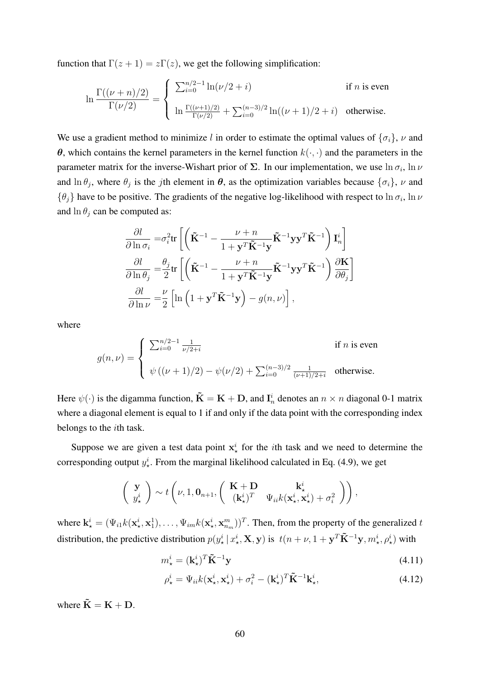function that  $\Gamma(z+1) = z\Gamma(z)$ , we get the following simplification:

$$
\ln \frac{\Gamma((\nu+n)/2)}{\Gamma(\nu/2)} = \begin{cases} \sum_{i=0}^{n/2-1} \ln(\nu/2 + i) & \text{if } n \text{ is even} \\ \ln \frac{\Gamma((\nu+1)/2)}{\Gamma(\nu/2)} + \sum_{i=0}^{(n-3)/2} \ln((\nu+1)/2 + i) & \text{otherwise.} \end{cases}
$$

We use a gradient method to minimize l in order to estimate the optimal values of  $\{\sigma_i\}$ ,  $\nu$  and θ, which contains the kernel parameters in the kernel function  $k(·, ·)$  and the parameters in the parameter matrix for the inverse-Wishart prior of  $\Sigma$ . In our implementation, we use  $\ln \sigma_i$ ,  $\ln \nu$ and  $\ln \theta_j$ , where  $\theta_j$  is the jth element in  $\theta$ , as the optimization variables because  $\{\sigma_i\}$ ,  $\nu$  and  $\{\theta_j\}$  have to be positive. The gradients of the negative log-likelihood with respect to  $\ln \sigma_i$ ,  $\ln \nu$ and  $\ln \theta_i$  can be computed as:

$$
\frac{\partial l}{\partial \ln \sigma_i} = \sigma_i^2 \text{tr} \left[ \left( \tilde{\mathbf{K}}^{-1} - \frac{\nu + n}{1 + \mathbf{y}^T \tilde{\mathbf{K}}^{-1} \mathbf{y}} \tilde{\mathbf{K}}^{-1} \mathbf{y} \mathbf{y}^T \tilde{\mathbf{K}}^{-1} \right) \mathbf{I}_n^i \right]
$$
\n
$$
\frac{\partial l}{\partial \ln \theta_j} = \frac{\theta_j}{2} \text{tr} \left[ \left( \tilde{\mathbf{K}}^{-1} - \frac{\nu + n}{1 + \mathbf{y}^T \tilde{\mathbf{K}}^{-1} \mathbf{y}} \tilde{\mathbf{K}}^{-1} \mathbf{y} \mathbf{y}^T \tilde{\mathbf{K}}^{-1} \right) \frac{\partial \mathbf{K}}{\partial \theta_j} \right]
$$
\n
$$
\frac{\partial l}{\partial \ln \nu} = \frac{\nu}{2} \left[ \ln \left( 1 + \mathbf{y}^T \tilde{\mathbf{K}}^{-1} \mathbf{y} \right) - g(n, \nu) \right],
$$

where

$$
g(n,\nu) = \begin{cases} \sum_{i=0}^{n/2-1} \frac{1}{\nu/2+i} & \text{if } n \text{ is even} \\ \psi((\nu+1)/2) - \psi(\nu/2) + \sum_{i=0}^{(n-3)/2} \frac{1}{(\nu+1)/2+i} & \text{otherwise.} \end{cases}
$$

Here  $\psi(\cdot)$  is the digamma function,  $\tilde{\mathbf{K}} = \mathbf{K} + \mathbf{D}$ , and  $\mathbf{I}_n^i$  denotes an  $n \times n$  diagonal 0-1 matrix where a diagonal element is equal to 1 if and only if the data point with the corresponding index belongs to the ith task.

Suppose we are given a test data point  $x^i_{\star}$  for the *i*th task and we need to determine the corresponding output  $y^i_{\star}$ . From the marginal likelihood calculated in Eq. (4.9), we get

$$
\begin{pmatrix} \mathbf{y} \\ y_{\star}^{i} \end{pmatrix} \sim t \left( \nu, 1, \mathbf{0}_{n+1}, \begin{pmatrix} \mathbf{K} + \mathbf{D} & \mathbf{k}_{\star}^{i} \\ (\mathbf{k}_{\star}^{i})^{T} & \Psi_{ii} k(\mathbf{x}_{\star}^{i}, \mathbf{x}_{\star}^{i}) + \sigma_{i}^{2} \end{pmatrix} \right),
$$

where  $\mathbf{k}_\star^i = (\Psi_{i1} k(\mathbf{x}_\star^i, \mathbf{x}_1^1), \dots, \Psi_{im} k(\mathbf{x}_\star^i, \mathbf{x}_{n_m}^m))^T$ . Then, from the property of the generalized t distribution, the predictive distribution  $p(y^i_\star | x^i_\star, \mathbf{X}, \mathbf{y})$  is  $t(n + \nu, 1 + \mathbf{y}^T \tilde{\mathbf{K}}^{-1} \mathbf{y}, m^i_\star, \rho^i_\star)$  with

$$
m_{\star}^{i} = (\mathbf{k}_{\star}^{i})^{T} \tilde{\mathbf{K}}^{-1} \mathbf{y}
$$
\n(4.11)

$$
\rho_{\star}^{i} = \Psi_{ii} k(\mathbf{x}_{\star}^{i}, \mathbf{x}_{\star}^{i}) + \sigma_{i}^{2} - (\mathbf{k}_{\star}^{i})^{T} \tilde{\mathbf{K}}^{-1} \mathbf{k}_{\star}^{i},
$$
\n(4.12)

where  $\tilde{K} = K + D$ .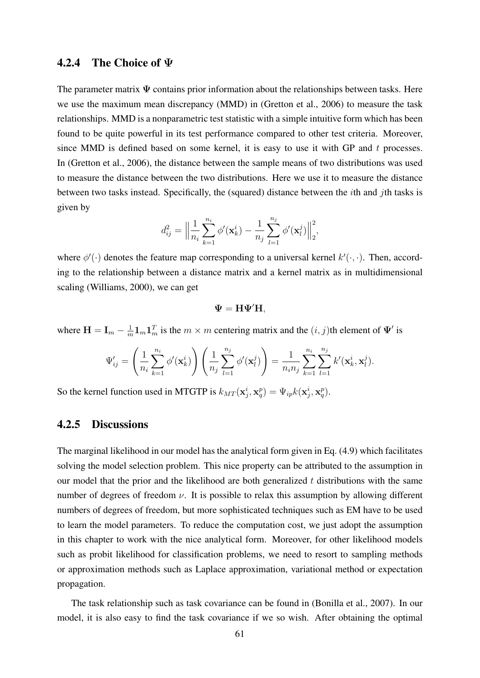### 4.2.4 The Choice of Ψ

The parameter matrix  $\Psi$  contains prior information about the relationships between tasks. Here we use the maximum mean discrepancy (MMD) in (Gretton et al., 2006) to measure the task relationships. MMD is a nonparametric test statistic with a simple intuitive form which has been found to be quite powerful in its test performance compared to other test criteria. Moreover, since MMD is defined based on some kernel, it is easy to use it with GP and  $t$  processes. In (Gretton et al., 2006), the distance between the sample means of two distributions was used to measure the distance between the two distributions. Here we use it to measure the distance between two tasks instead. Specifically, the (squared) distance between the *i*th and *j*th tasks is given by

$$
d_{ij}^2 = \Big\|\frac{1}{n_i}\sum_{k=1}^{n_i} \phi'(\mathbf{x}_k^i) - \frac{1}{n_j}\sum_{l=1}^{n_j} \phi'(\mathbf{x}_l^j)\Big\|_2^2,
$$

where  $\phi'(\cdot)$  denotes the feature map corresponding to a universal kernel  $k'(\cdot, \cdot)$ . Then, according to the relationship between a distance matrix and a kernel matrix as in multidimensional scaling (Williams, 2000), we can get

$$
\Psi = H \Psi' H,
$$

where  $H = I_m - \frac{1}{m}$  $\frac{1}{m} \mathbf{1}_m \mathbf{1}_m^T$  is the  $m \times m$  centering matrix and the  $(i, j)$ th element of  $\Psi'$  is

$$
\Psi'_{ij} = \left(\frac{1}{n_i} \sum_{k=1}^{n_i} \phi'(\mathbf{x}_k^i) \right) \left(\frac{1}{n_j} \sum_{l=1}^{n_j} \phi'(\mathbf{x}_l^j) \right) = \frac{1}{n_i n_j} \sum_{k=1}^{n_i} \sum_{l=1}^{n_j} k'(\mathbf{x}_k^i, \mathbf{x}_l^j).
$$

So the kernel function used in MTGTP is  $k_{MT}(\mathbf{x}_j^i, \mathbf{x}_q^p) = \Psi_{ip} k(\mathbf{x}_j^i, \mathbf{x}_q^p)$ .

### 4.2.5 Discussions

The marginal likelihood in our model has the analytical form given in Eq. (4.9) which facilitates solving the model selection problem. This nice property can be attributed to the assumption in our model that the prior and the likelihood are both generalized  $t$  distributions with the same number of degrees of freedom  $\nu$ . It is possible to relax this assumption by allowing different numbers of degrees of freedom, but more sophisticated techniques such as EM have to be used to learn the model parameters. To reduce the computation cost, we just adopt the assumption in this chapter to work with the nice analytical form. Moreover, for other likelihood models such as probit likelihood for classification problems, we need to resort to sampling methods or approximation methods such as Laplace approximation, variational method or expectation propagation.

The task relationship such as task covariance can be found in (Bonilla et al., 2007). In our model, it is also easy to find the task covariance if we so wish. After obtaining the optimal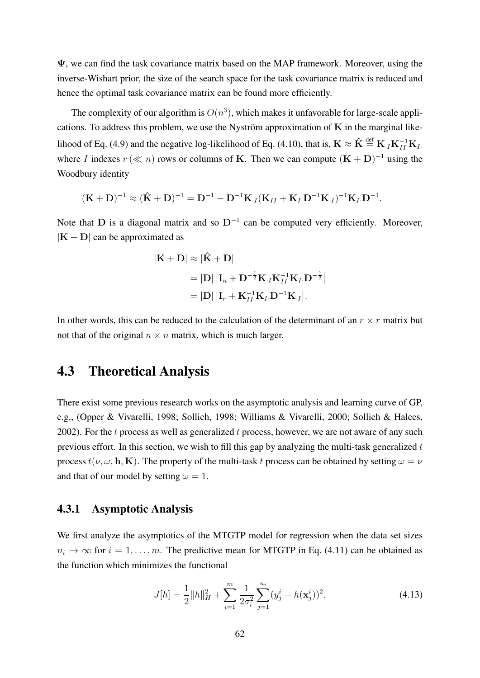$\Psi$ , we can find the task covariance matrix based on the MAP framework. Moreover, using the inverse-Wishart prior, the size of the search space for the task covariance matrix is reduced and hence the optimal task covariance matrix can be found more efficiently.

The complexity of our algorithm is  $O(n^3)$ , which makes it unfavorable for large-scale applications. To address this problem, we use the Nyström approximation of  $K$  in the marginal likelihood of Eq. (4.9) and the negative log-likelihood of Eq. (4.10), that is,  $K \approx \hat{K} \stackrel{\text{def}}{=} K_{\cdot I} K_{II}^{-1} K_{I}$ where I indexes  $r \ll n$ ) rows or columns of K. Then we can compute  $(K + D)^{-1}$  using the Woodbury identity

$$
(\mathbf{K} + \mathbf{D})^{-1} \approx (\hat{\mathbf{K}} + \mathbf{D})^{-1} = \mathbf{D}^{-1} - \mathbf{D}^{-1} \mathbf{K}_{I} (\mathbf{K}_{II} + \mathbf{K}_{I} \mathbf{D}^{-1} \mathbf{K}_{I})^{-1} \mathbf{K}_{I} \mathbf{D}^{-1}.
$$

Note that D is a diagonal matrix and so  $D^{-1}$  can be computed very efficiently. Moreover,  $|K + D|$  can be approximated as

$$
\begin{aligned} |\mathbf{K} + \mathbf{D}| &\approx |\hat{\mathbf{K}} + \mathbf{D}| \\ &= |\mathbf{D}| \left| \mathbf{I}_n + \mathbf{D}^{-\frac{1}{2}} \mathbf{K}_{\cdot I} \mathbf{K}_{II}^{-1} \mathbf{K}_I \cdot \mathbf{D}^{-\frac{1}{2}} \right| \\ &= |\mathbf{D}| \left| \mathbf{I}_r + \mathbf{K}_{II}^{-1} \mathbf{K}_I \cdot \mathbf{D}^{-1} \mathbf{K}_{\cdot I} \right| . \end{aligned}
$$

In other words, this can be reduced to the calculation of the determinant of an  $r \times r$  matrix but not that of the original  $n \times n$  matrix, which is much larger.

# 4.3 Theoretical Analysis

There exist some previous research works on the asymptotic analysis and learning curve of GP, e.g., (Opper & Vivarelli, 1998; Sollich, 1998; Williams & Vivarelli, 2000; Sollich & Halees, 2002). For the  $t$  process as well as generalized  $t$  process, however, we are not aware of any such previous effort. In this section, we wish to fill this gap by analyzing the multi-task generalized  $t$ process  $t(\nu, \omega, \mathbf{h}, \mathbf{K})$ . The property of the multi-task t process can be obtained by setting  $\omega = \nu$ and that of our model by setting  $\omega = 1$ .

### 4.3.1 Asymptotic Analysis

We first analyze the asymptotics of the MTGTP model for regression when the data set sizes  $n_i \rightarrow \infty$  for  $i = 1, \ldots, m$ . The predictive mean for MTGTP in Eq. (4.11) can be obtained as the function which minimizes the functional

$$
J[h] = \frac{1}{2} ||h||_H^2 + \sum_{i=1}^m \frac{1}{2\sigma_i^2} \sum_{j=1}^{n_i} (y_j^i - h(\mathbf{x}_j^i))^2,
$$
\n(4.13)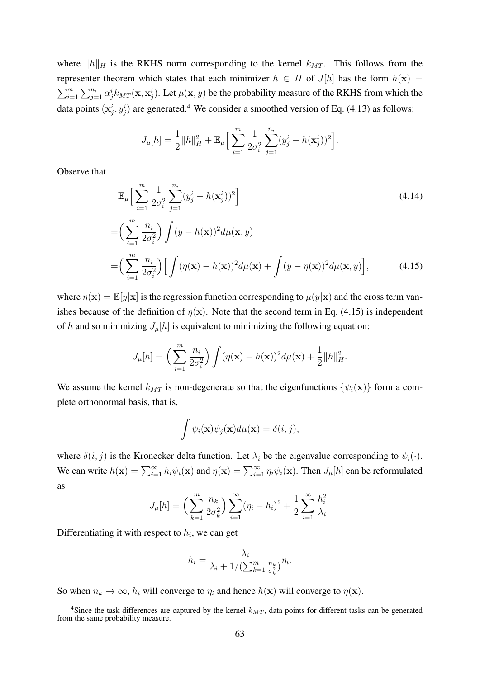where  $||h||_H$  is the RKHS norm corresponding to the kernel  $k_{MT}$ . This follows from the representer theorem which states that each minimizer  $h \in H$  of  $J[h]$  has the form  $h(\mathbf{x}) =$  $\sum_{i=1}^m \sum_{j=1}^{n_i} \alpha_j^i k_{MT}(\mathbf{x}, \mathbf{x}_j^i)$ . Let  $\mu(\mathbf{x}, y)$  be the probability measure of the RKHS from which the data points  $(x_j^i, y_j^i)$  are generated.<sup>4</sup> We consider a smoothed version of Eq. (4.13) as follows:

$$
J_{\mu}[h] = \frac{1}{2} ||h||_H^2 + \mathbb{E}_{\mu} \Big[ \sum_{i=1}^m \frac{1}{2\sigma_i^2} \sum_{j=1}^{n_i} (y_j^i - h(\mathbf{x}_j^i))^2 \Big].
$$

Observe that

$$
\mathbb{E}_{\mu}\Big[\sum_{i=1}^{m}\frac{1}{2\sigma_{i}^{2}}\sum_{j=1}^{n_{i}}(y_{j}^{i}-h(\mathbf{x}_{j}^{i}))^{2}\Big]
$$
\n
$$
=\Big(\sum_{i=1}^{m}\frac{n_{i}}{2\sigma_{i}^{2}}\Big)\int(y-h(\mathbf{x}))^{2}d\mu(\mathbf{x},y)
$$
\n
$$
=\Big(\sum_{i=1}^{m}\frac{n_{i}}{2\sigma_{i}^{2}}\Big)\Big[\int(\eta(\mathbf{x})-h(\mathbf{x}))^{2}d\mu(\mathbf{x})+\int(y-\eta(\mathbf{x}))^{2}d\mu(\mathbf{x},y)\Big],\tag{4.15}
$$

where  $\eta(\mathbf{x}) = \mathbb{E}[y|\mathbf{x}]$  is the regression function corresponding to  $\mu(y|\mathbf{x})$  and the cross term vanishes because of the definition of  $\eta(x)$ . Note that the second term in Eq. (4.15) is independent of h and so minimizing  $J_{\mu}[h]$  is equivalent to minimizing the following equation:

$$
J_{\mu}[h] = \left(\sum_{i=1}^{m} \frac{n_i}{2\sigma_i^2}\right) \int (\eta(\mathbf{x}) - h(\mathbf{x}))^2 d\mu(\mathbf{x}) + \frac{1}{2} ||h||_H^2.
$$

We assume the kernel  $k_{MT}$  is non-degenerate so that the eigenfunctions  $\{\psi_i(\mathbf{x})\}$  form a complete orthonormal basis, that is,

$$
\int \psi_i(\mathbf{x}) \psi_j(\mathbf{x}) d\mu(\mathbf{x}) = \delta(i, j),
$$

where  $\delta(i, j)$  is the Kronecker delta function. Let  $\lambda_i$  be the eigenvalue corresponding to  $\psi_i(\cdot)$ . We can write  $h(\mathbf{x}) = \sum_{i=1}^{\infty} h_i \psi_i(\mathbf{x})$  and  $\eta(\mathbf{x}) = \sum_{i=1}^{\infty} \eta_i \psi_i(\mathbf{x})$ . Then  $J_\mu[h]$  can be reformulated as

$$
J_{\mu}[h] = \left(\sum_{k=1}^{m} \frac{n_k}{2\sigma_k^2}\right) \sum_{i=1}^{\infty} (\eta_i - h_i)^2 + \frac{1}{2} \sum_{i=1}^{\infty} \frac{h_i^2}{\lambda_i}.
$$

Differentiating it with respect to  $h_i$ , we can get

$$
h_i = \frac{\lambda_i}{\lambda_i + 1/(\sum_{k=1}^m \frac{n_k}{\sigma_k^2})} \eta_i.
$$

So when  $n_k \to \infty$ ,  $h_i$  will converge to  $\eta_i$  and hence  $h(\mathbf{x})$  will converge to  $\eta(\mathbf{x})$ .

<sup>&</sup>lt;sup>4</sup>Since the task differences are captured by the kernel  $k_{MT}$ , data points for different tasks can be generated from the same probability measure.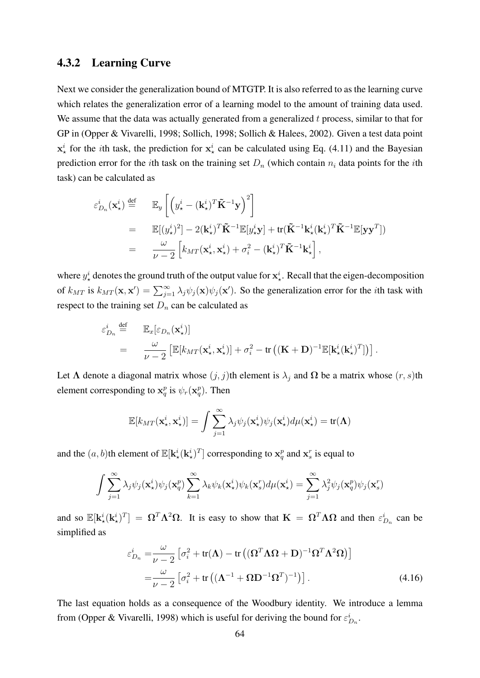### 4.3.2 Learning Curve

Next we consider the generalization bound of MTGTP. It is also referred to as the learning curve which relates the generalization error of a learning model to the amount of training data used. We assume that the data was actually generated from a generalized  $t$  process, similar to that for GP in (Opper & Vivarelli, 1998; Sollich, 1998; Sollich & Halees, 2002). Given a test data point  $x^i_{\star}$  for the *i*th task, the prediction for  $x^i_{\star}$  can be calculated using Eq. (4.11) and the Bayesian prediction error for the *i*th task on the training set  $D_n$  (which contain  $n_i$  data points for the *i*th task) can be calculated as

$$
\varepsilon_{D_n}^i(\mathbf{x}_{\star}^i) \stackrel{\text{def}}{=} \mathbb{E}_y \left[ \left( y_{\star}^i - (\mathbf{k}_{\star}^i)^T \tilde{\mathbf{K}}^{-1} \mathbf{y} \right)^2 \right]
$$
\n
$$
= \mathbb{E}[(y_{\star}^i)^2] - 2(\mathbf{k}_{\star}^i)^T \tilde{\mathbf{K}}^{-1} \mathbb{E}[y_{\star}^i \mathbf{y}] + \text{tr}(\tilde{\mathbf{K}}^{-1} \mathbf{k}_{\star}^i (\mathbf{k}_{\star}^i)^T \tilde{\mathbf{K}}^{-1} \mathbb{E}[\mathbf{y} \mathbf{y}^T])
$$
\n
$$
= \frac{\omega}{\nu - 2} \left[ k_{MT}(\mathbf{x}_{\star}^i, \mathbf{x}_{\star}^i) + \sigma_i^2 - (\mathbf{k}_{\star}^i)^T \tilde{\mathbf{K}}^{-1} \mathbf{k}_{\star}^i \right],
$$

where  $y^i_{\star}$  denotes the ground truth of the output value for  $x^i_{\star}$ . Recall that the eigen-decomposition of  $k_{MT}$  is  $k_{MT}(\mathbf{x}, \mathbf{x}') = \sum_{j=1}^{\infty} \lambda_j \psi_j(\mathbf{x}) \psi_j(\mathbf{x}')$ . So the generalization error for the *i*th task with respect to the training set  $D_n$  can be calculated as

$$
\varepsilon_{D_n}^i \stackrel{\text{def}}{=} \mathbb{E}_x[\varepsilon_{D_n}(\mathbf{x}_{\star}^i)]
$$
\n
$$
= \frac{\omega}{\nu - 2} \left[ \mathbb{E}[k_{MT}(\mathbf{x}_{\star}^i, \mathbf{x}_{\star}^i)] + \sigma_i^2 - \text{tr} \left( (\mathbf{K} + \mathbf{D})^{-1} \mathbb{E}[\mathbf{k}_{\star}^i(\mathbf{k}_{\star}^i)^T] \right) \right].
$$

Let  $\Lambda$  denote a diagonal matrix whose  $(j, j)$ th element is  $\lambda_j$  and  $\Omega$  be a matrix whose  $(r, s)$ th element corresponding to  $x_q^p$  is  $\psi_r(x_q^p)$ . Then

$$
\mathbb{E}[k_{MT}(\mathbf{x}_{\star}^{i}, \mathbf{x}_{\star}^{i})] = \int \sum_{j=1}^{\infty} \lambda_{j} \psi_{j}(\mathbf{x}_{\star}^{i}) \psi_{j}(\mathbf{x}_{\star}^{i}) d\mu(\mathbf{x}_{\star}^{i}) = \text{tr}(\mathbf{\Lambda})
$$

and the  $(a, b)$ th element of  $\mathbb{E}[\mathbf{k}_\star^i(\mathbf{k}_\star^i)^T]$  corresponding to  $\mathbf{x}_q^p$  and  $\mathbf{x}_s^r$  is equal to

$$
\int \sum_{j=1}^{\infty} \lambda_j \psi_j(\mathbf{x}_\star^i) \psi_j(\mathbf{x}_q^p) \sum_{k=1}^{\infty} \lambda_k \psi_k(\mathbf{x}_\star^i) \psi_k(\mathbf{x}_s^r) d\mu(\mathbf{x}_\star^i) = \sum_{j=1}^{\infty} \lambda_j^2 \psi_j(\mathbf{x}_q^p) \psi_j(\mathbf{x}_s^r)
$$

and so  $\mathbb{E}[\mathbf{k}_\star^i(\mathbf{k}_\star^i)^T] = \mathbf{\Omega}^T \mathbf{\Lambda}^2 \mathbf{\Omega}$ . It is easy to show that  $\mathbf{K} = \mathbf{\Omega}^T \mathbf{\Lambda} \mathbf{\Omega}$  and then  $\varepsilon_{D_n}^i$  can be simplified as

$$
\varepsilon_{D_n}^i = \frac{\omega}{\nu - 2} \left[ \sigma_i^2 + \text{tr}(\Lambda) - \text{tr}\left( (\Omega^T \Lambda \Omega + \mathbf{D})^{-1} \Omega^T \Lambda^2 \Omega \right) \right]
$$
  
= 
$$
\frac{\omega}{\nu - 2} \left[ \sigma_i^2 + \text{tr}\left( (\Lambda^{-1} + \Omega \mathbf{D}^{-1} \Omega^T)^{-1} \right) \right].
$$
 (4.16)

The last equation holds as a consequence of the Woodbury identity. We introduce a lemma from (Opper & Vivarelli, 1998) which is useful for deriving the bound for  $\varepsilon_{D_n}^i$ .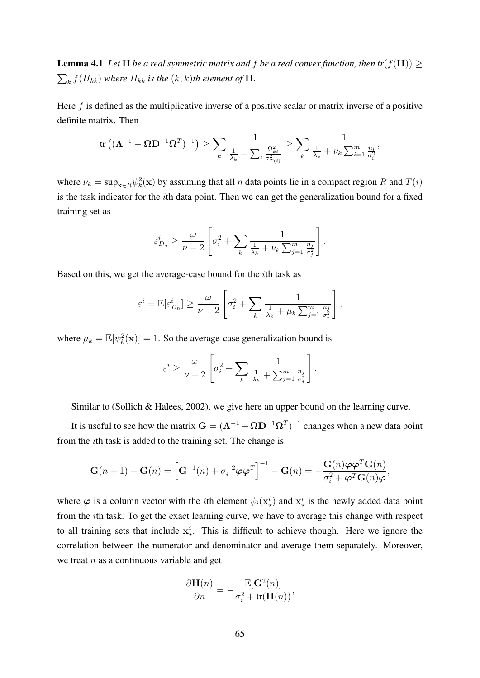**Lemma 4.1** Let **H** be a real symmetric matrix and f be a real convex function, then tr( $f(H)$ )  $\ge$  $\sum_{k} f(H_{kk})$  where  $H_{kk}$  is the  $(k, k)$ th element of **H**.

Here  $f$  is defined as the multiplicative inverse of a positive scalar or matrix inverse of a positive definite matrix. Then

$$
\text{tr}\left((\boldsymbol{\Lambda}^{-1} + \boldsymbol{\Omega}\mathbf{D}^{-1}\boldsymbol{\Omega}^T)^{-1}\right) \geq \sum_k \frac{1}{\frac{1}{\lambda_k} + \sum_i \frac{\Omega_{ki}^2}{\sigma_{T(i)}^2}} \geq \sum_k \frac{1}{\frac{1}{\lambda_k} + \nu_k \sum_{i=1}^m \frac{n_i}{\sigma_i^2}},
$$

where  $\nu_k = \sup_{\mathbf{x} \in R} \psi_k^2(\mathbf{x})$  by assuming that all n data points lie in a compact region R and  $T(i)$ is the task indicator for the ith data point. Then we can get the generalization bound for a fixed training set as

$$
\varepsilon_{D_n}^i \ge \frac{\omega}{\nu - 2} \left[ \sigma_i^2 + \sum_k \frac{1}{\frac{1}{\lambda_k} + \nu_k \sum_{j=1}^m \frac{n_j}{\sigma_j^2}} \right].
$$

Based on this, we get the average-case bound for the ith task as

$$
\varepsilon^i = \mathbb{E}[\varepsilon_{D_n}^i] \ge \frac{\omega}{\nu - 2} \left[ \sigma_i^2 + \sum_k \frac{1}{\frac{1}{\lambda_k} + \mu_k \sum_{j=1}^m \frac{n_j}{\sigma_j^2}} \right],
$$

where  $\mu_k = \mathbb{E}[\psi_k^2(\mathbf{x})] = 1$ . So the average-case generalization bound is

$$
\varepsilon^{i} \geq \frac{\omega}{\nu - 2} \left[ \sigma_i^2 + \sum_k \frac{1}{\frac{1}{\lambda_k} + \sum_{j=1}^m \frac{n_j}{\sigma_j^2}} \right].
$$

Similar to (Sollich & Halees, 2002), we give here an upper bound on the learning curve.

It is useful to see how the matrix  $G = (\Lambda^{-1} + \Omega D^{-1} \Omega^{T})^{-1}$  changes when a new data point from the ith task is added to the training set. The change is

$$
\mathbf{G}(n+1) - \mathbf{G}(n) = \left[\mathbf{G}^{-1}(n) + \sigma_i^{-2} \boldsymbol{\varphi} \boldsymbol{\varphi}^T\right]^{-1} - \mathbf{G}(n) = -\frac{\mathbf{G}(n) \boldsymbol{\varphi} \boldsymbol{\varphi}^T \mathbf{G}(n)}{\sigma_i^2 + \boldsymbol{\varphi}^T \mathbf{G}(n) \boldsymbol{\varphi}},
$$

where  $\varphi$  is a column vector with the *i*th element  $\psi_i(\mathbf{x}_\star^i)$  and  $\mathbf{x}_\star^i$  is the newly added data point from the ith task. To get the exact learning curve, we have to average this change with respect to all training sets that include  $x^i_k$ . This is difficult to achieve though. Here we ignore the correlation between the numerator and denominator and average them separately. Moreover, we treat  $n$  as a continuous variable and get

$$
\frac{\partial \mathbf{H}(n)}{\partial n} = -\frac{\mathbb{E}[\mathbf{G}^2(n)]}{\sigma_i^2 + \text{tr}(\mathbf{H}(n))},
$$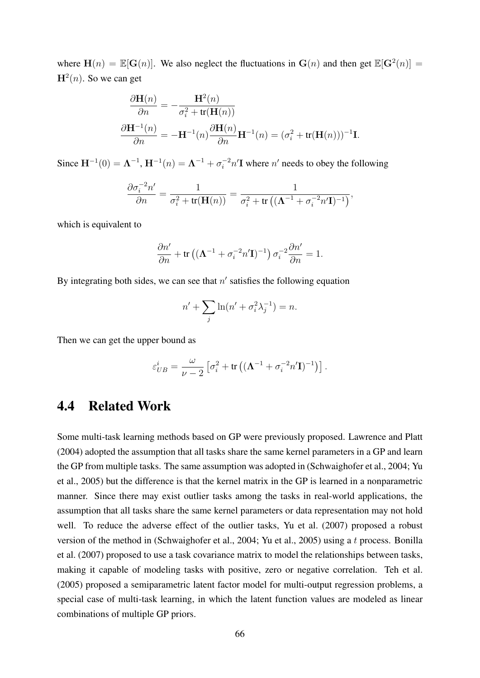where  $H(n) = \mathbb{E}[G(n)]$ . We also neglect the fluctuations in  $G(n)$  and then get  $\mathbb{E}[G^2(n)] =$  $H^2(n)$ . So we can get

$$
\frac{\partial \mathbf{H}(n)}{\partial n} = -\frac{\mathbf{H}^2(n)}{\sigma_i^2 + \text{tr}(\mathbf{H}(n))}
$$

$$
\frac{\partial \mathbf{H}^{-1}(n)}{\partial n} = -\mathbf{H}^{-1}(n)\frac{\partial \mathbf{H}(n)}{\partial n}\mathbf{H}^{-1}(n) = (\sigma_i^2 + \text{tr}(\mathbf{H}(n)))^{-1}\mathbf{I}.
$$

Since  $H^{-1}(0) = \Lambda^{-1}$ ,  $H^{-1}(n) = \Lambda^{-1} + \sigma_i^{-2} n' I$  where  $n'$  needs to obey the following

$$
\frac{\partial \sigma_i^{-2} n'}{\partial n} = \frac{1}{\sigma_i^2 + \text{tr}(\mathbf{H}(n))} = \frac{1}{\sigma_i^2 + \text{tr}\left((\mathbf{\Lambda}^{-1} + \sigma_i^{-2} n' \mathbf{I})^{-1}\right)},
$$

which is equivalent to

$$
\frac{\partial n'}{\partial n} + \text{tr}\left( (\boldsymbol{\Lambda}^{-1} + \sigma_i^{-2} n' \mathbf{I})^{-1} \right) \sigma_i^{-2} \frac{\partial n'}{\partial n} = 1.
$$

By integrating both sides, we can see that  $n'$  satisfies the following equation

$$
n' + \sum_{j} \ln(n' + \sigma_i^2 \lambda_j^{-1}) = n.
$$

Then we can get the upper bound as

$$
\varepsilon_{UB}^i = \frac{\omega}{\nu - 2} \left[ \sigma_i^2 + \text{tr} \left( (\mathbf{\Lambda}^{-1} + \sigma_i^{-2} n' \mathbf{I})^{-1} \right) \right].
$$

### 4.4 Related Work

Some multi-task learning methods based on GP were previously proposed. Lawrence and Platt (2004) adopted the assumption that all tasks share the same kernel parameters in a GP and learn the GP from multiple tasks. The same assumption was adopted in (Schwaighofer et al., 2004; Yu et al., 2005) but the difference is that the kernel matrix in the GP is learned in a nonparametric manner. Since there may exist outlier tasks among the tasks in real-world applications, the assumption that all tasks share the same kernel parameters or data representation may not hold well. To reduce the adverse effect of the outlier tasks, Yu et al. (2007) proposed a robust version of the method in (Schwaighofer et al., 2004; Yu et al., 2005) using a t process. Bonilla et al. (2007) proposed to use a task covariance matrix to model the relationships between tasks, making it capable of modeling tasks with positive, zero or negative correlation. Teh et al. (2005) proposed a semiparametric latent factor model for multi-output regression problems, a special case of multi-task learning, in which the latent function values are modeled as linear combinations of multiple GP priors.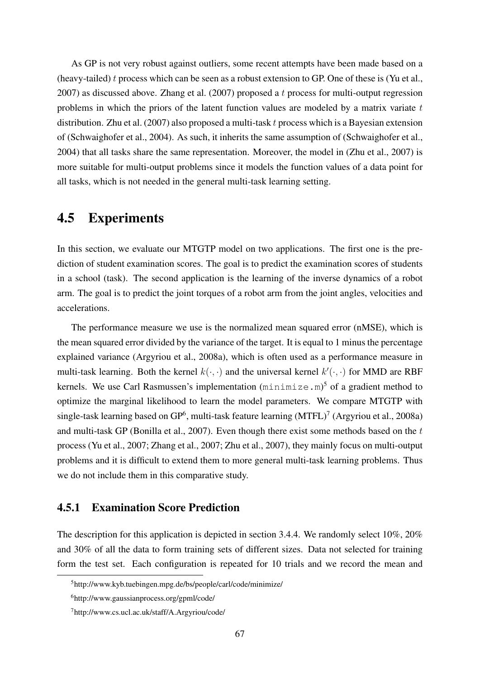As GP is not very robust against outliers, some recent attempts have been made based on a (heavy-tailed) t process which can be seen as a robust extension to GP. One of these is (Yu et al., 2007) as discussed above. Zhang et al.  $(2007)$  proposed a t process for multi-output regression problems in which the priors of the latent function values are modeled by a matrix variate  $t$ distribution. Zhu et al. (2007) also proposed a multi-task t process which is a Bayesian extension of (Schwaighofer et al., 2004). As such, it inherits the same assumption of (Schwaighofer et al., 2004) that all tasks share the same representation. Moreover, the model in (Zhu et al., 2007) is more suitable for multi-output problems since it models the function values of a data point for all tasks, which is not needed in the general multi-task learning setting.

# 4.5 Experiments

In this section, we evaluate our MTGTP model on two applications. The first one is the prediction of student examination scores. The goal is to predict the examination scores of students in a school (task). The second application is the learning of the inverse dynamics of a robot arm. The goal is to predict the joint torques of a robot arm from the joint angles, velocities and accelerations.

The performance measure we use is the normalized mean squared error (nMSE), which is the mean squared error divided by the variance of the target. It is equal to 1 minus the percentage explained variance (Argyriou et al., 2008a), which is often used as a performance measure in multi-task learning. Both the kernel  $k(\cdot, \cdot)$  and the universal kernel  $k'(\cdot, \cdot)$  for MMD are RBF kernels. We use Carl Rasmussen's implementation (minimize.m)<sup>5</sup> of a gradient method to optimize the marginal likelihood to learn the model parameters. We compare MTGTP with single-task learning based on  $GP^6$ , multi-task feature learning  $(MTFL)^7$  (Argyriou et al., 2008a) and multi-task GP (Bonilla et al., 2007). Even though there exist some methods based on the  $t$ process (Yu et al., 2007; Zhang et al., 2007; Zhu et al., 2007), they mainly focus on multi-output problems and it is difficult to extend them to more general multi-task learning problems. Thus we do not include them in this comparative study.

### 4.5.1 Examination Score Prediction

The description for this application is depicted in section 3.4.4. We randomly select 10%, 20% and 30% of all the data to form training sets of different sizes. Data not selected for training form the test set. Each configuration is repeated for 10 trials and we record the mean and

<sup>5</sup>http://www.kyb.tuebingen.mpg.de/bs/people/carl/code/minimize/

<sup>6</sup>http://www.gaussianprocess.org/gpml/code/

<sup>7</sup>http://www.cs.ucl.ac.uk/staff/A.Argyriou/code/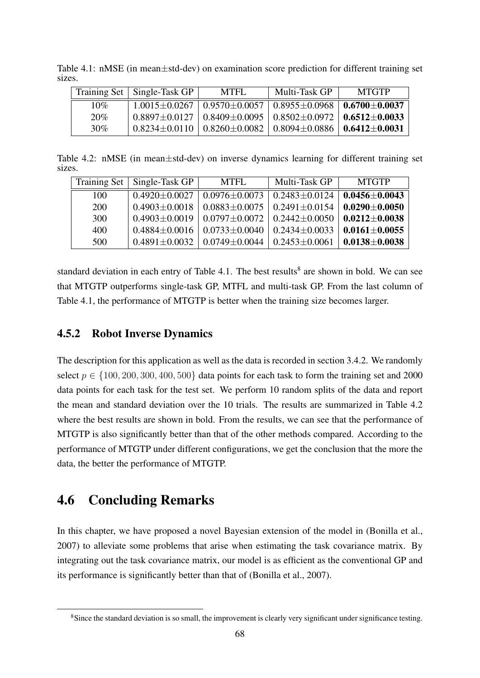|        | Training Set   Single-Task GP | MTFL.                                                                                 | Multi-Task GP | <b>MTGTP</b> |
|--------|-------------------------------|---------------------------------------------------------------------------------------|---------------|--------------|
| $10\%$ |                               | $1.0015 \pm 0.0267$   $0.9570 \pm 0.0057$   $0.8955 \pm 0.0968$   $0.6700 \pm 0.0037$ |               |              |
| 20%    |                               | $0.8897 \pm 0.0127$   $0.8409 \pm 0.0095$   $0.8502 \pm 0.0972$   $0.6512 \pm 0.0033$ |               |              |
| 30%    |                               | $0.8234 \pm 0.0110$   $0.8260 \pm 0.0082$   $0.8094 \pm 0.0886$   $0.6412 \pm 0.0031$ |               |              |

Table 4.1: nMSE (in mean±std-dev) on examination score prediction for different training set sizes.

Table 4.2: nMSE (in mean±std-dev) on inverse dynamics learning for different training set sizes.

| <b>Training Set</b> | Single-Task GP      | MTFL.               | Multi-Task GP       | <b>MTGTP</b>        |
|---------------------|---------------------|---------------------|---------------------|---------------------|
| 100                 | $0.4920 \pm 0.0027$ | $0.0976 \pm 0.0073$ | $0.2483 \pm 0.0124$ | $0.0456 \pm 0.0043$ |
| <b>200</b>          | $0.4903 \pm 0.0018$ | $0.0883 \pm 0.0075$ | $0.2491 \pm 0.0154$ | $0.0290\pm0.0050$   |
| 300                 | $0.4903 \pm 0.0019$ | $0.0797 \pm 0.0072$ | $0.2442 \pm 0.0050$ | $0.0212 \pm 0.0038$ |
| 400                 | $0.4884 \pm 0.0016$ | $0.0733 \pm 0.0040$ | $0.2434 \pm 0.0033$ | $0.0161 \pm 0.0055$ |
| 500                 | $0.4891 \pm 0.0032$ | $0.0749 \pm 0.0044$ | $0.2453 \pm 0.0061$ | $0.0138 \pm 0.0038$ |

standard deviation in each entry of Table 4.1. The best results<sup>8</sup> are shown in bold. We can see that MTGTP outperforms single-task GP, MTFL and multi-task GP. From the last column of Table 4.1, the performance of MTGTP is better when the training size becomes larger.

### 4.5.2 Robot Inverse Dynamics

The description for this application as well as the data is recorded in section 3.4.2. We randomly select  $p \in \{100, 200, 300, 400, 500\}$  data points for each task to form the training set and 2000 data points for each task for the test set. We perform 10 random splits of the data and report the mean and standard deviation over the 10 trials. The results are summarized in Table 4.2 where the best results are shown in bold. From the results, we can see that the performance of MTGTP is also significantly better than that of the other methods compared. According to the performance of MTGTP under different configurations, we get the conclusion that the more the data, the better the performance of MTGTP.

# 4.6 Concluding Remarks

In this chapter, we have proposed a novel Bayesian extension of the model in (Bonilla et al., 2007) to alleviate some problems that arise when estimating the task covariance matrix. By integrating out the task covariance matrix, our model is as efficient as the conventional GP and its performance is significantly better than that of (Bonilla et al., 2007).

<sup>&</sup>lt;sup>8</sup>Since the standard deviation is so small, the improvement is clearly very significant under significance testing.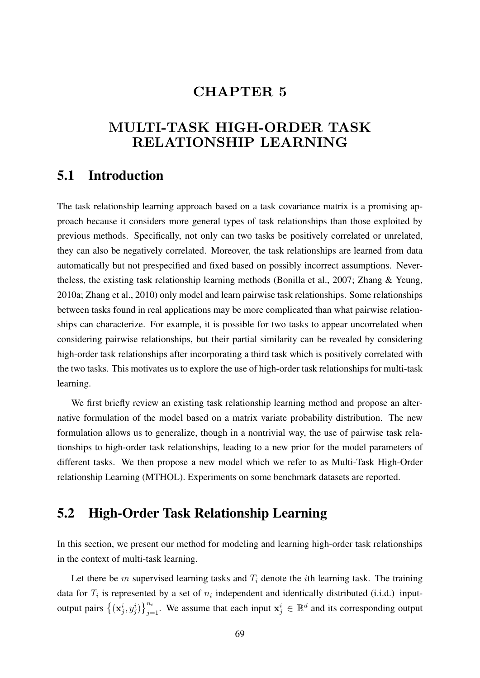## CHAPTER 5

# MULTI-TASK HIGH-ORDER TASK RELATIONSHIP LEARNING

## 5.1 Introduction

The task relationship learning approach based on a task covariance matrix is a promising approach because it considers more general types of task relationships than those exploited by previous methods. Specifically, not only can two tasks be positively correlated or unrelated, they can also be negatively correlated. Moreover, the task relationships are learned from data automatically but not prespecified and fixed based on possibly incorrect assumptions. Nevertheless, the existing task relationship learning methods (Bonilla et al., 2007; Zhang & Yeung, 2010a; Zhang et al., 2010) only model and learn pairwise task relationships. Some relationships between tasks found in real applications may be more complicated than what pairwise relationships can characterize. For example, it is possible for two tasks to appear uncorrelated when considering pairwise relationships, but their partial similarity can be revealed by considering high-order task relationships after incorporating a third task which is positively correlated with the two tasks. This motivates us to explore the use of high-order task relationships for multi-task learning.

We first briefly review an existing task relationship learning method and propose an alternative formulation of the model based on a matrix variate probability distribution. The new formulation allows us to generalize, though in a nontrivial way, the use of pairwise task relationships to high-order task relationships, leading to a new prior for the model parameters of different tasks. We then propose a new model which we refer to as Multi-Task High-Order relationship Learning (MTHOL). Experiments on some benchmark datasets are reported.

# 5.2 High-Order Task Relationship Learning

In this section, we present our method for modeling and learning high-order task relationships in the context of multi-task learning.

Let there be m supervised learning tasks and  $T_i$  denote the *i*th learning task. The training data for  $T_i$  is represented by a set of  $n_i$  independent and identically distributed (i.i.d.) inputoutput pairs  $\{(\mathbf{x}_j^i, y_j^i)\}_{j=1}^{n_i}$ . We assume that each input  $\mathbf{x}_j^i \in \mathbb{R}^d$  and its corresponding output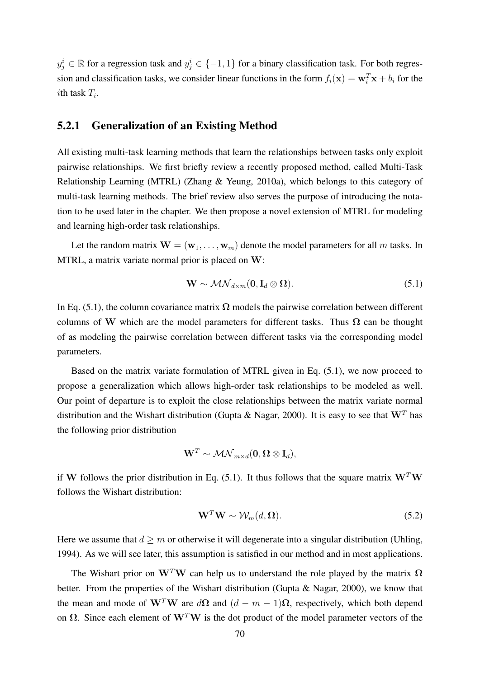$y_j^i \in \mathbb{R}$  for a regression task and  $y_j^i \in \{-1, 1\}$  for a binary classification task. For both regression and classification tasks, we consider linear functions in the form  $f_i(\mathbf{x}) = \mathbf{w}_i^T \mathbf{x} + b_i$  for the *i*th task  $T_i$ .

### 5.2.1 Generalization of an Existing Method

All existing multi-task learning methods that learn the relationships between tasks only exploit pairwise relationships. We first briefly review a recently proposed method, called Multi-Task Relationship Learning (MTRL) (Zhang & Yeung, 2010a), which belongs to this category of multi-task learning methods. The brief review also serves the purpose of introducing the notation to be used later in the chapter. We then propose a novel extension of MTRL for modeling and learning high-order task relationships.

Let the random matrix  $\mathbf{W} = (\mathbf{w}_1, \dots, \mathbf{w}_m)$  denote the model parameters for all m tasks. In MTRL, a matrix variate normal prior is placed on W:

$$
\mathbf{W} \sim \mathcal{MN}_{d \times m}(\mathbf{0}, \mathbf{I}_d \otimes \mathbf{\Omega}). \tag{5.1}
$$

In Eq. (5.1), the column covariance matrix  $\Omega$  models the pairwise correlation between different columns of W which are the model parameters for different tasks. Thus  $\Omega$  can be thought of as modeling the pairwise correlation between different tasks via the corresponding model parameters.

Based on the matrix variate formulation of MTRL given in Eq. (5.1), we now proceed to propose a generalization which allows high-order task relationships to be modeled as well. Our point of departure is to exploit the close relationships between the matrix variate normal distribution and the Wishart distribution (Gupta & Nagar, 2000). It is easy to see that  $W<sup>T</sup>$  has the following prior distribution

$$
\textbf{W}^T \sim \mathcal{MN}_{m \times d}(\textbf{0}, \boldsymbol{\Omega} \otimes \textbf{I}_d),
$$

if W follows the prior distribution in Eq. (5.1). It thus follows that the square matrix  $W<sup>T</sup>W$ follows the Wishart distribution:

$$
\mathbf{W}^T \mathbf{W} \sim \mathcal{W}_m(d, \Omega). \tag{5.2}
$$

Here we assume that  $d \geq m$  or otherwise it will degenerate into a singular distribution (Uhling, 1994). As we will see later, this assumption is satisfied in our method and in most applications.

The Wishart prior on  $W<sup>T</sup>W$  can help us to understand the role played by the matrix  $\Omega$ better. From the properties of the Wishart distribution (Gupta & Nagar, 2000), we know that the mean and mode of  $W^T W$  are  $d\Omega$  and  $(d - m - 1)\Omega$ , respectively, which both depend on  $\Omega$ . Since each element of  $W^T W$  is the dot product of the model parameter vectors of the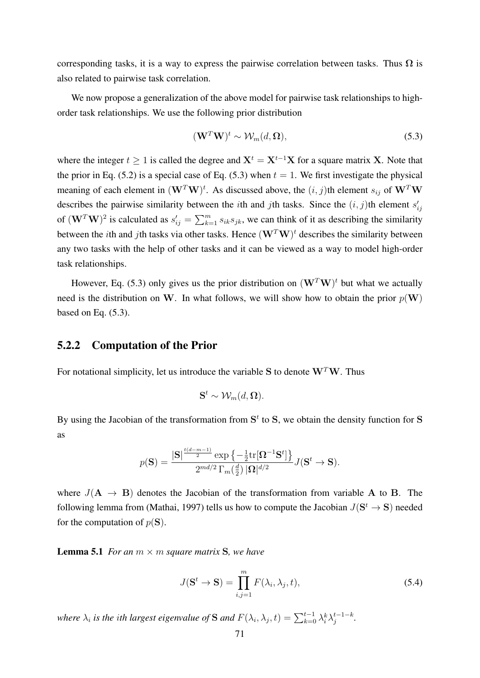corresponding tasks, it is a way to express the pairwise correlation between tasks. Thus  $\Omega$  is also related to pairwise task correlation.

We now propose a generalization of the above model for pairwise task relationships to highorder task relationships. We use the following prior distribution

$$
(\mathbf{W}^T \mathbf{W})^t \sim \mathcal{W}_m(d, \Omega), \tag{5.3}
$$

where the integer  $t > 1$  is called the degree and  $X^t = X^{t-1}X$  for a square matrix X. Note that the prior in Eq. (5.2) is a special case of Eq. (5.3) when  $t = 1$ . We first investigate the physical meaning of each element in  $(W^T W)^t$ . As discussed above, the  $(i, j)$ th element  $s_{ij}$  of  $W^T W$ describes the pairwise similarity between the *i*th and *j*th tasks. Since the  $(i, j)$ th element  $s'_{ij}$ of  $(W^T W)^2$  is calculated as  $s'_{ij} = \sum_{k=1}^m s_{ik} s_{jk}$ , we can think of it as describing the similarity between the *i*th and *j*th tasks via other tasks. Hence  $(\mathbf{W}^T \mathbf{W})^t$  describes the similarity between any two tasks with the help of other tasks and it can be viewed as a way to model high-order task relationships.

However, Eq. (5.3) only gives us the prior distribution on  $(W^T W)^t$  but what we actually need is the distribution on W. In what follows, we will show how to obtain the prior  $p(\mathbf{W})$ based on Eq. (5.3).

#### 5.2.2 Computation of the Prior

For notational simplicity, let us introduce the variable S to denote  $W<sup>T</sup>W$ . Thus

$$
\mathbf{S}^t \sim \mathcal{W}_m(d,\mathbf{\Omega}).
$$

By using the Jacobian of the transformation from  $S<sup>t</sup>$  to S, we obtain the density function for S as

$$
p(\mathbf{S}) = \frac{|\mathbf{S}|^{\frac{t(d-m-1)}{2}}\exp\left\{-\frac{1}{2}\mathrm{tr}[\mathbf{\Omega}^{-1}\mathbf{S}^t]\right\}}{2^{md/2}\Gamma_m(\frac{d}{2})|\mathbf{\Omega}|^{d/2}}J(\mathbf{S}^t\to\mathbf{S}).
$$

where  $J(A \rightarrow B)$  denotes the Jacobian of the transformation from variable A to B. The following lemma from (Mathai, 1997) tells us how to compute the Jacobian  $J(\mathbf{S}^t \to \mathbf{S})$  needed for the computation of  $p(S)$ .

**Lemma 5.1** *For an*  $m \times m$  *square matrix* **S***, we have* 

$$
J(\mathbf{S}^t \to \mathbf{S}) = \prod_{i,j=1}^m F(\lambda_i, \lambda_j, t),
$$
\n(5.4)

where  $\lambda_i$  is the ith largest eigenvalue of **S** and  $F(\lambda_i, \lambda_j, t) = \sum_{k=0}^{t-1} \lambda_i^k \lambda_j^{t-1-k}$ j *.*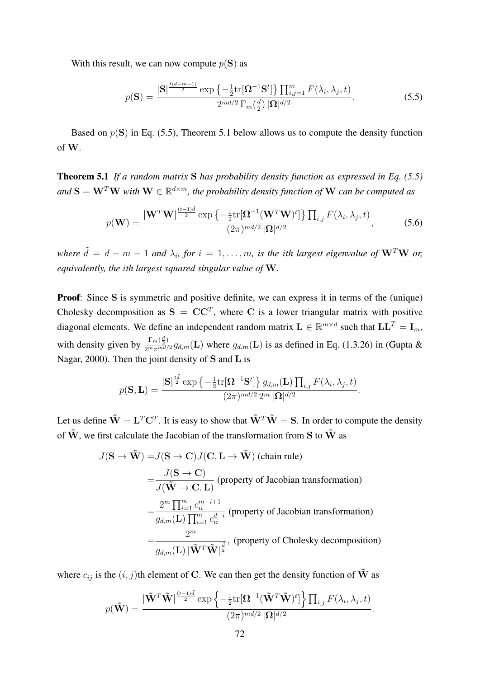With this result, we can now compute  $p(S)$  as

$$
p(\mathbf{S}) = \frac{|\mathbf{S}|^{\frac{t(d-m-1)}{2}} \exp\left\{-\frac{1}{2} \text{tr}[\mathbf{\Omega}^{-1} \mathbf{S}^t] \right\} \prod_{i,j=1}^m F(\lambda_i, \lambda_j, t)}{2^{md/2} \Gamma_m(\frac{d}{2}) |\mathbf{\Omega}|^{d/2}}.
$$
(5.5)

Based on  $p(S)$  in Eq. (5.5), Theorem 5.1 below allows us to compute the density function of W.

Theorem 5.1 *If a random matrix* S *has probability density function as expressed in Eq. (5.5)* and  $S = W^T W$  with  $W \in \mathbb{R}^{d \times m}$ , the probability density function of  $W$  can be computed as

$$
p(\mathbf{W}) = \frac{|\mathbf{W}^T \mathbf{W}|^{\frac{(t-1)\tilde{d}}{2}} \exp\left\{-\frac{1}{2} \text{tr}[\mathbf{\Omega}^{-1} (\mathbf{W}^T \mathbf{W})^t] \right\} \prod_{i,j} F(\lambda_i, \lambda_j, t)}{(2\pi)^{md/2} |\mathbf{\Omega}|^{d/2}},
$$
(5.6)

where  $\tilde{d} = d - m - 1$  and  $\lambda_i$ , for  $i = 1, \ldots, m$ , is the ith largest eigenvalue of  $\mathbf{W}^T \mathbf{W}$  or, *equivalently, the* i*th largest squared singular value of* W*.*

Proof: Since S is symmetric and positive definite, we can express it in terms of the (unique) Cholesky decomposition as  $S = CC^T$ , where C is a lower triangular matrix with positive diagonal elements. We define an independent random matrix  $L \in \mathbb{R}^{m \times d}$  such that  $LL^T = I_m$ , with density given by  $\frac{\Gamma_m(\frac{d}{2})}{2^m \pi^{md/2}} g_{d,m}(\mathbf{L})$  where  $g_{d,m}(\mathbf{L})$  is as defined in Eq. (1.3.26) in (Gupta & Nagar, 2000). Then the joint density of S and L is

$$
p(\mathbf{S}, \mathbf{L}) = \frac{|\mathbf{S}|^{\frac{t\tilde{d}}{2}} \exp \left\{-\frac{1}{2} \text{tr}[\mathbf{\Omega}^{-1} \mathbf{S}^t] \right\} g_{d,m}(\mathbf{L}) \prod_{i,j} F(\lambda_i, \lambda_j, t)}{(2\pi)^{md/2} 2^m |\mathbf{\Omega}|^{d/2}}.
$$

Let us define  $\tilde{\bf W} = {\bf L}^T {\bf C}^T$ . It is easy to show that  $\tilde{\bf W}^T \tilde{\bf W} = {\bf S}$ . In order to compute the density of  $\tilde{W}$ , we first calculate the Jacobian of the transformation from S to  $\tilde{W}$  as

$$
J(\mathbf{S} \to \tilde{\mathbf{W}}) = J(\mathbf{S} \to \mathbf{C})J(\mathbf{C}, \mathbf{L} \to \tilde{\mathbf{W}})
$$
 (chain rule)  
\n
$$
= \frac{J(\mathbf{S} \to \mathbf{C})}{J(\tilde{\mathbf{W}} \to \mathbf{C}, \mathbf{L})}
$$
 (property of Jacobian transformation)  
\n
$$
= \frac{2^m \prod_{i=1}^m c_{ii}^{m-i+1}}{g_{d,m}(\mathbf{L}) \prod_{i=1}^m c_{ii}^{d-i}}
$$
 (property of Jacobian transformation)  
\n
$$
= \frac{2^m}{g_{d,m}(\mathbf{L}) |\tilde{\mathbf{W}}^T \tilde{\mathbf{W}}|^{\frac{d}{2}}},
$$
 (property of Cholesky decomposition)

where  $c_{ij}$  is the  $(i, j)$ th element of C. We can then get the density function of  $\tilde{W}$  as

$$
p(\tilde{\mathbf{W}}) = \frac{|\tilde{\mathbf{W}}^T \tilde{\mathbf{W}}|^{\frac{(t-1)\tilde{d}}{2}} \exp \left\{-\frac{1}{2} \text{tr}[\mathbf{\Omega}^{-1} (\tilde{\mathbf{W}}^T \tilde{\mathbf{W}})^t] \right\} \prod_{i,j} F(\lambda_i, \lambda_j, t)}{(2\pi)^{md/2} |\mathbf{\Omega}|^{d/2}}.
$$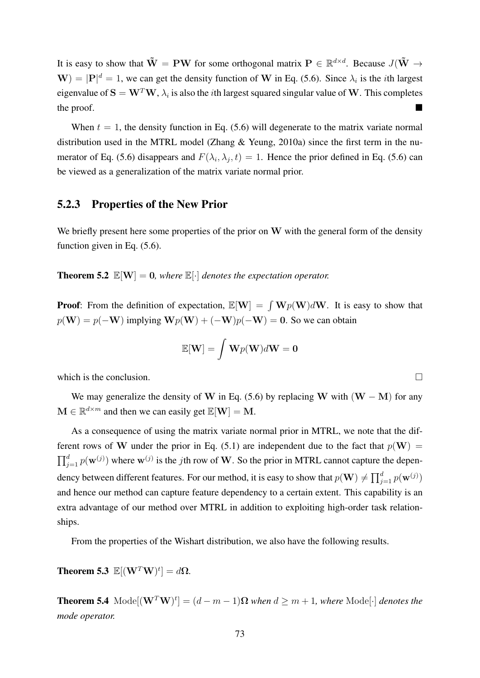It is easy to show that  $\tilde{W} = PW$  for some orthogonal matrix  $P \in \mathbb{R}^{d \times d}$ . Because  $J(\tilde{W} \to$  $W$ ) =  $|P|^d = 1$ , we can get the density function of W in Eq. (5.6). Since  $\lambda_i$  is the *i*th largest eigenvalue of  $S = W^T W$ ,  $\lambda_i$  is also the *i*th largest squared singular value of W. This completes the proof.

When  $t = 1$ , the density function in Eq. (5.6) will degenerate to the matrix variate normal distribution used in the MTRL model (Zhang & Yeung, 2010a) since the first term in the numerator of Eq. (5.6) disappears and  $F(\lambda_i, \lambda_j, t) = 1$ . Hence the prior defined in Eq. (5.6) can be viewed as a generalization of the matrix variate normal prior.

### 5.2.3 Properties of the New Prior

We briefly present here some properties of the prior on  $W$  with the general form of the density function given in Eq. (5.6).

**Theorem 5.2**  $\mathbb{E}[W] = 0$ , where  $\mathbb{E}[\cdot]$  denotes the expectation operator.

**Proof:** From the definition of expectation,  $\mathbb{E}[W] = \int Wp(W) dW$ . It is easy to show that  $p(\mathbf{W}) = p(-\mathbf{W})$  implying  $\mathbf{W}p(\mathbf{W}) + (-\mathbf{W})p(-\mathbf{W}) = 0$ . So we can obtain

$$
\mathbb{E}[\mathbf{W}]=\int \mathbf{W}p(\mathbf{W})d\mathbf{W}=\mathbf{0}
$$

which is the conclusion.  $\Box$ 

We may generalize the density of W in Eq. (5.6) by replacing W with  $(W - M)$  for any  $\mathbf{M} \in \mathbb{R}^{d \times m}$  and then we can easily get  $\mathbb{E}[\mathbf{W}] = \mathbf{M}$ .

As a consequence of using the matrix variate normal prior in MTRL, we note that the different rows of W under the prior in Eq. (5.1) are independent due to the fact that  $p(\mathbf{W}) =$  $\prod_{j=1}^d p(\mathbf{w}^{(j)})$  where  $\mathbf{w}^{(j)}$  is the jth row of W. So the prior in MTRL cannot capture the dependency between different features. For our method, it is easy to show that  $p(\mathbf{W}) \neq \prod_{j=1}^d p(\mathbf{w}^{(j)})$ and hence our method can capture feature dependency to a certain extent. This capability is an extra advantage of our method over MTRL in addition to exploiting high-order task relationships.

From the properties of the Wishart distribution, we also have the following results.

**Theorem 5.3**  $\mathbb{E}[(\mathbf{W}^T \mathbf{W})^t] = d\Omega$ .

**Theorem 5.4**  $\text{Mode}[(\mathbf{W}^T\mathbf{W})^t] = (d - m - 1)\mathbf{\Omega}$  when  $d \geq m + 1$ , where  $\text{Mode}[\cdot]$  denotes the *mode operator.*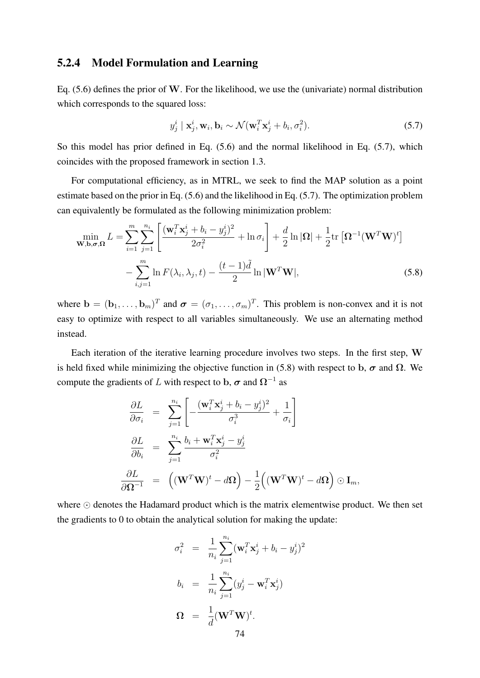### 5.2.4 Model Formulation and Learning

Eq. (5.6) defines the prior of W. For the likelihood, we use the (univariate) normal distribution which corresponds to the squared loss:

$$
y_j^i \mid \mathbf{x}_j^i, \mathbf{w}_i, \mathbf{b}_i \sim \mathcal{N}(\mathbf{w}_i^T \mathbf{x}_j^i + b_i, \sigma_i^2).
$$
 (5.7)

So this model has prior defined in Eq. (5.6) and the normal likelihood in Eq. (5.7), which coincides with the proposed framework in section 1.3.

For computational efficiency, as in MTRL, we seek to find the MAP solution as a point estimate based on the prior in Eq. (5.6) and the likelihood in Eq. (5.7). The optimization problem can equivalently be formulated as the following minimization problem:

$$
\min_{\mathbf{W},\mathbf{b},\boldsymbol{\sigma},\boldsymbol{\Omega}} L = \sum_{i=1}^{m} \sum_{j=1}^{n_i} \left[ \frac{(\mathbf{w}_i^T \mathbf{x}_j^i + b_i - y_j^i)^2}{2\sigma_i^2} + \ln \sigma_i \right] + \frac{d}{2} \ln |\Omega| + \frac{1}{2} \text{tr} \left[ \Omega^{-1} (\mathbf{W}^T \mathbf{W})^t \right] - \sum_{i,j=1}^{m} \ln F(\lambda_i, \lambda_j, t) - \frac{(t-1)\tilde{d}}{2} \ln |\mathbf{W}^T \mathbf{W}|,
$$
\n(5.8)

where  $\mathbf{b} = (\mathbf{b}_1, \dots, \mathbf{b}_m)^T$  and  $\boldsymbol{\sigma} = (\sigma_1, \dots, \sigma_m)^T$ . This problem is non-convex and it is not easy to optimize with respect to all variables simultaneously. We use an alternating method instead.

Each iteration of the iterative learning procedure involves two steps. In the first step, W is held fixed while minimizing the objective function in (5.8) with respect to b,  $\sigma$  and  $\Omega$ . We compute the gradients of L with respect to b,  $\sigma$  and  $\Omega^{-1}$  as

$$
\frac{\partial L}{\partial \sigma_i} = \sum_{j=1}^{n_i} \left[ -\frac{(\mathbf{w}_i^T \mathbf{x}_j^i + b_i - y_j^i)^2}{\sigma_i^3} + \frac{1}{\sigma_i} \right]
$$
\n
$$
\frac{\partial L}{\partial b_i} = \sum_{j=1}^{n_i} \frac{b_i + \mathbf{w}_i^T \mathbf{x}_j^i - y_j^i}{\sigma_i^2}
$$
\n
$$
\frac{\partial L}{\partial \Omega^{-1}} = ((\mathbf{W}^T \mathbf{W})^t - d\Omega) - \frac{1}{2} ((\mathbf{W}^T \mathbf{W})^t - d\Omega) \odot \mathbf{I}_m,
$$

where  $\odot$  denotes the Hadamard product which is the matrix elementwise product. We then set the gradients to 0 to obtain the analytical solution for making the update:

$$
\sigma_i^2 = \frac{1}{n_i} \sum_{j=1}^{n_i} (\mathbf{w}_i^T \mathbf{x}_j^i + b_i - y_j^i)^2
$$
  
\n
$$
b_i = \frac{1}{n_i} \sum_{j=1}^{n_i} (y_j^i - \mathbf{w}_i^T \mathbf{x}_j^i)
$$
  
\n
$$
\Omega = \frac{1}{d} (\mathbf{W}^T \mathbf{W})^t.
$$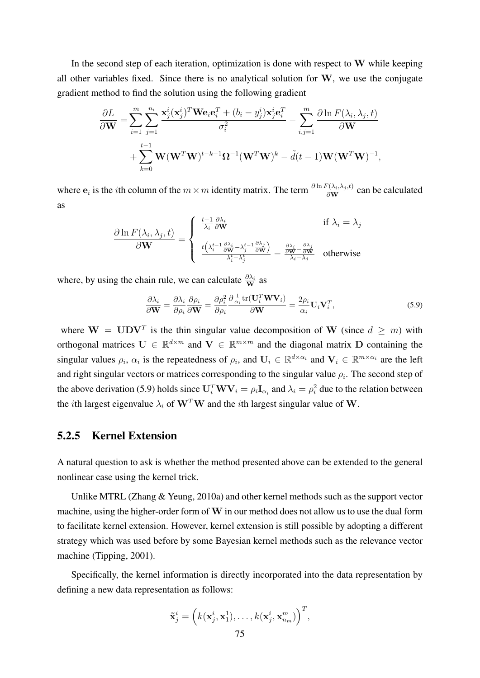In the second step of each iteration, optimization is done with respect to  $W$  while keeping all other variables fixed. Since there is no analytical solution for  $W$ , we use the conjugate gradient method to find the solution using the following gradient

$$
\frac{\partial L}{\partial \mathbf{W}} = \sum_{i=1}^{m} \sum_{j=1}^{n_i} \frac{\mathbf{x}_j^i(\mathbf{x}_j^i)^T \mathbf{W} \mathbf{e}_i \mathbf{e}_i^T + (b_i - y_j^i) \mathbf{x}_j^i \mathbf{e}_i^T}{\sigma_i^2} - \sum_{i,j=1}^{m} \frac{\partial \ln F(\lambda_i, \lambda_j, t)}{\partial \mathbf{W}} + \sum_{k=0}^{t-1} \mathbf{W} (\mathbf{W}^T \mathbf{W})^{t-k-1} \mathbf{\Omega}^{-1} (\mathbf{W}^T \mathbf{W})^k - \tilde{d}(t-1) \mathbf{W} (\mathbf{W}^T \mathbf{W})^{-1},
$$

where  $e_i$  is the *i*th column of the  $m \times m$  identity matrix. The term  $\frac{\partial \ln F(\lambda_i, \lambda_j, t)}{\partial \mathbf{W}}$  can be calculated as

$$
\frac{\partial \ln F(\lambda_i, \lambda_j, t)}{\partial \mathbf{W}} = \begin{cases} \frac{t-1}{\lambda_i} \frac{\partial \lambda_i}{\partial \mathbf{W}} & \text{if } \lambda_i = \lambda_j\\ \frac{t(\lambda_i^{t-1} \frac{\partial \lambda_i}{\partial \mathbf{W}} - \lambda_j^{t-1} \frac{\partial \lambda_j}{\partial \mathbf{W}})}{\lambda_i^t - \lambda_j^t} - \frac{\frac{\partial \lambda_i}{\partial \mathbf{W}} - \frac{\partial \lambda_j}{\partial \mathbf{W}}}{\lambda_i - \lambda_j} & \text{otherwise} \end{cases}
$$

where, by using the chain rule, we can calculate  $\frac{\partial \lambda_i}{W}$  as

$$
\frac{\partial \lambda_i}{\partial \mathbf{W}} = \frac{\partial \lambda_i}{\partial \rho_i} \frac{\partial \rho_i}{\partial \mathbf{W}} = \frac{\partial \rho_i^2}{\partial \rho_i} \frac{\partial \frac{1}{\alpha_i} \text{tr}(\mathbf{U}_i^T \mathbf{W} \mathbf{V}_i)}{\partial \mathbf{W}} = \frac{2\rho_i}{\alpha_i} \mathbf{U}_i \mathbf{V}_i^T,
$$
(5.9)

where  $W = U D V^T$  is the thin singular value decomposition of W (since  $d \geq m$ ) with orthogonal matrices  $U \in \mathbb{R}^{d \times m}$  and  $V \in \mathbb{R}^{m \times m}$  and the diagonal matrix D containing the singular values  $\rho_i$ ,  $\alpha_i$  is the repeatedness of  $\rho_i$ , and  $\mathbf{U}_i \in \mathbb{R}^{d \times \alpha_i}$  and  $\mathbf{V}_i \in \mathbb{R}^{m \times \alpha_i}$  are the left and right singular vectors or matrices corresponding to the singular value  $\rho_i$ . The second step of the above derivation (5.9) holds since  $U_i^T W V_i = \rho_i I_{\alpha_i}$  and  $\lambda_i = \rho_i^2$  due to the relation between the *i*th largest eigenvalue  $\lambda_i$  of  $W^T W$  and the *i*th largest singular value of W.

### 5.2.5 Kernel Extension

A natural question to ask is whether the method presented above can be extended to the general nonlinear case using the kernel trick.

Unlike MTRL (Zhang & Yeung, 2010a) and other kernel methods such as the support vector machine, using the higher-order form of W in our method does not allow us to use the dual form to facilitate kernel extension. However, kernel extension is still possible by adopting a different strategy which was used before by some Bayesian kernel methods such as the relevance vector machine (Tipping, 2001).

Specifically, the kernel information is directly incorporated into the data representation by defining a new data representation as follows:

$$
\tilde{\mathbf{x}}_j^i = \left(k(\mathbf{x}_j^i, \mathbf{x}_1^1), \dots, k(\mathbf{x}_j^i, \mathbf{x}_{n_m}^m)\right)^T,
$$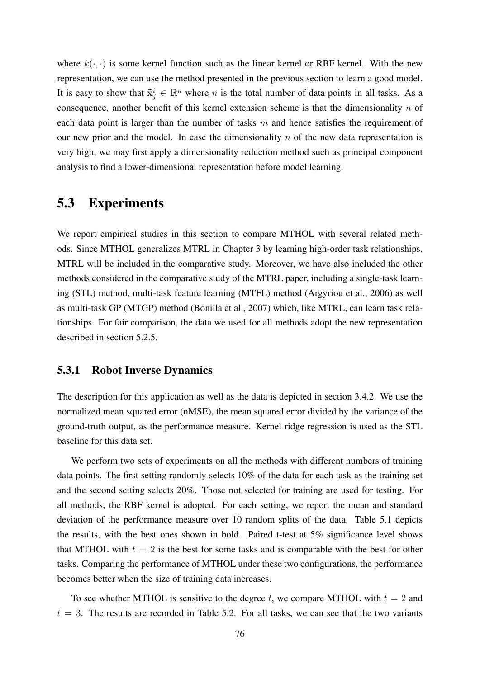where  $k(\cdot, \cdot)$  is some kernel function such as the linear kernel or RBF kernel. With the new representation, we can use the method presented in the previous section to learn a good model. It is easy to show that  $\tilde{\mathbf{x}}_j^i \in \mathbb{R}^n$  where n is the total number of data points in all tasks. As a consequence, another benefit of this kernel extension scheme is that the dimensionality  $n$  of each data point is larger than the number of tasks  $m$  and hence satisfies the requirement of our new prior and the model. In case the dimensionality  $n$  of the new data representation is very high, we may first apply a dimensionality reduction method such as principal component analysis to find a lower-dimensional representation before model learning.

## 5.3 Experiments

We report empirical studies in this section to compare MTHOL with several related methods. Since MTHOL generalizes MTRL in Chapter 3 by learning high-order task relationships, MTRL will be included in the comparative study. Moreover, we have also included the other methods considered in the comparative study of the MTRL paper, including a single-task learning (STL) method, multi-task feature learning (MTFL) method (Argyriou et al., 2006) as well as multi-task GP (MTGP) method (Bonilla et al., 2007) which, like MTRL, can learn task relationships. For fair comparison, the data we used for all methods adopt the new representation described in section 5.2.5.

### 5.3.1 Robot Inverse Dynamics

The description for this application as well as the data is depicted in section 3.4.2. We use the normalized mean squared error (nMSE), the mean squared error divided by the variance of the ground-truth output, as the performance measure. Kernel ridge regression is used as the STL baseline for this data set.

We perform two sets of experiments on all the methods with different numbers of training data points. The first setting randomly selects 10% of the data for each task as the training set and the second setting selects 20%. Those not selected for training are used for testing. For all methods, the RBF kernel is adopted. For each setting, we report the mean and standard deviation of the performance measure over 10 random splits of the data. Table 5.1 depicts the results, with the best ones shown in bold. Paired t-test at 5% significance level shows that MTHOL with  $t = 2$  is the best for some tasks and is comparable with the best for other tasks. Comparing the performance of MTHOL under these two configurations, the performance becomes better when the size of training data increases.

To see whether MTHOL is sensitive to the degree t, we compare MTHOL with  $t = 2$  and  $t = 3$ . The results are recorded in Table 5.2. For all tasks, we can see that the two variants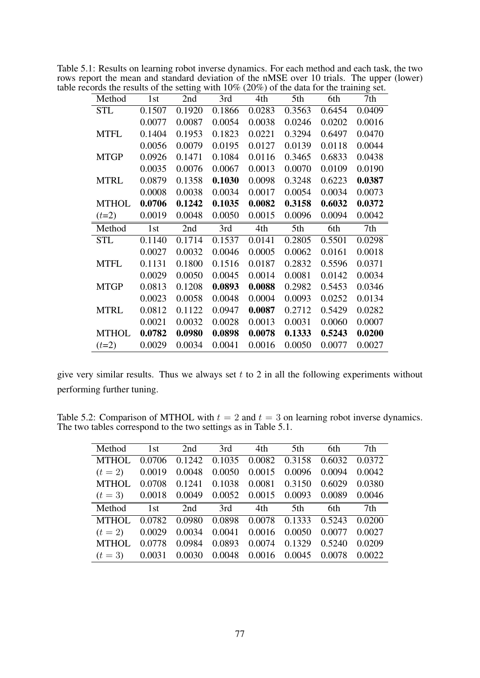| Method       | 1st               | 2nd    | 3rd    | 4th    | 5th    | 6th    | 7th    |
|--------------|-------------------|--------|--------|--------|--------|--------|--------|
| <b>STL</b>   | 0.1507            | 0.1920 | 0.1866 | 0.0283 | 0.3563 | 0.6454 | 0.0409 |
|              | 0.0077            | 0.0087 | 0.0054 | 0.0038 | 0.0246 | 0.0202 | 0.0016 |
| <b>MTFL</b>  | 0.1404            | 0.1953 | 0.1823 | 0.0221 | 0.3294 | 0.6497 | 0.0470 |
|              | 0.0056            | 0.0079 | 0.0195 | 0.0127 | 0.0139 | 0.0118 | 0.0044 |
| <b>MTGP</b>  | 0.0926            | 0.1471 | 0.1084 | 0.0116 | 0.3465 | 0.6833 | 0.0438 |
|              | 0.0035            | 0.0076 | 0.0067 | 0.0013 | 0.0070 | 0.0109 | 0.0190 |
| <b>MTRL</b>  | 0.0879            | 0.1358 | 0.1030 | 0.0098 | 0.3248 | 0.6223 | 0.0387 |
|              | 0.0008            | 0.0038 | 0.0034 | 0.0017 | 0.0054 | 0.0034 | 0.0073 |
| <b>MTHOL</b> | 0.0706            | 0.1242 | 0.1035 | 0.0082 | 0.3158 | 0.6032 | 0.0372 |
| $(t=2)$      | 0.0019            | 0.0048 | 0.0050 | 0.0015 | 0.0096 | 0.0094 | 0.0042 |
| Method       | $\overline{1}$ st | 2nd    | 3rd    | 4th    | 5th    | 6th    | 7th    |
| <b>STL</b>   | 0.1140            | 0.1714 | 0.1537 | 0.0141 | 0.2805 | 0.5501 | 0.0298 |
|              | 0.0027            | 0.0032 | 0.0046 | 0.0005 | 0.0062 | 0.0161 | 0.0018 |
| <b>MTFL</b>  | 0.1131            | 0.1800 | 0.1516 | 0.0187 | 0.2832 | 0.5596 | 0.0371 |
|              | 0.0029            | 0.0050 | 0.0045 | 0.0014 | 0.0081 | 0.0142 | 0.0034 |
| <b>MTGP</b>  | 0.0813            | 0.1208 | 0.0893 | 0.0088 | 0.2982 | 0.5453 | 0.0346 |
|              | 0.0023            | 0.0058 | 0.0048 | 0.0004 | 0.0093 | 0.0252 | 0.0134 |
| <b>MTRL</b>  | 0.0812            | 0.1122 | 0.0947 | 0.0087 | 0.2712 | 0.5429 | 0.0282 |
|              | 0.0021            | 0.0032 | 0.0028 | 0.0013 | 0.0031 | 0.0060 | 0.0007 |
| <b>MTHOL</b> | 0.0782            | 0.0980 | 0.0898 | 0.0078 | 0.1333 | 0.5243 | 0.0200 |
| $(t=2)$      | 0.0029            | 0.0034 | 0.0041 | 0.0016 | 0.0050 | 0.0077 | 0.0027 |

Table 5.1: Results on learning robot inverse dynamics. For each method and each task, the two rows report the mean and standard deviation of the nMSE over 10 trials. The upper (lower) table records the results of the setting with 10% (20%) of the data for the training set.

give very similar results. Thus we always set  $t$  to 2 in all the following experiments without performing further tuning.

Table 5.2: Comparison of MTHOL with  $t = 2$  and  $t = 3$  on learning robot inverse dynamics. The two tables correspond to the two settings as in Table 5.1.

| Method           | 1st    |               | 2nd 3rd       | 4th                 | 5th    | 6th    | 7th    |
|------------------|--------|---------------|---------------|---------------------|--------|--------|--------|
| <b>MTHOL</b>     |        | 0.0706 0.1242 | 0.1035        | 0.0082              | 0.3158 | 0.6032 | 0.0372 |
| $(t = 2)$        | 0.0019 | 0.0048        | 0.0050        | 0.0015              | 0.0096 | 0.0094 | 0.0042 |
| <b>MTHOL</b>     | 0.0708 | 0.1241        | 0.1038        | 0.0081              | 0.3150 | 0.6029 | 0.0380 |
| $(t = 3)$ 0.0018 |        | 0.0049        | 0.0052        | 0.0015              | 0.0093 | 0.0089 | 0.0046 |
| Method           |        |               |               | 1st 2nd 3rd 4th 5th |        | 6th    | 7th    |
| MTHOL            |        | 0.0782 0.0980 | 0.0898 0.0078 |                     | 0.1333 | 0.5243 | 0.0200 |
| $(t = 2)$        | 0.0029 | 0.0034        | 0.0041        | 0.0016              | 0.0050 | 0.0077 | 0.0027 |
| MTHOL            | 0.0778 | 0.0984        | 0.0893        | 0.0074              | 0.1329 | 0.5240 | 0.0209 |
| $(t = 3)$        | 0.0031 | 0.0030        | 0.0048        | 0.0016              | 0.0045 | 0.0078 | 0.0022 |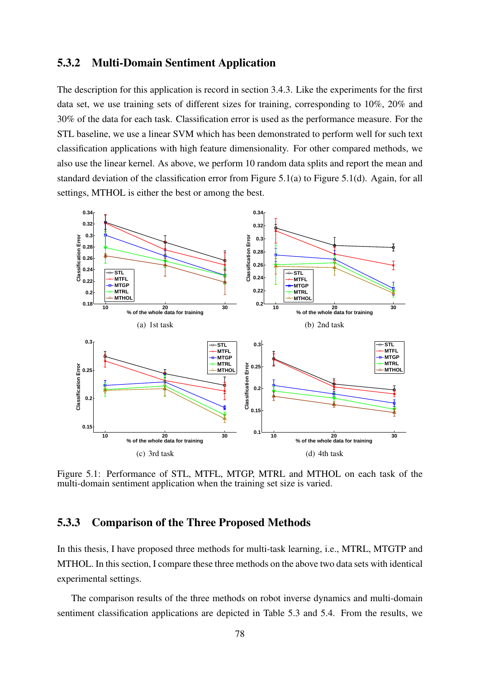### 5.3.2 Multi-Domain Sentiment Application

The description for this application is record in section 3.4.3. Like the experiments for the first data set, we use training sets of different sizes for training, corresponding to 10%, 20% and 30% of the data for each task. Classification error is used as the performance measure. For the STL baseline, we use a linear SVM which has been demonstrated to perform well for such text classification applications with high feature dimensionality. For other compared methods, we also use the linear kernel. As above, we perform 10 random data splits and report the mean and standard deviation of the classification error from Figure 5.1(a) to Figure 5.1(d). Again, for all settings, MTHOL is either the best or among the best.



Figure 5.1: Performance of STL, MTFL, MTGP, MTRL and MTHOL on each task of the multi-domain sentiment application when the training set size is varied.

### 5.3.3 Comparison of the Three Proposed Methods

In this thesis, I have proposed three methods for multi-task learning, i.e., MTRL, MTGTP and MTHOL. In this section, I compare these three methods on the above two data sets with identical experimental settings.

The comparison results of the three methods on robot inverse dynamics and multi-domain sentiment classification applications are depicted in Table 5.3 and 5.4. From the results, we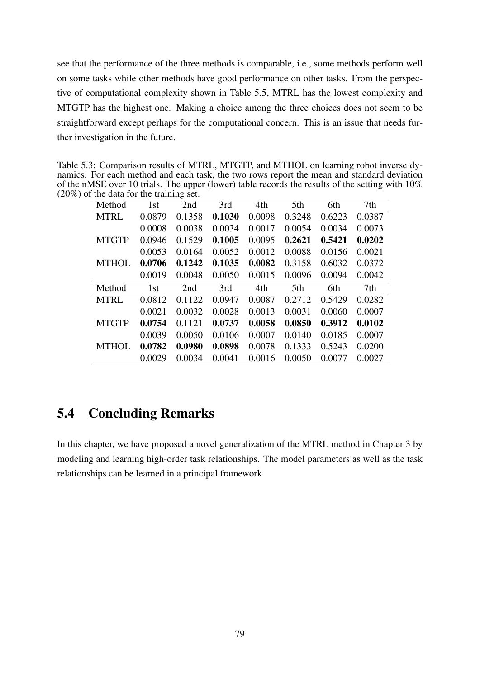see that the performance of the three methods is comparable, i.e., some methods perform well on some tasks while other methods have good performance on other tasks. From the perspective of computational complexity shown in Table 5.5, MTRL has the lowest complexity and MTGTP has the highest one. Making a choice among the three choices does not seem to be straightforward except perhaps for the computational concern. This is an issue that needs further investigation in the future.

Table 5.3: Comparison results of MTRL, MTGTP, and MTHOL on learning robot inverse dynamics. For each method and each task, the two rows report the mean and standard deviation of the nMSE over 10 trials. The upper (lower) table records the results of the setting with 10%  $(20\%)$  of the data for the training set.

| Method       | 1st    | 2nd    | 3rd    | 4th    | 5th    | 6th    | 7th    |
|--------------|--------|--------|--------|--------|--------|--------|--------|
| <b>MTRL</b>  | 0.0879 | 0.1358 | 0.1030 | 0.0098 | 0.3248 | 0.6223 | 0.0387 |
|              | 0.0008 | 0.0038 | 0.0034 | 0.0017 | 0.0054 | 0.0034 | 0.0073 |
| <b>MTGTP</b> | 0.0946 | 0.1529 | 0.1005 | 0.0095 | 0.2621 | 0.5421 | 0.0202 |
|              | 0.0053 | 0.0164 | 0.0052 | 0.0012 | 0.0088 | 0.0156 | 0.0021 |
| <b>MTHOL</b> | 0.0706 | 0.1242 | 0.1035 | 0.0082 | 0.3158 | 0.6032 | 0.0372 |
|              | 0.0019 | 0.0048 | 0.0050 | 0.0015 | 0.0096 | 0.0094 | 0.0042 |
| Method       | 1st    | 2nd    | 3rd    | 4th    | 5th    | 6th    | 7th    |
| <b>MTRL</b>  | 0.0812 | 0.1122 | 0.0947 | 0.0087 | 0.2712 | 0.5429 | 0.0282 |
|              | 0.0021 | 0.0032 | 0.0028 | 0.0013 | 0.0031 | 0.0060 | 0.0007 |
| <b>MTGTP</b> | 0.0754 | 0.1121 | 0.0737 | 0.0058 | 0.0850 | 0.3912 | 0.0102 |
|              | 0.0039 | 0.0050 | 0.0106 | 0.0007 | 0.0140 | 0.0185 | 0.0007 |
| <b>MTHOL</b> | 0.0782 | 0.0980 | 0.0898 | 0.0078 | 0.1333 | 0.5243 | 0.0200 |
|              | 0.0029 | 0.0034 | 0.0041 | 0.0016 | 0.0050 | 0.0077 | 0.0027 |

# 5.4 Concluding Remarks

In this chapter, we have proposed a novel generalization of the MTRL method in Chapter 3 by modeling and learning high-order task relationships. The model parameters as well as the task relationships can be learned in a principal framework.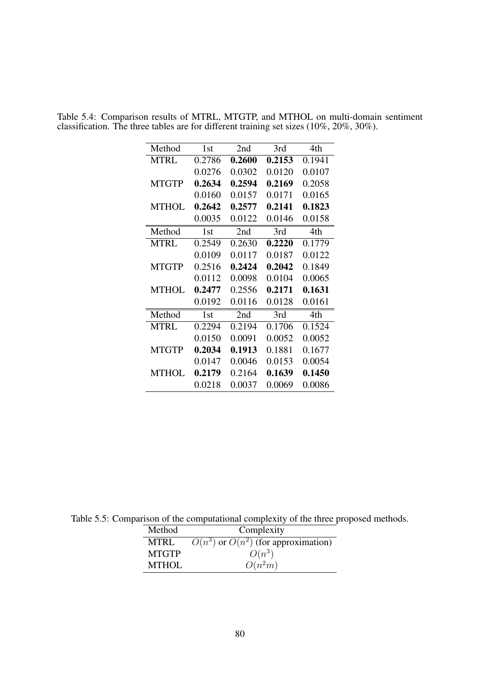| Method       | 1st             | 2nd    | 3rd    | 4th    |
|--------------|-----------------|--------|--------|--------|
| <b>MTRL</b>  | 0.2786          | 0.2600 | 0.2153 | 0.1941 |
|              | 0.0276          | 0.0302 | 0.0120 | 0.0107 |
| <b>MTGTP</b> | 0.2634          | 0.2594 | 0.2169 | 0.2058 |
|              | 0.0160          | 0.0157 | 0.0171 | 0.0165 |
| <b>MTHOL</b> | 0.2642          | 0.2577 | 0.2141 | 0.1823 |
|              | 0.0035          | 0.0122 | 0.0146 | 0.0158 |
| Method       | 1 <sub>st</sub> | 2nd    | 3rd    | 4th    |
| <b>MTRL</b>  | 0.2549          | 0.2630 | 0.2220 | 0.1779 |
|              | 0.0109          | 0.0117 | 0.0187 | 0.0122 |
| <b>MTGTP</b> | 0.2516          | 0.2424 | 0.2042 | 0.1849 |
|              | 0.0112          | 0.0098 | 0.0104 | 0.0065 |
| <b>MTHOL</b> | 0.2477          | 0.2556 | 0.2171 | 0.1631 |
|              | 0.0192          | 0.0116 | 0.0128 | 0.0161 |
| Method       | 1 <sub>st</sub> | 2nd    | 3rd    | 4th    |
| <b>MTRL</b>  | 0.2294          | 0.2194 | 0.1706 | 0.1524 |
|              | 0.0150          | 0.0091 | 0.0052 | 0.0052 |
| <b>MTGTP</b> | 0.2034          | 0.1913 | 0.1881 | 0.1677 |
|              | 0.0147          | 0.0046 | 0.0153 | 0.0054 |
| <b>MTHOL</b> | 0.2179          | 0.2164 | 0.1639 | 0.1450 |
|              | 0.0218          | 0.0037 | 0.0069 | 0.0086 |

Table 5.4: Comparison results of MTRL, MTGTP, and MTHOL on multi-domain sentiment classification. The three tables are for different training set sizes (10%, 20%, 30%).

Table 5.5: Comparison of the computational complexity of the three proposed methods.

| Method       | Complexity                                                     |
|--------------|----------------------------------------------------------------|
| MTRL         | $\overline{O(n^3)}$ or $\overline{O(n^2)}$ (for approximation) |
| <b>MTGTP</b> | $O(n^3)$                                                       |
| <b>MTHOL</b> | $O(n^2m)$                                                      |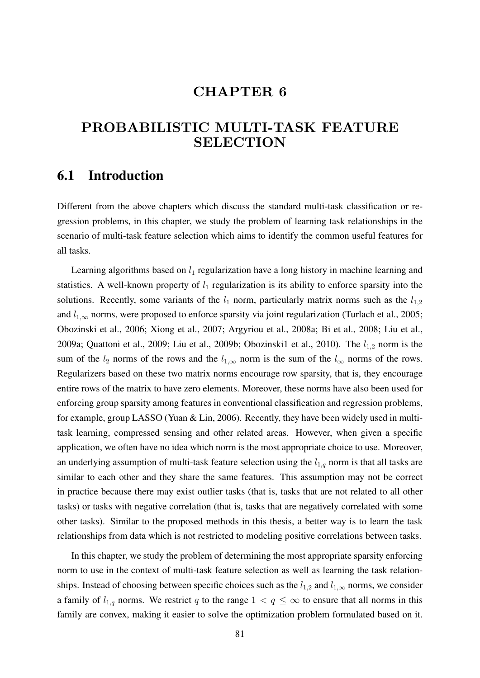# CHAPTER 6

# PROBABILISTIC MULTI-TASK FEATURE SELECTION

## 6.1 Introduction

Different from the above chapters which discuss the standard multi-task classification or regression problems, in this chapter, we study the problem of learning task relationships in the scenario of multi-task feature selection which aims to identify the common useful features for all tasks.

Learning algorithms based on  $l_1$  regularization have a long history in machine learning and statistics. A well-known property of  $l_1$  regularization is its ability to enforce sparsity into the solutions. Recently, some variants of the  $l_1$  norm, particularly matrix norms such as the  $l_{1,2}$ and  $l_{1,\infty}$  norms, were proposed to enforce sparsity via joint regularization (Turlach et al., 2005; Obozinski et al., 2006; Xiong et al., 2007; Argyriou et al., 2008a; Bi et al., 2008; Liu et al., 2009a; Quattoni et al., 2009; Liu et al., 2009b; Obozinski1 et al., 2010). The  $l_{1,2}$  norm is the sum of the  $l_2$  norms of the rows and the  $l_{1,\infty}$  norm is the sum of the  $l_{\infty}$  norms of the rows. Regularizers based on these two matrix norms encourage row sparsity, that is, they encourage entire rows of the matrix to have zero elements. Moreover, these norms have also been used for enforcing group sparsity among features in conventional classification and regression problems, for example, group LASSO (Yuan & Lin, 2006). Recently, they have been widely used in multitask learning, compressed sensing and other related areas. However, when given a specific application, we often have no idea which norm is the most appropriate choice to use. Moreover, an underlying assumption of multi-task feature selection using the  $l_{1,q}$  norm is that all tasks are similar to each other and they share the same features. This assumption may not be correct in practice because there may exist outlier tasks (that is, tasks that are not related to all other tasks) or tasks with negative correlation (that is, tasks that are negatively correlated with some other tasks). Similar to the proposed methods in this thesis, a better way is to learn the task relationships from data which is not restricted to modeling positive correlations between tasks.

In this chapter, we study the problem of determining the most appropriate sparsity enforcing norm to use in the context of multi-task feature selection as well as learning the task relationships. Instead of choosing between specific choices such as the  $l_{1,2}$  and  $l_{1,\infty}$  norms, we consider a family of  $l_{1,q}$  norms. We restrict q to the range  $1 < q \leq \infty$  to ensure that all norms in this family are convex, making it easier to solve the optimization problem formulated based on it.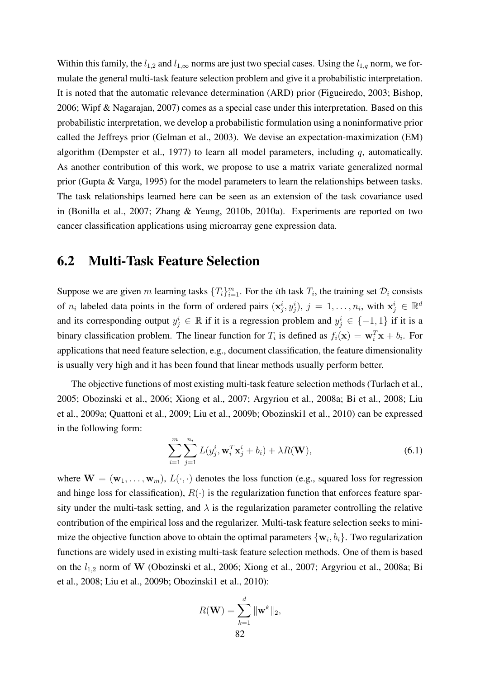Within this family, the  $l_{1,2}$  and  $l_{1,\infty}$  norms are just two special cases. Using the  $l_{1,q}$  norm, we formulate the general multi-task feature selection problem and give it a probabilistic interpretation. It is noted that the automatic relevance determination (ARD) prior (Figueiredo, 2003; Bishop, 2006; Wipf & Nagarajan, 2007) comes as a special case under this interpretation. Based on this probabilistic interpretation, we develop a probabilistic formulation using a noninformative prior called the Jeffreys prior (Gelman et al., 2003). We devise an expectation-maximization (EM) algorithm (Dempster et al., 1977) to learn all model parameters, including  $q$ , automatically. As another contribution of this work, we propose to use a matrix variate generalized normal prior (Gupta & Varga, 1995) for the model parameters to learn the relationships between tasks. The task relationships learned here can be seen as an extension of the task covariance used in (Bonilla et al., 2007; Zhang & Yeung, 2010b, 2010a). Experiments are reported on two cancer classification applications using microarray gene expression data.

## 6.2 Multi-Task Feature Selection

Suppose we are given m learning tasks  $\{T_i\}_{i=1}^m$ . For the *i*th task  $T_i$ , the training set  $\mathcal{D}_i$  consists of  $n_i$  labeled data points in the form of ordered pairs  $(x_j^i, y_j^i)$ ,  $j = 1, \ldots, n_i$ , with  $x_j^i \in \mathbb{R}^d$ and its corresponding output  $y_j^i \in \mathbb{R}$  if it is a regression problem and  $y_j^i \in \{-1,1\}$  if it is a binary classification problem. The linear function for  $T_i$  is defined as  $f_i(\mathbf{x}) = \mathbf{w}_i^T \mathbf{x} + b_i$ . For applications that need feature selection, e.g., document classification, the feature dimensionality is usually very high and it has been found that linear methods usually perform better.

The objective functions of most existing multi-task feature selection methods (Turlach et al., 2005; Obozinski et al., 2006; Xiong et al., 2007; Argyriou et al., 2008a; Bi et al., 2008; Liu et al., 2009a; Quattoni et al., 2009; Liu et al., 2009b; Obozinski1 et al., 2010) can be expressed in the following form:

$$
\sum_{i=1}^{m} \sum_{j=1}^{n_i} L(y_j^i, \mathbf{w}_i^T \mathbf{x}_j^i + b_i) + \lambda R(\mathbf{W}),
$$
\n(6.1)

where  $\mathbf{W} = (\mathbf{w}_1, \dots, \mathbf{w}_m), L(\cdot, \cdot)$  denotes the loss function (e.g., squared loss for regression and hinge loss for classification),  $R(\cdot)$  is the regularization function that enforces feature sparsity under the multi-task setting, and  $\lambda$  is the regularization parameter controlling the relative contribution of the empirical loss and the regularizer. Multi-task feature selection seeks to minimize the objective function above to obtain the optimal parameters  $\{w_i, b_i\}$ . Two regularization functions are widely used in existing multi-task feature selection methods. One of them is based on the  $l_{1,2}$  norm of W (Obozinski et al., 2006; Xiong et al., 2007; Argyriou et al., 2008a; Bi et al., 2008; Liu et al., 2009b; Obozinski1 et al., 2010):

$$
R(\mathbf{W}) = \sum_{k=1}^{d} \|\mathbf{w}^k\|_2,
$$
  
82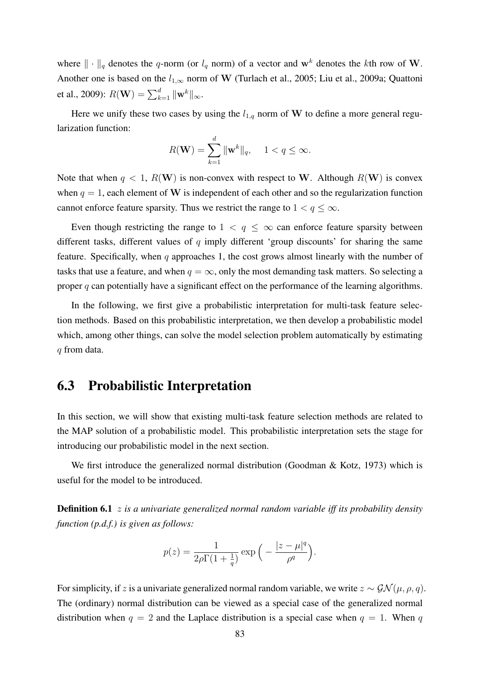where  $\|\cdot\|_q$  denotes the q-norm (or  $l_q$  norm) of a vector and w<sup>k</sup> denotes the kth row of W. Another one is based on the  $l_{1,\infty}$  norm of W (Turlach et al., 2005; Liu et al., 2009a; Quattoni et al., 2009):  $R(\mathbf{W}) = \sum_{k=1}^d \|\mathbf{w}^k\|_\infty$ .

Here we unify these two cases by using the  $l_{1,q}$  norm of W to define a more general regularization function:

$$
R(\mathbf{W}) = \sum_{k=1}^d \|\mathbf{w}^k\|_q, \quad 1 < q \le \infty.
$$

Note that when  $q \le 1$ ,  $R(W)$  is non-convex with respect to W. Although  $R(W)$  is convex when  $q = 1$ , each element of W is independent of each other and so the regularization function cannot enforce feature sparsity. Thus we restrict the range to  $1 < q \leq \infty$ .

Even though restricting the range to  $1 < q < \infty$  can enforce feature sparsity between different tasks, different values of  $q$  imply different 'group discounts' for sharing the same feature. Specifically, when  $q$  approaches 1, the cost grows almost linearly with the number of tasks that use a feature, and when  $q = \infty$ , only the most demanding task matters. So selecting a proper q can potentially have a significant effect on the performance of the learning algorithms.

In the following, we first give a probabilistic interpretation for multi-task feature selection methods. Based on this probabilistic interpretation, we then develop a probabilistic model which, among other things, can solve the model selection problem automatically by estimating q from data.

# 6.3 Probabilistic Interpretation

In this section, we will show that existing multi-task feature selection methods are related to the MAP solution of a probabilistic model. This probabilistic interpretation sets the stage for introducing our probabilistic model in the next section.

We first introduce the generalized normal distribution (Goodman & Kotz, 1973) which is useful for the model to be introduced.

Definition 6.1 z *is a univariate generalized normal random variable iff its probability density function (p.d.f.) is given as follows:*

$$
p(z) = \frac{1}{2\rho \Gamma(1 + \frac{1}{q})} \exp\left(-\frac{|z - \mu|^q}{\rho^q}\right).
$$

For simplicity, if z is a univariate generalized normal random variable, we write  $z \sim \mathcal{GN}(\mu, \rho, q)$ . The (ordinary) normal distribution can be viewed as a special case of the generalized normal distribution when  $q = 2$  and the Laplace distribution is a special case when  $q = 1$ . When q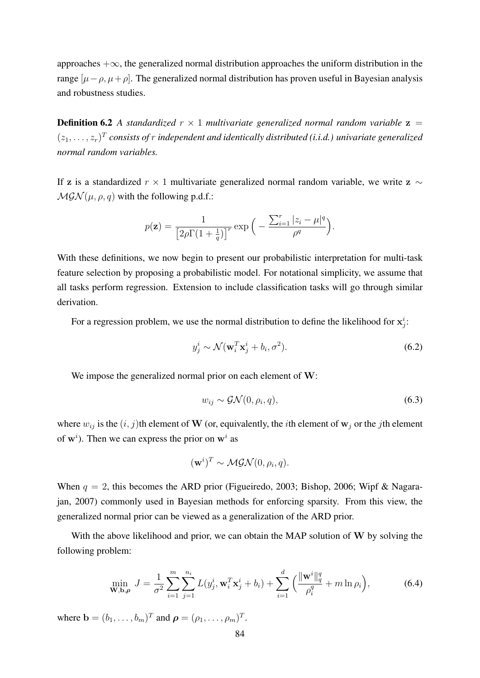approaches  $+\infty$ , the generalized normal distribution approaches the uniform distribution in the range [ $\mu - \rho$ ,  $\mu + \rho$ ]. The generalized normal distribution has proven useful in Bayesian analysis and robustness studies.

**Definition 6.2** A standardized  $r \times 1$  multivariate generalized normal random variable  $z =$  $(z_1, \ldots, z_r)^T$  consists of r independent and identically distributed (i.i.d.) univariate generalized *normal random variables.*

If z is a standardized  $r \times 1$  multivariate generalized normal random variable, we write z ∼  $MGN(\mu, \rho, q)$  with the following p.d.f.:

$$
p(\mathbf{z}) = \frac{1}{\left[2\rho\Gamma(1+\frac{1}{q})\right]^r} \exp\Big(-\frac{\sum_{i=1}^r |z_i - \mu|^q}{\rho^q}\Big).
$$

With these definitions, we now begin to present our probabilistic interpretation for multi-task feature selection by proposing a probabilistic model. For notational simplicity, we assume that all tasks perform regression. Extension to include classification tasks will go through similar derivation.

For a regression problem, we use the normal distribution to define the likelihood for  $x_j^i$ :

$$
y_j^i \sim \mathcal{N}(\mathbf{w}_i^T \mathbf{x}_j^i + b_i, \sigma^2). \tag{6.2}
$$

We impose the generalized normal prior on each element of W:

$$
w_{ij} \sim \mathcal{GN}(0, \rho_i, q),\tag{6.3}
$$

where  $w_{ij}$  is the  $(i, j)$ th element of W (or, equivalently, the *i*th element of w<sub>j</sub> or the *j*th element of  $w<sup>i</sup>$ ). Then we can express the prior on  $w<sup>i</sup>$  as

$$
(\mathbf{w}^i)^T \sim \mathcal{MGN}(0, \rho_i, q).
$$

When  $q = 2$ , this becomes the ARD prior (Figueiredo, 2003; Bishop, 2006; Wipf & Nagarajan, 2007) commonly used in Bayesian methods for enforcing sparsity. From this view, the generalized normal prior can be viewed as a generalization of the ARD prior.

With the above likelihood and prior, we can obtain the MAP solution of W by solving the following problem:

$$
\min_{\mathbf{W},\mathbf{b},\boldsymbol{\rho}} J = \frac{1}{\sigma^2} \sum_{i=1}^m \sum_{j=1}^{n_i} L(y_j^i, \mathbf{w}_i^T \mathbf{x}_j^i + b_i) + \sum_{i=1}^d \left( \frac{\|\mathbf{w}^i\|_q^q}{\rho_i^q} + m \ln \rho_i \right),\tag{6.4}
$$

where  $\mathbf{b} = (b_1, \dots, b_m)^T$  and  $\boldsymbol{\rho} = (\rho_1, \dots, \rho_m)^T$ .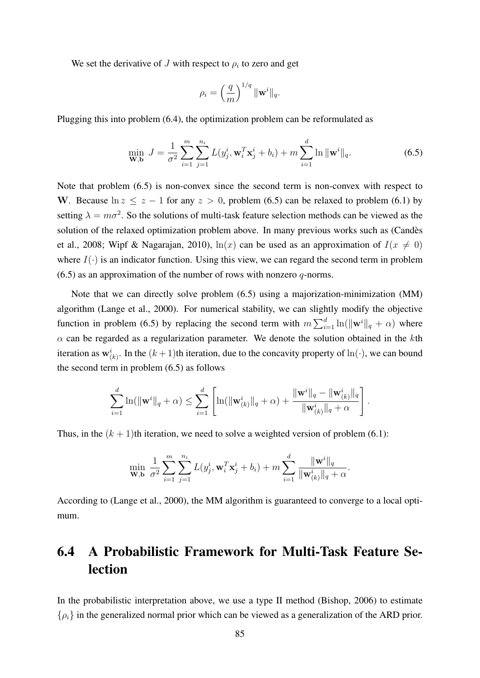We set the derivative of J with respect to  $\rho_i$  to zero and get

$$
\rho_i = \left(\frac{q}{m}\right)^{1/q} \|\mathbf{w}^i\|_q.
$$

Plugging this into problem (6.4), the optimization problem can be reformulated as

$$
\min_{\mathbf{W},\mathbf{b}} J = \frac{1}{\sigma^2} \sum_{i=1}^m \sum_{j=1}^{n_i} L(y_j^i, \mathbf{w}_i^T \mathbf{x}_j^i + b_i) + m \sum_{i=1}^d \ln \|\mathbf{w}^i\|_q.
$$
 (6.5)

Note that problem (6.5) is non-convex since the second term is non-convex with respect to W. Because  $\ln z \le z - 1$  for any  $z > 0$ , problem (6.5) can be relaxed to problem (6.1) by setting  $\lambda = m\sigma^2$ . So the solutions of multi-task feature selection methods can be viewed as the solution of the relaxed optimization problem above. In many previous works such as (Candes` et al., 2008; Wipf & Nagarajan, 2010),  $\ln(x)$  can be used as an approximation of  $I(x \neq 0)$ where  $I(\cdot)$  is an indicator function. Using this view, we can regard the second term in problem  $(6.5)$  as an approximation of the number of rows with nonzero q-norms.

Note that we can directly solve problem (6.5) using a majorization-minimization (MM) algorithm (Lange et al., 2000). For numerical stability, we can slightly modify the objective function in problem (6.5) by replacing the second term with  $m \sum_{i=1}^{d} \ln(\|\mathbf{w}^i\|_q + \alpha)$  where  $\alpha$  can be regarded as a regularization parameter. We denote the solution obtained in the kth iteration as  $w_{(k)}^i$ . In the  $(k+1)$ th iteration, due to the concavity property of  $\ln(\cdot)$ , we can bound the second term in problem (6.5) as follows

$$
\sum_{i=1}^d \ln(\|\mathbf{w}^i\|_q + \alpha) \leq \sum_{i=1}^d \left[ \ln(\|\mathbf{w}^i_{(k)}\|_q + \alpha) + \frac{\|\mathbf{w}^i\|_q - \|\mathbf{w}^i_{(k)}\|_q}{\|\mathbf{w}^i_{(k)}\|_q + \alpha} \right].
$$

Thus, in the  $(k + 1)$ th iteration, we need to solve a weighted version of problem (6.1):

$$
\min_{\mathbf{W},\mathbf{b}} \frac{1}{\sigma^2} \sum_{i=1}^m \sum_{j=1}^{n_i} L(y_j^i, \mathbf{w}_i^T \mathbf{x}_j^i + b_i) + m \sum_{i=1}^d \frac{\|\mathbf{w}^i\|_q}{\|\mathbf{w}_{(k)}^i\|_q + \alpha}.
$$

According to (Lange et al., 2000), the MM algorithm is guaranteed to converge to a local optimum.

# 6.4 A Probabilistic Framework for Multi-Task Feature Selection

In the probabilistic interpretation above, we use a type II method (Bishop, 2006) to estimate  $\{\rho_i\}$  in the generalized normal prior which can be viewed as a generalization of the ARD prior.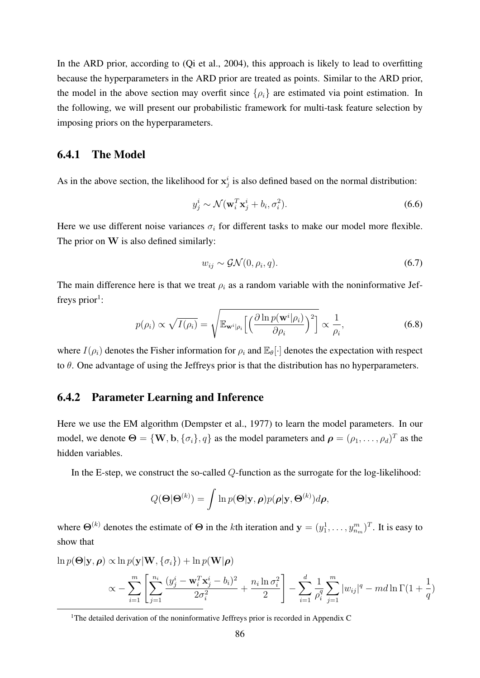In the ARD prior, according to (Qi et al., 2004), this approach is likely to lead to overfitting because the hyperparameters in the ARD prior are treated as points. Similar to the ARD prior, the model in the above section may overfit since  $\{\rho_i\}$  are estimated via point estimation. In the following, we will present our probabilistic framework for multi-task feature selection by imposing priors on the hyperparameters.

### 6.4.1 The Model

As in the above section, the likelihood for  $x_j^i$  is also defined based on the normal distribution:

$$
y_j^i \sim \mathcal{N}(\mathbf{w}_i^T \mathbf{x}_j^i + b_i, \sigma_i^2). \tag{6.6}
$$

Here we use different noise variances  $\sigma_i$  for different tasks to make our model more flexible. The prior on W is also defined similarly:

$$
w_{ij} \sim \mathcal{GN}(0, \rho_i, q). \tag{6.7}
$$

The main difference here is that we treat  $\rho_i$  as a random variable with the noninformative Jeffreys prior<sup>1</sup>:

$$
p(\rho_i) \propto \sqrt{I(\rho_i)} = \sqrt{\mathbb{E}_{\mathbf{w}^i|\rho_i} \left[ \left( \frac{\partial \ln p(\mathbf{w}^i|\rho_i)}{\partial \rho_i} \right)^2 \right]} \propto \frac{1}{\rho_i},\tag{6.8}
$$

where  $I(\rho_i)$  denotes the Fisher information for  $\rho_i$  and  $\mathbb{E}_{\theta}[\cdot]$  denotes the expectation with respect to  $\theta$ . One advantage of using the Jeffreys prior is that the distribution has no hyperparameters.

#### 6.4.2 Parameter Learning and Inference

Here we use the EM algorithm (Dempster et al., 1977) to learn the model parameters. In our model, we denote  $\Theta = \{W, b, \{\sigma_i\}, q\}$  as the model parameters and  $\boldsymbol{\rho} = (\rho_1, \dots, \rho_d)^T$  as the hidden variables.

In the E-step, we construct the so-called Q-function as the surrogate for the log-likelihood:

$$
Q(\mathbf{\Theta}|\mathbf{\Theta}^{(k)}) = \int \ln p(\mathbf{\Theta}|\mathbf{y}, \boldsymbol{\rho}) p(\boldsymbol{\rho}|\mathbf{y}, \mathbf{\Theta}^{(k)}) d\boldsymbol{\rho},
$$

where  $\Theta^{(k)}$  denotes the estimate of  $\Theta$  in the kth iteration and  $\mathbf{y} = (y_1^1, \dots, y_{n_m}^m)^T$ . It is easy to show that

$$
\ln p(\mathbf{\Theta}|\mathbf{y}, \boldsymbol{\rho}) \propto \ln p(\mathbf{y}|\mathbf{W}, \{\sigma_i\}) + \ln p(\mathbf{W}|\boldsymbol{\rho})
$$
  

$$
\propto -\sum_{i=1}^{m} \left[ \sum_{j=1}^{n_i} \frac{(y_j^i - \mathbf{w}_i^T \mathbf{x}_j^i - b_i)^2}{2\sigma_i^2} + \frac{n_i \ln \sigma_i^2}{2} \right] - \sum_{i=1}^{d} \frac{1}{\rho_i^q} \sum_{j=1}^{m} |w_{ij}|^q - md \ln \Gamma(1 + \frac{1}{q})
$$

<sup>&</sup>lt;sup>1</sup>The detailed derivation of the noninformative Jeffreys prior is recorded in Appendix C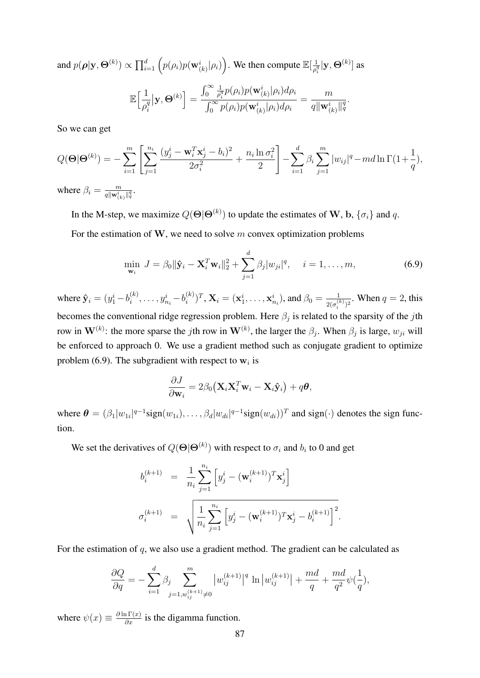and  $p(\boldsymbol{\rho}|\mathbf{y},\boldsymbol{\Theta}^{(k)}) \propto \prod_{i=1}^d \left( p(\rho_i) p(\mathbf{w}_{(k)}^i|\rho_i) \right)$ . We then compute  $\mathbb{E}[\frac{1}{\rho_k^d}]$  $\frac{1}{\rho_i^q}[\mathbf{y},\mathbf{\Theta}^{(k)}]$  as

$$
\mathbb{E}\Big[\frac{1}{\rho_i^q}\big|\mathbf{y},\boldsymbol{\Theta}^{(k)}\Big] = \frac{\int_0^\infty \frac{1}{\rho_i^q} p(\rho_i) p(\mathbf{w}_{(k)}^i|\rho_i) d\rho_i}{\int_0^\infty p(\rho_i) p(\mathbf{w}_{(k)}^i|\rho_i) d\rho_i} = \frac{m}{q \|\mathbf{w}_{(k)}^i\|_q^q}.
$$

So we can get

$$
Q(\mathbf{\Theta}|\mathbf{\Theta}^{(k)}) = -\sum_{i=1}^{m} \left[ \sum_{j=1}^{n_i} \frac{(y_j^i - \mathbf{w}_i^T \mathbf{x}_j^i - b_i)^2}{2\sigma_i^2} + \frac{n_i \ln \sigma_i^2}{2} \right] - \sum_{i=1}^{d} \beta_i \sum_{j=1}^{m} |w_{ij}|^q - md \ln \Gamma(1 + \frac{1}{q}),
$$
  
where  $\beta_i = \frac{m}{q}$ 

where  $\beta_i = \frac{m}{q \|\mathbf{w}_{(k)}^i\|_q^q}$ .

In the M-step, we maximize  $Q(\Theta|\Theta^{(k)})$  to update the estimates of W, b,  $\{\sigma_i\}$  and q. For the estimation of W, we need to solve  $m$  convex optimization problems

$$
\min_{\mathbf{w}_i} J = \beta_0 \|\hat{\mathbf{y}}_i - \mathbf{X}_i^T \mathbf{w}_i\|_2^2 + \sum_{j=1}^d \beta_j |w_{ji}|^q, \quad i = 1, ..., m,
$$
\n(6.9)

where  $\mathbf{\hat{y}}_i = (y_1^i - b_i^{(k)})$  $i^{(k)}, \ldots, y_{n_i}^i - b_i^{(k)}$  $\mathbf{X}_i^{(k)})^T$ ,  $\mathbf{X}_i = (\mathbf{x}_1^i, \dots, \mathbf{x}_{n_i}^i)$ , and  $\beta_0 = \frac{1}{2(\sigma_i^{(k)})^T}$  $\frac{1}{2(\sigma_i^{(k)})^2}$ . When  $q=2$ , this becomes the conventional ridge regression problem. Here  $\beta_j$  is related to the sparsity of the *j*th row in  $W^{(k)}$ : the more sparse the *j*th row in  $W^{(k)}$ , the larger the  $\beta_j$ . When  $\beta_j$  is large,  $w_{ji}$  will be enforced to approach 0. We use a gradient method such as conjugate gradient to optimize problem (6.9). The subgradient with respect to  $w_i$  is

$$
\frac{\partial J}{\partial \mathbf{w}_i} = 2\beta_0 \big( \mathbf{X}_i \mathbf{X}_i^T \mathbf{w}_i - \mathbf{X}_i \hat{\mathbf{y}}_i \big) + q \boldsymbol{\theta},
$$

where  $\theta = (\beta_1 |w_{1i}|^{q-1} sign(w_{1i}), \dots, \beta_d |w_{di}|^{q-1} sign(w_{di}))^T$  and  $sign(\cdot)$  denotes the sign function.

We set the derivatives of  $Q(\Theta|\Theta^{(k)})$  with respect to  $\sigma_i$  and  $b_i$  to 0 and get

$$
b_i^{(k+1)} = \frac{1}{n_i} \sum_{j=1}^{n_i} \left[ y_j^i - (\mathbf{w}_i^{(k+1)})^T \mathbf{x}_j^i \right]
$$
  

$$
\sigma_i^{(k+1)} = \sqrt{\frac{1}{n_i} \sum_{j=1}^{n_i} \left[ y_j^i - (\mathbf{w}_i^{(k+1)})^T \mathbf{x}_j^i - b_i^{(k+1)} \right]^2}.
$$

For the estimation of  $q$ , we also use a gradient method. The gradient can be calculated as

$$
\frac{\partial Q}{\partial q} = -\sum_{i=1}^d \beta_j \sum_{j=1, w_{ij}^{(k+1)} \neq 0}^m |w_{ij}^{(k+1)}|^q \ln |w_{ij}^{(k+1)}| + \frac{md}{q} + \frac{md}{q^2} \psi(\frac{1}{q}),
$$

where  $\psi(x) \equiv \frac{\partial \ln \Gamma(x)}{\partial x}$  is the digamma function.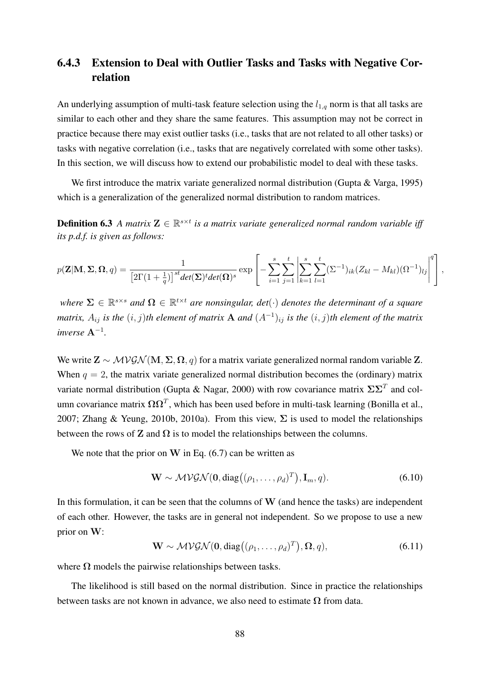## 6.4.3 Extension to Deal with Outlier Tasks and Tasks with Negative Correlation

An underlying assumption of multi-task feature selection using the  $l_{1,q}$  norm is that all tasks are similar to each other and they share the same features. This assumption may not be correct in practice because there may exist outlier tasks (i.e., tasks that are not related to all other tasks) or tasks with negative correlation (i.e., tasks that are negatively correlated with some other tasks). In this section, we will discuss how to extend our probabilistic model to deal with these tasks.

We first introduce the matrix variate generalized normal distribution (Gupta & Varga, 1995) which is a generalization of the generalized normal distribution to random matrices.

**Definition 6.3** A matrix  $\mathbf{Z} \in \mathbb{R}^{s \times t}$  is a matrix variate generalized normal random variable iff *its p.d.f. is given as follows:*

$$
p(\mathbf{Z}|\mathbf{M},\mathbf{\Sigma},\mathbf{\Omega},q) = \frac{1}{\left[2\Gamma(1+\frac{1}{q})\right]^{st}det(\mathbf{\Sigma})^{t}det(\mathbf{\Omega})^{s}}\exp\left[-\sum_{i=1}^{s}\sum_{j=1}^{t}\left|\sum_{k=1}^{s}\sum_{l=1}^{t}(\Sigma^{-1})_{ik}(Z_{kl}-M_{kl})(\Omega^{-1})_{lj}\right|^{q}\right],
$$

where  $\Sigma \in \mathbb{R}^{s \times s}$  and  $\Omega \in \mathbb{R}^{t \times t}$  are nonsingular, det( $\cdot$ ) denotes the determinant of a square *matrix,*  $A_{ij}$  *is the*  $(i, j)$ *th element of matrix*  $A$  *and*  $(A^{-1})_{ij}$  *is the*  $(i, j)$ *th element of the matrix inverse* A<sup>−</sup><sup>1</sup> *.*

We write  $\mathbf{Z} \sim \mathcal{M} \mathcal{V} \mathcal{G} \mathcal{N}(\mathbf{M}, \Sigma, \Omega, q)$  for a matrix variate generalized normal random variable Z. When  $q = 2$ , the matrix variate generalized normal distribution becomes the (ordinary) matrix variate normal distribution (Gupta & Nagar, 2000) with row covariance matrix  $\Sigma\Sigma^{T}$  and column covariance matrix  $\Omega \Omega^{T}$ , which has been used before in multi-task learning (Bonilla et al., 2007; Zhang & Yeung, 2010b, 2010a). From this view,  $\Sigma$  is used to model the relationships between the rows of Z and  $\Omega$  is to model the relationships between the columns.

We note that the prior on  $W$  in Eq. (6.7) can be written as

$$
\mathbf{W} \sim \mathcal{MVGN}(0, \text{diag}((\rho_1, \dots, \rho_d)^T), \mathbf{I}_m, q). \tag{6.10}
$$

In this formulation, it can be seen that the columns of  $W$  (and hence the tasks) are independent of each other. However, the tasks are in general not independent. So we propose to use a new prior on W:

$$
\mathbf{W} \sim \mathcal{MVGN}(\mathbf{0}, \text{diag}((\rho_1, \dots, \rho_d)^T), \mathbf{\Omega}, q),
$$
\n(6.11)

where  $\Omega$  models the pairwise relationships between tasks.

The likelihood is still based on the normal distribution. Since in practice the relationships between tasks are not known in advance, we also need to estimate  $\Omega$  from data.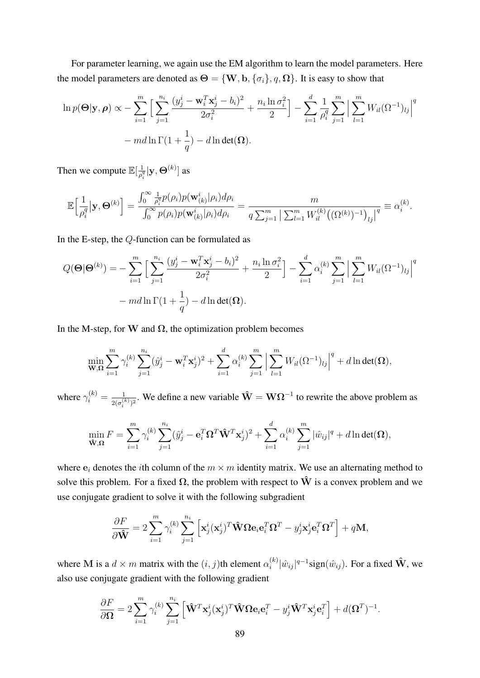For parameter learning, we again use the EM algorithm to learn the model parameters. Here the model parameters are denoted as  $\Theta = \{W, b, \{\sigma_i\}, q, \Omega\}$ . It is easy to show that

$$
\ln p(\mathbf{\Theta}|\mathbf{y}, \boldsymbol{\rho}) \propto -\sum_{i=1}^{m} \Big[ \sum_{j=1}^{n_i} \frac{(y_j^i - \mathbf{w}_i^T \mathbf{x}_j^i - b_i)^2}{2\sigma_i^2} + \frac{n_i \ln \sigma_i^2}{2} \Big] - \sum_{i=1}^{d} \frac{1}{\rho_i^q} \sum_{j=1}^{m} \Big| \sum_{l=1}^{m} W_{il} (\Omega^{-1})_{lj} \Big|^q
$$

$$
- m d \ln \Gamma(1 + \frac{1}{q}) - d \ln \det(\Omega).
$$

Then we compute  $\mathbb{E}[\frac{1}{a}]$  $\frac{1}{\rho_i^q}[\mathbf{y},\mathbf{\Theta}^{(k)}]$  as

$$
\mathbb{E}\Big[\frac{1}{\rho_i^q} \Big| \mathbf{y}, \mathbf{\Theta}^{(k)} \Big] = \frac{\int_0^\infty \frac{1}{\rho_i^q} p(\rho_i) p(\mathbf{w}_{(k)}^i | \rho_i) d\rho_i}{\int_0^\infty p(\rho_i) p(\mathbf{w}_{(k)}^i | \rho_i) d\rho_i} = \frac{m}{q \sum_{j=1}^m \left| \sum_{l=1}^m W_{il}^{(k)} \big( (\Omega^{(k)})^{-1} \big)_{lj} \right|^q} \equiv \alpha_i^{(k)}.
$$

In the E-step, the Q-function can be formulated as

$$
Q(\mathbf{\Theta}|\mathbf{\Theta}^{(k)}) = -\sum_{i=1}^{m} \Big[ \sum_{j=1}^{n_i} \frac{(y_j^i - \mathbf{w}_i^T \mathbf{x}_j^i - b_i)^2}{2\sigma_i^2} + \frac{n_i \ln \sigma_i^2}{2} \Big] - \sum_{i=1}^{d} \alpha_i^{(k)} \sum_{j=1}^{m} \Big| \sum_{l=1}^{m} W_{il} (\Omega^{-1})_{lj} \Big|^q
$$
  
-  $md \ln \Gamma(1 + \frac{1}{q}) - d \ln \det(\Omega).$ 

In the M-step, for W and  $\Omega$ , the optimization problem becomes

$$
\min_{\mathbf{W},\mathbf{\Omega}} \sum_{i=1}^m \gamma_i^{(k)} \sum_{j=1}^{n_i} (\hat{y}_j^i - \mathbf{w}_i^T \mathbf{x}_j^i)^2 + \sum_{i=1}^d \alpha_i^{(k)} \sum_{j=1}^m \Big| \sum_{l=1}^m W_{il} (\Omega^{-1})_{lj} \Big|^q + d \ln \det(\mathbf{\Omega}),
$$

where  $\gamma_i^{(k)} = \frac{1}{2(\sigma_i^{(i)})}$  $\frac{1}{2(\sigma_i^{(k)})^2}$ . We define a new variable  $\hat{W} = W\Omega^{-1}$  to rewrite the above problem as

$$
\min_{\mathbf{\hat{W}},\mathbf{\Omega}} F = \sum_{i=1}^m \gamma_i^{(k)} \sum_{j=1}^{n_i} (\hat{y}_j^i - \mathbf{e}_i^T \mathbf{\Omega}^T \mathbf{\hat{W}}^T \mathbf{x}_j^i)^2 + \sum_{i=1}^d \alpha_i^{(k)} \sum_{j=1}^m |\hat{w}_{ij}|^q + d \ln \det(\mathbf{\Omega}),
$$

where  $e_i$  denotes the *i*th column of the  $m \times m$  identity matrix. We use an alternating method to solve this problem. For a fixed  $\Omega$ , the problem with respect to  $\hat{W}$  is a convex problem and we use conjugate gradient to solve it with the following subgradient

$$
\frac{\partial F}{\partial \hat{\mathbf{W}}} = 2 \sum_{i=1}^{m} \gamma_i^{(k)} \sum_{j=1}^{n_i} \left[ \mathbf{x}_j^i (\mathbf{x}_j^i)^T \hat{\mathbf{W}} \Omega \mathbf{e}_i \mathbf{e}_i^T \Omega^T - y_j^i \mathbf{x}_j^i \mathbf{e}_i^T \Omega^T \right] + q \mathbf{M},
$$

where M is a  $d \times m$  matrix with the  $(i, j)$ th element  $\alpha_i^{(k)}$  $\hat{\mathbf{w}}_i^{(k)}|\hat{w}_{ij}|^{q-1}$ sign $(\hat{w}_{ij})$ . For a fixed  $\mathbf{\hat{W}}$ , we also use conjugate gradient with the following gradient

$$
\frac{\partial F}{\partial \mathbf{\Omega}} = 2 \sum_{i=1}^{m} \gamma_i^{(k)} \sum_{j=1}^{n_i} \left[ \hat{\mathbf{W}}^T \mathbf{x}_j^i (\mathbf{x}_j^i)^T \hat{\mathbf{W}} \mathbf{\Omega} \mathbf{e}_i \mathbf{e}_i^T - y_j^i \hat{\mathbf{W}}^T \mathbf{x}_j^i \mathbf{e}_i^T \right] + d(\mathbf{\Omega}^T)^{-1}.
$$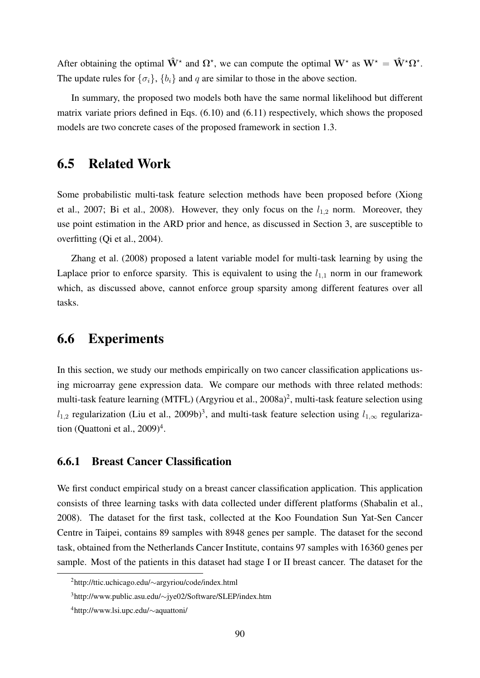After obtaining the optimal  $\hat{W}^*$  and  $\Omega^*$ , we can compute the optimal  $W^*$  as  $W^* = \hat{W}^* \Omega^*$ . The update rules for  $\{\sigma_i\}$ ,  $\{b_i\}$  and q are similar to those in the above section.

In summary, the proposed two models both have the same normal likelihood but different matrix variate priors defined in Eqs. (6.10) and (6.11) respectively, which shows the proposed models are two concrete cases of the proposed framework in section 1.3.

## 6.5 Related Work

Some probabilistic multi-task feature selection methods have been proposed before (Xiong et al., 2007; Bi et al., 2008). However, they only focus on the  $l_{1,2}$  norm. Moreover, they use point estimation in the ARD prior and hence, as discussed in Section 3, are susceptible to overfitting (Qi et al., 2004).

Zhang et al. (2008) proposed a latent variable model for multi-task learning by using the Laplace prior to enforce sparsity. This is equivalent to using the  $l_{1,1}$  norm in our framework which, as discussed above, cannot enforce group sparsity among different features over all tasks.

## 6.6 Experiments

In this section, we study our methods empirically on two cancer classification applications using microarray gene expression data. We compare our methods with three related methods: multi-task feature learning (MTFL) (Argyriou et al., 2008a)<sup>2</sup>, multi-task feature selection using  $l_{1,2}$  regularization (Liu et al., 2009b)<sup>3</sup>, and multi-task feature selection using  $l_{1,\infty}$  regularization (Quattoni et al.,  $2009)^4$ .

### 6.6.1 Breast Cancer Classification

We first conduct empirical study on a breast cancer classification application. This application consists of three learning tasks with data collected under different platforms (Shabalin et al., 2008). The dataset for the first task, collected at the Koo Foundation Sun Yat-Sen Cancer Centre in Taipei, contains 89 samples with 8948 genes per sample. The dataset for the second task, obtained from the Netherlands Cancer Institute, contains 97 samples with 16360 genes per sample. Most of the patients in this dataset had stage I or II breast cancer. The dataset for the

<sup>2</sup>http://ttic.uchicago.edu/∼argyriou/code/index.html

<sup>3</sup>http://www.public.asu.edu/∼jye02/Software/SLEP/index.htm

<sup>4</sup>http://www.lsi.upc.edu/∼aquattoni/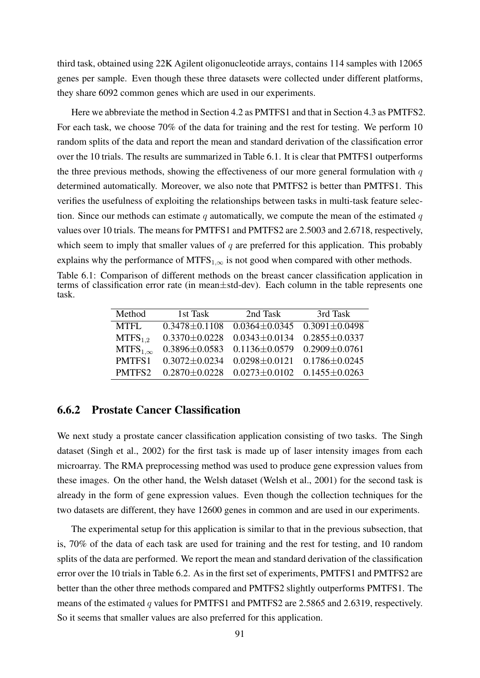third task, obtained using 22K Agilent oligonucleotide arrays, contains 114 samples with 12065 genes per sample. Even though these three datasets were collected under different platforms, they share 6092 common genes which are used in our experiments.

Here we abbreviate the method in Section 4.2 as PMTFS1 and that in Section 4.3 as PMTFS2. For each task, we choose 70% of the data for training and the rest for testing. We perform 10 random splits of the data and report the mean and standard derivation of the classification error over the 10 trials. The results are summarized in Table 6.1. It is clear that PMTFS1 outperforms the three previous methods, showing the effectiveness of our more general formulation with  $q$ determined automatically. Moreover, we also note that PMTFS2 is better than PMTFS1. This verifies the usefulness of exploiting the relationships between tasks in multi-task feature selection. Since our methods can estimate q automatically, we compute the mean of the estimated  $q$ values over 10 trials. The means for PMTFS1 and PMTFS2 are 2.5003 and 2.6718, respectively, which seem to imply that smaller values of  $q$  are preferred for this application. This probably explains why the performance of MTFS<sub>1, $\infty$ </sub> is not good when compared with other methods.

Table 6.1: Comparison of different methods on the breast cancer classification application in terms of classification error rate (in mean±std-dev). Each column in the table represents one task.

| Method            | 1st Task            | 2nd Task            | 3rd Task            |
|-------------------|---------------------|---------------------|---------------------|
| MTFL              | $0.3478 \pm 0.1108$ | $0.0364 \pm 0.0345$ | $0.3091 \pm 0.0498$ |
| $MTFS_{1,2}$      | $0.3370 \pm 0.0228$ | $0.0343 \pm 0.0134$ | $0.2855 \pm 0.0337$ |
| $MTFS_{1,\infty}$ | $0.3896 \pm 0.0583$ | $0.1136 \pm 0.0579$ | $0.2909 \pm 0.0761$ |
| PMTFS1            | $0.3072 \pm 0.0234$ | $0.0298 \pm 0.0121$ | $0.1786 \pm 0.0245$ |
| PMTFS2            | $0.2870 + 0.0228$   | $0.0273 \pm 0.0102$ | $0.1455 \pm 0.0263$ |

### 6.6.2 Prostate Cancer Classification

We next study a prostate cancer classification application consisting of two tasks. The Singh dataset (Singh et al., 2002) for the first task is made up of laser intensity images from each microarray. The RMA preprocessing method was used to produce gene expression values from these images. On the other hand, the Welsh dataset (Welsh et al., 2001) for the second task is already in the form of gene expression values. Even though the collection techniques for the two datasets are different, they have 12600 genes in common and are used in our experiments.

The experimental setup for this application is similar to that in the previous subsection, that is, 70% of the data of each task are used for training and the rest for testing, and 10 random splits of the data are performed. We report the mean and standard derivation of the classification error over the 10 trials in Table 6.2. As in the first set of experiments, PMTFS1 and PMTFS2 are better than the other three methods compared and PMTFS2 slightly outperforms PMTFS1. The means of the estimated q values for PMTFS1 and PMTFS2 are 2.5865 and 2.6319, respectively. So it seems that smaller values are also preferred for this application.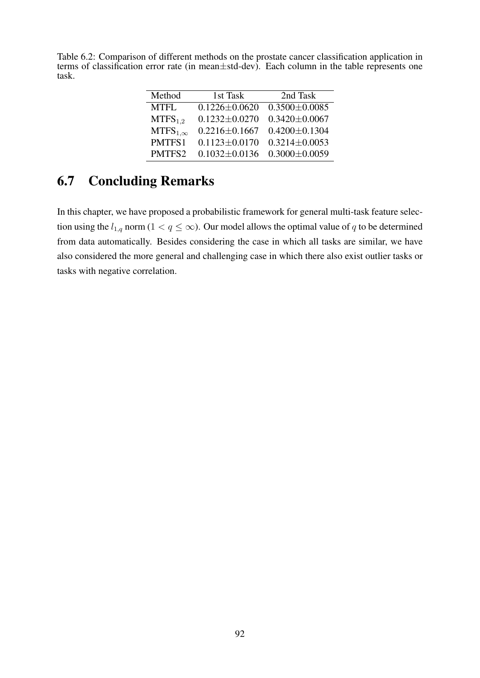Table 6.2: Comparison of different methods on the prostate cancer classification application in terms of classification error rate (in mean±std-dev). Each column in the table represents one task.

| Method            | 1st Task            | 2nd Task            |
|-------------------|---------------------|---------------------|
| <b>MTFL</b>       | $0.1226 \pm 0.0620$ | $0.3500 \pm 0.0085$ |
| $MTFS_{1,2}$      | $0.1232 \pm 0.0270$ | $0.3420 \pm 0.0067$ |
| $MTFS_{1,\infty}$ | $0.2216 \pm 0.1667$ | $0.4200 \pm 0.1304$ |
| PMTFS1            | $0.1123 \pm 0.0170$ | $0.3214 \pm 0.0053$ |
| PMTFS2            | $0.1032 \pm 0.0136$ | $0.3000 \pm 0.0059$ |

# 6.7 Concluding Remarks

In this chapter, we have proposed a probabilistic framework for general multi-task feature selection using the  $l_{1,q}$  norm  $(1 < q \le \infty)$ . Our model allows the optimal value of q to be determined from data automatically. Besides considering the case in which all tasks are similar, we have also considered the more general and challenging case in which there also exist outlier tasks or tasks with negative correlation.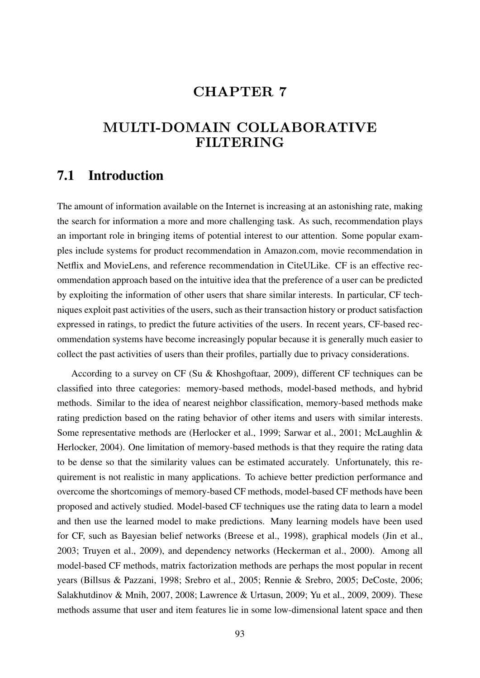## CHAPTER 7

# MULTI-DOMAIN COLLABORATIVE FILTERING

## 7.1 Introduction

The amount of information available on the Internet is increasing at an astonishing rate, making the search for information a more and more challenging task. As such, recommendation plays an important role in bringing items of potential interest to our attention. Some popular examples include systems for product recommendation in Amazon.com, movie recommendation in Netflix and MovieLens, and reference recommendation in CiteULike. CF is an effective recommendation approach based on the intuitive idea that the preference of a user can be predicted by exploiting the information of other users that share similar interests. In particular, CF techniques exploit past activities of the users, such as their transaction history or product satisfaction expressed in ratings, to predict the future activities of the users. In recent years, CF-based recommendation systems have become increasingly popular because it is generally much easier to collect the past activities of users than their profiles, partially due to privacy considerations.

According to a survey on CF (Su & Khoshgoftaar, 2009), different CF techniques can be classified into three categories: memory-based methods, model-based methods, and hybrid methods. Similar to the idea of nearest neighbor classification, memory-based methods make rating prediction based on the rating behavior of other items and users with similar interests. Some representative methods are (Herlocker et al., 1999; Sarwar et al., 2001; McLaughlin & Herlocker, 2004). One limitation of memory-based methods is that they require the rating data to be dense so that the similarity values can be estimated accurately. Unfortunately, this requirement is not realistic in many applications. To achieve better prediction performance and overcome the shortcomings of memory-based CF methods, model-based CF methods have been proposed and actively studied. Model-based CF techniques use the rating data to learn a model and then use the learned model to make predictions. Many learning models have been used for CF, such as Bayesian belief networks (Breese et al., 1998), graphical models (Jin et al., 2003; Truyen et al., 2009), and dependency networks (Heckerman et al., 2000). Among all model-based CF methods, matrix factorization methods are perhaps the most popular in recent years (Billsus & Pazzani, 1998; Srebro et al., 2005; Rennie & Srebro, 2005; DeCoste, 2006; Salakhutdinov & Mnih, 2007, 2008; Lawrence & Urtasun, 2009; Yu et al., 2009, 2009). These methods assume that user and item features lie in some low-dimensional latent space and then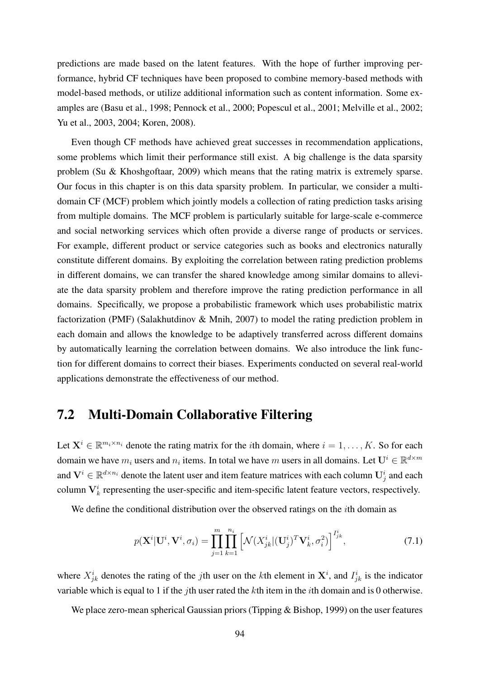predictions are made based on the latent features. With the hope of further improving performance, hybrid CF techniques have been proposed to combine memory-based methods with model-based methods, or utilize additional information such as content information. Some examples are (Basu et al., 1998; Pennock et al., 2000; Popescul et al., 2001; Melville et al., 2002; Yu et al., 2003, 2004; Koren, 2008).

Even though CF methods have achieved great successes in recommendation applications, some problems which limit their performance still exist. A big challenge is the data sparsity problem (Su & Khoshgoftaar, 2009) which means that the rating matrix is extremely sparse. Our focus in this chapter is on this data sparsity problem. In particular, we consider a multidomain CF (MCF) problem which jointly models a collection of rating prediction tasks arising from multiple domains. The MCF problem is particularly suitable for large-scale e-commerce and social networking services which often provide a diverse range of products or services. For example, different product or service categories such as books and electronics naturally constitute different domains. By exploiting the correlation between rating prediction problems in different domains, we can transfer the shared knowledge among similar domains to alleviate the data sparsity problem and therefore improve the rating prediction performance in all domains. Specifically, we propose a probabilistic framework which uses probabilistic matrix factorization (PMF) (Salakhutdinov & Mnih, 2007) to model the rating prediction problem in each domain and allows the knowledge to be adaptively transferred across different domains by automatically learning the correlation between domains. We also introduce the link function for different domains to correct their biases. Experiments conducted on several real-world applications demonstrate the effectiveness of our method.

## 7.2 Multi-Domain Collaborative Filtering

Let  $X^i \in \mathbb{R}^{m_i \times n_i}$  denote the rating matrix for the *i*th domain, where  $i = 1, ..., K$ . So for each domain we have  $m_i$  users and  $n_i$  items. In total we have m users in all domains. Let  $\mathbf{U}^i \in \mathbb{R}^{d \times m}$ and  $V^i \in \mathbb{R}^{d \times n_i}$  denote the latent user and item feature matrices with each column  $U^i_j$  and each column  $V_k^i$  representing the user-specific and item-specific latent feature vectors, respectively.

We define the conditional distribution over the observed ratings on the *i*th domain as

$$
p(\mathbf{X}^i|\mathbf{U}^i,\mathbf{V}^i,\sigma_i) = \prod_{j=1}^m \prod_{k=1}^{n_i} \left[ \mathcal{N}(X^i_{jk}|(\mathbf{U}^i_j)^T \mathbf{V}^i_k,\sigma_i^2) \right]^{I^i_{jk}},\tag{7.1}
$$

where  $X_{jk}^i$  denotes the rating of the *j*th user on the *k*th element in  $X^i$ , and  $I_{jk}^i$  is the indicator variable which is equal to 1 if the jth user rated the kth item in the ith domain and is 0 otherwise.

We place zero-mean spherical Gaussian priors (Tipping & Bishop, 1999) on the user features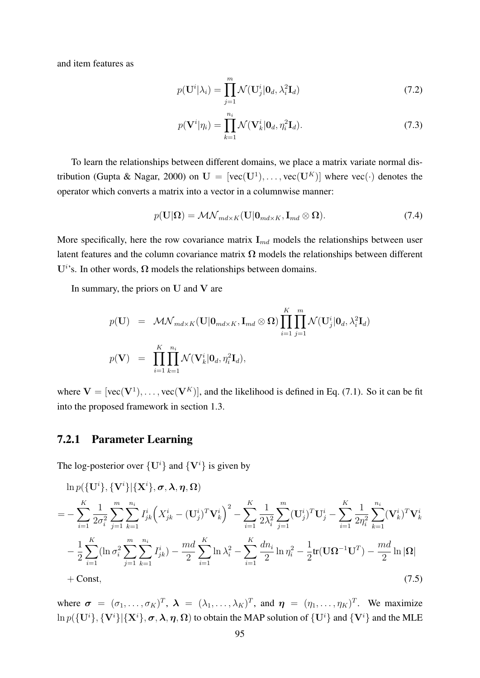and item features as

$$
p(\mathbf{U}^i|\lambda_i) = \prod_{j=1}^m \mathcal{N}(\mathbf{U}_j^i|\mathbf{0}_d, \lambda_i^2 \mathbf{I}_d)
$$
\n(7.2)

$$
p(\mathbf{V}^i|\eta_i) = \prod_{k=1}^{n_i} \mathcal{N}(\mathbf{V}_k^i|\mathbf{0}_d, \eta_i^2 \mathbf{I}_d).
$$
 (7.3)

To learn the relationships between different domains, we place a matrix variate normal distribution (Gupta & Nagar, 2000) on  $U = [vec(U^1), \dots, vec(U^K)]$  where  $vec(\cdot)$  denotes the operator which converts a matrix into a vector in a columnwise manner:

$$
p(\mathbf{U}|\Omega) = \mathcal{MN}_{md \times K}(\mathbf{U}|\mathbf{0}_{md \times K}, \mathbf{I}_{md} \otimes \Omega).
$$
 (7.4)

More specifically, here the row covariance matrix  $\mathbf{I}_{md}$  models the relationships between user latent features and the column covariance matrix  $\Omega$  models the relationships between different  $U^{i}$ 's. In other words,  $\Omega$  models the relationships between domains.

In summary, the priors on  $U$  and  $V$  are

$$
p(\mathbf{U}) = \mathcal{MN}_{md \times K}(\mathbf{U} | \mathbf{0}_{md \times K}, \mathbf{I}_{md} \otimes \mathbf{\Omega}) \prod_{i=1}^{K} \prod_{j=1}^{m} \mathcal{N}(\mathbf{U}_{j}^{i} | \mathbf{0}_{d}, \lambda_{i}^{2} \mathbf{I}_{d})
$$
  

$$
p(\mathbf{V}) = \prod_{i=1}^{K} \prod_{k=1}^{n_{i}} \mathcal{N}(\mathbf{V}_{k}^{i} | \mathbf{0}_{d}, \eta_{i}^{2} \mathbf{I}_{d}),
$$

where  $V = [vec(V^1), \dots, vec(V^K)]$ , and the likelihood is defined in Eq. (7.1). So it can be fit into the proposed framework in section 1.3.

### 7.2.1 Parameter Learning

The log-posterior over  $\{U^i\}$  and  $\{V^i\}$  is given by

$$
\ln p(\{\mathbf{U}^{i}\}, \{\mathbf{V}^{i}\}|\{\mathbf{X}^{i}\}, \sigma, \lambda, \eta, \Omega)
$$
\n
$$
= -\sum_{i=1}^{K} \frac{1}{2\sigma_{i}^{2}} \sum_{j=1}^{m} \sum_{k=1}^{n_{i}} I_{jk}^{i} \left(X_{jk}^{i} - (\mathbf{U}_{j}^{i})^{T} \mathbf{V}_{k}^{i}\right)^{2} - \sum_{i=1}^{K} \frac{1}{2\lambda_{i}^{2}} \sum_{j=1}^{m} (\mathbf{U}_{j}^{i})^{T} \mathbf{U}_{j}^{i} - \sum_{i=1}^{K} \frac{1}{2\eta_{i}^{2}} \sum_{k=1}^{n_{i}} (\mathbf{V}_{k}^{i})^{T} \mathbf{V}_{k}^{i}
$$
\n
$$
- \frac{1}{2} \sum_{i=1}^{K} (\ln \sigma_{i}^{2} \sum_{j=1}^{m} \sum_{k=1}^{n_{i}} I_{jk}^{i}) - \frac{md}{2} \sum_{i=1}^{K} \ln \lambda_{i}^{2} - \sum_{i=1}^{K} \frac{dn_{i}}{2} \ln \eta_{i}^{2} - \frac{1}{2} \text{tr}(\mathbf{U}\Omega^{-1}\mathbf{U}^{T}) - \frac{md}{2} \ln |\Omega|
$$
\n+ Const, (7.5)

where  $\sigma = (\sigma_1, \ldots, \sigma_K)^T$ ,  $\lambda = (\lambda_1, \ldots, \lambda_K)^T$ , and  $\eta = (\eta_1, \ldots, \eta_K)^T$ . We maximize  $\ln p({\bf{U}}^i\, {\bf{V}}^i\, | {\bf{X}}^i\}, \sigma, \lambda, \eta, \Omega)$  to obtain the MAP solution of  ${\bf{U}}^i\}$  and  ${\bf{V}}^i\}$  and the MLE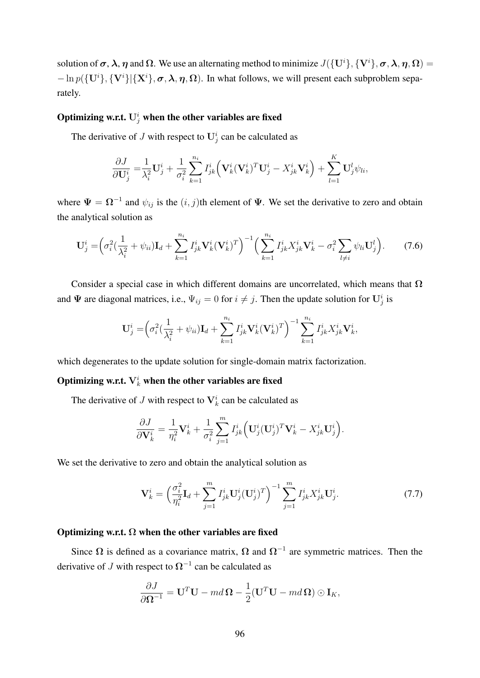solution of  $\sigma$ ,  $\lambda$ ,  $\eta$  and  $\Omega$ . We use an alternating method to minimize  $J(\{\mathbf{U}^i\}, {\{\mathbf{V}^i\}}, \sigma, \lambda, \eta, \Omega)$  $-\ln p({\{\mathbf{U}^i\}}, {\{\mathbf{V}^i\}}|\{\mathbf{X}^i\}, \sigma, \boldsymbol{\lambda}, \boldsymbol{\eta}, \boldsymbol{\Omega})$ . In what follows, we will present each subproblem separately.

## Optimizing w.r.t.  $U_j^i$  when the other variables are fixed

The derivative of J with respect to  $\mathbf{U}_j^i$  can be calculated as

$$
\frac{\partial J}{\partial \mathbf{U}_j^i} = \frac{1}{\lambda_i^2} \mathbf{U}_j^i + \frac{1}{\sigma_i^2} \sum_{k=1}^{n_i} I_{jk}^i \left( \mathbf{V}_k^i (\mathbf{V}_k^i)^T \mathbf{U}_j^i - X_{jk}^i \mathbf{V}_k^i \right) + \sum_{l=1}^K \mathbf{U}_j^l \psi_{li},
$$

where  $\Psi = \Omega^{-1}$  and  $\psi_{ij}$  is the  $(i, j)$ th element of  $\Psi$ . We set the derivative to zero and obtain the analytical solution as

$$
\mathbf{U}_{j}^{i} = \left(\sigma_{i}^{2}(\frac{1}{\lambda_{i}^{2}} + \psi_{ii})\mathbf{I}_{d} + \sum_{k=1}^{n_{i}} I_{jk}^{i} \mathbf{V}_{k}^{i}(\mathbf{V}_{k}^{i})^{T}\right)^{-1} \left(\sum_{k=1}^{n_{i}} I_{jk}^{i} X_{jk}^{i} \mathbf{V}_{k}^{i} - \sigma_{i}^{2} \sum_{l \neq i} \psi_{li} \mathbf{U}_{j}^{l}\right).
$$
 (7.6)

Consider a special case in which different domains are uncorrelated, which means that  $\Omega$ and  $\Psi$  are diagonal matrices, i.e.,  $\Psi_{ij} = 0$  for  $i \neq j$ . Then the update solution for  $\mathbf{U}_j^i$  is

$$
\mathbf{U}_{j}^{i} = \left(\sigma_{i}^{2}(\frac{1}{\lambda_{i}^{2}} + \psi_{ii})\mathbf{I}_{d} + \sum_{k=1}^{n_{i}} I_{jk}^{i} \mathbf{V}_{k}^{i}(\mathbf{V}_{k}^{i})^{T}\right)^{-1} \sum_{k=1}^{n_{i}} I_{jk}^{i} X_{jk}^{i} \mathbf{V}_{k}^{i},
$$

which degenerates to the update solution for single-domain matrix factorization.

## Optimizing w.r.t.  $V_k^i$  when the other variables are fixed

The derivative of J with respect to  $V_k^i$  can be calculated as

$$
\frac{\partial J}{\partial \mathbf{V}_k^i} = \frac{1}{\eta_i^2} \mathbf{V}_k^i + \frac{1}{\sigma_i^2} \sum_{j=1}^m I_{jk}^i \Big( \mathbf{U}_j^i (\mathbf{U}_j^i)^T \mathbf{V}_k^i - X_{jk}^i \mathbf{U}_j^i \Big).
$$

We set the derivative to zero and obtain the analytical solution as

$$
\mathbf{V}_{k}^{i} = \left(\frac{\sigma_{i}^{2}}{\eta_{i}^{2}}\mathbf{I}_{d} + \sum_{j=1}^{m} I_{jk}^{i} \mathbf{U}_{j}^{i} (\mathbf{U}_{j}^{i})^{T}\right)^{-1} \sum_{j=1}^{m} I_{jk}^{i} X_{jk}^{i} \mathbf{U}_{j}^{i}.
$$
 (7.7)

### Optimizing w.r.t.  $\Omega$  when the other variables are fixed

Since  $\Omega$  is defined as a covariance matrix,  $\Omega$  and  $\Omega^{-1}$  are symmetric matrices. Then the derivative of J with respect to  $\Omega^{-1}$  can be calculated as

$$
\frac{\partial J}{\partial \mathbf{\Omega}^{-1}} = \mathbf{U}^T \mathbf{U} - m d \mathbf{\Omega} - \frac{1}{2} (\mathbf{U}^T \mathbf{U} - m d \mathbf{\Omega}) \odot \mathbf{I}_K,
$$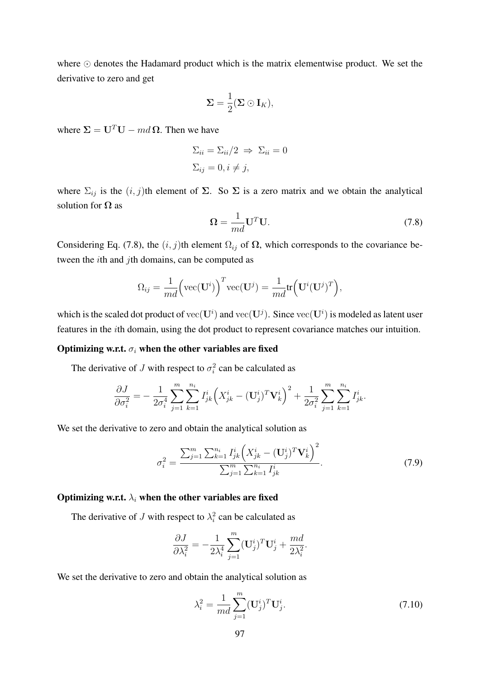where  $\odot$  denotes the Hadamard product which is the matrix elementwise product. We set the derivative to zero and get

$$
\Sigma = \frac{1}{2}(\Sigma \odot \mathbf{I}_K),
$$

where  $\Sigma = U^T U - m d \Omega$ . Then we have

$$
\Sigma_{ii} = \Sigma_{ii}/2 \implies \Sigma_{ii} = 0
$$
  

$$
\Sigma_{ij} = 0, i \neq j,
$$

where  $\Sigma_{ij}$  is the  $(i, j)$ th element of  $\Sigma$ . So  $\Sigma$  is a zero matrix and we obtain the analytical solution for  $\Omega$  as

$$
\Omega = \frac{1}{md} \mathbf{U}^T \mathbf{U}.
$$
 (7.8)

Considering Eq. (7.8), the  $(i, j)$ th element  $\Omega_{ij}$  of  $\Omega$ , which corresponds to the covariance between the *i*th and *j*th domains, can be computed as

$$
\Omega_{ij} = \frac{1}{md} \Big( \text{vec}(\mathbf{U}^i) \Big)^T \text{vec}(\mathbf{U}^j) = \frac{1}{md} \text{tr} \Big( \mathbf{U}^i (\mathbf{U}^j)^T \Big),
$$

which is the scaled dot product of  $\text{vec}(\mathbf{U}^i)$  and  $\text{vec}(\mathbf{U}^j)$ . Since  $\text{vec}(\mathbf{U}^i)$  is modeled as latent user features in the ith domain, using the dot product to represent covariance matches our intuition.

### Optimizing w.r.t.  $\sigma_i$  when the other variables are fixed

The derivative of J with respect to  $\sigma_i^2$  can be calculated as

$$
\frac{\partial J}{\partial \sigma_i^2} = -\frac{1}{2\sigma_i^4} \sum_{j=1}^m \sum_{k=1}^{n_i} I_{jk}^i \Big(X_{jk}^i - (\mathbf{U}_j^i)^T \mathbf{V}_k^i\Big)^2 + \frac{1}{2\sigma_i^2} \sum_{j=1}^m \sum_{k=1}^{n_i} I_{jk}^i.
$$

We set the derivative to zero and obtain the analytical solution as

$$
\sigma_i^2 = \frac{\sum_{j=1}^m \sum_{k=1}^{n_i} I_{jk}^i \left( X_{jk}^i - (\mathbf{U}_j^i)^T \mathbf{V}_k^i \right)^2}{\sum_{j=1}^m \sum_{k=1}^{n_i} I_{jk}^i}.
$$
(7.9)

### Optimizing w.r.t.  $\lambda_i$  when the other variables are fixed

The derivative of J with respect to  $\lambda_i^2$  can be calculated as

$$
\frac{\partial J}{\partial \lambda_i^2} = -\frac{1}{2\lambda_i^4} \sum_{j=1}^m (\mathbf{U}_j^i)^T \mathbf{U}_j^i + \frac{md}{2\lambda_i^2}.
$$

We set the derivative to zero and obtain the analytical solution as

$$
\lambda_i^2 = \frac{1}{md} \sum_{j=1}^m (\mathbf{U}_j^i)^T \mathbf{U}_j^i.
$$
 (7.10)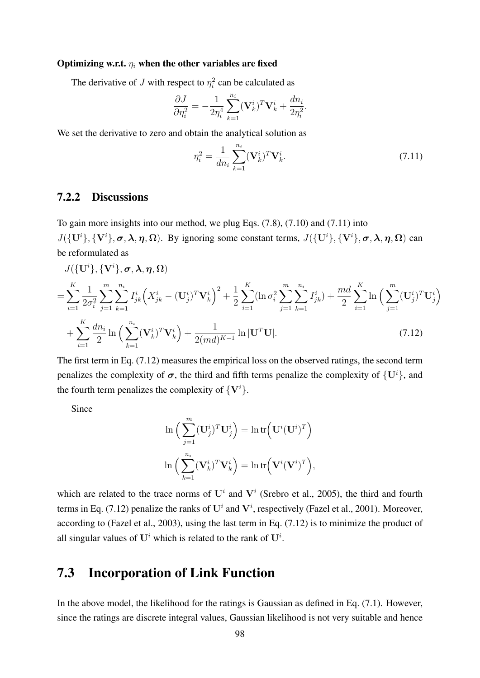### Optimizing w.r.t.  $\eta_i$  when the other variables are fixed

The derivative of J with respect to  $\eta_i^2$  can be calculated as

$$
\frac{\partial J}{\partial \eta_i^2} = -\frac{1}{2\eta_i^4}\sum_{k=1}^{n_i} (\mathbf{V}_k^i)^T \mathbf{V}_k^i + \frac{d n_i}{2\eta_i^2}.
$$

We set the derivative to zero and obtain the analytical solution as

$$
\eta_i^2 = \frac{1}{dn_i} \sum_{k=1}^{n_i} (\mathbf{V}_k^i)^T \mathbf{V}_k^i.
$$
 (7.11)

### 7.2.2 Discussions

To gain more insights into our method, we plug Eqs. (7.8), (7.10) and (7.11) into

 $J({\{\mathbf{U}^i\}, {\{\mathbf{V}^i\}}, \sigma, \boldsymbol{\lambda}, \boldsymbol{\eta}, \boldsymbol{\Omega}}).$  By ignoring some constant terms,  $J({\{\mathbf{U}^i\}, {\{\mathbf{V}^i\}}, \sigma, \boldsymbol{\lambda}, \boldsymbol{\eta}, \boldsymbol{\Omega}})$  can be reformulated as

$$
J(\{\mathbf{U}^{i}\}, \{\mathbf{V}^{i}\}, \sigma, \lambda, \eta, \Omega)
$$
\n
$$
= \sum_{i=1}^{K} \frac{1}{2\sigma_{i}^{2}} \sum_{j=1}^{m} \sum_{k=1}^{n_{i}} I_{jk}^{i} \left(X_{jk}^{i} - (\mathbf{U}_{j}^{i})^{T} \mathbf{V}_{k}^{i}\right)^{2} + \frac{1}{2} \sum_{i=1}^{K} (\ln \sigma_{i}^{2} \sum_{j=1}^{m} \sum_{k=1}^{n_{i}} I_{jk}^{i}) + \frac{md}{2} \sum_{i=1}^{K} \ln \left(\sum_{j=1}^{m} (\mathbf{U}_{j}^{i})^{T} \mathbf{U}_{j}^{i}\right) + \sum_{i=1}^{K} \frac{dn_{i}}{2} \ln \left(\sum_{k=1}^{n_{i}} (\mathbf{V}_{k}^{i})^{T} \mathbf{V}_{k}^{i}\right) + \frac{1}{2 (md)^{K-1}} \ln |\mathbf{U}^{T} \mathbf{U}|.
$$
\n(7.12)

The first term in Eq. (7.12) measures the empirical loss on the observed ratings, the second term penalizes the complexity of  $\sigma$ , the third and fifth terms penalize the complexity of  $\{U^i\}$ , and the fourth term penalizes the complexity of  $\{V^i\}$ .

Since

$$
\ln\Big(\sum_{j=1}^m (\mathbf{U}_j^i)^T \mathbf{U}_j^i\Big) = \ln \text{tr}\Big(\mathbf{U}^i (\mathbf{U}^i)^T\Big)
$$

$$
\ln \Big(\sum_{k=1}^{n_i} (\mathbf{V}_k^i)^T \mathbf{V}_k^i\Big) = \ln \text{tr}\Big(\mathbf{V}^i (\mathbf{V}^i)^T\Big),
$$

which are related to the trace norms of  $U^i$  and  $V^i$  (Srebro et al., 2005), the third and fourth terms in Eq. (7.12) penalize the ranks of  $\mathbf{U}^i$  and  $\mathbf{V}^i$ , respectively (Fazel et al., 2001). Moreover, according to (Fazel et al., 2003), using the last term in Eq. (7.12) is to minimize the product of all singular values of  $U^i$  which is related to the rank of  $U^i$ .

## 7.3 Incorporation of Link Function

In the above model, the likelihood for the ratings is Gaussian as defined in Eq. (7.1). However, since the ratings are discrete integral values, Gaussian likelihood is not very suitable and hence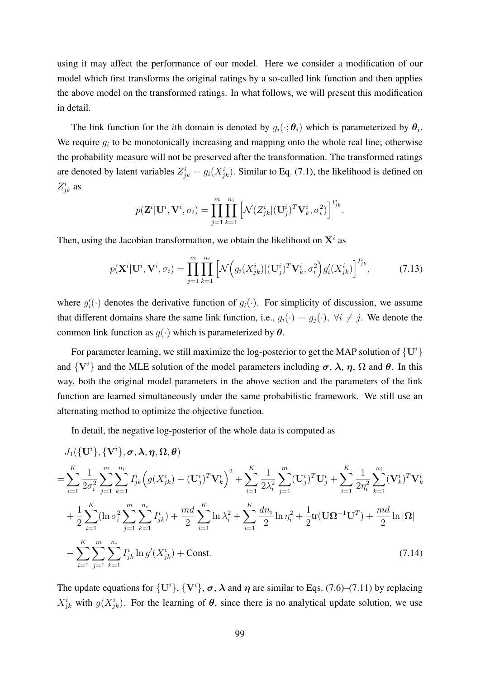using it may affect the performance of our model. Here we consider a modification of our model which first transforms the original ratings by a so-called link function and then applies the above model on the transformed ratings. In what follows, we will present this modification in detail.

The link function for the *i*th domain is denoted by  $g_i(\cdot; \theta_i)$  which is parameterized by  $\theta_i$ . We require  $g_i$  to be monotonically increasing and mapping onto the whole real line; otherwise the probability measure will not be preserved after the transformation. The transformed ratings are denoted by latent variables  $Z_{jk}^i = g_i(X_{jk}^i)$ . Similar to Eq. (7.1), the likelihood is defined on  $Z^i_{jk}$  as

$$
p(\mathbf{Z}^i | \mathbf{U}^i, \mathbf{V}^i, \sigma_i) = \prod_{j=1}^m \prod_{k=1}^{n_i} \left[ \mathcal{N}(Z_{jk}^i | (\mathbf{U}_j^i)^T \mathbf{V}_k^i, \sigma_i^2) \right]^{I_{jk}^i}.
$$

Then, using the Jacobian transformation, we obtain the likelihood on  $X^i$  as

$$
p(\mathbf{X}^{i}|\mathbf{U}^{i},\mathbf{V}^{i},\sigma_{i}) = \prod_{j=1}^{m} \prod_{k=1}^{n_{i}} \left[ \mathcal{N}\Big(g_{i}(X_{jk}^{i})|(\mathbf{U}_{j}^{i})^{T}\mathbf{V}_{k}^{i},\sigma_{i}^{2}\Big) g'_{i}(X_{jk}^{i}) \right]^{I_{jk}^{i}},\tag{7.13}
$$

where  $g_i'(\cdot)$  denotes the derivative function of  $g_i(\cdot)$ . For simplicity of discussion, we assume that different domains share the same link function, i.e.,  $g_i(\cdot) = g_j(\cdot)$ ,  $\forall i \neq j$ . We denote the common link function as  $g(\cdot)$  which is parameterized by  $\theta$ .

For parameter learning, we still maximize the log-posterior to get the MAP solution of  $\{U^i\}$ and  $\{V^i\}$  and the MLE solution of the model parameters including  $\sigma$ ,  $\lambda$ ,  $\eta$ ,  $\Omega$  and  $\theta$ . In this way, both the original model parameters in the above section and the parameters of the link function are learned simultaneously under the same probabilistic framework. We still use an alternating method to optimize the objective function.

In detail, the negative log-posterior of the whole data is computed as

$$
J_{1}(\{\mathbf{U}^{i}\}, \{\mathbf{V}^{i}\}, \boldsymbol{\sigma}, \boldsymbol{\lambda}, \boldsymbol{\eta}, \boldsymbol{\Omega}, \boldsymbol{\theta})
$$
\n
$$
= \sum_{i=1}^{K} \frac{1}{2\sigma_{i}^{2}} \sum_{j=1}^{m} \sum_{k=1}^{n_{i}} I_{jk}^{i} \Big(g(X_{jk}^{i}) - (\mathbf{U}_{j}^{i})^{T} \mathbf{V}_{k}^{i}\Big)^{2} + \sum_{i=1}^{K} \frac{1}{2\lambda_{i}^{2}} \sum_{j=1}^{m} (\mathbf{U}_{j}^{i})^{T} \mathbf{U}_{j}^{i} + \sum_{i=1}^{K} \frac{1}{2\eta_{i}^{2}} \sum_{k=1}^{n_{i}} (\mathbf{V}_{k}^{i})^{T} \mathbf{V}_{k}^{i}
$$
\n
$$
+ \frac{1}{2} \sum_{i=1}^{K} (\ln \sigma_{i}^{2} \sum_{j=1}^{m} \sum_{k=1}^{n_{i}} I_{jk}^{i}) + \frac{md}{2} \sum_{i=1}^{K} \ln \lambda_{i}^{2} + \sum_{i=1}^{K} \frac{dn_{i}}{2} \ln \eta_{i}^{2} + \frac{1}{2} \text{tr}(\mathbf{U}\boldsymbol{\Omega}^{-1}\mathbf{U}^{T}) + \frac{md}{2} \ln |\boldsymbol{\Omega}|
$$
\n
$$
- \sum_{i=1}^{K} \sum_{j=1}^{m} \sum_{k=1}^{n_{i}} I_{jk}^{i} \ln g'(X_{jk}^{i}) + \text{Const.}
$$
\n(7.14)

The update equations for  $\{U^i\}$ ,  $\{V^i\}$ ,  $\sigma$ ,  $\lambda$  and  $\eta$  are similar to Eqs. (7.6)–(7.11) by replacing  $X_{jk}^{i}$  with  $g(X_{jk}^{i})$ . For the learning of  $\theta$ , since there is no analytical update solution, we use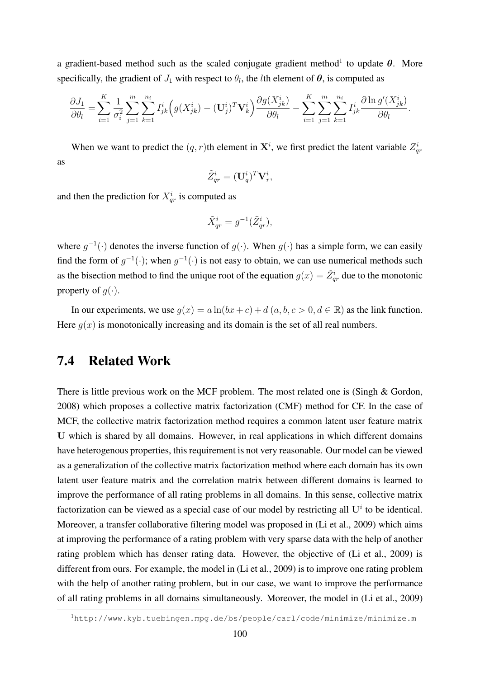a gradient-based method such as the scaled conjugate gradient method<sup>1</sup> to update  $\theta$ . More specifically, the gradient of  $J_1$  with respect to  $\theta_l$ , the *l*th element of  $\theta$ , is computed as

$$
\frac{\partial J_1}{\partial \theta_l} = \sum_{i=1}^K \frac{1}{\sigma_i^2} \sum_{j=1}^m \sum_{k=1}^{n_i} I_{jk}^i \Big( g(X_{jk}^i) - (\mathbf{U}_j^i)^T \mathbf{V}_k^i \Big) \frac{\partial g(X_{jk}^i)}{\partial \theta_l} - \sum_{i=1}^K \sum_{j=1}^m \sum_{k=1}^{n_i} I_{jk}^i \frac{\partial \ln g'(X_{jk}^i)}{\partial \theta_l}.
$$

When we want to predict the  $(q, r)$ th element in  $\mathbf{X}^i$ , we first predict the latent variable  $Z_{qr}^i$ as

$$
\tilde{Z}_{qr}^i = (\mathbf{U}_q^i)^T \mathbf{V}_r^i,
$$

and then the prediction for  $X_{qr}^i$  is computed as

$$
\tilde{X}^i_{qr} = g^{-1}(\tilde{Z}^i_{qr}),
$$

where  $g^{-1}(\cdot)$  denotes the inverse function of  $g(\cdot)$ . When  $g(\cdot)$  has a simple form, we can easily find the form of  $g^{-1}(\cdot)$ ; when  $g^{-1}(\cdot)$  is not easy to obtain, we can use numerical methods such as the bisection method to find the unique root of the equation  $g(x) = \tilde{Z}_{qr}^i$  due to the monotonic property of  $g(\cdot)$ .

In our experiments, we use  $g(x) = a \ln(bx + c) + d(a, b, c > 0, d \in \mathbb{R})$  as the link function. Here  $g(x)$  is monotonically increasing and its domain is the set of all real numbers.

## 7.4 Related Work

There is little previous work on the MCF problem. The most related one is (Singh & Gordon, 2008) which proposes a collective matrix factorization (CMF) method for CF. In the case of MCF, the collective matrix factorization method requires a common latent user feature matrix U which is shared by all domains. However, in real applications in which different domains have heterogenous properties, this requirement is not very reasonable. Our model can be viewed as a generalization of the collective matrix factorization method where each domain has its own latent user feature matrix and the correlation matrix between different domains is learned to improve the performance of all rating problems in all domains. In this sense, collective matrix factorization can be viewed as a special case of our model by restricting all  $U^i$  to be identical. Moreover, a transfer collaborative filtering model was proposed in (Li et al., 2009) which aims at improving the performance of a rating problem with very sparse data with the help of another rating problem which has denser rating data. However, the objective of (Li et al., 2009) is different from ours. For example, the model in (Li et al., 2009) is to improve one rating problem with the help of another rating problem, but in our case, we want to improve the performance of all rating problems in all domains simultaneously. Moreover, the model in (Li et al., 2009)

<sup>1</sup>http://www.kyb.tuebingen.mpg.de/bs/people/carl/code/minimize/minimize.m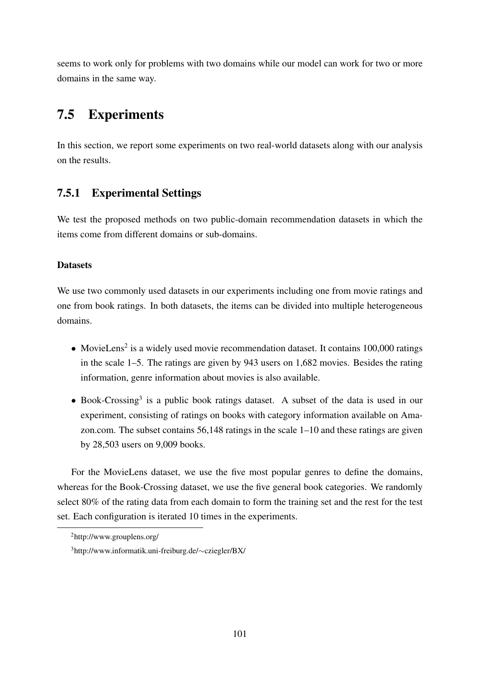seems to work only for problems with two domains while our model can work for two or more domains in the same way.

# 7.5 Experiments

In this section, we report some experiments on two real-world datasets along with our analysis on the results.

## 7.5.1 Experimental Settings

We test the proposed methods on two public-domain recommendation datasets in which the items come from different domains or sub-domains.

### **Datasets**

We use two commonly used datasets in our experiments including one from movie ratings and one from book ratings. In both datasets, the items can be divided into multiple heterogeneous domains.

- MovieLens<sup>2</sup> is a widely used movie recommendation dataset. It contains 100,000 ratings in the scale 1–5. The ratings are given by 943 users on 1,682 movies. Besides the rating information, genre information about movies is also available.
- Book-Crossing<sup>3</sup> is a public book ratings dataset. A subset of the data is used in our experiment, consisting of ratings on books with category information available on Amazon.com. The subset contains 56,148 ratings in the scale 1–10 and these ratings are given by 28,503 users on 9,009 books.

For the MovieLens dataset, we use the five most popular genres to define the domains, whereas for the Book-Crossing dataset, we use the five general book categories. We randomly select 80% of the rating data from each domain to form the training set and the rest for the test set. Each configuration is iterated 10 times in the experiments.

<sup>2</sup>http://www.grouplens.org/

<sup>3</sup>http://www.informatik.uni-freiburg.de/∼cziegler/BX/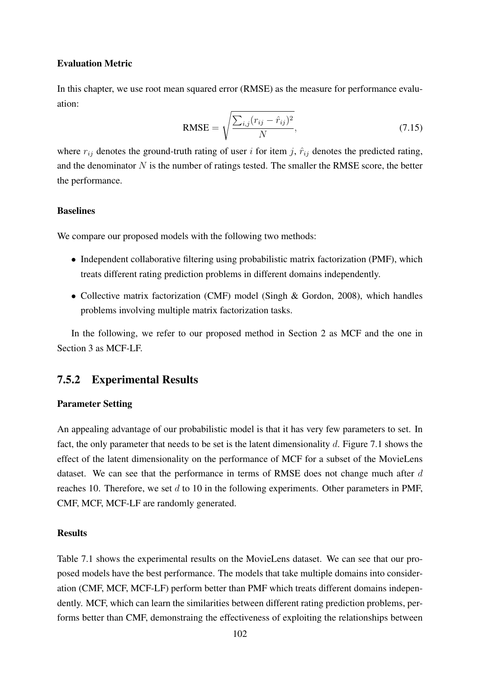### Evaluation Metric

In this chapter, we use root mean squared error (RMSE) as the measure for performance evaluation:

$$
RMSE = \sqrt{\frac{\sum_{i,j}(r_{ij} - \hat{r}_{ij})^2}{N}},
$$
\n(7.15)

where  $r_{ij}$  denotes the ground-truth rating of user i for item j,  $\hat{r}_{ij}$  denotes the predicted rating, and the denominator  $N$  is the number of ratings tested. The smaller the RMSE score, the better the performance.

### Baselines

We compare our proposed models with the following two methods:

- Independent collaborative filtering using probabilistic matrix factorization (PMF), which treats different rating prediction problems in different domains independently.
- Collective matrix factorization (CMF) model (Singh & Gordon, 2008), which handles problems involving multiple matrix factorization tasks.

In the following, we refer to our proposed method in Section 2 as MCF and the one in Section 3 as MCF-LF.

### 7.5.2 Experimental Results

### Parameter Setting

An appealing advantage of our probabilistic model is that it has very few parameters to set. In fact, the only parameter that needs to be set is the latent dimensionality d. Figure 7.1 shows the effect of the latent dimensionality on the performance of MCF for a subset of the MovieLens dataset. We can see that the performance in terms of RMSE does not change much after d reaches 10. Therefore, we set  $d$  to 10 in the following experiments. Other parameters in PMF, CMF, MCF, MCF-LF are randomly generated.

### **Results**

Table 7.1 shows the experimental results on the MovieLens dataset. We can see that our proposed models have the best performance. The models that take multiple domains into consideration (CMF, MCF, MCF-LF) perform better than PMF which treats different domains independently. MCF, which can learn the similarities between different rating prediction problems, performs better than CMF, demonstraing the effectiveness of exploiting the relationships between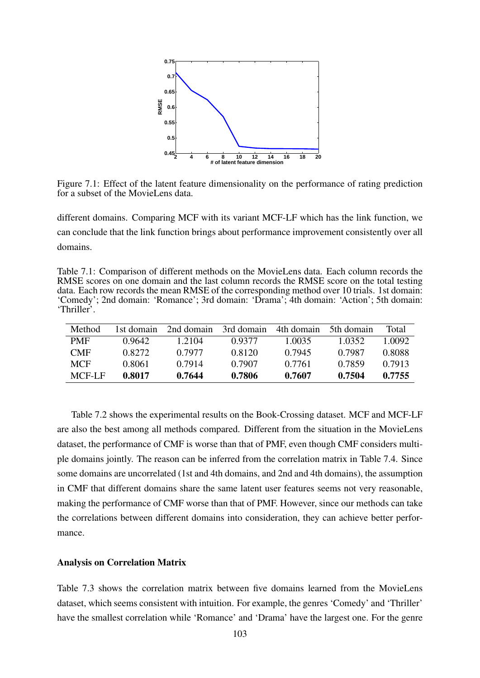

Figure 7.1: Effect of the latent feature dimensionality on the performance of rating prediction for a subset of the MovieLens data.

different domains. Comparing MCF with its variant MCF-LF which has the link function, we can conclude that the link function brings about performance improvement consistently over all domains.

Table 7.1: Comparison of different methods on the MovieLens data. Each column records the RMSE scores on one domain and the last column records the RMSE score on the total testing data. Each row records the mean RMSE of the corresponding method over 10 trials. 1st domain: 'Comedy'; 2nd domain: 'Romance'; 3rd domain: 'Drama'; 4th domain: 'Action'; 5th domain: 'Thriller'.

| Method     | 1st domain | 2nd domain | 3rd domain | 4th domain | 5th domain | Total   |
|------------|------------|------------|------------|------------|------------|---------|
| <b>PMF</b> | 0.9642     | 1.2104     | 0.9377     | 1.0035     | 1.0352.    | 1.0092. |
| <b>CMF</b> | 0.8272     | 0.7977     | 0.8120     | 0.7945     | 0.7987     | 0.8088  |
| <b>MCF</b> | 0.8061     | 0.7914     | 0.7907     | 0.7761     | 0.7859     | 0.7913  |
| MCF-LF     | 0.8017     | 0.7644     | 0.7806     | 0.7607     | 0.7504     | 0.7755  |

Table 7.2 shows the experimental results on the Book-Crossing dataset. MCF and MCF-LF are also the best among all methods compared. Different from the situation in the MovieLens dataset, the performance of CMF is worse than that of PMF, even though CMF considers multiple domains jointly. The reason can be inferred from the correlation matrix in Table 7.4. Since some domains are uncorrelated (1st and 4th domains, and 2nd and 4th domains), the assumption in CMF that different domains share the same latent user features seems not very reasonable, making the performance of CMF worse than that of PMF. However, since our methods can take the correlations between different domains into consideration, they can achieve better performance.

### Analysis on Correlation Matrix

Table 7.3 shows the correlation matrix between five domains learned from the MovieLens dataset, which seems consistent with intuition. For example, the genres 'Comedy' and 'Thriller' have the smallest correlation while 'Romance' and 'Drama' have the largest one. For the genre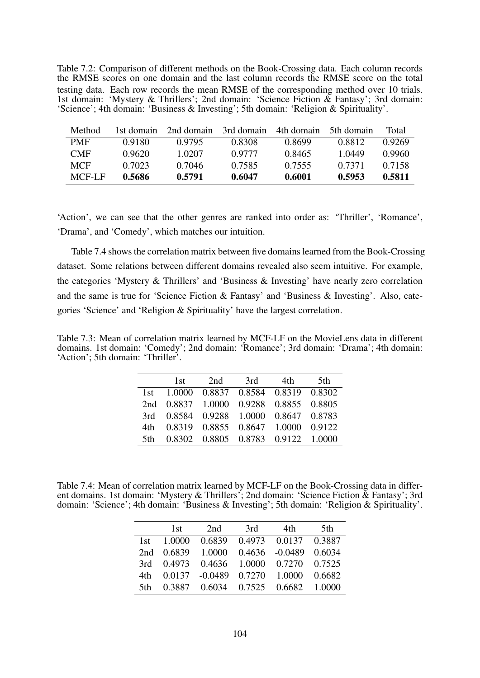Table 7.2: Comparison of different methods on the Book-Crossing data. Each column records the RMSE scores on one domain and the last column records the RMSE score on the total testing data. Each row records the mean RMSE of the corresponding method over 10 trials. 1st domain: 'Mystery & Thrillers'; 2nd domain: 'Science Fiction & Fantasy'; 3rd domain: 'Science'; 4th domain: 'Business & Investing'; 5th domain: 'Religion & Spirituality'.

| Method     | 1st domain. | 2nd domain | 3rd domain | 4th domain | 5th domain | Total  |
|------------|-------------|------------|------------|------------|------------|--------|
| <b>PMF</b> | 0.9180      | 0.9795     | 0.8308     | 0.8699     | 0.8812     | 0.9269 |
| <b>CMF</b> | 0.9620      | 1.0207     | 0.9777     | 0.8465     | 1.0449     | 0.9960 |
| <b>MCF</b> | 0.7023      | 0.7046     | 0.7585     | 0.7555     | 0.7371     | 0.7158 |
| MCF-LF     | 0.5686      | 0.5791     | 0.6047     | 0.6001     | 0.5953     | 0.5811 |

'Action', we can see that the other genres are ranked into order as: 'Thriller', 'Romance', 'Drama', and 'Comedy', which matches our intuition.

Table 7.4 shows the correlation matrix between five domains learned from the Book-Crossing dataset. Some relations between different domains revealed also seem intuitive. For example, the categories 'Mystery & Thrillers' and 'Business & Investing' have nearly zero correlation and the same is true for 'Science Fiction & Fantasy' and 'Business & Investing'. Also, categories 'Science' and 'Religion & Spirituality' have the largest correlation.

Table 7.3: Mean of correlation matrix learned by MCF-LF on the MovieLens data in different domains. 1st domain: 'Comedy'; 2nd domain: 'Romance'; 3rd domain: 'Drama'; 4th domain: 'Action'; 5th domain: 'Thriller'.

| 1st | 2nd 3rd | 4th                                    | .5th |
|-----|---------|----------------------------------------|------|
|     |         | 1st 1.0000 0.8837 0.8584 0.8319 0.8302 |      |
|     |         | 2nd 0.8837 1.0000 0.9288 0.8855 0.8805 |      |
|     |         | 3rd 0.8584 0.9288 1.0000 0.8647 0.8783 |      |
|     |         | 4th 0.8319 0.8855 0.8647 1.0000 0.9122 |      |
|     |         | 5th 0.8302 0.8805 0.8783 0.9122 1.0000 |      |
|     |         |                                        |      |

Table 7.4: Mean of correlation matrix learned by MCF-LF on the Book-Crossing data in different domains. 1st domain: 'Mystery & Thrillers'; 2nd domain: 'Science Fiction & Fantasy'; 3rd domain: 'Science'; 4th domain: 'Business & Investing'; 5th domain: 'Religion & Spirituality'.

|       | 1st.       | 2nd                                    | 3rd | 4th                  | .5th   |
|-------|------------|----------------------------------------|-----|----------------------|--------|
| 1st - |            | 1.0000 0.6839                          |     | 0.4973 0.0137 0.3887 |        |
|       | 2nd 0.6839 | 1.0000                                 |     | 0.4636 -0.0489       | 0.6034 |
|       |            | 3rd 0.4973 0.4636 1.0000 0.7270 0.7525 |     |                      |        |
| 4th.  |            | 0.0137 -0.0489 0.7270 1.0000           |     |                      | 0.6682 |
| 5th   |            | 0.3887 0.6034 0.7525 0.6682 1.0000     |     |                      |        |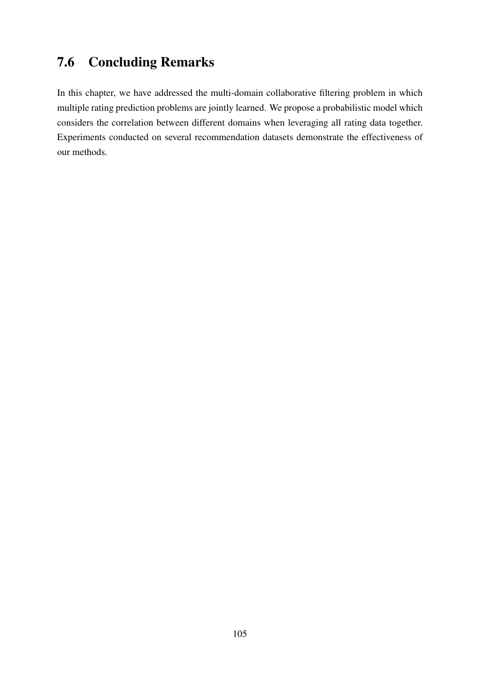# 7.6 Concluding Remarks

In this chapter, we have addressed the multi-domain collaborative filtering problem in which multiple rating prediction problems are jointly learned. We propose a probabilistic model which considers the correlation between different domains when leveraging all rating data together. Experiments conducted on several recommendation datasets demonstrate the effectiveness of our methods.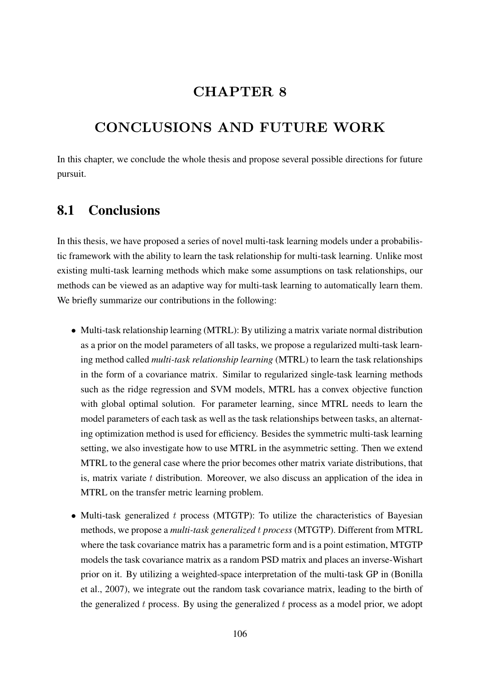# CHAPTER 8

# CONCLUSIONS AND FUTURE WORK

In this chapter, we conclude the whole thesis and propose several possible directions for future pursuit.

## 8.1 Conclusions

In this thesis, we have proposed a series of novel multi-task learning models under a probabilistic framework with the ability to learn the task relationship for multi-task learning. Unlike most existing multi-task learning methods which make some assumptions on task relationships, our methods can be viewed as an adaptive way for multi-task learning to automatically learn them. We briefly summarize our contributions in the following:

- Multi-task relationship learning (MTRL): By utilizing a matrix variate normal distribution as a prior on the model parameters of all tasks, we propose a regularized multi-task learning method called *multi-task relationship learning* (MTRL) to learn the task relationships in the form of a covariance matrix. Similar to regularized single-task learning methods such as the ridge regression and SVM models, MTRL has a convex objective function with global optimal solution. For parameter learning, since MTRL needs to learn the model parameters of each task as well as the task relationships between tasks, an alternating optimization method is used for efficiency. Besides the symmetric multi-task learning setting, we also investigate how to use MTRL in the asymmetric setting. Then we extend MTRL to the general case where the prior becomes other matrix variate distributions, that is, matrix variate  $t$  distribution. Moreover, we also discuss an application of the idea in MTRL on the transfer metric learning problem.
- Multi-task generalized  $t$  process (MTGTP): To utilize the characteristics of Bayesian methods, we propose a *multi-task generalized* t *process* (MTGTP). Different from MTRL where the task covariance matrix has a parametric form and is a point estimation, MTGTP models the task covariance matrix as a random PSD matrix and places an inverse-Wishart prior on it. By utilizing a weighted-space interpretation of the multi-task GP in (Bonilla et al., 2007), we integrate out the random task covariance matrix, leading to the birth of the generalized  $t$  process. By using the generalized  $t$  process as a model prior, we adopt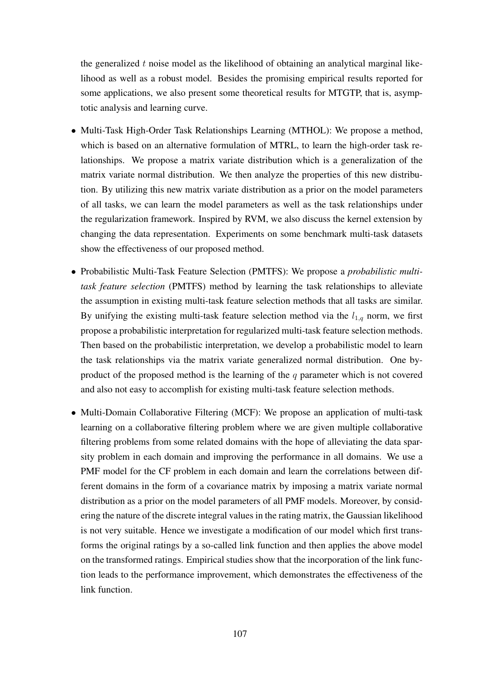the generalized  $t$  noise model as the likelihood of obtaining an analytical marginal likelihood as well as a robust model. Besides the promising empirical results reported for some applications, we also present some theoretical results for MTGTP, that is, asymptotic analysis and learning curve.

- Multi-Task High-Order Task Relationships Learning (MTHOL): We propose a method, which is based on an alternative formulation of MTRL, to learn the high-order task relationships. We propose a matrix variate distribution which is a generalization of the matrix variate normal distribution. We then analyze the properties of this new distribution. By utilizing this new matrix variate distribution as a prior on the model parameters of all tasks, we can learn the model parameters as well as the task relationships under the regularization framework. Inspired by RVM, we also discuss the kernel extension by changing the data representation. Experiments on some benchmark multi-task datasets show the effectiveness of our proposed method.
- Probabilistic Multi-Task Feature Selection (PMTFS): We propose a *probabilistic multitask feature selection* (PMTFS) method by learning the task relationships to alleviate the assumption in existing multi-task feature selection methods that all tasks are similar. By unifying the existing multi-task feature selection method via the  $l_{1,q}$  norm, we first propose a probabilistic interpretation for regularized multi-task feature selection methods. Then based on the probabilistic interpretation, we develop a probabilistic model to learn the task relationships via the matrix variate generalized normal distribution. One byproduct of the proposed method is the learning of the  $q$  parameter which is not covered and also not easy to accomplish for existing multi-task feature selection methods.
- Multi-Domain Collaborative Filtering (MCF): We propose an application of multi-task learning on a collaborative filtering problem where we are given multiple collaborative filtering problems from some related domains with the hope of alleviating the data sparsity problem in each domain and improving the performance in all domains. We use a PMF model for the CF problem in each domain and learn the correlations between different domains in the form of a covariance matrix by imposing a matrix variate normal distribution as a prior on the model parameters of all PMF models. Moreover, by considering the nature of the discrete integral values in the rating matrix, the Gaussian likelihood is not very suitable. Hence we investigate a modification of our model which first transforms the original ratings by a so-called link function and then applies the above model on the transformed ratings. Empirical studies show that the incorporation of the link function leads to the performance improvement, which demonstrates the effectiveness of the link function.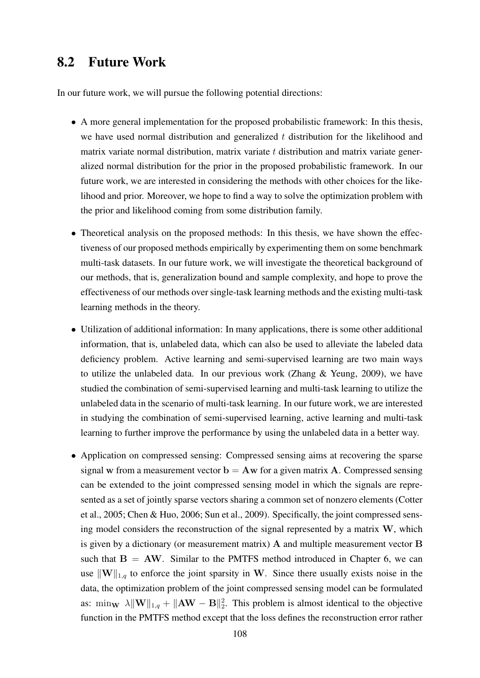## 8.2 Future Work

In our future work, we will pursue the following potential directions:

- A more general implementation for the proposed probabilistic framework: In this thesis, we have used normal distribution and generalized  $t$  distribution for the likelihood and matrix variate normal distribution, matrix variate  $t$  distribution and matrix variate generalized normal distribution for the prior in the proposed probabilistic framework. In our future work, we are interested in considering the methods with other choices for the likelihood and prior. Moreover, we hope to find a way to solve the optimization problem with the prior and likelihood coming from some distribution family.
- Theoretical analysis on the proposed methods: In this thesis, we have shown the effectiveness of our proposed methods empirically by experimenting them on some benchmark multi-task datasets. In our future work, we will investigate the theoretical background of our methods, that is, generalization bound and sample complexity, and hope to prove the effectiveness of our methods over single-task learning methods and the existing multi-task learning methods in the theory.
- Utilization of additional information: In many applications, there is some other additional information, that is, unlabeled data, which can also be used to alleviate the labeled data deficiency problem. Active learning and semi-supervised learning are two main ways to utilize the unlabeled data. In our previous work (Zhang & Yeung, 2009), we have studied the combination of semi-supervised learning and multi-task learning to utilize the unlabeled data in the scenario of multi-task learning. In our future work, we are interested in studying the combination of semi-supervised learning, active learning and multi-task learning to further improve the performance by using the unlabeled data in a better way.
- Application on compressed sensing: Compressed sensing aims at recovering the sparse signal w from a measurement vector  $\mathbf{b} = \mathbf{A} \mathbf{w}$  for a given matrix **A**. Compressed sensing can be extended to the joint compressed sensing model in which the signals are represented as a set of jointly sparse vectors sharing a common set of nonzero elements (Cotter et al., 2005; Chen & Huo, 2006; Sun et al., 2009). Specifically, the joint compressed sensing model considers the reconstruction of the signal represented by a matrix W, which is given by a dictionary (or measurement matrix) A and multiple measurement vector B such that  $B = AW$ . Similar to the PMTFS method introduced in Chapter 6, we can use  $\|\mathbf{W}\|_{1,q}$  to enforce the joint sparsity in W. Since there usually exists noise in the data, the optimization problem of the joint compressed sensing model can be formulated as:  $\min_{\mathbf{W}} \lambda \|\mathbf{W}\|_{1,q} + \|\mathbf{A}\mathbf{W} - \mathbf{B}\|_{2}^{2}$ . This problem is almost identical to the objective function in the PMTFS method except that the loss defines the reconstruction error rather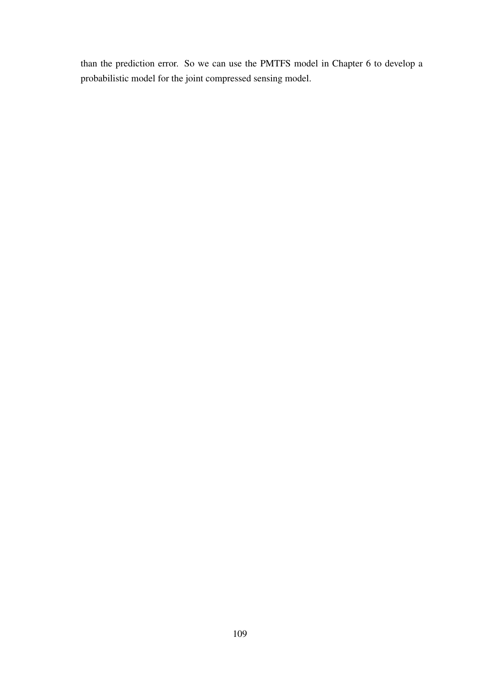than the prediction error. So we can use the PMTFS model in Chapter 6 to develop a probabilistic model for the joint compressed sensing model.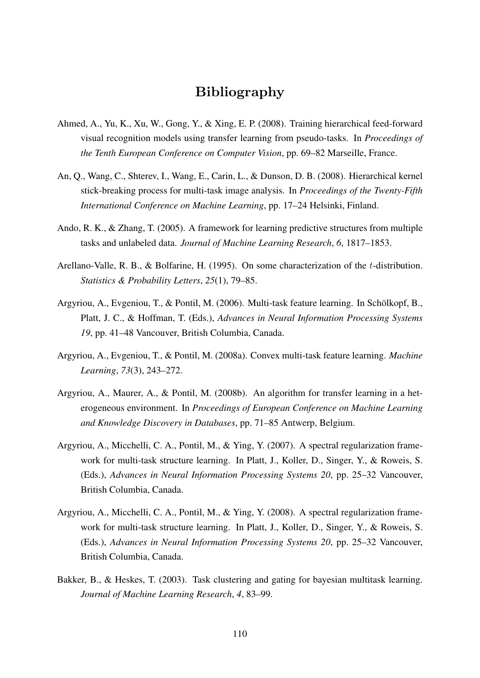# Bibliography

- Ahmed, A., Yu, K., Xu, W., Gong, Y., & Xing, E. P. (2008). Training hierarchical feed-forward visual recognition models using transfer learning from pseudo-tasks. In *Proceedings of the Tenth European Conference on Computer Vision*, pp. 69–82 Marseille, France.
- An, Q., Wang, C., Shterev, I., Wang, E., Carin, L., & Dunson, D. B. (2008). Hierarchical kernel stick-breaking process for multi-task image analysis. In *Proceedings of the Twenty-Fifth International Conference on Machine Learning*, pp. 17–24 Helsinki, Finland.
- Ando, R. K., & Zhang, T. (2005). A framework for learning predictive structures from multiple tasks and unlabeled data. *Journal of Machine Learning Research*, *6*, 1817–1853.
- Arellano-Valle, R. B., & Bolfarine, H. (1995). On some characterization of the t-distribution. *Statistics & Probability Letters*, *25*(1), 79–85.
- Argyriou, A., Evgeniou, T., & Pontil, M. (2006). Multi-task feature learning. In Scholkopf, B., ¨ Platt, J. C., & Hoffman, T. (Eds.), *Advances in Neural Information Processing Systems 19*, pp. 41–48 Vancouver, British Columbia, Canada.
- Argyriou, A., Evgeniou, T., & Pontil, M. (2008a). Convex multi-task feature learning. *Machine Learning*, *73*(3), 243–272.
- Argyriou, A., Maurer, A., & Pontil, M. (2008b). An algorithm for transfer learning in a heterogeneous environment. In *Proceedings of European Conference on Machine Learning and Knowledge Discovery in Databases*, pp. 71–85 Antwerp, Belgium.
- Argyriou, A., Micchelli, C. A., Pontil, M., & Ying, Y. (2007). A spectral regularization framework for multi-task structure learning. In Platt, J., Koller, D., Singer, Y., & Roweis, S. (Eds.), *Advances in Neural Information Processing Systems 20*, pp. 25–32 Vancouver, British Columbia, Canada.
- Argyriou, A., Micchelli, C. A., Pontil, M., & Ying, Y. (2008). A spectral regularization framework for multi-task structure learning. In Platt, J., Koller, D., Singer, Y., & Roweis, S. (Eds.), *Advances in Neural Information Processing Systems 20*, pp. 25–32 Vancouver, British Columbia, Canada.
- Bakker, B., & Heskes, T. (2003). Task clustering and gating for bayesian multitask learning. *Journal of Machine Learning Research*, *4*, 83–99.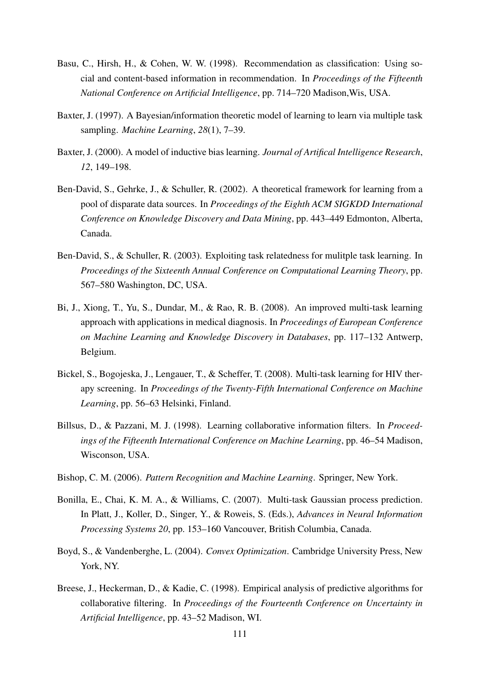- Basu, C., Hirsh, H., & Cohen, W. W. (1998). Recommendation as classification: Using social and content-based information in recommendation. In *Proceedings of the Fifteenth National Conference on Artificial Intelligence*, pp. 714–720 Madison,Wis, USA.
- Baxter, J. (1997). A Bayesian/information theoretic model of learning to learn via multiple task sampling. *Machine Learning*, *28*(1), 7–39.
- Baxter, J. (2000). A model of inductive bias learning. *Journal of Artifical Intelligence Research*, *12*, 149–198.
- Ben-David, S., Gehrke, J., & Schuller, R. (2002). A theoretical framework for learning from a pool of disparate data sources. In *Proceedings of the Eighth ACM SIGKDD International Conference on Knowledge Discovery and Data Mining*, pp. 443–449 Edmonton, Alberta, Canada.
- Ben-David, S., & Schuller, R. (2003). Exploiting task relatedness for mulitple task learning. In *Proceedings of the Sixteenth Annual Conference on Computational Learning Theory*, pp. 567–580 Washington, DC, USA.
- Bi, J., Xiong, T., Yu, S., Dundar, M., & Rao, R. B. (2008). An improved multi-task learning approach with applications in medical diagnosis. In *Proceedings of European Conference on Machine Learning and Knowledge Discovery in Databases*, pp. 117–132 Antwerp, Belgium.
- Bickel, S., Bogojeska, J., Lengauer, T., & Scheffer, T. (2008). Multi-task learning for HIV therapy screening. In *Proceedings of the Twenty-Fifth International Conference on Machine Learning*, pp. 56–63 Helsinki, Finland.
- Billsus, D., & Pazzani, M. J. (1998). Learning collaborative information filters. In *Proceedings of the Fifteenth International Conference on Machine Learning*, pp. 46–54 Madison, Wisconson, USA.
- Bishop, C. M. (2006). *Pattern Recognition and Machine Learning*. Springer, New York.
- Bonilla, E., Chai, K. M. A., & Williams, C. (2007). Multi-task Gaussian process prediction. In Platt, J., Koller, D., Singer, Y., & Roweis, S. (Eds.), *Advances in Neural Information Processing Systems 20*, pp. 153–160 Vancouver, British Columbia, Canada.
- Boyd, S., & Vandenberghe, L. (2004). *Convex Optimization*. Cambridge University Press, New York, NY.
- Breese, J., Heckerman, D., & Kadie, C. (1998). Empirical analysis of predictive algorithms for collaborative filtering. In *Proceedings of the Fourteenth Conference on Uncertainty in Artificial Intelligence*, pp. 43–52 Madison, WI.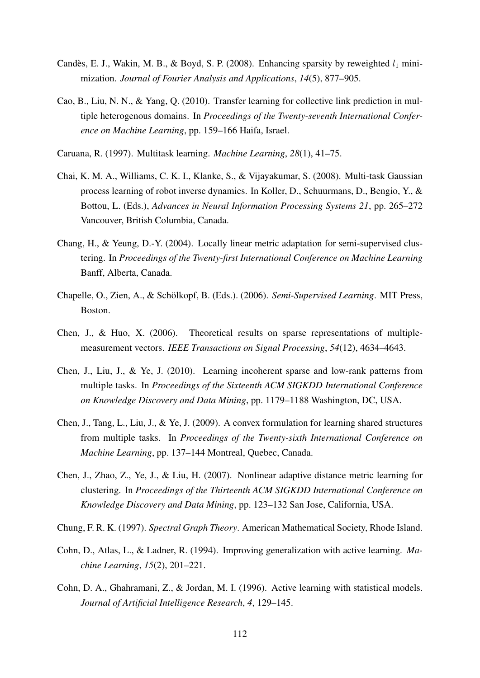- Candès, E. J., Wakin, M. B., & Boyd, S. P. (2008). Enhancing sparsity by reweighted  $l_1$  minimization. *Journal of Fourier Analysis and Applications*, *14*(5), 877–905.
- Cao, B., Liu, N. N., & Yang, Q. (2010). Transfer learning for collective link prediction in multiple heterogenous domains. In *Proceedings of the Twenty-seventh International Conference on Machine Learning*, pp. 159–166 Haifa, Israel.
- Caruana, R. (1997). Multitask learning. *Machine Learning*, *28*(1), 41–75.
- Chai, K. M. A., Williams, C. K. I., Klanke, S., & Vijayakumar, S. (2008). Multi-task Gaussian process learning of robot inverse dynamics. In Koller, D., Schuurmans, D., Bengio, Y., & Bottou, L. (Eds.), *Advances in Neural Information Processing Systems 21*, pp. 265–272 Vancouver, British Columbia, Canada.
- Chang, H., & Yeung, D.-Y. (2004). Locally linear metric adaptation for semi-supervised clustering. In *Proceedings of the Twenty-first International Conference on Machine Learning* Banff, Alberta, Canada.
- Chapelle, O., Zien, A., & Scholkopf, B. (Eds.). (2006). ¨ *Semi-Supervised Learning*. MIT Press, Boston.
- Chen, J., & Huo, X. (2006). Theoretical results on sparse representations of multiplemeasurement vectors. *IEEE Transactions on Signal Processing*, *54*(12), 4634–4643.
- Chen, J., Liu, J., & Ye, J. (2010). Learning incoherent sparse and low-rank patterns from multiple tasks. In *Proceedings of the Sixteenth ACM SIGKDD International Conference on Knowledge Discovery and Data Mining*, pp. 1179–1188 Washington, DC, USA.
- Chen, J., Tang, L., Liu, J., & Ye, J. (2009). A convex formulation for learning shared structures from multiple tasks. In *Proceedings of the Twenty-sixth International Conference on Machine Learning*, pp. 137–144 Montreal, Quebec, Canada.
- Chen, J., Zhao, Z., Ye, J., & Liu, H. (2007). Nonlinear adaptive distance metric learning for clustering. In *Proceedings of the Thirteenth ACM SIGKDD International Conference on Knowledge Discovery and Data Mining*, pp. 123–132 San Jose, California, USA.
- Chung, F. R. K. (1997). *Spectral Graph Theory*. American Mathematical Society, Rhode Island.
- Cohn, D., Atlas, L., & Ladner, R. (1994). Improving generalization with active learning. *Machine Learning*, *15*(2), 201–221.
- Cohn, D. A., Ghahramani, Z., & Jordan, M. I. (1996). Active learning with statistical models. *Journal of Artificial Intelligence Research*, *4*, 129–145.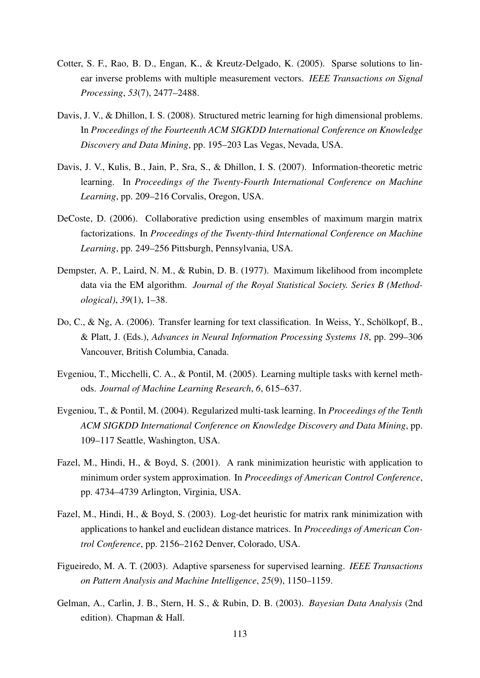- Cotter, S. F., Rao, B. D., Engan, K., & Kreutz-Delgado, K. (2005). Sparse solutions to linear inverse problems with multiple measurement vectors. *IEEE Transactions on Signal Processing*, *53*(7), 2477–2488.
- Davis, J. V., & Dhillon, I. S. (2008). Structured metric learning for high dimensional problems. In *Proceedings of the Fourteenth ACM SIGKDD International Conference on Knowledge Discovery and Data Mining*, pp. 195–203 Las Vegas, Nevada, USA.
- Davis, J. V., Kulis, B., Jain, P., Sra, S., & Dhillon, I. S. (2007). Information-theoretic metric learning. In *Proceedings of the Twenty-Fourth International Conference on Machine Learning*, pp. 209–216 Corvalis, Oregon, USA.
- DeCoste, D. (2006). Collaborative prediction using ensembles of maximum margin matrix factorizations. In *Proceedings of the Twenty-third International Conference on Machine Learning*, pp. 249–256 Pittsburgh, Pennsylvania, USA.
- Dempster, A. P., Laird, N. M., & Rubin, D. B. (1977). Maximum likelihood from incomplete data via the EM algorithm. *Journal of the Royal Statistical Society. Series B (Methodological)*, *39*(1), 1–38.
- Do, C., & Ng, A. (2006). Transfer learning for text classification. In Weiss, Y., Schölkopf, B., & Platt, J. (Eds.), *Advances in Neural Information Processing Systems 18*, pp. 299–306 Vancouver, British Columbia, Canada.
- Evgeniou, T., Micchelli, C. A., & Pontil, M. (2005). Learning multiple tasks with kernel methods. *Journal of Machine Learning Research*, *6*, 615–637.
- Evgeniou, T., & Pontil, M. (2004). Regularized multi-task learning. In *Proceedings of the Tenth ACM SIGKDD International Conference on Knowledge Discovery and Data Mining*, pp. 109–117 Seattle, Washington, USA.
- Fazel, M., Hindi, H., & Boyd, S. (2001). A rank minimization heuristic with application to minimum order system approximation. In *Proceedings of American Control Conference*, pp. 4734–4739 Arlington, Virginia, USA.
- Fazel, M., Hindi, H., & Boyd, S. (2003). Log-det heuristic for matrix rank minimization with applications to hankel and euclidean distance matrices. In *Proceedings of American Control Conference*, pp. 2156–2162 Denver, Colorado, USA.
- Figueiredo, M. A. T. (2003). Adaptive sparseness for supervised learning. *IEEE Transactions on Pattern Analysis and Machine Intelligence*, *25*(9), 1150–1159.
- Gelman, A., Carlin, J. B., Stern, H. S., & Rubin, D. B. (2003). *Bayesian Data Analysis* (2nd edition). Chapman & Hall.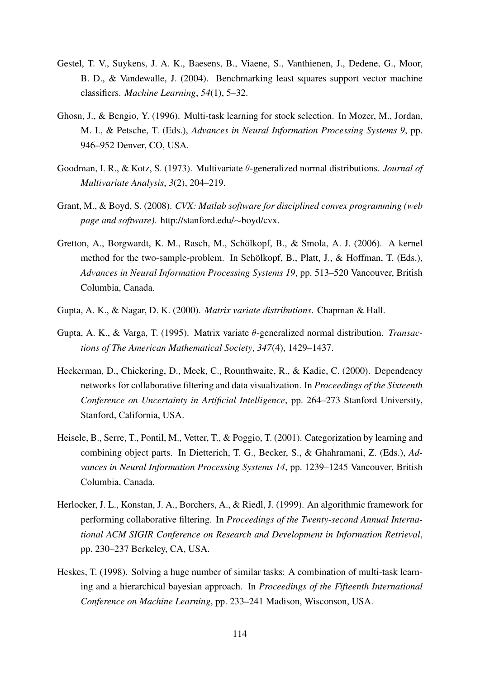- Gestel, T. V., Suykens, J. A. K., Baesens, B., Viaene, S., Vanthienen, J., Dedene, G., Moor, B. D., & Vandewalle, J. (2004). Benchmarking least squares support vector machine classifiers. *Machine Learning*, *54*(1), 5–32.
- Ghosn, J., & Bengio, Y. (1996). Multi-task learning for stock selection. In Mozer, M., Jordan, M. I., & Petsche, T. (Eds.), *Advances in Neural Information Processing Systems 9*, pp. 946–952 Denver, CO, USA.
- Goodman, I. R., & Kotz, S. (1973). Multivariate θ-generalized normal distributions. *Journal of Multivariate Analysis*, *3*(2), 204–219.
- Grant, M., & Boyd, S. (2008). *CVX: Matlab software for disciplined convex programming (web page and software)*. http://stanford.edu/∼boyd/cvx.
- Gretton, A., Borgwardt, K. M., Rasch, M., Schölkopf, B., & Smola, A. J. (2006). A kernel method for the two-sample-problem. In Schölkopf, B., Platt, J., & Hoffman, T. (Eds.), *Advances in Neural Information Processing Systems 19*, pp. 513–520 Vancouver, British Columbia, Canada.
- Gupta, A. K., & Nagar, D. K. (2000). *Matrix variate distributions*. Chapman & Hall.
- Gupta, A. K., & Varga, T. (1995). Matrix variate θ-generalized normal distribution. *Transactions of The American Mathematical Society*, *347*(4), 1429–1437.
- Heckerman, D., Chickering, D., Meek, C., Rounthwaite, R., & Kadie, C. (2000). Dependency networks for collaborative filtering and data visualization. In *Proceedings of the Sixteenth Conference on Uncertainty in Artificial Intelligence*, pp. 264–273 Stanford University, Stanford, California, USA.
- Heisele, B., Serre, T., Pontil, M., Vetter, T., & Poggio, T. (2001). Categorization by learning and combining object parts. In Dietterich, T. G., Becker, S., & Ghahramani, Z. (Eds.), *Advances in Neural Information Processing Systems 14*, pp. 1239–1245 Vancouver, British Columbia, Canada.
- Herlocker, J. L., Konstan, J. A., Borchers, A., & Riedl, J. (1999). An algorithmic framework for performing collaborative filtering. In *Proceedings of the Twenty-second Annual International ACM SIGIR Conference on Research and Development in Information Retrieval*, pp. 230–237 Berkeley, CA, USA.
- Heskes, T. (1998). Solving a huge number of similar tasks: A combination of multi-task learning and a hierarchical bayesian approach. In *Proceedings of the Fifteenth International Conference on Machine Learning*, pp. 233–241 Madison, Wisconson, USA.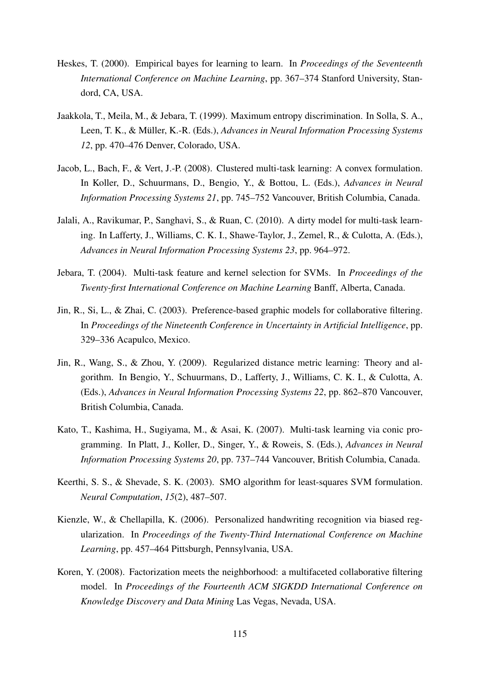- Heskes, T. (2000). Empirical bayes for learning to learn. In *Proceedings of the Seventeenth International Conference on Machine Learning*, pp. 367–374 Stanford University, Standord, CA, USA.
- Jaakkola, T., Meila, M., & Jebara, T. (1999). Maximum entropy discrimination. In Solla, S. A., Leen, T. K., & Müller, K.-R. (Eds.), *Advances in Neural Information Processing Systems 12*, pp. 470–476 Denver, Colorado, USA.
- Jacob, L., Bach, F., & Vert, J.-P. (2008). Clustered multi-task learning: A convex formulation. In Koller, D., Schuurmans, D., Bengio, Y., & Bottou, L. (Eds.), *Advances in Neural Information Processing Systems 21*, pp. 745–752 Vancouver, British Columbia, Canada.
- Jalali, A., Ravikumar, P., Sanghavi, S., & Ruan, C. (2010). A dirty model for multi-task learning. In Lafferty, J., Williams, C. K. I., Shawe-Taylor, J., Zemel, R., & Culotta, A. (Eds.), *Advances in Neural Information Processing Systems 23*, pp. 964–972.
- Jebara, T. (2004). Multi-task feature and kernel selection for SVMs. In *Proceedings of the Twenty-first International Conference on Machine Learning* Banff, Alberta, Canada.
- Jin, R., Si, L., & Zhai, C. (2003). Preference-based graphic models for collaborative filtering. In *Proceedings of the Nineteenth Conference in Uncertainty in Artificial Intelligence*, pp. 329–336 Acapulco, Mexico.
- Jin, R., Wang, S., & Zhou, Y. (2009). Regularized distance metric learning: Theory and algorithm. In Bengio, Y., Schuurmans, D., Lafferty, J., Williams, C. K. I., & Culotta, A. (Eds.), *Advances in Neural Information Processing Systems 22*, pp. 862–870 Vancouver, British Columbia, Canada.
- Kato, T., Kashima, H., Sugiyama, M., & Asai, K. (2007). Multi-task learning via conic programming. In Platt, J., Koller, D., Singer, Y., & Roweis, S. (Eds.), *Advances in Neural Information Processing Systems 20*, pp. 737–744 Vancouver, British Columbia, Canada.
- Keerthi, S. S., & Shevade, S. K. (2003). SMO algorithm for least-squares SVM formulation. *Neural Computation*, *15*(2), 487–507.
- Kienzle, W., & Chellapilla, K. (2006). Personalized handwriting recognition via biased regularization. In *Proceedings of the Twenty-Third International Conference on Machine Learning*, pp. 457–464 Pittsburgh, Pennsylvania, USA.
- Koren, Y. (2008). Factorization meets the neighborhood: a multifaceted collaborative filtering model. In *Proceedings of the Fourteenth ACM SIGKDD International Conference on Knowledge Discovery and Data Mining* Las Vegas, Nevada, USA.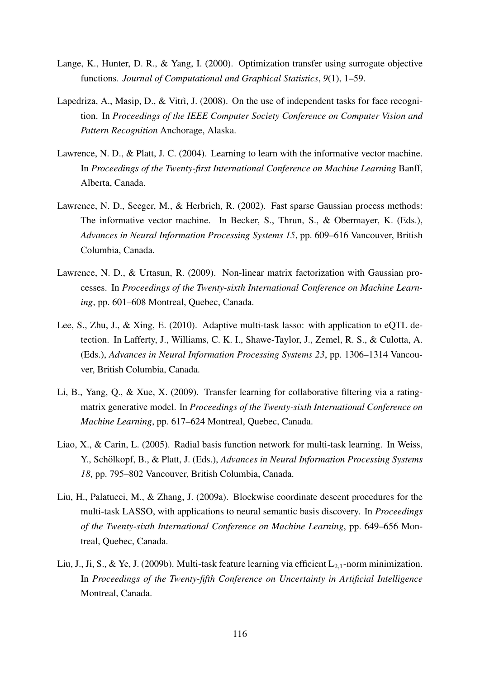- Lange, K., Hunter, D. R., & Yang, I. (2000). Optimization transfer using surrogate objective functions. *Journal of Computational and Graphical Statistics*, *9*(1), 1–59.
- Lapedriza, A., Masip, D., & Vitrì, J. (2008). On the use of independent tasks for face recognition. In *Proceedings of the IEEE Computer Society Conference on Computer Vision and Pattern Recognition* Anchorage, Alaska.
- Lawrence, N. D., & Platt, J. C. (2004). Learning to learn with the informative vector machine. In *Proceedings of the Twenty-first International Conference on Machine Learning* Banff, Alberta, Canada.
- Lawrence, N. D., Seeger, M., & Herbrich, R. (2002). Fast sparse Gaussian process methods: The informative vector machine. In Becker, S., Thrun, S., & Obermayer, K. (Eds.), *Advances in Neural Information Processing Systems 15*, pp. 609–616 Vancouver, British Columbia, Canada.
- Lawrence, N. D., & Urtasun, R. (2009). Non-linear matrix factorization with Gaussian processes. In *Proceedings of the Twenty-sixth International Conference on Machine Learning*, pp. 601–608 Montreal, Quebec, Canada.
- Lee, S., Zhu, J., & Xing, E. (2010). Adaptive multi-task lasso: with application to eQTL detection. In Lafferty, J., Williams, C. K. I., Shawe-Taylor, J., Zemel, R. S., & Culotta, A. (Eds.), *Advances in Neural Information Processing Systems 23*, pp. 1306–1314 Vancouver, British Columbia, Canada.
- Li, B., Yang, Q., & Xue, X. (2009). Transfer learning for collaborative filtering via a ratingmatrix generative model. In *Proceedings of the Twenty-sixth International Conference on Machine Learning*, pp. 617–624 Montreal, Quebec, Canada.
- Liao, X., & Carin, L. (2005). Radial basis function network for multi-task learning. In Weiss, Y., Schölkopf, B., & Platt, J. (Eds.), *Advances in Neural Information Processing Systems 18*, pp. 795–802 Vancouver, British Columbia, Canada.
- Liu, H., Palatucci, M., & Zhang, J. (2009a). Blockwise coordinate descent procedures for the multi-task LASSO, with applications to neural semantic basis discovery. In *Proceedings of the Twenty-sixth International Conference on Machine Learning*, pp. 649–656 Montreal, Quebec, Canada.
- Liu, J., Ji, S., & Ye, J. (2009b). Multi-task feature learning via efficient  $L_{2,1}$ -norm minimization. In *Proceedings of the Twenty-fifth Conference on Uncertainty in Artificial Intelligence* Montreal, Canada.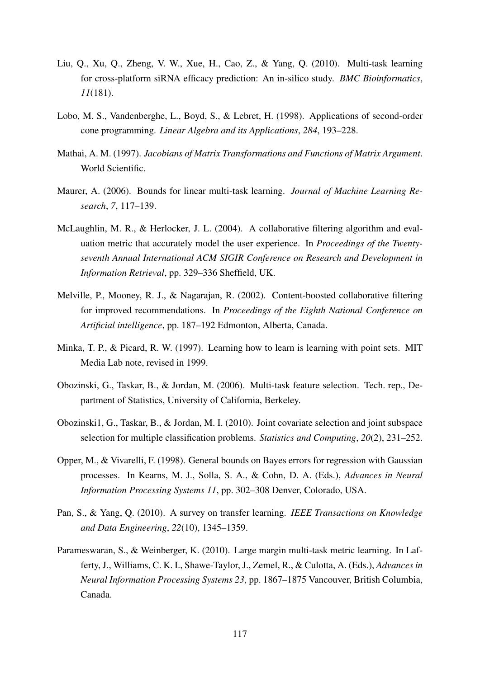- Liu, Q., Xu, Q., Zheng, V. W., Xue, H., Cao, Z., & Yang, Q. (2010). Multi-task learning for cross-platform siRNA efficacy prediction: An in-silico study. *BMC Bioinformatics*, *11*(181).
- Lobo, M. S., Vandenberghe, L., Boyd, S., & Lebret, H. (1998). Applications of second-order cone programming. *Linear Algebra and its Applications*, *284*, 193–228.
- Mathai, A. M. (1997). *Jacobians of Matrix Transformations and Functions of Matrix Argument*. World Scientific.
- Maurer, A. (2006). Bounds for linear multi-task learning. *Journal of Machine Learning Research*, *7*, 117–139.
- McLaughlin, M. R., & Herlocker, J. L. (2004). A collaborative filtering algorithm and evaluation metric that accurately model the user experience. In *Proceedings of the Twentyseventh Annual International ACM SIGIR Conference on Research and Development in Information Retrieval*, pp. 329–336 Sheffield, UK.
- Melville, P., Mooney, R. J., & Nagarajan, R. (2002). Content-boosted collaborative filtering for improved recommendations. In *Proceedings of the Eighth National Conference on Artificial intelligence*, pp. 187–192 Edmonton, Alberta, Canada.
- Minka, T. P., & Picard, R. W. (1997). Learning how to learn is learning with point sets. MIT Media Lab note, revised in 1999.
- Obozinski, G., Taskar, B., & Jordan, M. (2006). Multi-task feature selection. Tech. rep., Department of Statistics, University of California, Berkeley.
- Obozinski1, G., Taskar, B., & Jordan, M. I. (2010). Joint covariate selection and joint subspace selection for multiple classification problems. *Statistics and Computing*, *20*(2), 231–252.
- Opper, M., & Vivarelli, F. (1998). General bounds on Bayes errors for regression with Gaussian processes. In Kearns, M. J., Solla, S. A., & Cohn, D. A. (Eds.), *Advances in Neural Information Processing Systems 11*, pp. 302–308 Denver, Colorado, USA.
- Pan, S., & Yang, Q. (2010). A survey on transfer learning. *IEEE Transactions on Knowledge and Data Engineering*, *22*(10), 1345–1359.
- Parameswaran, S., & Weinberger, K. (2010). Large margin multi-task metric learning. In Lafferty, J., Williams, C. K. I., Shawe-Taylor, J., Zemel, R., & Culotta, A. (Eds.), *Advances in Neural Information Processing Systems 23*, pp. 1867–1875 Vancouver, British Columbia, Canada.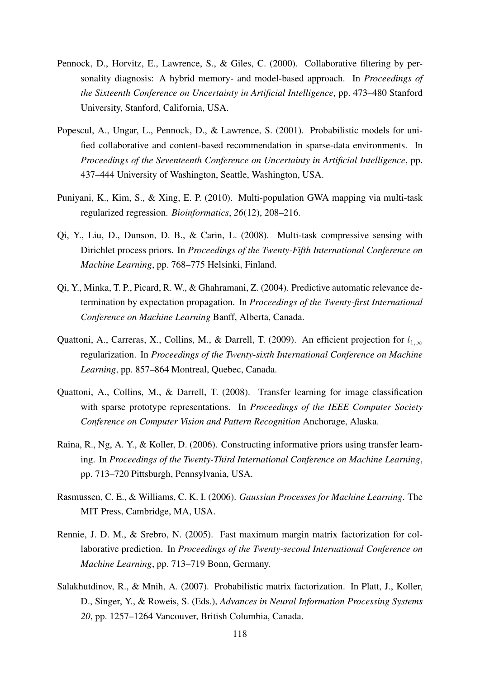- Pennock, D., Horvitz, E., Lawrence, S., & Giles, C. (2000). Collaborative filtering by personality diagnosis: A hybrid memory- and model-based approach. In *Proceedings of the Sixteenth Conference on Uncertainty in Artificial Intelligence*, pp. 473–480 Stanford University, Stanford, California, USA.
- Popescul, A., Ungar, L., Pennock, D., & Lawrence, S. (2001). Probabilistic models for unified collaborative and content-based recommendation in sparse-data environments. In *Proceedings of the Seventeenth Conference on Uncertainty in Artificial Intelligence*, pp. 437–444 University of Washington, Seattle, Washington, USA.
- Puniyani, K., Kim, S., & Xing, E. P. (2010). Multi-population GWA mapping via multi-task regularized regression. *Bioinformatics*, *26*(12), 208–216.
- Qi, Y., Liu, D., Dunson, D. B., & Carin, L. (2008). Multi-task compressive sensing with Dirichlet process priors. In *Proceedings of the Twenty-Fifth International Conference on Machine Learning*, pp. 768–775 Helsinki, Finland.
- Qi, Y., Minka, T. P., Picard, R. W., & Ghahramani, Z. (2004). Predictive automatic relevance determination by expectation propagation. In *Proceedings of the Twenty-first International Conference on Machine Learning* Banff, Alberta, Canada.
- Quattoni, A., Carreras, X., Collins, M., & Darrell, T. (2009). An efficient projection for  $l_{1,\infty}$ regularization. In *Proceedings of the Twenty-sixth International Conference on Machine Learning*, pp. 857–864 Montreal, Quebec, Canada.
- Quattoni, A., Collins, M., & Darrell, T. (2008). Transfer learning for image classification with sparse prototype representations. In *Proceedings of the IEEE Computer Society Conference on Computer Vision and Pattern Recognition* Anchorage, Alaska.
- Raina, R., Ng, A. Y., & Koller, D. (2006). Constructing informative priors using transfer learning. In *Proceedings of the Twenty-Third International Conference on Machine Learning*, pp. 713–720 Pittsburgh, Pennsylvania, USA.
- Rasmussen, C. E., & Williams, C. K. I. (2006). *Gaussian Processes for Machine Learning*. The MIT Press, Cambridge, MA, USA.
- Rennie, J. D. M., & Srebro, N. (2005). Fast maximum margin matrix factorization for collaborative prediction. In *Proceedings of the Twenty-second International Conference on Machine Learning*, pp. 713–719 Bonn, Germany.
- Salakhutdinov, R., & Mnih, A. (2007). Probabilistic matrix factorization. In Platt, J., Koller, D., Singer, Y., & Roweis, S. (Eds.), *Advances in Neural Information Processing Systems 20*, pp. 1257–1264 Vancouver, British Columbia, Canada.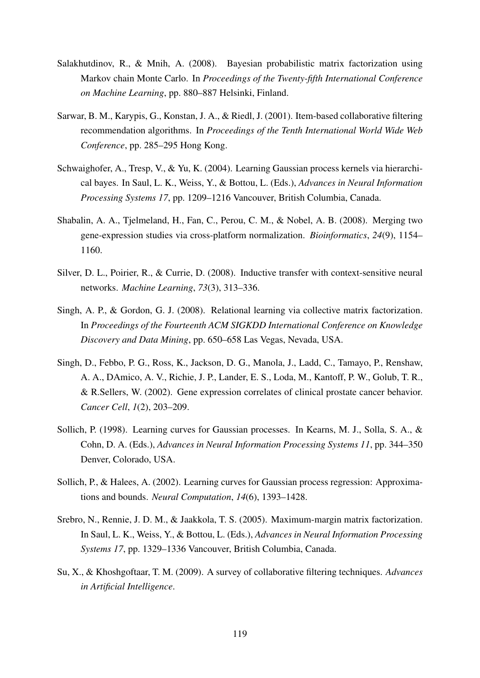- Salakhutdinov, R., & Mnih, A. (2008). Bayesian probabilistic matrix factorization using Markov chain Monte Carlo. In *Proceedings of the Twenty-fifth International Conference on Machine Learning*, pp. 880–887 Helsinki, Finland.
- Sarwar, B. M., Karypis, G., Konstan, J. A., & Riedl, J. (2001). Item-based collaborative filtering recommendation algorithms. In *Proceedings of the Tenth International World Wide Web Conference*, pp. 285–295 Hong Kong.
- Schwaighofer, A., Tresp, V., & Yu, K. (2004). Learning Gaussian process kernels via hierarchical bayes. In Saul, L. K., Weiss, Y., & Bottou, L. (Eds.), *Advances in Neural Information Processing Systems 17*, pp. 1209–1216 Vancouver, British Columbia, Canada.
- Shabalin, A. A., Tjelmeland, H., Fan, C., Perou, C. M., & Nobel, A. B. (2008). Merging two gene-expression studies via cross-platform normalization. *Bioinformatics*, *24*(9), 1154– 1160.
- Silver, D. L., Poirier, R., & Currie, D. (2008). Inductive transfer with context-sensitive neural networks. *Machine Learning*, *73*(3), 313–336.
- Singh, A. P., & Gordon, G. J. (2008). Relational learning via collective matrix factorization. In *Proceedings of the Fourteenth ACM SIGKDD International Conference on Knowledge Discovery and Data Mining*, pp. 650–658 Las Vegas, Nevada, USA.
- Singh, D., Febbo, P. G., Ross, K., Jackson, D. G., Manola, J., Ladd, C., Tamayo, P., Renshaw, A. A., DAmico, A. V., Richie, J. P., Lander, E. S., Loda, M., Kantoff, P. W., Golub, T. R., & R.Sellers, W. (2002). Gene expression correlates of clinical prostate cancer behavior. *Cancer Cell*, *1*(2), 203–209.
- Sollich, P. (1998). Learning curves for Gaussian processes. In Kearns, M. J., Solla, S. A., & Cohn, D. A. (Eds.), *Advances in Neural Information Processing Systems 11*, pp. 344–350 Denver, Colorado, USA.
- Sollich, P., & Halees, A. (2002). Learning curves for Gaussian process regression: Approximations and bounds. *Neural Computation*, *14*(6), 1393–1428.
- Srebro, N., Rennie, J. D. M., & Jaakkola, T. S. (2005). Maximum-margin matrix factorization. In Saul, L. K., Weiss, Y., & Bottou, L. (Eds.), *Advances in Neural Information Processing Systems 17*, pp. 1329–1336 Vancouver, British Columbia, Canada.
- Su, X., & Khoshgoftaar, T. M. (2009). A survey of collaborative filtering techniques. *Advances in Artificial Intelligence*.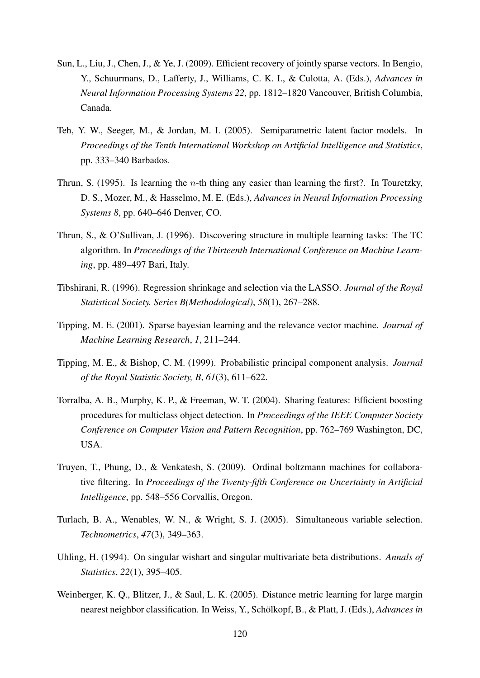- Sun, L., Liu, J., Chen, J., & Ye, J. (2009). Efficient recovery of jointly sparse vectors. In Bengio, Y., Schuurmans, D., Lafferty, J., Williams, C. K. I., & Culotta, A. (Eds.), *Advances in Neural Information Processing Systems 22*, pp. 1812–1820 Vancouver, British Columbia, Canada.
- Teh, Y. W., Seeger, M., & Jordan, M. I. (2005). Semiparametric latent factor models. In *Proceedings of the Tenth International Workshop on Artificial Intelligence and Statistics*, pp. 333–340 Barbados.
- Thrun, S. (1995). Is learning the *n*-th thing any easier than learning the first?. In Touretzky, D. S., Mozer, M., & Hasselmo, M. E. (Eds.), *Advances in Neural Information Processing Systems 8*, pp. 640–646 Denver, CO.
- Thrun, S., & O'Sullivan, J. (1996). Discovering structure in multiple learning tasks: The TC algorithm. In *Proceedings of the Thirteenth International Conference on Machine Learning*, pp. 489–497 Bari, Italy.
- Tibshirani, R. (1996). Regression shrinkage and selection via the LASSO. *Journal of the Royal Statistical Society. Series B(Methodological)*, *58*(1), 267–288.
- Tipping, M. E. (2001). Sparse bayesian learning and the relevance vector machine. *Journal of Machine Learning Research*, *1*, 211–244.
- Tipping, M. E., & Bishop, C. M. (1999). Probabilistic principal component analysis. *Journal of the Royal Statistic Society, B*, *61*(3), 611–622.
- Torralba, A. B., Murphy, K. P., & Freeman, W. T. (2004). Sharing features: Efficient boosting procedures for multiclass object detection. In *Proceedings of the IEEE Computer Society Conference on Computer Vision and Pattern Recognition*, pp. 762–769 Washington, DC, USA.
- Truyen, T., Phung, D., & Venkatesh, S. (2009). Ordinal boltzmann machines for collaborative filtering. In *Proceedings of the Twenty-fifth Conference on Uncertainty in Artificial Intelligence*, pp. 548–556 Corvallis, Oregon.
- Turlach, B. A., Wenables, W. N., & Wright, S. J. (2005). Simultaneous variable selection. *Technometrics*, *47*(3), 349–363.
- Uhling, H. (1994). On singular wishart and singular multivariate beta distributions. *Annals of Statistics*, *22*(1), 395–405.
- Weinberger, K. Q., Blitzer, J., & Saul, L. K. (2005). Distance metric learning for large margin nearest neighbor classification. In Weiss, Y., Schölkopf, B., & Platt, J. (Eds.), Advances in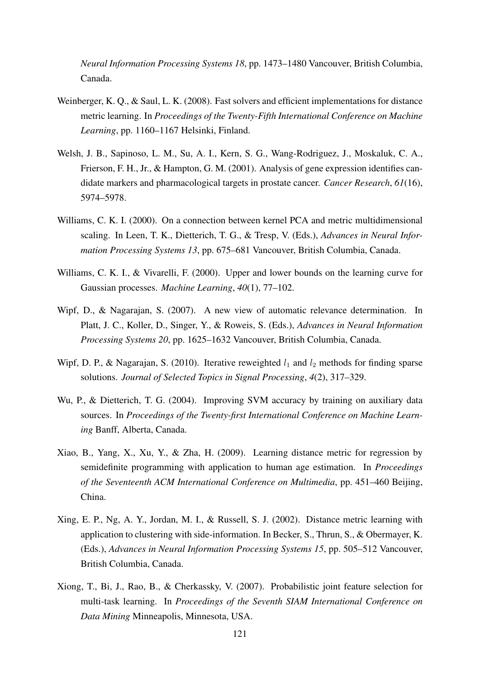*Neural Information Processing Systems 18*, pp. 1473–1480 Vancouver, British Columbia, Canada.

- Weinberger, K. Q., & Saul, L. K. (2008). Fast solvers and efficient implementations for distance metric learning. In *Proceedings of the Twenty-Fifth International Conference on Machine Learning*, pp. 1160–1167 Helsinki, Finland.
- Welsh, J. B., Sapinoso, L. M., Su, A. I., Kern, S. G., Wang-Rodriguez, J., Moskaluk, C. A., Frierson, F. H., Jr., & Hampton, G. M. (2001). Analysis of gene expression identifies candidate markers and pharmacological targets in prostate cancer. *Cancer Research*, *61*(16), 5974–5978.
- Williams, C. K. I. (2000). On a connection between kernel PCA and metric multidimensional scaling. In Leen, T. K., Dietterich, T. G., & Tresp, V. (Eds.), *Advances in Neural Information Processing Systems 13*, pp. 675–681 Vancouver, British Columbia, Canada.
- Williams, C. K. I., & Vivarelli, F. (2000). Upper and lower bounds on the learning curve for Gaussian processes. *Machine Learning*, *40*(1), 77–102.
- Wipf, D., & Nagarajan, S. (2007). A new view of automatic relevance determination. In Platt, J. C., Koller, D., Singer, Y., & Roweis, S. (Eds.), *Advances in Neural Information Processing Systems 20*, pp. 1625–1632 Vancouver, British Columbia, Canada.
- Wipf, D. P., & Nagarajan, S. (2010). Iterative reweighted  $l_1$  and  $l_2$  methods for finding sparse solutions. *Journal of Selected Topics in Signal Processing*, *4*(2), 317–329.
- Wu, P., & Dietterich, T. G. (2004). Improving SVM accuracy by training on auxiliary data sources. In *Proceedings of the Twenty-first International Conference on Machine Learning* Banff, Alberta, Canada.
- Xiao, B., Yang, X., Xu, Y., & Zha, H. (2009). Learning distance metric for regression by semidefinite programming with application to human age estimation. In *Proceedings of the Seventeenth ACM International Conference on Multimedia*, pp. 451–460 Beijing, China.
- Xing, E. P., Ng, A. Y., Jordan, M. I., & Russell, S. J. (2002). Distance metric learning with application to clustering with side-information. In Becker, S., Thrun, S., & Obermayer, K. (Eds.), *Advances in Neural Information Processing Systems 15*, pp. 505–512 Vancouver, British Columbia, Canada.
- Xiong, T., Bi, J., Rao, B., & Cherkassky, V. (2007). Probabilistic joint feature selection for multi-task learning. In *Proceedings of the Seventh SIAM International Conference on Data Mining* Minneapolis, Minnesota, USA.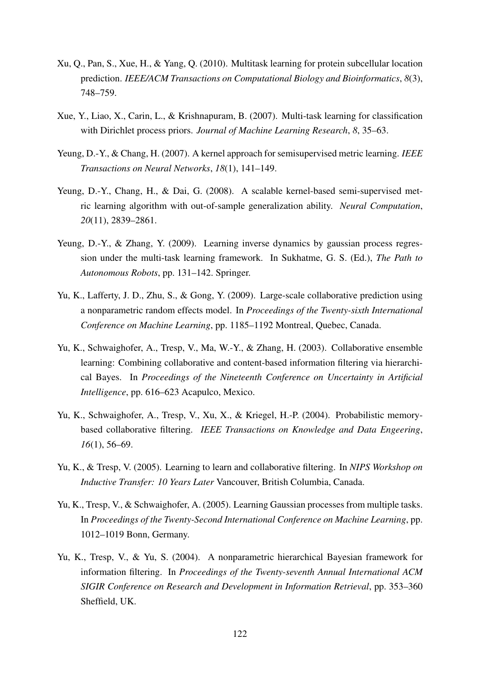- Xu, Q., Pan, S., Xue, H., & Yang, Q. (2010). Multitask learning for protein subcellular location prediction. *IEEE/ACM Transactions on Computational Biology and Bioinformatics*, *8*(3), 748–759.
- Xue, Y., Liao, X., Carin, L., & Krishnapuram, B. (2007). Multi-task learning for classification with Dirichlet process priors. *Journal of Machine Learning Research*, *8*, 35–63.
- Yeung, D.-Y., & Chang, H. (2007). A kernel approach for semisupervised metric learning. *IEEE Transactions on Neural Networks*, *18*(1), 141–149.
- Yeung, D.-Y., Chang, H., & Dai, G. (2008). A scalable kernel-based semi-supervised metric learning algorithm with out-of-sample generalization ability. *Neural Computation*, *20*(11), 2839–2861.
- Yeung, D.-Y., & Zhang, Y. (2009). Learning inverse dynamics by gaussian process regression under the multi-task learning framework. In Sukhatme, G. S. (Ed.), *The Path to Autonomous Robots*, pp. 131–142. Springer.
- Yu, K., Lafferty, J. D., Zhu, S., & Gong, Y. (2009). Large-scale collaborative prediction using a nonparametric random effects model. In *Proceedings of the Twenty-sixth International Conference on Machine Learning*, pp. 1185–1192 Montreal, Quebec, Canada.
- Yu, K., Schwaighofer, A., Tresp, V., Ma, W.-Y., & Zhang, H. (2003). Collaborative ensemble learning: Combining collaborative and content-based information filtering via hierarchical Bayes. In *Proceedings of the Nineteenth Conference on Uncertainty in Artificial Intelligence*, pp. 616–623 Acapulco, Mexico.
- Yu, K., Schwaighofer, A., Tresp, V., Xu, X., & Kriegel, H.-P. (2004). Probabilistic memorybased collaborative filtering. *IEEE Transactions on Knowledge and Data Engeering*, *16*(1), 56–69.
- Yu, K., & Tresp, V. (2005). Learning to learn and collaborative filtering. In *NIPS Workshop on Inductive Transfer: 10 Years Later* Vancouver, British Columbia, Canada.
- Yu, K., Tresp, V., & Schwaighofer, A. (2005). Learning Gaussian processes from multiple tasks. In *Proceedings of the Twenty-Second International Conference on Machine Learning*, pp. 1012–1019 Bonn, Germany.
- Yu, K., Tresp, V., & Yu, S. (2004). A nonparametric hierarchical Bayesian framework for information filtering. In *Proceedings of the Twenty-seventh Annual International ACM SIGIR Conference on Research and Development in Information Retrieval*, pp. 353–360 Sheffield, UK.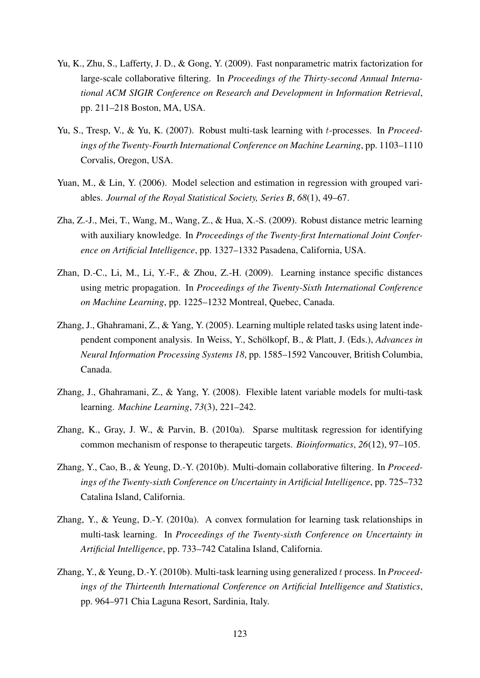- Yu, K., Zhu, S., Lafferty, J. D., & Gong, Y. (2009). Fast nonparametric matrix factorization for large-scale collaborative filtering. In *Proceedings of the Thirty-second Annual International ACM SIGIR Conference on Research and Development in Information Retrieval*, pp. 211–218 Boston, MA, USA.
- Yu, S., Tresp, V., & Yu, K. (2007). Robust multi-task learning with t-processes. In *Proceedings of the Twenty-Fourth International Conference on Machine Learning*, pp. 1103–1110 Corvalis, Oregon, USA.
- Yuan, M., & Lin, Y. (2006). Model selection and estimation in regression with grouped variables. *Journal of the Royal Statistical Society, Series B*, *68*(1), 49–67.
- Zha, Z.-J., Mei, T., Wang, M., Wang, Z., & Hua, X.-S. (2009). Robust distance metric learning with auxiliary knowledge. In *Proceedings of the Twenty-first International Joint Conference on Artificial Intelligence*, pp. 1327–1332 Pasadena, California, USA.
- Zhan, D.-C., Li, M., Li, Y.-F., & Zhou, Z.-H. (2009). Learning instance specific distances using metric propagation. In *Proceedings of the Twenty-Sixth International Conference on Machine Learning*, pp. 1225–1232 Montreal, Quebec, Canada.
- Zhang, J., Ghahramani, Z., & Yang, Y. (2005). Learning multiple related tasks using latent independent component analysis. In Weiss, Y., Schölkopf, B., & Platt, J. (Eds.), Advances in *Neural Information Processing Systems 18*, pp. 1585–1592 Vancouver, British Columbia, Canada.
- Zhang, J., Ghahramani, Z., & Yang, Y. (2008). Flexible latent variable models for multi-task learning. *Machine Learning*, *73*(3), 221–242.
- Zhang, K., Gray, J. W., & Parvin, B. (2010a). Sparse multitask regression for identifying common mechanism of response to therapeutic targets. *Bioinformatics*, *26*(12), 97–105.
- Zhang, Y., Cao, B., & Yeung, D.-Y. (2010b). Multi-domain collaborative filtering. In *Proceedings of the Twenty-sixth Conference on Uncertainty in Artificial Intelligence*, pp. 725–732 Catalina Island, California.
- Zhang, Y., & Yeung, D.-Y. (2010a). A convex formulation for learning task relationships in multi-task learning. In *Proceedings of the Twenty-sixth Conference on Uncertainty in Artificial Intelligence*, pp. 733–742 Catalina Island, California.
- Zhang, Y., & Yeung, D.-Y. (2010b). Multi-task learning using generalized t process. In *Proceedings of the Thirteenth International Conference on Artificial Intelligence and Statistics*, pp. 964–971 Chia Laguna Resort, Sardinia, Italy.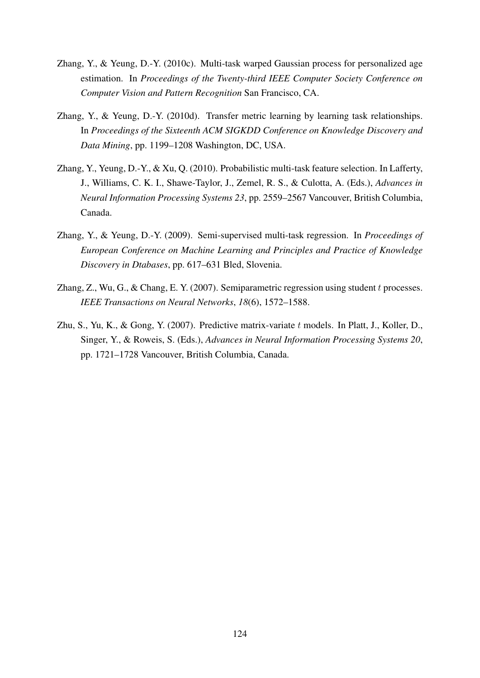- Zhang, Y., & Yeung, D.-Y. (2010c). Multi-task warped Gaussian process for personalized age estimation. In *Proceedings of the Twenty-third IEEE Computer Society Conference on Computer Vision and Pattern Recognition* San Francisco, CA.
- Zhang, Y., & Yeung, D.-Y. (2010d). Transfer metric learning by learning task relationships. In *Proceedings of the Sixteenth ACM SIGKDD Conference on Knowledge Discovery and Data Mining*, pp. 1199–1208 Washington, DC, USA.
- Zhang, Y., Yeung, D.-Y., & Xu, Q. (2010). Probabilistic multi-task feature selection. In Lafferty, J., Williams, C. K. I., Shawe-Taylor, J., Zemel, R. S., & Culotta, A. (Eds.), *Advances in Neural Information Processing Systems 23*, pp. 2559–2567 Vancouver, British Columbia, Canada.
- Zhang, Y., & Yeung, D.-Y. (2009). Semi-supervised multi-task regression. In *Proceedings of European Conference on Machine Learning and Principles and Practice of Knowledge Discovery in Dtabases*, pp. 617–631 Bled, Slovenia.
- Zhang, Z., Wu, G., & Chang, E. Y. (2007). Semiparametric regression using student t processes. *IEEE Transactions on Neural Networks*, *18*(6), 1572–1588.
- Zhu, S., Yu, K., & Gong, Y. (2007). Predictive matrix-variate t models. In Platt, J., Koller, D., Singer, Y., & Roweis, S. (Eds.), *Advances in Neural Information Processing Systems 20*, pp. 1721–1728 Vancouver, British Columbia, Canada.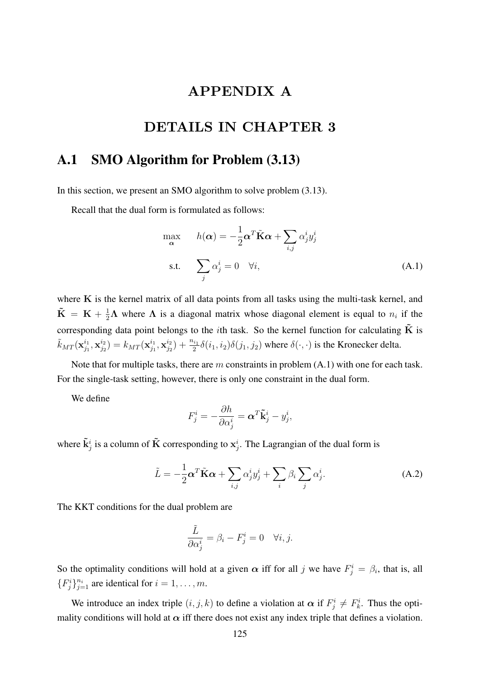## APPENDIX A

# DETAILS IN CHAPTER 3

## A.1 SMO Algorithm for Problem (3.13)

In this section, we present an SMO algorithm to solve problem (3.13).

Recall that the dual form is formulated as follows:

$$
\max_{\mathbf{\alpha}} \qquad h(\mathbf{\alpha}) = -\frac{1}{2}\mathbf{\alpha}^T \tilde{\mathbf{K}} \mathbf{\alpha} + \sum_{i,j} \alpha_j^i y_j^i
$$
\n
$$
\text{s.t.} \qquad \sum_j \alpha_j^i = 0 \quad \forall i,
$$
\n
$$
\tag{A.1}
$$

where  $K$  is the kernel matrix of all data points from all tasks using the multi-task kernel, and  $\tilde{\mathbf{K}} = \mathbf{K} + \frac{1}{2}\mathbf{\Lambda}$  where  $\mathbf{\Lambda}$  is a diagonal matrix whose diagonal element is equal to  $n_i$  if the corresponding data point belongs to the *i*th task. So the kernel function for calculating  $\tilde{K}$  is  $\tilde{k}_{MT}(\mathbf{x}_{j_1}^{i_1}$  $\frac{i_1}{j_1},\mathbf{x}_{j_2}^{i_2}$  $j_2^{i_2})=k_{MT}(\mathbf{x}^{i_1}_{j_1})$  $\frac{i_1}{j_1},\mathbf{x}_{j_2}^{i_2}$  $\frac{i_2}{j_2}$ ) +  $\frac{n_{i_1}}{2} \delta(i_1, i_2) \delta(j_1, j_2)$  where  $\delta(\cdot, \cdot)$  is the Kronecker delta.

Note that for multiple tasks, there are  $m$  constraints in problem  $(A.1)$  with one for each task. For the single-task setting, however, there is only one constraint in the dual form.

We define

$$
F^i_j = -\frac{\partial h}{\partial \alpha^i_j} = \boldsymbol{\alpha}^T\tilde{\mathbf{k}}^i_j - y^i_j,
$$

where  $\tilde{\mathbf{k}}_j^i$  is a column of  $\tilde{\mathbf{K}}$  corresponding to  $\mathbf{x}_j^i$ . The Lagrangian of the dual form is

$$
\tilde{L} = -\frac{1}{2}\alpha^T \tilde{\mathbf{K}}\alpha + \sum_{i,j} \alpha_j^i y_j^i + \sum_i \beta_i \sum_j \alpha_j^i.
$$
 (A.2)

The KKT conditions for the dual problem are

$$
\frac{\tilde{L}}{\partial \alpha_j^i} = \beta_i - F_j^i = 0 \quad \forall i, j.
$$

So the optimality conditions will hold at a given  $\alpha$  iff for all j we have  $F_j^i = \beta_i$ , that is, all  ${F_j^i}_{j=1}^{n_i}$  are identical for  $i = 1, \ldots, m$ .

We introduce an index triple  $(i, j, k)$  to define a violation at  $\alpha$  if  $F_j^i \neq F_k^i$ . Thus the optimality conditions will hold at  $\alpha$  iff there does not exist any index triple that defines a violation.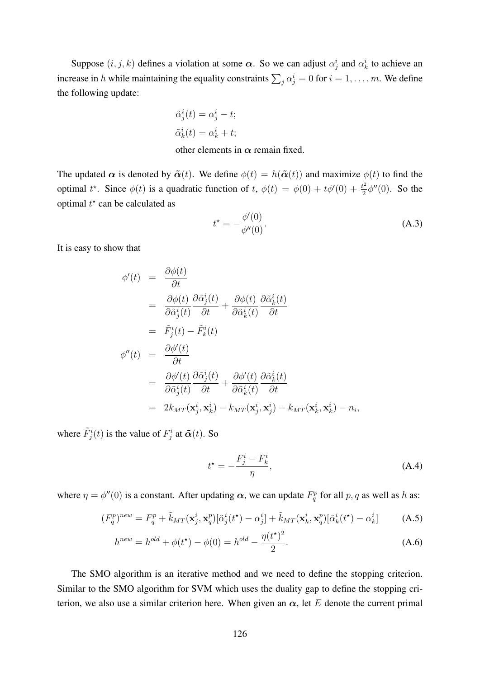Suppose  $(i, j, k)$  defines a violation at some  $\alpha$ . So we can adjust  $\alpha_j^i$  and  $\alpha_k^i$  to achieve an increase in h while maintaining the equality constraints  $\sum_j \alpha_j^i = 0$  for  $i = 1, \dots, m$ . We define the following update:

$$
\tilde{\alpha}_j^i(t) = \alpha_j^i - t;
$$
  

$$
\tilde{\alpha}_k^i(t) = \alpha_k^i + t;
$$

other elements in  $\alpha$  remain fixed.

The updated  $\alpha$  is denoted by  $\tilde{\alpha}(t)$ . We define  $\phi(t) = h(\tilde{\alpha}(t))$  and maximize  $\phi(t)$  to find the optimal  $t^*$ . Since  $\phi(t)$  is a quadratic function of t,  $\phi(t) = \phi(0) + t\phi'(0) + \frac{t^2}{2}$  $\frac{t^2}{2}\phi''(0)$ . So the optimal  $t^*$  can be calculated as

$$
t^* = -\frac{\phi'(0)}{\phi''(0)}.
$$
 (A.3)

It is easy to show that

$$
\begin{array}{rcl}\n\phi'(t) & = & \frac{\partial \phi(t)}{\partial t} \\
& = & \frac{\partial \phi(t)}{\partial \tilde{\alpha}_j^i(t)} \frac{\partial \tilde{\alpha}_j^i(t)}{\partial t} + \frac{\partial \phi(t)}{\partial \tilde{\alpha}_k^i(t)} \frac{\partial \tilde{\alpha}_k^i(t)}{\partial t} \\
& = & \tilde{F}_j^i(t) - \tilde{F}_k^i(t) \\
\phi''(t) & = & \frac{\partial \phi'(t)}{\partial t} \\
& = & \frac{\partial \phi'(t)}{\partial \tilde{\alpha}_j^i(t)} \frac{\partial \tilde{\alpha}_j^i(t)}{\partial t} + \frac{\partial \phi'(t)}{\partial \tilde{\alpha}_k^i(t)} \frac{\partial \tilde{\alpha}_k^i(t)}{\partial t} \\
& = & 2k_{MT}(\mathbf{x}_j^i, \mathbf{x}_k^i) - k_{MT}(\mathbf{x}_j^i, \mathbf{x}_j^i) - k_{MT}(\mathbf{x}_k^i, \mathbf{x}_k^i) - n_i,\n\end{array}
$$

where  $\tilde{F}_j^i(t)$  is the value of  $F_j^i$  at  $\tilde{\boldsymbol{\alpha}}(t)$ . So

$$
t^* = -\frac{F_j^i - F_k^i}{\eta},\tag{A.4}
$$

where  $\eta = \phi''(0)$  is a constant. After updating  $\alpha$ , we can update  $F_q^p$  for all p, q as well as h as:

$$
(F_q^p)^{new} = F_q^p + \tilde{k}_{MT}(\mathbf{x}_j^i, \mathbf{x}_q^p) [\tilde{\alpha}_j^i(t^*) - \alpha_j^i] + \tilde{k}_{MT}(\mathbf{x}_k^i, \mathbf{x}_q^p) [\tilde{\alpha}_k^i(t^*) - \alpha_k^i]
$$
(A.5)

$$
h^{new} = h^{old} + \phi(t^*) - \phi(0) = h^{old} - \frac{\eta(t^*)^2}{2}.
$$
\n(A.6)

The SMO algorithm is an iterative method and we need to define the stopping criterion. Similar to the SMO algorithm for SVM which uses the duality gap to define the stopping criterion, we also use a similar criterion here. When given an  $\alpha$ , let E denote the current primal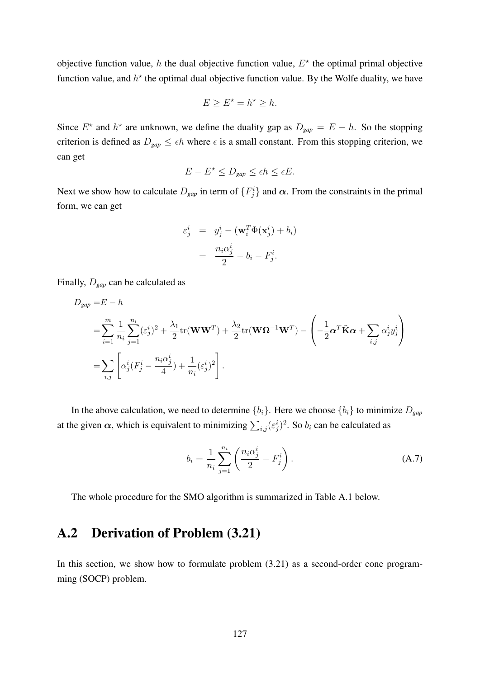objective function value, h the dual objective function value,  $E^*$  the optimal primal objective function value, and  $h^*$  the optimal dual objective function value. By the Wolfe duality, we have

$$
E \ge E^\star = h^\star \ge h.
$$

Since  $E^*$  and  $h^*$  are unknown, we define the duality gap as  $D_{gap} = E - h$ . So the stopping criterion is defined as  $D_{gap} \leq \epsilon h$  where  $\epsilon$  is a small constant. From this stopping criterion, we can get

$$
E - E^* \le D_{\text{gap}} \le \epsilon h \le \epsilon E.
$$

Next we show how to calculate  $D_{gap}$  in term of  $\{F_j^i\}$  and  $\alpha$ . From the constraints in the primal form, we can get

$$
\varepsilon_j^i = y_j^i - (\mathbf{w}_i^T \Phi(\mathbf{x}_j^i) + b_i)
$$

$$
= \frac{n_i \alpha_j^i}{2} - b_i - F_j^i.
$$

Finally, D*gap* can be calculated as

$$
D_{gap} = E - h
$$
  
= 
$$
\sum_{i=1}^{m} \frac{1}{n_i} \sum_{j=1}^{n_i} (\varepsilon_j^i)^2 + \frac{\lambda_1}{2} tr(\mathbf{W} \mathbf{W}^T) + \frac{\lambda_2}{2} tr(\mathbf{W} \mathbf{\Omega}^{-1} \mathbf{W}^T) - \left( -\frac{1}{2} \mathbf{\alpha}^T \tilde{\mathbf{K}} \mathbf{\alpha} + \sum_{i,j} \alpha_j^i y_j^i \right)
$$
  
= 
$$
\sum_{i,j} \left[ \alpha_j^i (F_j^i - \frac{n_i \alpha_j^i}{4}) + \frac{1}{n_i} (\varepsilon_j^i)^2 \right].
$$

In the above calculation, we need to determine  $\{b_i\}$ . Here we choose  $\{b_i\}$  to minimize  $D_{\text{gap}}$ at the given  $\alpha$ , which is equivalent to minimizing  $\sum_{i,j} (\varepsilon_j^i)^2$ . So  $b_i$  can be calculated as

$$
b_{i} = \frac{1}{n_{i}} \sum_{j=1}^{n_{i}} \left( \frac{n_{i} \alpha_{j}^{i}}{2} - F_{j}^{i} \right).
$$
 (A.7)

The whole procedure for the SMO algorithm is summarized in Table A.1 below.

## A.2 Derivation of Problem (3.21)

In this section, we show how to formulate problem  $(3.21)$  as a second-order cone programming (SOCP) problem.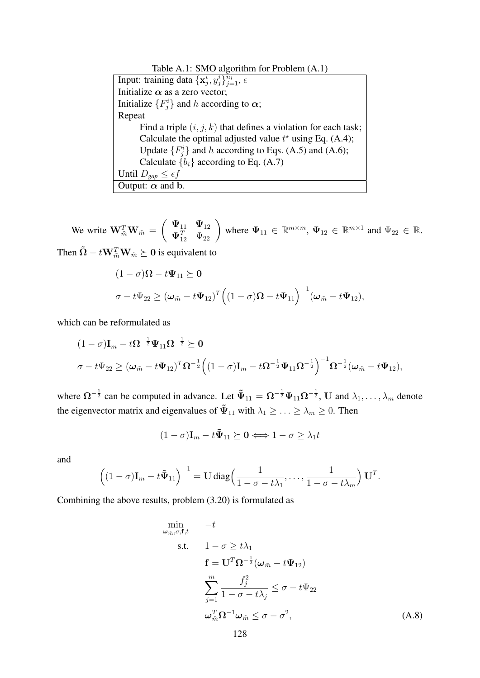| Table A.1: SMO algorithm for Problem (A.1)                        |
|-------------------------------------------------------------------|
| Input: training data $\{x_i^i, y_i^i\}_{i=1}^{n_i}, \epsilon$     |
| Initialize $\alpha$ as a zero vector;                             |
| Initialize $\{F_i^i\}$ and h according to $\alpha$ ;              |
| Repeat                                                            |
| Find a triple $(i, j, k)$ that defines a violation for each task; |
| Calculate the optimal adjusted value $t^*$ using Eq. (A.4);       |
| Update $\{F_i^i\}$ and h according to Eqs. (A.5) and (A.6);       |
| Calculate ${b_i}$ according to Eq. (A.7)                          |
| Until $D_{\text{gap}} \leq \epsilon f$                            |
| Output: $\alpha$ and b.                                           |

We write  $\mathbf{W}_{\tilde{m}}^T \mathbf{W}_{\tilde{m}} =$  $( \Psi_{11} \Psi_{12} )$  $\mathbf{\Psi}_{11} \quad \mathbf{\Psi}_{12} \quad \mathbf{\Psi}_{22} \quad \text{where } \mathbf{\Psi}_{11} \in \mathbb{R}^{m \times m}, \, \mathbf{\Psi}_{12} \in \mathbb{R}^{m \times 1} \text{ and } \mathbf{\Psi}_{22} \in \mathbb{R}.$ 

Then  $\tilde{\mathbf{\Omega}} - t\mathbf{W}_{\tilde{m}}^T \mathbf{W}_{\tilde{m}} \succeq 0$  is equivalent to

$$
(1 - \sigma)\Omega - t\Psi_{11} \succeq 0
$$
  

$$
\sigma - t\Psi_{22} \geq (\omega_{\tilde{m}} - t\Psi_{12})^T ((1 - \sigma)\Omega - t\Psi_{11})^{-1} (\omega_{\tilde{m}} - t\Psi_{12}),
$$

which can be reformulated as

$$
(1 - \sigma)\mathbf{I}_{m} - t\Omega^{-\frac{1}{2}}\Psi_{11}\Omega^{-\frac{1}{2}} \succeq 0
$$
  

$$
\sigma - t\Psi_{22} \geq (\omega_{\tilde{m}} - t\Psi_{12})^{T}\Omega^{-\frac{1}{2}}((1 - \sigma)\mathbf{I}_{m} - t\Omega^{-\frac{1}{2}}\Psi_{11}\Omega^{-\frac{1}{2}})^{-1}\Omega^{-\frac{1}{2}}(\omega_{\tilde{m}} - t\Psi_{12}),
$$

where  $\Omega^{-\frac{1}{2}}$  can be computed in advance. Let  $\tilde{\Psi}_{11} = \Omega^{-\frac{1}{2}} \Psi_{11} \Omega^{-\frac{1}{2}}$ , U and  $\lambda_1, \ldots, \lambda_m$  denote the eigenvector matrix and eigenvalues of  $\tilde{\Psi}_{11}$  with  $\lambda_1 \geq \ldots \geq \lambda_m \geq 0$ . Then

$$
(1 - \sigma)\mathbf{I}_m - t\tilde{\mathbf{\Psi}}_{11} \succeq \mathbf{0} \Longleftrightarrow 1 - \sigma \ge \lambda_1 t
$$

and

$$
\left((1-\sigma)\mathbf{I}_m - t\tilde{\mathbf{\Psi}}_{11}\right)^{-1} = \mathbf{U} \operatorname{diag}\left(\frac{1}{1-\sigma-t\lambda_1},\ldots,\frac{1}{1-\sigma-t\lambda_m}\right) \mathbf{U}^T.
$$

Combining the above results, problem (3.20) is formulated as

$$
\min_{\omega_{\tilde{m}}, \sigma, \mathbf{f}, t} \quad -t
$$
\n
$$
\text{s.t.} \quad 1 - \sigma \ge t\lambda_1
$$
\n
$$
\mathbf{f} = \mathbf{U}^T \mathbf{\Omega}^{-\frac{1}{2}} (\omega_{\tilde{m}} - t\mathbf{\Psi}_{12})
$$
\n
$$
\sum_{j=1}^m \frac{f_j^2}{1 - \sigma - t\lambda_j} \le \sigma - t\mathbf{\Psi}_{22}
$$
\n
$$
\omega_{\tilde{m}}^T \mathbf{\Omega}^{-1} \omega_{\tilde{m}} \le \sigma - \sigma^2,
$$
\n(A.8)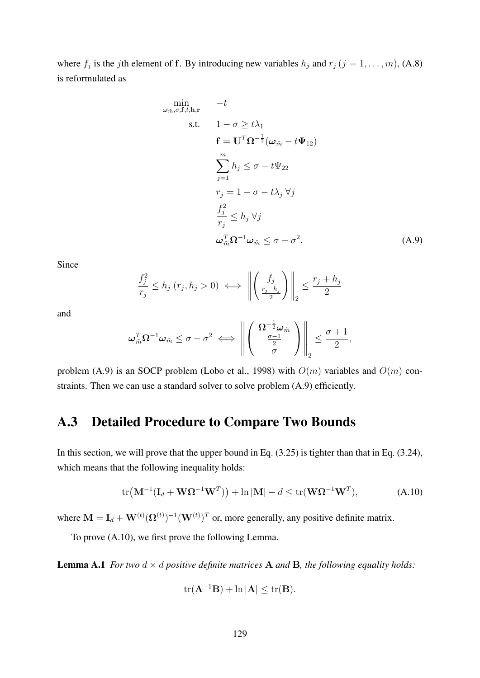where  $f_j$  is the jth element of f. By introducing new variables  $h_j$  and  $r_j$   $(j = 1, \ldots, m)$ , (A.8) is reformulated as

$$
\min_{\omega_{\tilde{m}}, \sigma, \mathbf{f}, t, \mathbf{h}, \mathbf{r}} \quad -t
$$
\n
$$
\text{s.t.} \quad 1 - \sigma \ge t \lambda_1
$$
\n
$$
\mathbf{f} = \mathbf{U}^T \mathbf{\Omega}^{-\frac{1}{2}} (\omega_{\tilde{m}} - t \mathbf{\Psi}_{12})
$$
\n
$$
\sum_{j=1}^m h_j \le \sigma - t \mathbf{\Psi}_{22}
$$
\n
$$
r_j = 1 - \sigma - t \lambda_j \ \forall j
$$
\n
$$
\frac{f_j^2}{r_j} \le h_j \ \forall j
$$
\n
$$
\omega_{\tilde{m}}^T \mathbf{\Omega}^{-1} \omega_{\tilde{m}} \le \sigma - \sigma^2. \tag{A.9}
$$

Since

$$
\frac{f_j^2}{r_j} \le h_j \ (r_j, h_j > 0) \iff \left\| \left( \frac{f_j}{\frac{r_j - h_j}{2}} \right) \right\|_2 \le \frac{r_j + h_j}{2}
$$

and

$$
\boldsymbol{\omega}_{\tilde{m}}^T\boldsymbol{\Omega}^{-1}\boldsymbol{\omega}_{\tilde{m}}\leq \sigma-\sigma^2\iff\left\|\left(\begin{array}{c} \boldsymbol{\Omega}^{-\frac{1}{2}}\boldsymbol{\omega}_{\tilde{m}}\\ \frac{\sigma-1}{2} \\ \sigma \end{array}\right)\right\|_2\leq \frac{\sigma+1}{2},
$$

problem (A.9) is an SOCP problem (Lobo et al., 1998) with  $O(m)$  variables and  $O(m)$  constraints. Then we can use a standard solver to solve problem (A.9) efficiently.

# A.3 Detailed Procedure to Compare Two Bounds

In this section, we will prove that the upper bound in Eq. (3.25) is tighter than that in Eq. (3.24), which means that the following inequality holds:

$$
\operatorname{tr}\left(\mathbf{M}^{-1}(\mathbf{I}_d + \mathbf{W}\boldsymbol{\Omega}^{-1}\mathbf{W}^T)\right) + \ln|\mathbf{M}| - d \le \operatorname{tr}(\mathbf{W}\boldsymbol{\Omega}^{-1}\mathbf{W}^T),\tag{A.10}
$$

where  $\mathbf{M} = \mathbf{I}_d + \mathbf{W}^{(t)}(\mathbf{\Omega}^{(t)})^{-1}(\mathbf{W}^{(t)})^T$  or, more generally, any positive definite matrix.

To prove (A.10), we first prove the following Lemma.

**Lemma A.1** *For two*  $d \times d$  *positive definite matrices* **A** *and* **B***, the following equality holds:* 

$$
\mathrm{tr}(\mathbf{A}^{-1}\mathbf{B}) + \ln |\mathbf{A}| \leq \mathrm{tr}(\mathbf{B}).
$$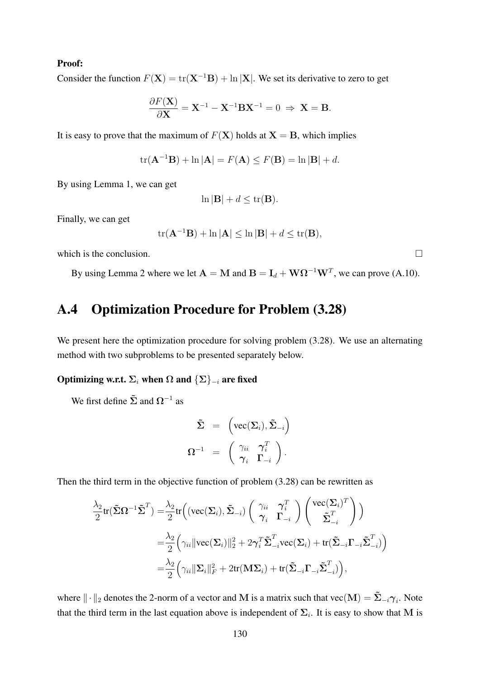### Proof:

Consider the function  $F(X) = \text{tr}(X^{-1}B) + \ln |X|$ . We set its derivative to zero to get

$$
\frac{\partial F(\mathbf{X})}{\partial \mathbf{X}} = \mathbf{X}^{-1} - \mathbf{X}^{-1} \mathbf{B} \mathbf{X}^{-1} = 0 \ \Rightarrow \ \mathbf{X} = \mathbf{B}.
$$

It is easy to prove that the maximum of  $F(X)$  holds at  $X = B$ , which implies

$$
\operatorname{tr}(\mathbf{A}^{-1}\mathbf{B}) + \ln|\mathbf{A}| = F(\mathbf{A}) \le F(\mathbf{B}) = \ln|\mathbf{B}| + d.
$$

By using Lemma 1, we can get

$$
\ln|\mathbf{B}| + d \leq \operatorname{tr}(\mathbf{B}).
$$

Finally, we can get

$$
\text{tr}(\mathbf{A}^{-1}\mathbf{B}) + \ln|\mathbf{A}| \leq \ln|\mathbf{B}| + d \leq \text{tr}(\mathbf{B}),
$$

which is the conclusion.  $\Box$ 

By using Lemma 2 where we let  $A = M$  and  $B = I_d + W\Omega^{-1}W^T$ , we can prove (A.10).

# A.4 Optimization Procedure for Problem (3.28)

We present here the optimization procedure for solving problem  $(3.28)$ . We use an alternating method with two subproblems to be presented separately below.

### Optimizing w.r.t.  $\Sigma_i$  when  $\Omega$  and  $\{\Sigma\}_{-i}$  are fixed

We first define  $\tilde{\Sigma}$  and  $\Omega^{-1}$  as

$$
\begin{array}{ccl} \tilde{\mathbf{\Sigma}} & = & \left( \text{vec}(\mathbf{\Sigma}_i), \tilde{\mathbf{\Sigma}}_{-i} \right) \\[0.2cm] \Omega^{-1} & = & \left( \begin{array}{cc} \gamma_{ii} & \gamma_i^T \\ \gamma_i & \Gamma_{-i} \end{array} \right). \end{array}
$$

Then the third term in the objective function of problem (3.28) can be rewritten as

$$
\frac{\lambda_2}{2} \text{tr}(\tilde{\boldsymbol{\Sigma}} \boldsymbol{\Omega}^{-1} \tilde{\boldsymbol{\Sigma}}^T) = \frac{\lambda_2}{2} \text{tr}\Big( (\text{vec}(\boldsymbol{\Sigma}_i), \tilde{\boldsymbol{\Sigma}}_{-i}) \left( \begin{array}{cc} \gamma_{ii} & \gamma_i^T \\ \gamma_i & \Gamma_{-i} \end{array} \right) \left( \begin{array}{c} \text{vec}(\boldsymbol{\Sigma}_i)^T \\ \tilde{\boldsymbol{\Sigma}}_{-i}^T \end{array} \right) \Big)
$$
  

$$
= \frac{\lambda_2}{2} \Big( \gamma_{ii} || \text{vec}(\boldsymbol{\Sigma}_i) ||_2^2 + 2 \gamma_i^T \tilde{\boldsymbol{\Sigma}}_{-i}^T \text{vec}(\boldsymbol{\Sigma}_i) + \text{tr}(\tilde{\boldsymbol{\Sigma}}_{-i} \boldsymbol{\Gamma}_{-i} \tilde{\boldsymbol{\Sigma}}_{-i}^T) \Big)
$$
  

$$
= \frac{\lambda_2}{2} \Big( \gamma_{ii} ||\boldsymbol{\Sigma}_i||_F^2 + 2 \text{tr}(\mathbf{M} \boldsymbol{\Sigma}_i) + \text{tr}(\tilde{\boldsymbol{\Sigma}}_{-i} \boldsymbol{\Gamma}_{-i} \tilde{\boldsymbol{\Sigma}}_{-i}^T) \Big),
$$

where  $\|\cdot\|_2$  denotes the 2-norm of a vector and M is a matrix such that vec $(M) = \tilde{\Sigma}_{-i}\gamma_i$ . Note that the third term in the last equation above is independent of  $\Sigma_i$ . It is easy to show that M is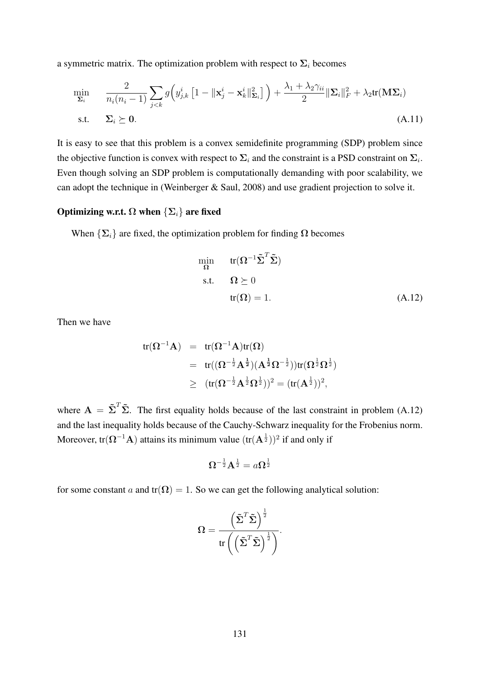a symmetric matrix. The optimization problem with respect to  $\Sigma_i$  becomes

$$
\min_{\Sigma_i} \quad \frac{2}{n_i(n_i-1)} \sum_{j < k} g\left(y_{j,k}^i \left[1 - \|\mathbf{x}_j^i - \mathbf{x}_k^i\|_{\mathbf{\Sigma}_i}^2\right]\right) + \frac{\lambda_1 + \lambda_2 \gamma_{ii}}{2} \|\Sigma_i\|_F^2 + \lambda_2 \text{tr}(\mathbf{M} \Sigma_i)
$$
\ns.t.

\n
$$
\Sigma_i \succeq \mathbf{0}.
$$
\n(A.11)

It is easy to see that this problem is a convex semidefinite programming (SDP) problem since the objective function is convex with respect to  $\Sigma_i$  and the constraint is a PSD constraint on  $\Sigma_i$ . Even though solving an SDP problem is computationally demanding with poor scalability, we can adopt the technique in (Weinberger & Saul, 2008) and use gradient projection to solve it.

### Optimizing w.r.t.  $\Omega$  when  $\{\Sigma_i\}$  are fixed

When  $\{\Sigma_i\}$  are fixed, the optimization problem for finding  $\Omega$  becomes

$$
\min_{\Omega} \quad \text{tr}(\Omega^{-1}\tilde{\Sigma}^T\tilde{\Sigma})
$$
\n
$$
\text{s.t.} \quad \Omega \succeq 0
$$
\n
$$
\text{tr}(\Omega) = 1. \tag{A.12}
$$

Then we have

$$
\begin{array}{rcl} \mathrm{tr}(\boldsymbol{\Omega}^{-1}\mathbf{A}) & = & \mathrm{tr}(\boldsymbol{\Omega}^{-1}\mathbf{A})\mathrm{tr}(\boldsymbol{\Omega}) \\ \\ & = & \mathrm{tr}((\boldsymbol{\Omega}^{-\frac{1}{2}}\mathbf{A}^{\frac{1}{2}})(\mathbf{A}^{\frac{1}{2}}\boldsymbol{\Omega}^{-\frac{1}{2}}))\mathrm{tr}(\boldsymbol{\Omega}^{\frac{1}{2}}\boldsymbol{\Omega}^{\frac{1}{2}}) \\ \\ & \geq & (\mathrm{tr}(\boldsymbol{\Omega}^{-\frac{1}{2}}\mathbf{A}^{\frac{1}{2}}\boldsymbol{\Omega}^{\frac{1}{2}}))^2 = (\mathrm{tr}(\mathbf{A}^{\frac{1}{2}}))^2, \end{array}
$$

where  $A = \tilde{\Sigma}^T \tilde{\Sigma}$ . The first equality holds because of the last constraint in problem (A.12) and the last inequality holds because of the Cauchy-Schwarz inequality for the Frobenius norm. Moreover, tr( $\Omega^{-1}$ A) attains its minimum value  $(tr(A^{\frac{1}{2}}))^2$  if and only if

$$
\boldsymbol{\Omega}^{-\frac{1}{2}}\mathbf{A}^{\frac{1}{2}}=a\boldsymbol{\Omega}^{\frac{1}{2}}
$$

for some constant a and tr( $\Omega$ ) = 1. So we can get the following analytical solution:

$$
\boldsymbol{\Omega} = \frac{\left(\boldsymbol{\tilde{\Sigma}}^T\boldsymbol{\tilde{\Sigma}}\right)^{\frac{1}{2}}}{\mathrm{tr}\left(\left(\boldsymbol{\tilde{\Sigma}}^T\boldsymbol{\tilde{\Sigma}}\right)^{\frac{1}{2}}\right)}.
$$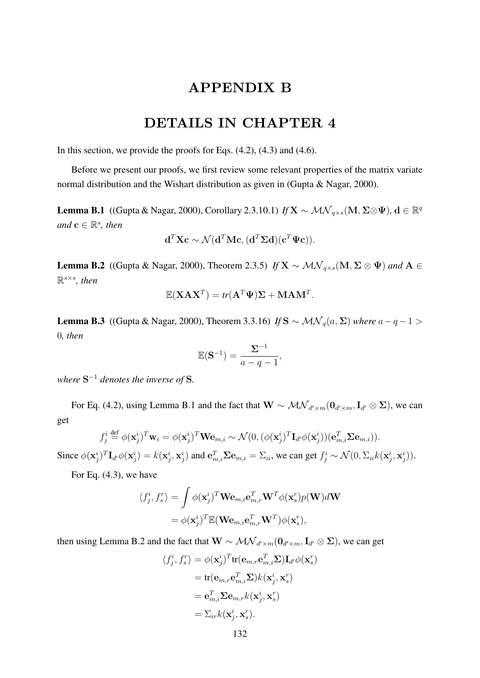## APPENDIX B

## DETAILS IN CHAPTER 4

In this section, we provide the proofs for Eqs.  $(4.2)$ ,  $(4.3)$  and  $(4.6)$ .

Before we present our proofs, we first review some relevant properties of the matrix variate normal distribution and the Wishart distribution as given in (Gupta & Nagar, 2000).

Lemma B.1 ((Gupta & Nagar, 2000), Corollary 2.3.10.1) *If* **X** ∼  $\mathcal{MN}_{q\times s}(\mathbf{M}, \Sigma \otimes \Psi)$ , d ∈  $\mathbb{R}^q$  $and$  **c**  $\in \mathbb{R}^s$ *, then* 

$$
\mathbf{d}^T \mathbf{X} \mathbf{c} \sim \mathcal{N}(\mathbf{d}^T \mathbf{M} \mathbf{c}, (\mathbf{d}^T \mathbf{\Sigma} \mathbf{d})(\mathbf{c}^T \mathbf{\Psi} \mathbf{c})).
$$

**Lemma B.2** ((Gupta & Nagar, 2000), Theorem 2.3.5) *If*  $X \sim MN_{q \times s}(M, \Sigma \otimes \Psi)$  *and*  $A \in$  $\mathbb{R}^{s \times s}$ *, then* 

$$
\mathbb{E}(\mathbf{X} \mathbf{A} \mathbf{X}^T) = tr(\mathbf{A}^T \mathbf{\Psi}) \mathbf{\Sigma} + \mathbf{M} \mathbf{A} \mathbf{M}^T.
$$

**Lemma B.3** ((Gupta & Nagar, 2000), Theorem 3.3.16) *If*  $S \sim MN_{q}(a, \Sigma)$  *where*  $a-q-1$ 0*, then*

$$
\mathbb{E}(\mathbf{S}^{-1}) = \frac{\Sigma^{-1}}{a - q - 1},
$$

*where* S <sup>−</sup><sup>1</sup> *denotes the inverse of* S*.*

For Eq. (4.2), using Lemma B.1 and the fact that  $W \sim \mathcal{MN}_{d' \times m}(\mathbf{0}_{d' \times m}, \mathbf{I}_{d'} \otimes \Sigma)$ , we can get

$$
f_j^i \stackrel{\text{def}}{=} \phi(\mathbf{x}_j^i)^T \mathbf{w}_i = \phi(\mathbf{x}_j^i)^T \mathbf{W} \mathbf{e}_{m,i} \sim \mathcal{N}(0, (\phi(\mathbf{x}_j^i)^T \mathbf{I}_{d'} \phi(\mathbf{x}_j^i)) (\mathbf{e}_{m,i}^T \mathbf{\Sigma} \mathbf{e}_{m,i})).
$$

Since  $\phi(\mathbf{x}_j^i)^T \mathbf{I}_{d'} \phi(\mathbf{x}_j^i) = k(\mathbf{x}_j^i, \mathbf{x}_j^i)$  and  $\mathbf{e}_{m,i}^T \boldsymbol{\Sigma} \mathbf{e}_{m,i} = \Sigma_{ii}$ , we can get  $f_j^i \sim \mathcal{N}(0, \Sigma_{ii} k(\mathbf{x}_j^i, \mathbf{x}_j^i)).$ 

For Eq. (4.3), we have

$$
\langle f_j^i, f_s^r \rangle = \int \phi(\mathbf{x}_j^i)^T \mathbf{W} \mathbf{e}_{m,i} \mathbf{e}_{m,r}^T \mathbf{W}^T \phi(\mathbf{x}_s^r) p(\mathbf{W}) d\mathbf{W}
$$
  
=  $\phi(\mathbf{x}_j^i)^T \mathbb{E}(\mathbf{W} \mathbf{e}_{m,i} \mathbf{e}_{m,r}^T \mathbf{W}^T) \phi(\mathbf{x}_s^r),$ 

then using Lemma B.2 and the fact that  $\bf W\sim \mathcal{MN}_{d'\times m}(\bf 0_{d'\times m},\bf I_{d'}\otimes \Sigma)$ , we can get

$$
\langle f_j^i, f_s^r \rangle = \phi(\mathbf{x}_j^i)^T \text{tr}(\mathbf{e}_{m,r} \mathbf{e}_{m,i}^T \mathbf{\Sigma}) \mathbf{I}_{d'} \phi(\mathbf{x}_s^r)
$$
  
= tr( $\mathbf{e}_{m,r} \mathbf{e}_{m,i}^T \mathbf{\Sigma}$ ) k( $\mathbf{x}_j^i, \mathbf{x}_s^r$ )  
=  $\mathbf{e}_{m,i}^T \mathbf{\Sigma} \mathbf{e}_{m,r} k(\mathbf{x}_j^i, \mathbf{x}_s^r)$   
=  $\Sigma_{ir} k(\mathbf{x}_j^i, \mathbf{x}_s^r)$ .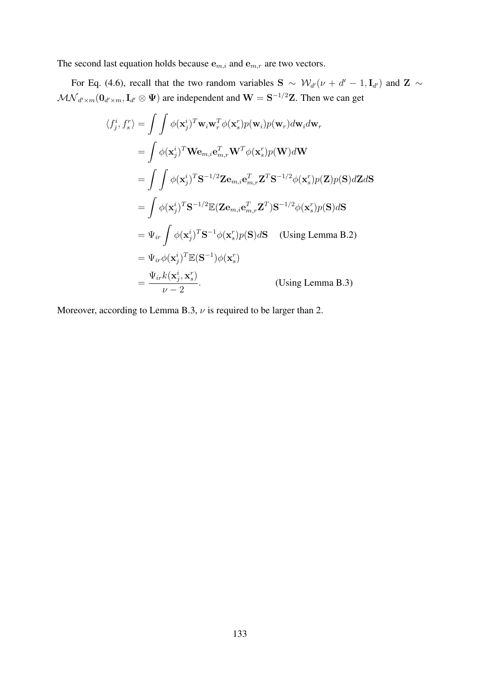The second last equation holds because  $e_{m,i}$  and  $e_{m,r}$  are two vectors.

For Eq. (4.6), recall that the two random variables  $S \sim \mathcal{W}_{d'}(\nu + d' - 1, I_{d'})$  and  $Z \sim$  $\mathcal{MN}_{d'\times m}(\mathbf{0}_{d'\times m}, \mathbf{I}_{d'} \otimes \Psi)$  are independent and  $\mathbf{W} = \mathbf{S}^{-1/2}\mathbf{Z}$ . Then we can get

$$
\langle f_j^i, f_s^r \rangle = \int \int \phi(\mathbf{x}_j^i)^T \mathbf{w}_i \mathbf{w}_r^T \phi(\mathbf{x}_s^r) p(\mathbf{w}_i) p(\mathbf{w}_r) d\mathbf{w}_i d\mathbf{w}_r
$$
  
\n
$$
= \int \phi(\mathbf{x}_j^i)^T \mathbf{W} \mathbf{e}_{m,i} \mathbf{e}_{m,r}^T \mathbf{W}^T \phi(\mathbf{x}_s^r) p(\mathbf{W}) d\mathbf{W}
$$
  
\n
$$
= \int \int \phi(\mathbf{x}_j^i)^T \mathbf{S}^{-1/2} \mathbf{Z} \mathbf{e}_{m,i} \mathbf{e}_{m,r}^T \mathbf{Z}^T \mathbf{S}^{-1/2} \phi(\mathbf{x}_s^r) p(\mathbf{Z}) p(\mathbf{S}) d\mathbf{Z} d\mathbf{S}
$$
  
\n
$$
= \int \phi(\mathbf{x}_j^i)^T \mathbf{S}^{-1/2} \mathbb{E}(\mathbf{Z} \mathbf{e}_{m,i} \mathbf{e}_{m,r}^T \mathbf{Z}^T) \mathbf{S}^{-1/2} \phi(\mathbf{x}_s^r) p(\mathbf{S}) d\mathbf{S}
$$
  
\n
$$
= \Psi_{ir} \int \phi(\mathbf{x}_j^i)^T \mathbf{S}^{-1} \phi(\mathbf{x}_s^r) p(\mathbf{S}) d\mathbf{S} \quad \text{(Using Lemma B.2)}
$$
  
\n
$$
= \Psi_{ir} \phi(\mathbf{x}_j^i)^T \mathbb{E}(\mathbf{S}^{-1}) \phi(\mathbf{x}_s^r)
$$
  
\n
$$
= \frac{\Psi_{ir} k(\mathbf{x}_j^i, \mathbf{x}_s^r)}{\nu - 2}.
$$
  
\n
$$
\text{(Using Lemma B.3)}
$$

Moreover, according to Lemma B.3,  $\nu$  is required to be larger than 2.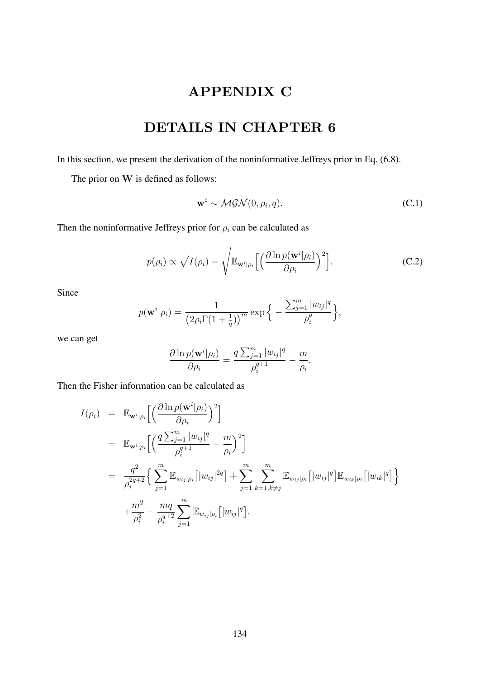## APPENDIX C

## DETAILS IN CHAPTER 6

In this section, we present the derivation of the noninformative Jeffreys prior in Eq. (6.8).

The prior on W is defined as follows:

$$
\mathbf{w}^i \sim \mathcal{MGN}(0, \rho_i, q). \tag{C.1}
$$

Then the noninformative Jeffreys prior for  $\rho_i$  can be calculated as

$$
p(\rho_i) \propto \sqrt{I(\rho_i)} = \sqrt{\mathbb{E}_{\mathbf{w}^i|\rho_i} \left[ \left( \frac{\partial \ln p(\mathbf{w}^i|\rho_i)}{\partial \rho_i} \right)^2 \right]}.
$$
 (C.2)

Since

$$
p(\mathbf{w}^{i}|\rho_{i}) = \frac{1}{\left(2\rho_{i}\Gamma(1+\frac{1}{q})\right)^{m}}\exp\Big\{-\frac{\sum_{j=1}^{m}|w_{ij}|^{q}}{\rho_{i}^{q}}\Big\},\,
$$

we can get

$$
\frac{\partial \ln p(\mathbf{w}^i|\rho_i)}{\partial \rho_i} = \frac{q \sum_{j=1}^m |w_{ij}|^q}{\rho_i^{q+1}} - \frac{m}{\rho_i}.
$$

Then the Fisher information can be calculated as

$$
I(\rho_i) = \mathbb{E}_{\mathbf{w}^i|\rho_i} \Big[ \Big( \frac{\partial \ln p(\mathbf{w}^i|\rho_i)}{\partial \rho_i} \Big)^2 \Big] = \mathbb{E}_{\mathbf{w}^i|\rho_i} \Big[ \Big( \frac{q \sum_{j=1}^m |w_{ij}|^q}{\rho_i^{q+1}} - \frac{m}{\rho_i} \Big)^2 \Big] = \frac{q^2}{\rho_i^{2q+2}} \Big\{ \sum_{j=1}^m \mathbb{E}_{w_{ij}|\rho_i} [|w_{ij}|^{2q}] + \sum_{j=1}^m \sum_{k=1, k \neq j}^m \mathbb{E}_{w_{ij}|\rho_i} [|w_{ij}|^q] \mathbb{E}_{w_{ik}|\rho_i} [|w_{ik}|^q] \Big\} + \frac{m^2}{\rho_i^2} - \frac{mq}{\rho_i^{q+2}} \sum_{j=1}^m \mathbb{E}_{w_{ij}|\rho_i} [|w_{ij}|^q].
$$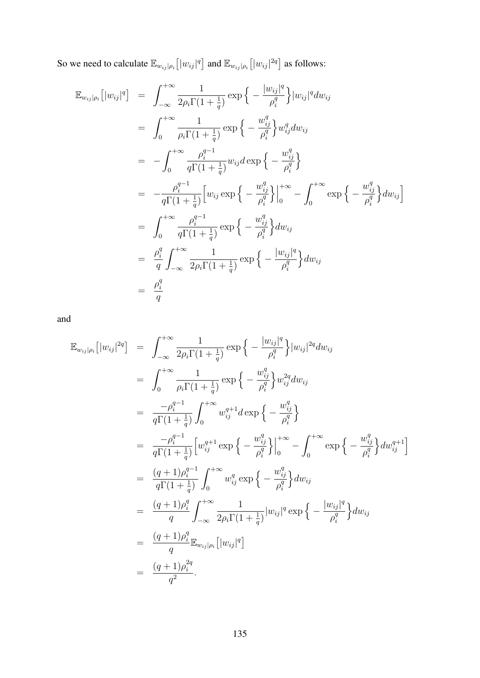So we need to calculate  $\mathbb{E}_{w_{ij}|\rho_i} \left[ |w_{ij}|^q \right]$  and  $\mathbb{E}_{w_{ij}|\rho_i} \left[ |w_{ij}|^{2q} \right]$  as follows:

$$
\mathbb{E}_{w_{ij}|\rho_i} [|w_{ij}|^q] = \int_{-\infty}^{+\infty} \frac{1}{2\rho_i \Gamma(1+\frac{1}{q})} \exp\left\{-\frac{|w_{ij}|^q}{\rho_i^q}\right\} |w_{ij}|^q dw_{ij}
$$
  
\n
$$
= \int_{0}^{+\infty} \frac{1}{\rho_i \Gamma(1+\frac{1}{q})} \exp\left\{-\frac{w_{ij}^q}{\rho_i^q}\right\} w_{ij}^q dw_{ij}
$$
  
\n
$$
= -\int_{0}^{+\infty} \frac{\rho_i^{q-1}}{q\Gamma(1+\frac{1}{q})} w_{ij} d \exp\left\{-\frac{w_{ij}^q}{\rho_i^q}\right\}
$$
  
\n
$$
= -\frac{\rho_i^{q-1}}{q\Gamma(1+\frac{1}{q})} \Big[ w_{ij} \exp\left\{-\frac{w_{ij}^q}{\rho_i^q}\right\} \Big|_{0}^{+\infty} - \int_{0}^{+\infty} \exp\left\{-\frac{w_{ij}^q}{\rho_i^q}\right\} dw_{ij}
$$
  
\n
$$
= \int_{0}^{+\infty} \frac{\rho_i^{q-1}}{q\Gamma(1+\frac{1}{q})} \exp\left\{-\frac{w_{ij}^q}{\rho_i^q}\right\} dw_{ij}
$$
  
\n
$$
= \frac{\rho_i^q}{q} \int_{-\infty}^{+\infty} \frac{1}{2\rho_i \Gamma(1+\frac{1}{q})} \exp\left\{-\frac{|w_{ij}|^q}{\rho_i^q}\right\} dw_{ij}
$$
  
\n
$$
= \frac{\rho_i^q}{q}
$$

and

$$
\mathbb{E}_{w_{ij}|\rho_i} [|w_{ij}|^{2q}] = \int_{-\infty}^{+\infty} \frac{1}{2\rho_i \Gamma(1 + \frac{1}{q})} \exp \left\{ -\frac{|w_{ij}|^q}{\rho_i^q} \right\} |w_{ij}|^{2q} dw_{ij}
$$
\n
$$
= \int_{0}^{+\infty} \frac{1}{\rho_i \Gamma(1 + \frac{1}{q})} \exp \left\{ -\frac{w_{ij}^q}{\rho_i^q} \right\} w_{ij}^{2q} dw_{ij}
$$
\n
$$
= \frac{-\rho_i^{q-1}}{q \Gamma(1 + \frac{1}{q})} \int_{0}^{+\infty} w_{ij}^{q+1} d \exp \left\{ -\frac{w_{ij}^q}{\rho_i^q} \right\}
$$
\n
$$
= \frac{-\rho_i^{q-1}}{q \Gamma(1 + \frac{1}{q})} \left[ w_{ij}^{q+1} \exp \left\{ -\frac{w_{ij}^q}{\rho_i^q} \right\} \right|_{0}^{+\infty} - \int_{0}^{+\infty} \exp \left\{ -\frac{w_{ij}^q}{\rho_i^q} \right\} dw_{ij}^{q+1} \right]
$$
\n
$$
= \frac{(q+1)\rho_i^{q-1}}{q \Gamma(1 + \frac{1}{q})} \int_{0}^{+\infty} w_{ij}^q \exp \left\{ -\frac{w_{ij}^q}{\rho_i^q} \right\} dw_{ij}
$$
\n
$$
= \frac{(q+1)\rho_i^q}{q} \int_{-\infty}^{+\infty} \frac{1}{2\rho_i \Gamma(1 + \frac{1}{q})} |w_{ij}|^q \exp \left\{ -\frac{|w_{ij}|^q}{\rho_i^q} \right\} dw_{ij}
$$
\n
$$
= \frac{(q+1)\rho_i^q}{q} \mathbb{E}_{w_{ij}|\rho_i} [|w_{ij}|^q]
$$
\n
$$
= \frac{(q+1)\rho_i^2}{q^2}.
$$